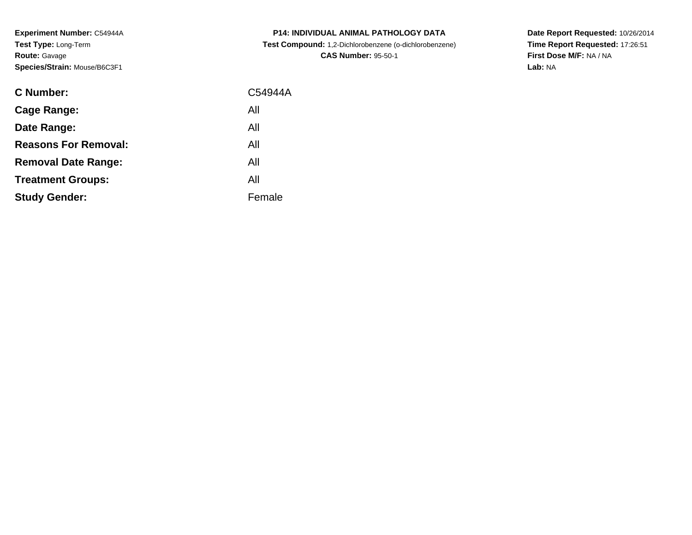**Experiment Number:** C54944A**Test Type:** Long-Term**Route:** Gavage**Species/Strain:** Mouse/B6C3F1

| <b>C Number:</b>            | C54944A |
|-----------------------------|---------|
| Cage Range:                 | All     |
| Date Range:                 | All     |
| <b>Reasons For Removal:</b> | All     |
| <b>Removal Date Range:</b>  | All     |
| <b>Treatment Groups:</b>    | All     |
| <b>Study Gender:</b>        | Female  |
|                             |         |

**P14: INDIVIDUAL ANIMAL PATHOLOGY DATA Test Compound:** 1,2-Dichlorobenzene (o-dichlorobenzene)**CAS Number:** 95-50-1

**Date Report Requested:** 10/26/2014 **Time Report Requested:** 17:26:51**First Dose M/F:** NA / NA**Lab:** NA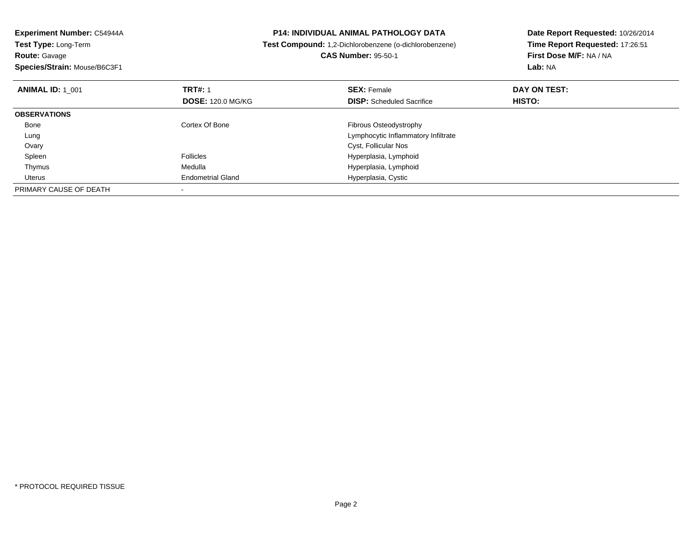| Experiment Number: C54944A   | <b>P14: INDIVIDUAL ANIMAL PATHOLOGY DATA</b> |                                                        | Date Report Requested: 10/26/2014 |
|------------------------------|----------------------------------------------|--------------------------------------------------------|-----------------------------------|
| <b>Test Type: Long-Term</b>  |                                              | Test Compound: 1,2-Dichlorobenzene (o-dichlorobenzene) | Time Report Requested: 17:26:51   |
| <b>Route: Gavage</b>         |                                              | <b>CAS Number: 95-50-1</b>                             | First Dose M/F: NA / NA           |
| Species/Strain: Mouse/B6C3F1 |                                              |                                                        | Lab: NA                           |
| <b>ANIMAL ID: 1 001</b>      | <b>TRT#: 1</b>                               | <b>SEX: Female</b>                                     | DAY ON TEST:                      |
|                              | <b>DOSE: 120.0 MG/KG</b>                     | <b>DISP:</b> Scheduled Sacrifice                       | HISTO:                            |
| <b>OBSERVATIONS</b>          |                                              |                                                        |                                   |
| Bone                         | Cortex Of Bone                               | Fibrous Osteodystrophy                                 |                                   |
| Lung                         |                                              | Lymphocytic Inflammatory Infiltrate                    |                                   |
| Ovary                        |                                              | Cyst, Follicular Nos                                   |                                   |
| Spleen                       | <b>Follicles</b>                             | Hyperplasia, Lymphoid                                  |                                   |
| Thymus                       | Medulla                                      | Hyperplasia, Lymphoid                                  |                                   |
| Uterus                       | <b>Endometrial Gland</b>                     | Hyperplasia, Cystic                                    |                                   |
| PRIMARY CAUSE OF DEATH       |                                              |                                                        |                                   |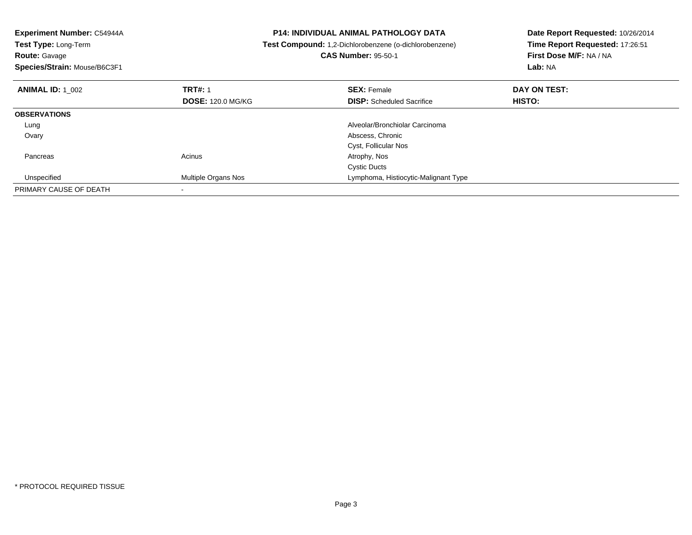| Experiment Number: C54944A<br>Test Type: Long-Term<br><b>Route: Gavage</b><br>Species/Strain: Mouse/B6C3F1 |                                            | <b>P14: INDIVIDUAL ANIMAL PATHOLOGY DATA</b><br>Test Compound: 1,2-Dichlorobenzene (o-dichlorobenzene)<br><b>CAS Number: 95-50-1</b> | Date Report Requested: 10/26/2014<br>Time Report Requested: 17:26:51<br>First Dose M/F: NA / NA<br>Lab: NA |
|------------------------------------------------------------------------------------------------------------|--------------------------------------------|--------------------------------------------------------------------------------------------------------------------------------------|------------------------------------------------------------------------------------------------------------|
| <b>ANIMAL ID: 1 002</b>                                                                                    | <b>TRT#: 1</b><br><b>DOSE: 120.0 MG/KG</b> | <b>SEX: Female</b><br><b>DISP:</b> Scheduled Sacrifice                                                                               | DAY ON TEST:<br><b>HISTO:</b>                                                                              |
| <b>OBSERVATIONS</b>                                                                                        |                                            |                                                                                                                                      |                                                                                                            |
|                                                                                                            |                                            | Alveolar/Bronchiolar Carcinoma                                                                                                       |                                                                                                            |
| Lung                                                                                                       |                                            |                                                                                                                                      |                                                                                                            |
| Ovary                                                                                                      |                                            | Abscess, Chronic                                                                                                                     |                                                                                                            |
|                                                                                                            |                                            | Cyst, Follicular Nos                                                                                                                 |                                                                                                            |
| Pancreas                                                                                                   | Acinus                                     | Atrophy, Nos                                                                                                                         |                                                                                                            |
|                                                                                                            |                                            | <b>Cystic Ducts</b>                                                                                                                  |                                                                                                            |
| Unspecified                                                                                                | Multiple Organs Nos                        | Lymphoma, Histiocytic-Malignant Type                                                                                                 |                                                                                                            |
| PRIMARY CAUSE OF DEATH                                                                                     |                                            |                                                                                                                                      |                                                                                                            |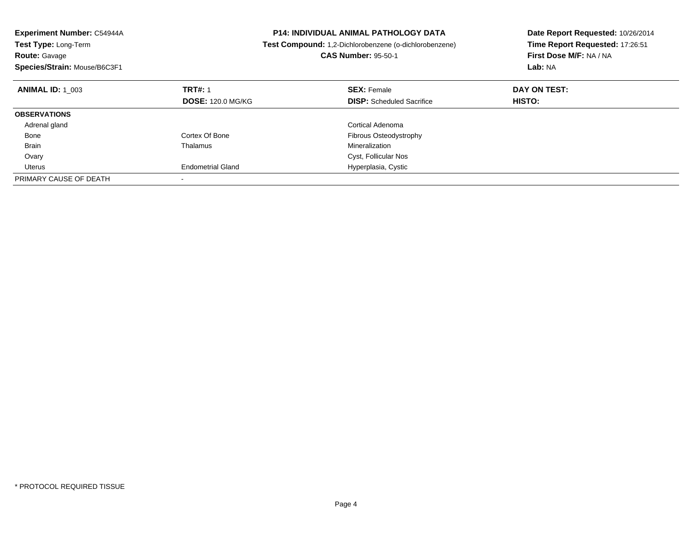| Experiment Number: C54944A<br><b>Test Type: Long-Term</b><br><b>Route: Gavage</b><br>Species/Strain: Mouse/B6C3F1 |                          | <b>P14: INDIVIDUAL ANIMAL PATHOLOGY DATA</b><br>Test Compound: 1,2-Dichlorobenzene (o-dichlorobenzene)<br><b>CAS Number: 95-50-1</b> | Date Report Requested: 10/26/2014<br>Time Report Requested: 17:26:51<br>First Dose M/F: NA / NA<br>Lab: NA |
|-------------------------------------------------------------------------------------------------------------------|--------------------------|--------------------------------------------------------------------------------------------------------------------------------------|------------------------------------------------------------------------------------------------------------|
| <b>ANIMAL ID: 1 003</b>                                                                                           | <b>TRT#: 1</b>           | <b>SEX: Female</b>                                                                                                                   | DAY ON TEST:                                                                                               |
|                                                                                                                   | <b>DOSE: 120.0 MG/KG</b> | <b>DISP:</b> Scheduled Sacrifice                                                                                                     | HISTO:                                                                                                     |
| <b>OBSERVATIONS</b>                                                                                               |                          |                                                                                                                                      |                                                                                                            |
| Adrenal gland                                                                                                     |                          | Cortical Adenoma                                                                                                                     |                                                                                                            |
| Bone                                                                                                              | Cortex Of Bone           | Fibrous Osteodystrophy                                                                                                               |                                                                                                            |
| <b>Brain</b>                                                                                                      | Thalamus                 | Mineralization                                                                                                                       |                                                                                                            |
| Ovary                                                                                                             |                          | Cyst, Follicular Nos                                                                                                                 |                                                                                                            |
| Uterus                                                                                                            | <b>Endometrial Gland</b> | Hyperplasia, Cystic                                                                                                                  |                                                                                                            |
| PRIMARY CAUSE OF DEATH                                                                                            |                          |                                                                                                                                      |                                                                                                            |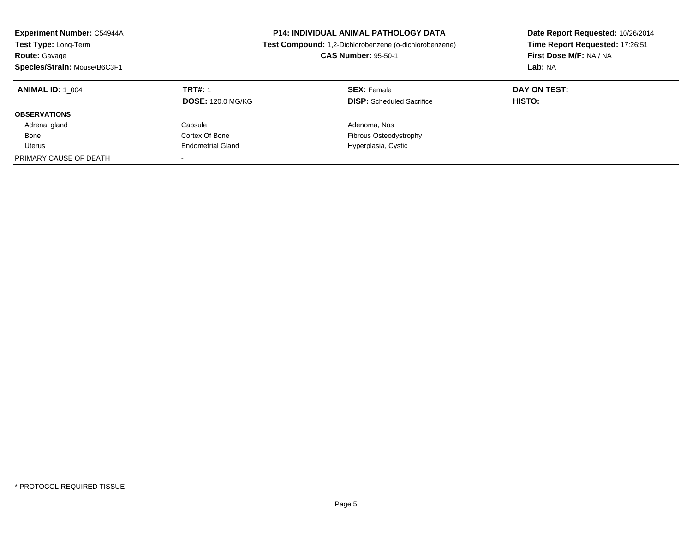| <b>Experiment Number: C54944A</b><br>Test Type: Long-Term<br><b>Route: Gavage</b><br>Species/Strain: Mouse/B6C3F1 | <b>P14: INDIVIDUAL ANIMAL PATHOLOGY DATA</b><br>Test Compound: 1,2-Dichlorobenzene (o-dichlorobenzene)<br><b>CAS Number: 95-50-1</b> |                                  | Date Report Requested: 10/26/2014<br>Time Report Requested: 17:26:51<br>First Dose M/F: NA / NA<br>Lab: NA |
|-------------------------------------------------------------------------------------------------------------------|--------------------------------------------------------------------------------------------------------------------------------------|----------------------------------|------------------------------------------------------------------------------------------------------------|
| <b>ANIMAL ID:</b> 1 004                                                                                           | <b>TRT#: 1</b>                                                                                                                       | <b>SEX: Female</b>               | DAY ON TEST:                                                                                               |
|                                                                                                                   | <b>DOSE: 120.0 MG/KG</b>                                                                                                             | <b>DISP:</b> Scheduled Sacrifice | <b>HISTO:</b>                                                                                              |
| <b>OBSERVATIONS</b>                                                                                               |                                                                                                                                      |                                  |                                                                                                            |
| Adrenal gland                                                                                                     | Capsule                                                                                                                              | Adenoma, Nos                     |                                                                                                            |
| Bone                                                                                                              | Cortex Of Bone                                                                                                                       | Fibrous Osteodystrophy           |                                                                                                            |
| Uterus                                                                                                            | <b>Endometrial Gland</b>                                                                                                             | Hyperplasia, Cystic              |                                                                                                            |
| PRIMARY CAUSE OF DEATH                                                                                            |                                                                                                                                      |                                  |                                                                                                            |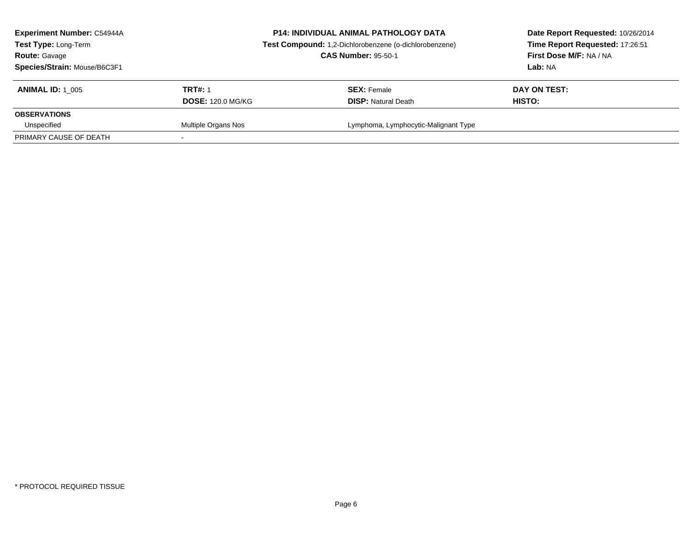| <b>Experiment Number: C54944A</b><br>Test Type: Long-Term<br><b>Route: Gavage</b><br>Species/Strain: Mouse/B6C3F1 |                          | <b>P14: INDIVIDUAL ANIMAL PATHOLOGY DATA</b><br>Test Compound: 1,2-Dichlorobenzene (o-dichlorobenzene)<br><b>CAS Number: 95-50-1</b> | Date Report Requested: 10/26/2014<br>Time Report Requested: 17:26:51<br>First Dose M/F: NA / NA<br>Lab: NA |
|-------------------------------------------------------------------------------------------------------------------|--------------------------|--------------------------------------------------------------------------------------------------------------------------------------|------------------------------------------------------------------------------------------------------------|
| <b>ANIMAL ID: 1 005</b>                                                                                           | <b>TRT#: 1</b>           | <b>SEX: Female</b>                                                                                                                   | DAY ON TEST:                                                                                               |
|                                                                                                                   | <b>DOSE: 120.0 MG/KG</b> | <b>DISP:</b> Natural Death                                                                                                           | HISTO:                                                                                                     |
| <b>OBSERVATIONS</b>                                                                                               |                          |                                                                                                                                      |                                                                                                            |
| Unspecified                                                                                                       | Multiple Organs Nos      | Lymphoma, Lymphocytic-Malignant Type                                                                                                 |                                                                                                            |
| PRIMARY CAUSE OF DEATH                                                                                            |                          |                                                                                                                                      |                                                                                                            |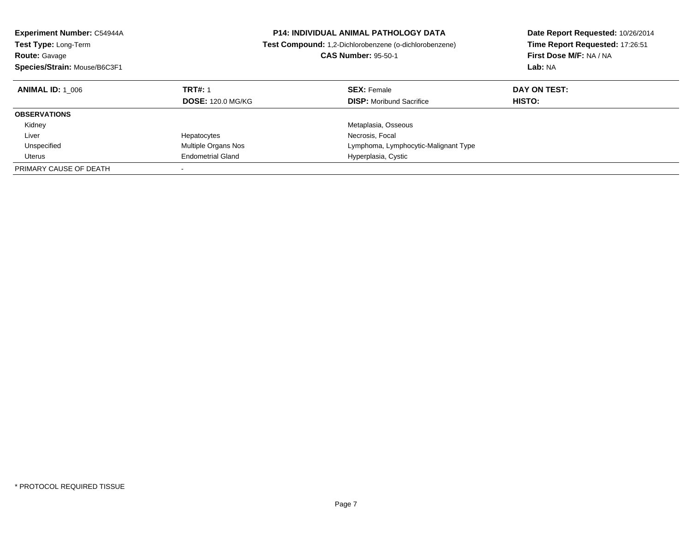| <b>Experiment Number: C54944A</b> | P14: INDIVIDUAL ANIMAL PATHOLOGY DATA |                                                        | Date Report Requested: 10/26/2014 |
|-----------------------------------|---------------------------------------|--------------------------------------------------------|-----------------------------------|
| <b>Test Type: Long-Term</b>       |                                       | Test Compound: 1,2-Dichlorobenzene (o-dichlorobenzene) | Time Report Requested: 17:26:51   |
| <b>Route: Gavage</b>              |                                       | <b>CAS Number: 95-50-1</b>                             | First Dose M/F: NA / NA           |
| Species/Strain: Mouse/B6C3F1      |                                       |                                                        | Lab: NA                           |
| <b>ANIMAL ID: 1 006</b>           | <b>TRT#: 1</b>                        | <b>SEX: Female</b>                                     | DAY ON TEST:                      |
|                                   | <b>DOSE: 120.0 MG/KG</b>              | <b>DISP:</b> Moribund Sacrifice                        | <b>HISTO:</b>                     |
| <b>OBSERVATIONS</b>               |                                       |                                                        |                                   |
| Kidney                            |                                       | Metaplasia, Osseous                                    |                                   |
| Liver                             | Hepatocytes                           | Necrosis, Focal                                        |                                   |
| Unspecified                       | Multiple Organs Nos                   | Lymphoma, Lymphocytic-Malignant Type                   |                                   |
| Uterus                            | <b>Endometrial Gland</b>              | Hyperplasia, Cystic                                    |                                   |
| PRIMARY CAUSE OF DEATH            |                                       |                                                        |                                   |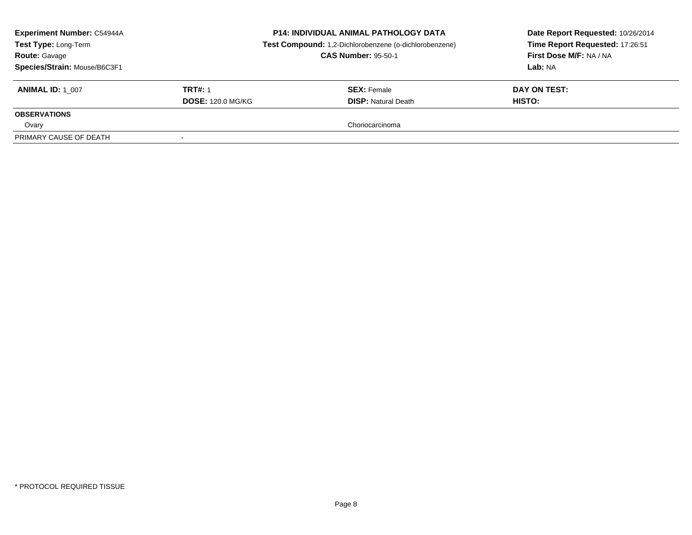| <b>Experiment Number: C54944A</b><br>Test Type: Long-Term<br><b>Route: Gavage</b><br>Species/Strain: Mouse/B6C3F1 |                          | <b>P14: INDIVIDUAL ANIMAL PATHOLOGY DATA</b><br>Test Compound: 1,2-Dichlorobenzene (o-dichlorobenzene)<br><b>CAS Number: 95-50-1</b> | Date Report Requested: 10/26/2014<br>Time Report Requested: 17:26:51<br>First Dose M/F: NA / NA<br>Lab: NA |
|-------------------------------------------------------------------------------------------------------------------|--------------------------|--------------------------------------------------------------------------------------------------------------------------------------|------------------------------------------------------------------------------------------------------------|
| <b>ANIMAL ID: 1 007</b>                                                                                           | <b>TRT#: 1</b>           | <b>SEX:</b> Female                                                                                                                   | DAY ON TEST:                                                                                               |
|                                                                                                                   | <b>DOSE: 120.0 MG/KG</b> | <b>DISP:</b> Natural Death                                                                                                           | HISTO:                                                                                                     |
| <b>OBSERVATIONS</b>                                                                                               |                          |                                                                                                                                      |                                                                                                            |
| Ovary                                                                                                             |                          | Choriocarcinoma                                                                                                                      |                                                                                                            |
| PRIMARY CAUSE OF DEATH                                                                                            |                          |                                                                                                                                      |                                                                                                            |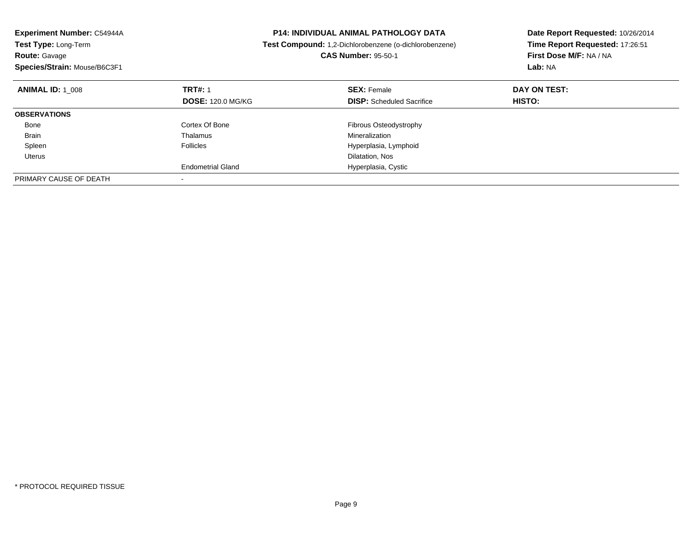| Experiment Number: C54944A<br><b>Test Type: Long-Term</b><br><b>Route: Gavage</b><br>Species/Strain: Mouse/B6C3F1 |                          | <b>P14: INDIVIDUAL ANIMAL PATHOLOGY DATA</b><br>Test Compound: 1,2-Dichlorobenzene (o-dichlorobenzene)<br><b>CAS Number: 95-50-1</b> | Date Report Requested: 10/26/2014<br>Time Report Requested: 17:26:51<br>First Dose M/F: NA / NA<br>Lab: NA |
|-------------------------------------------------------------------------------------------------------------------|--------------------------|--------------------------------------------------------------------------------------------------------------------------------------|------------------------------------------------------------------------------------------------------------|
| <b>ANIMAL ID: 1 008</b>                                                                                           | <b>TRT#: 1</b>           | <b>SEX: Female</b>                                                                                                                   | DAY ON TEST:                                                                                               |
|                                                                                                                   | <b>DOSE: 120.0 MG/KG</b> | <b>DISP:</b> Scheduled Sacrifice                                                                                                     | HISTO:                                                                                                     |
| <b>OBSERVATIONS</b>                                                                                               |                          |                                                                                                                                      |                                                                                                            |
| Bone                                                                                                              | Cortex Of Bone           | Fibrous Osteodystrophy                                                                                                               |                                                                                                            |
| <b>Brain</b>                                                                                                      | Thalamus                 | Mineralization                                                                                                                       |                                                                                                            |
| Spleen                                                                                                            | <b>Follicles</b>         | Hyperplasia, Lymphoid                                                                                                                |                                                                                                            |
| Uterus                                                                                                            |                          | Dilatation, Nos                                                                                                                      |                                                                                                            |
|                                                                                                                   | <b>Endometrial Gland</b> | Hyperplasia, Cystic                                                                                                                  |                                                                                                            |
| PRIMARY CAUSE OF DEATH                                                                                            |                          |                                                                                                                                      |                                                                                                            |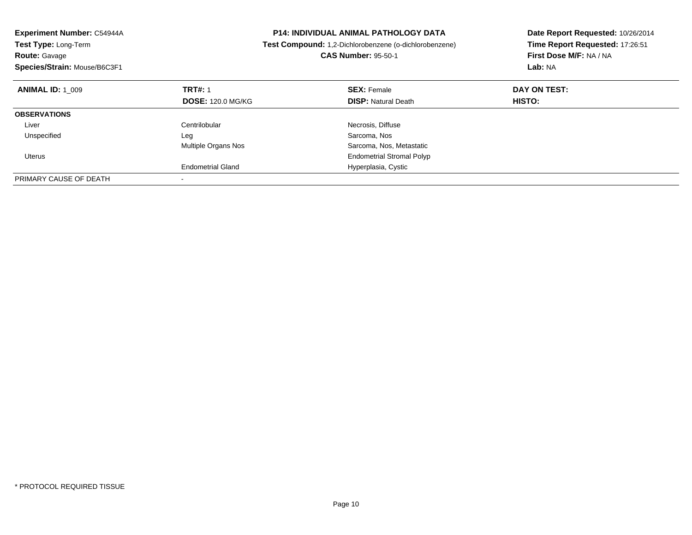| Experiment Number: C54944A<br><b>P14: INDIVIDUAL ANIMAL PATHOLOGY DATA</b><br>Test Type: Long-Term<br>Test Compound: 1,2-Dichlorobenzene (o-dichlorobenzene) |                          | Date Report Requested: 10/26/2014 |                                 |
|--------------------------------------------------------------------------------------------------------------------------------------------------------------|--------------------------|-----------------------------------|---------------------------------|
|                                                                                                                                                              |                          |                                   | Time Report Requested: 17:26:51 |
| <b>Route: Gavage</b>                                                                                                                                         |                          | <b>CAS Number: 95-50-1</b>        | First Dose M/F: NA / NA         |
| Species/Strain: Mouse/B6C3F1                                                                                                                                 |                          |                                   | Lab: NA                         |
| <b>ANIMAL ID: 1 009</b>                                                                                                                                      | <b>TRT#: 1</b>           | <b>SEX: Female</b>                | DAY ON TEST:                    |
|                                                                                                                                                              | <b>DOSE: 120.0 MG/KG</b> | <b>DISP: Natural Death</b>        | HISTO:                          |
| <b>OBSERVATIONS</b>                                                                                                                                          |                          |                                   |                                 |
| Liver                                                                                                                                                        | Centrilobular            | Necrosis, Diffuse                 |                                 |
| Unspecified                                                                                                                                                  | Leg                      | Sarcoma, Nos                      |                                 |
|                                                                                                                                                              | Multiple Organs Nos      | Sarcoma, Nos, Metastatic          |                                 |
| Uterus                                                                                                                                                       |                          | <b>Endometrial Stromal Polyp</b>  |                                 |
|                                                                                                                                                              | <b>Endometrial Gland</b> | Hyperplasia, Cystic               |                                 |
| PRIMARY CAUSE OF DEATH                                                                                                                                       |                          |                                   |                                 |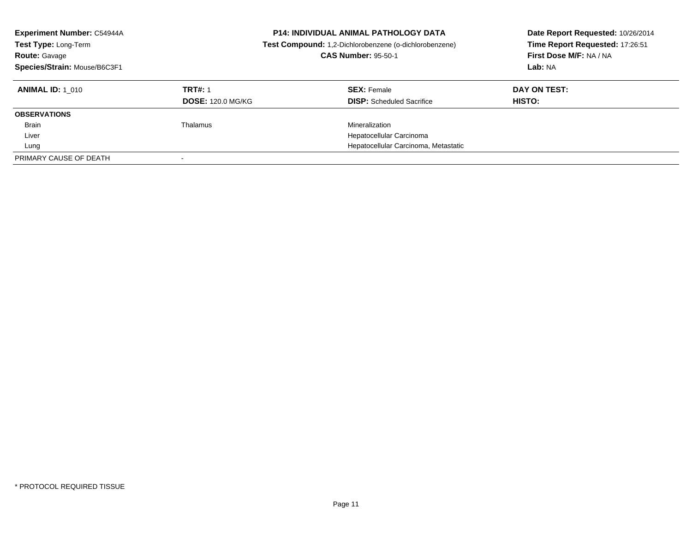| <b>Experiment Number: C54944A</b><br>Test Type: Long-Term<br><b>Route: Gavage</b><br>Species/Strain: Mouse/B6C3F1 |                                            | <b>P14: INDIVIDUAL ANIMAL PATHOLOGY DATA</b><br>Test Compound: 1,2-Dichlorobenzene (o-dichlorobenzene)<br><b>CAS Number: 95-50-1</b> | Date Report Requested: 10/26/2014<br>Time Report Requested: 17:26:51<br>First Dose M/F: NA / NA<br>Lab: NA |
|-------------------------------------------------------------------------------------------------------------------|--------------------------------------------|--------------------------------------------------------------------------------------------------------------------------------------|------------------------------------------------------------------------------------------------------------|
| <b>ANIMAL ID: 1 010</b>                                                                                           | <b>TRT#: 1</b><br><b>DOSE: 120.0 MG/KG</b> | <b>SEX: Female</b><br><b>DISP:</b> Scheduled Sacrifice                                                                               | DAY ON TEST:<br>HISTO:                                                                                     |
| <b>OBSERVATIONS</b>                                                                                               |                                            |                                                                                                                                      |                                                                                                            |
| <b>Brain</b>                                                                                                      | Thalamus                                   | Mineralization                                                                                                                       |                                                                                                            |
| Liver                                                                                                             |                                            | Hepatocellular Carcinoma                                                                                                             |                                                                                                            |
| Lung                                                                                                              |                                            | Hepatocellular Carcinoma, Metastatic                                                                                                 |                                                                                                            |
| PRIMARY CAUSE OF DEATH                                                                                            |                                            |                                                                                                                                      |                                                                                                            |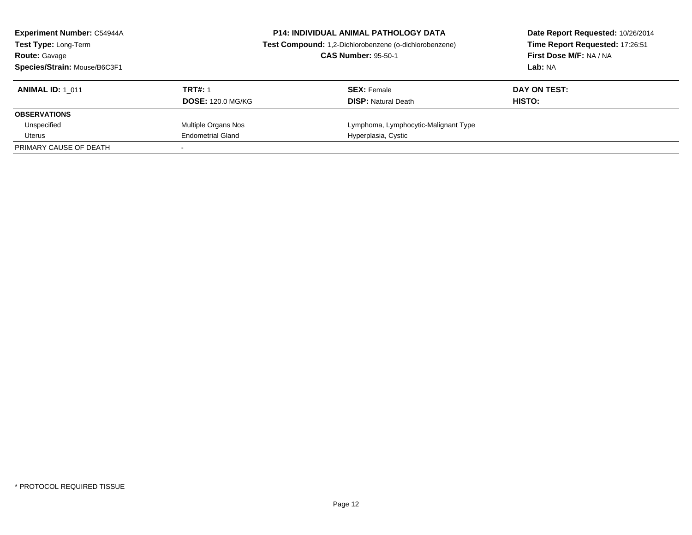| <b>Experiment Number: C54944A</b><br>Test Type: Long-Term<br><b>Route: Gavage</b><br>Species/Strain: Mouse/B6C3F1 | <b>P14: INDIVIDUAL ANIMAL PATHOLOGY DATA</b><br>Test Compound: 1,2-Dichlorobenzene (o-dichlorobenzene)<br><b>CAS Number: 95-50-1</b> |                                                  | Date Report Requested: 10/26/2014<br>Time Report Requested: 17:26:51<br>First Dose M/F: NA / NA<br>Lab: NA |
|-------------------------------------------------------------------------------------------------------------------|--------------------------------------------------------------------------------------------------------------------------------------|--------------------------------------------------|------------------------------------------------------------------------------------------------------------|
| <b>ANIMAL ID: 1 011</b>                                                                                           | <b>TRT#: 1</b><br><b>DOSE: 120.0 MG/KG</b>                                                                                           | <b>SEX: Female</b><br><b>DISP: Natural Death</b> | DAY ON TEST:<br>HISTO:                                                                                     |
| <b>OBSERVATIONS</b>                                                                                               |                                                                                                                                      |                                                  |                                                                                                            |
| Unspecified                                                                                                       | Multiple Organs Nos                                                                                                                  | Lymphoma, Lymphocytic-Malignant Type             |                                                                                                            |
| Uterus                                                                                                            | <b>Endometrial Gland</b>                                                                                                             | Hyperplasia, Cystic                              |                                                                                                            |
| PRIMARY CAUSE OF DEATH                                                                                            |                                                                                                                                      |                                                  |                                                                                                            |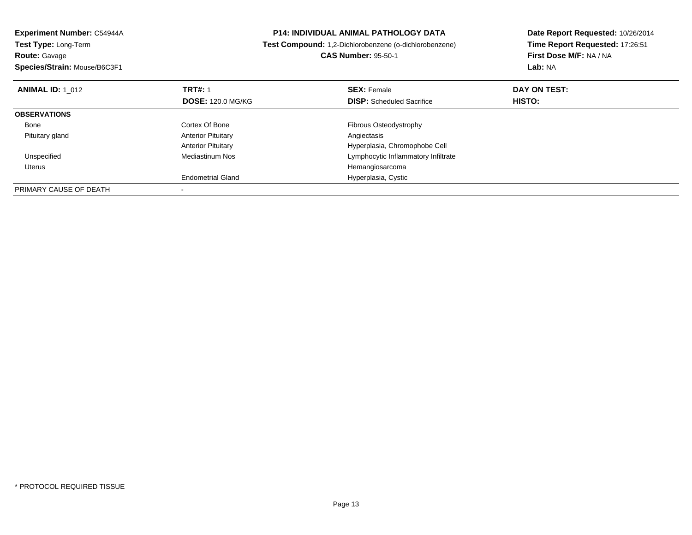| Experiment Number: C54944A                   | <b>P14: INDIVIDUAL ANIMAL PATHOLOGY DATA</b>           | Date Report Requested: 10/26/2014 |  |
|----------------------------------------------|--------------------------------------------------------|-----------------------------------|--|
| Test Type: Long-Term                         | Test Compound: 1,2-Dichlorobenzene (o-dichlorobenzene) | Time Report Requested: 17:26:51   |  |
| <b>Route: Gavage</b>                         | <b>CAS Number: 95-50-1</b>                             | First Dose M/F: NA / NA           |  |
| Species/Strain: Mouse/B6C3F1                 |                                                        | Lab: NA                           |  |
| <b>TRT#: 1</b><br><b>ANIMAL ID:</b> 1 012    | <b>SEX: Female</b>                                     | DAY ON TEST:                      |  |
| <b>DOSE: 120.0 MG/KG</b>                     | <b>DISP:</b> Scheduled Sacrifice                       | <b>HISTO:</b>                     |  |
| <b>OBSERVATIONS</b>                          |                                                        |                                   |  |
| Cortex Of Bone<br>Bone                       | Fibrous Osteodystrophy                                 |                                   |  |
| <b>Anterior Pituitary</b><br>Pituitary gland | Angiectasis                                            |                                   |  |
| <b>Anterior Pituitary</b>                    | Hyperplasia, Chromophobe Cell                          |                                   |  |
| Unspecified<br><b>Mediastinum Nos</b>        | Lymphocytic Inflammatory Infiltrate                    |                                   |  |
| Uterus                                       | Hemangiosarcoma                                        |                                   |  |
| <b>Endometrial Gland</b>                     | Hyperplasia, Cystic                                    |                                   |  |
| PRIMARY CAUSE OF DEATH                       |                                                        |                                   |  |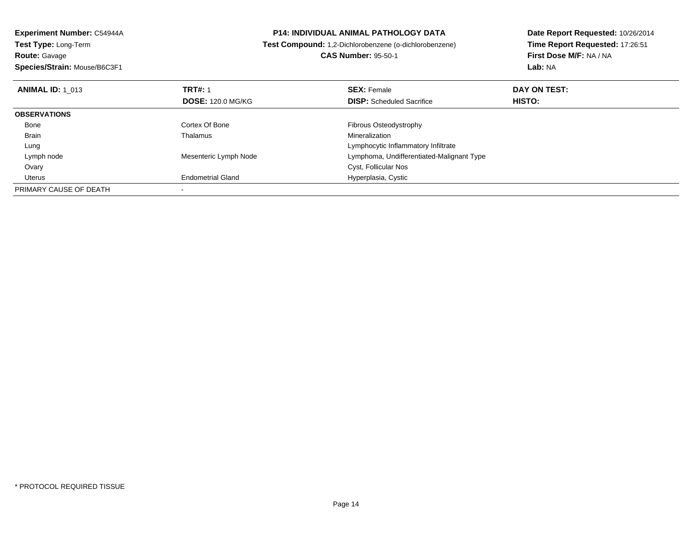**Experiment Number:** C54944A**Test Type:** Long-Term**Route:** Gavage**Species/Strain:** Mouse/B6C3F1

## **P14: INDIVIDUAL ANIMAL PATHOLOGY DATA**

**Test Compound:** 1,2-Dichlorobenzene (o-dichlorobenzene)

**CAS Number:** 95-50-1

**Date Report Requested:** 10/26/2014**Time Report Requested:** 17:26:51**First Dose M/F:** NA / NA**Lab:** NA

| <b>ANIMAL ID: 1 013</b> | <b>TRT#: 1</b><br><b>DOSE: 120.0 MG/KG</b> | <b>SEX: Female</b><br><b>DISP:</b> Scheduled Sacrifice | DAY ON TEST:<br><b>HISTO:</b> |  |
|-------------------------|--------------------------------------------|--------------------------------------------------------|-------------------------------|--|
|                         |                                            |                                                        |                               |  |
| <b>OBSERVATIONS</b>     |                                            |                                                        |                               |  |
| Bone                    | Cortex Of Bone                             | Fibrous Osteodystrophy                                 |                               |  |
| <b>Brain</b>            | Thalamus                                   | Mineralization                                         |                               |  |
| Lung                    |                                            | Lymphocytic Inflammatory Infiltrate                    |                               |  |
| Lymph node              | Mesenteric Lymph Node                      | Lymphoma, Undifferentiated-Malignant Type              |                               |  |
| Ovary                   |                                            | Cyst, Follicular Nos                                   |                               |  |
| Uterus                  | <b>Endometrial Gland</b>                   | Hyperplasia, Cystic                                    |                               |  |
| PRIMARY CAUSE OF DEATH  |                                            |                                                        |                               |  |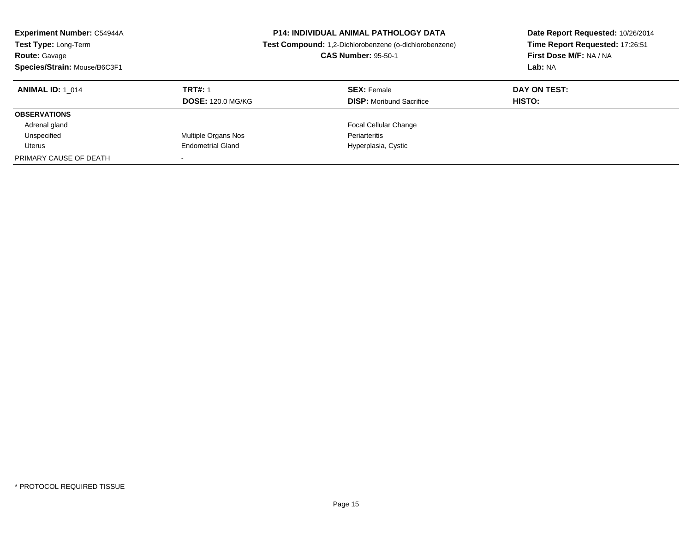| <b>Experiment Number: C54944A</b><br>Test Type: Long-Term<br><b>Route: Gavage</b><br>Species/Strain: Mouse/B6C3F1 |                          | <b>P14: INDIVIDUAL ANIMAL PATHOLOGY DATA</b><br>Test Compound: 1,2-Dichlorobenzene (o-dichlorobenzene)<br><b>CAS Number: 95-50-1</b> | Date Report Requested: 10/26/2014<br>Time Report Requested: 17:26:51<br>First Dose M/F: NA / NA<br>Lab: NA |
|-------------------------------------------------------------------------------------------------------------------|--------------------------|--------------------------------------------------------------------------------------------------------------------------------------|------------------------------------------------------------------------------------------------------------|
| <b>ANIMAL ID:</b> 1 014                                                                                           | <b>TRT#: 1</b>           | <b>SEX: Female</b>                                                                                                                   | DAY ON TEST:                                                                                               |
|                                                                                                                   | <b>DOSE: 120.0 MG/KG</b> | <b>DISP:</b> Moribund Sacrifice                                                                                                      | <b>HISTO:</b>                                                                                              |
| <b>OBSERVATIONS</b>                                                                                               |                          |                                                                                                                                      |                                                                                                            |
| Adrenal gland                                                                                                     |                          | <b>Focal Cellular Change</b>                                                                                                         |                                                                                                            |
| Unspecified                                                                                                       | Multiple Organs Nos      | Periarteritis                                                                                                                        |                                                                                                            |
| Uterus                                                                                                            | <b>Endometrial Gland</b> | Hyperplasia, Cystic                                                                                                                  |                                                                                                            |
| PRIMARY CAUSE OF DEATH                                                                                            |                          |                                                                                                                                      |                                                                                                            |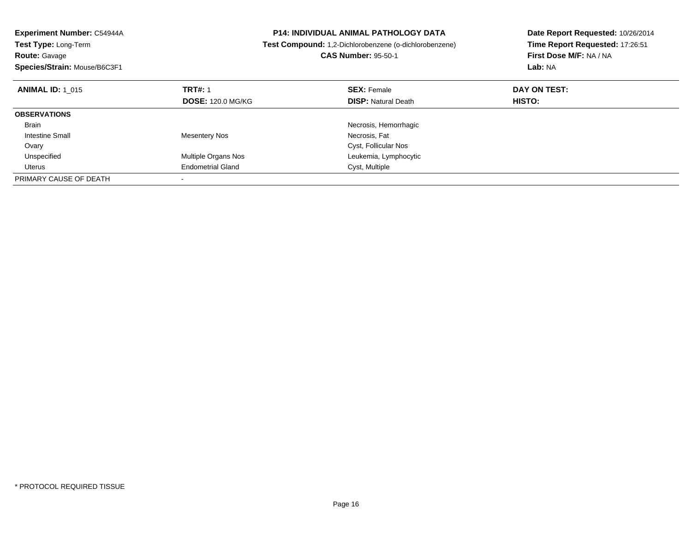| Experiment Number: C54944A   | <b>P14: INDIVIDUAL ANIMAL PATHOLOGY DATA</b> |                                                        | Date Report Requested: 10/26/2014 |
|------------------------------|----------------------------------------------|--------------------------------------------------------|-----------------------------------|
| Test Type: Long-Term         |                                              | Test Compound: 1,2-Dichlorobenzene (o-dichlorobenzene) | Time Report Requested: 17:26:51   |
| <b>Route: Gavage</b>         |                                              | <b>CAS Number: 95-50-1</b>                             | First Dose M/F: NA / NA           |
| Species/Strain: Mouse/B6C3F1 |                                              |                                                        | Lab: NA                           |
| <b>ANIMAL ID: 1 015</b>      | <b>TRT#: 1</b>                               | <b>SEX: Female</b>                                     | DAY ON TEST:                      |
|                              | <b>DOSE: 120.0 MG/KG</b>                     | <b>DISP:</b> Natural Death                             | <b>HISTO:</b>                     |
| <b>OBSERVATIONS</b>          |                                              |                                                        |                                   |
| Brain                        |                                              | Necrosis, Hemorrhagic                                  |                                   |
| Intestine Small              | <b>Mesentery Nos</b>                         | Necrosis, Fat                                          |                                   |
| Ovary                        |                                              | Cyst, Follicular Nos                                   |                                   |
| Unspecified                  | Multiple Organs Nos                          | Leukemia, Lymphocytic                                  |                                   |
| Uterus                       | <b>Endometrial Gland</b>                     | Cyst, Multiple                                         |                                   |
| PRIMARY CAUSE OF DEATH       |                                              |                                                        |                                   |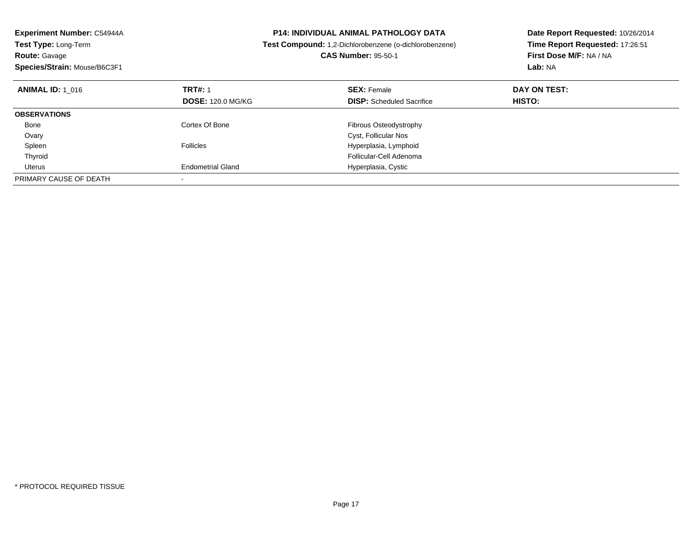| Experiment Number: C54944A<br><b>Test Type: Long-Term</b><br><b>Route: Gavage</b><br>Species/Strain: Mouse/B6C3F1 |                          | <b>P14: INDIVIDUAL ANIMAL PATHOLOGY DATA</b><br>Test Compound: 1,2-Dichlorobenzene (o-dichlorobenzene)<br><b>CAS Number: 95-50-1</b> | Date Report Requested: 10/26/2014<br>Time Report Requested: 17:26:51<br>First Dose M/F: NA / NA<br>Lab: NA |
|-------------------------------------------------------------------------------------------------------------------|--------------------------|--------------------------------------------------------------------------------------------------------------------------------------|------------------------------------------------------------------------------------------------------------|
| <b>ANIMAL ID: 1 016</b>                                                                                           | <b>TRT#: 1</b>           | <b>SEX: Female</b>                                                                                                                   | DAY ON TEST:                                                                                               |
|                                                                                                                   | <b>DOSE: 120.0 MG/KG</b> | <b>DISP:</b> Scheduled Sacrifice                                                                                                     | HISTO:                                                                                                     |
| <b>OBSERVATIONS</b>                                                                                               |                          |                                                                                                                                      |                                                                                                            |
| Bone                                                                                                              | Cortex Of Bone           | Fibrous Osteodystrophy                                                                                                               |                                                                                                            |
| Ovary                                                                                                             |                          | Cyst, Follicular Nos                                                                                                                 |                                                                                                            |
| Spleen                                                                                                            | Follicles                | Hyperplasia, Lymphoid                                                                                                                |                                                                                                            |
| Thyroid                                                                                                           |                          | Follicular-Cell Adenoma                                                                                                              |                                                                                                            |
| Uterus                                                                                                            | <b>Endometrial Gland</b> | Hyperplasia, Cystic                                                                                                                  |                                                                                                            |
| PRIMARY CAUSE OF DEATH                                                                                            |                          |                                                                                                                                      |                                                                                                            |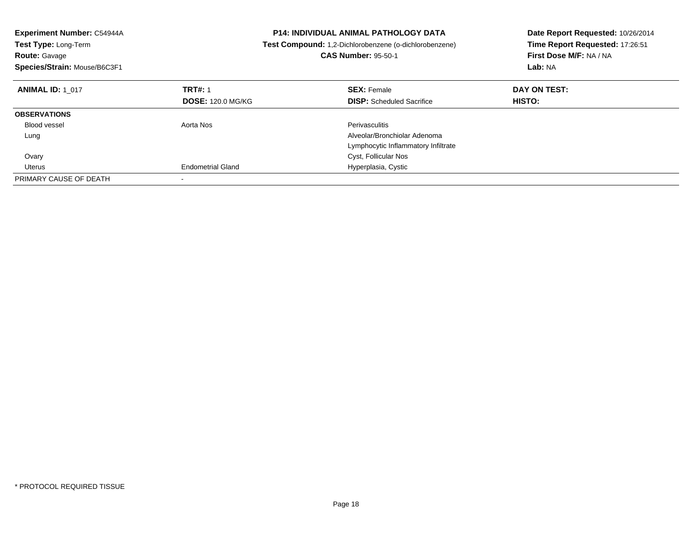| <b>Experiment Number: C54944A</b><br><b>Test Type: Long-Term</b><br><b>Route: Gavage</b><br>Species/Strain: Mouse/B6C3F1 |                          | <b>P14: INDIVIDUAL ANIMAL PATHOLOGY DATA</b><br>Test Compound: 1,2-Dichlorobenzene (o-dichlorobenzene)<br><b>CAS Number: 95-50-1</b> | Date Report Requested: 10/26/2014<br>Time Report Requested: 17:26:51<br>First Dose M/F: NA / NA<br>Lab: NA |
|--------------------------------------------------------------------------------------------------------------------------|--------------------------|--------------------------------------------------------------------------------------------------------------------------------------|------------------------------------------------------------------------------------------------------------|
| <b>ANIMAL ID: 1 017</b>                                                                                                  | <b>TRT#: 1</b>           | <b>SEX: Female</b>                                                                                                                   | DAY ON TEST:                                                                                               |
|                                                                                                                          | <b>DOSE: 120.0 MG/KG</b> | <b>DISP:</b> Scheduled Sacrifice                                                                                                     | HISTO:                                                                                                     |
| <b>OBSERVATIONS</b>                                                                                                      |                          |                                                                                                                                      |                                                                                                            |
| <b>Blood vessel</b>                                                                                                      | Aorta Nos                | <b>Perivasculitis</b>                                                                                                                |                                                                                                            |
| Lung                                                                                                                     |                          | Alveolar/Bronchiolar Adenoma                                                                                                         |                                                                                                            |
|                                                                                                                          |                          | Lymphocytic Inflammatory Infiltrate                                                                                                  |                                                                                                            |
| Ovary                                                                                                                    |                          | Cyst, Follicular Nos                                                                                                                 |                                                                                                            |
| Uterus                                                                                                                   | <b>Endometrial Gland</b> | Hyperplasia, Cystic                                                                                                                  |                                                                                                            |
| PRIMARY CAUSE OF DEATH                                                                                                   |                          |                                                                                                                                      |                                                                                                            |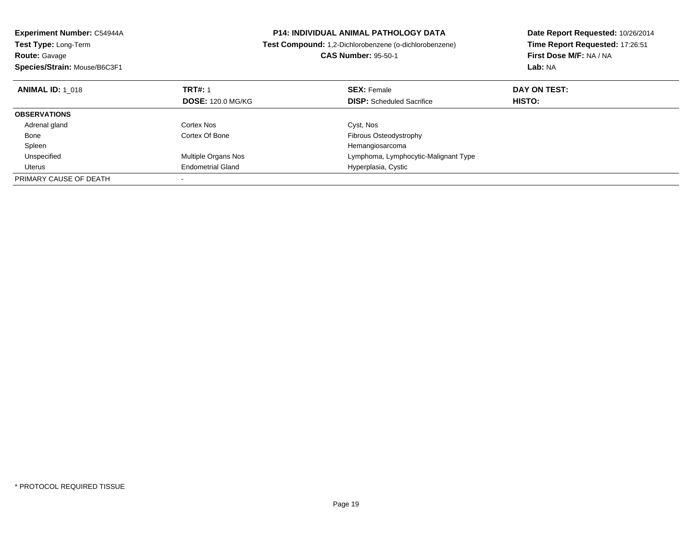| <b>Experiment Number: C54944A</b> | <b>P14: INDIVIDUAL ANIMAL PATHOLOGY DATA</b> |                                                        | Date Report Requested: 10/26/2014 |
|-----------------------------------|----------------------------------------------|--------------------------------------------------------|-----------------------------------|
| Test Type: Long-Term              |                                              | Test Compound: 1,2-Dichlorobenzene (o-dichlorobenzene) | Time Report Requested: 17:26:51   |
| <b>Route: Gavage</b>              |                                              | <b>CAS Number: 95-50-1</b>                             | First Dose M/F: NA / NA           |
| Species/Strain: Mouse/B6C3F1      |                                              |                                                        | Lab: NA                           |
| <b>ANIMAL ID: 1 018</b>           | <b>TRT#: 1</b>                               | <b>SEX: Female</b>                                     | DAY ON TEST:                      |
|                                   | <b>DOSE: 120.0 MG/KG</b>                     | <b>DISP:</b> Scheduled Sacrifice                       | HISTO:                            |
| <b>OBSERVATIONS</b>               |                                              |                                                        |                                   |
| Adrenal gland                     | Cortex Nos                                   | Cyst, Nos                                              |                                   |
| Bone                              | Cortex Of Bone                               | Fibrous Osteodystrophy                                 |                                   |
| Spleen                            |                                              | Hemangiosarcoma                                        |                                   |
| Unspecified                       | <b>Multiple Organs Nos</b>                   | Lymphoma, Lymphocytic-Malignant Type                   |                                   |
| Uterus                            | <b>Endometrial Gland</b>                     | Hyperplasia, Cystic                                    |                                   |
| PRIMARY CAUSE OF DEATH            |                                              |                                                        |                                   |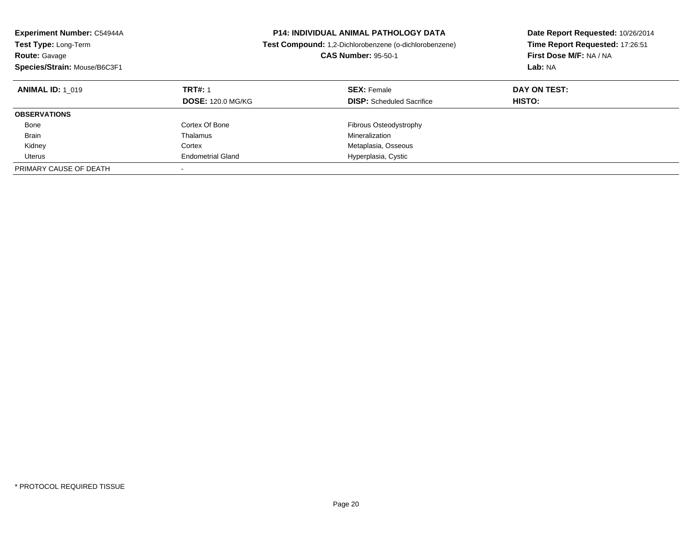| <b>Experiment Number: C54944A</b><br>Test Type: Long-Term<br><b>Route: Gavage</b><br>Species/Strain: Mouse/B6C3F1 | <b>P14: INDIVIDUAL ANIMAL PATHOLOGY DATA</b><br>Test Compound: 1,2-Dichlorobenzene (o-dichlorobenzene)<br><b>CAS Number: 95-50-1</b> |                                                        | Date Report Requested: 10/26/2014<br>Time Report Requested: 17:26:51<br>First Dose M/F: NA / NA<br>Lab: NA |
|-------------------------------------------------------------------------------------------------------------------|--------------------------------------------------------------------------------------------------------------------------------------|--------------------------------------------------------|------------------------------------------------------------------------------------------------------------|
| <b>ANIMAL ID: 1 019</b>                                                                                           | <b>TRT#: 1</b><br><b>DOSE: 120.0 MG/KG</b>                                                                                           | <b>SEX: Female</b><br><b>DISP:</b> Scheduled Sacrifice | DAY ON TEST:<br>HISTO:                                                                                     |
| <b>OBSERVATIONS</b>                                                                                               |                                                                                                                                      |                                                        |                                                                                                            |
| Bone                                                                                                              | Cortex Of Bone                                                                                                                       | Fibrous Osteodystrophy                                 |                                                                                                            |
| <b>Brain</b>                                                                                                      | Thalamus                                                                                                                             | Mineralization                                         |                                                                                                            |
| Kidney                                                                                                            | Cortex                                                                                                                               | Metaplasia, Osseous                                    |                                                                                                            |
| Uterus                                                                                                            | <b>Endometrial Gland</b>                                                                                                             | Hyperplasia, Cystic                                    |                                                                                                            |
| PRIMARY CAUSE OF DEATH                                                                                            |                                                                                                                                      |                                                        |                                                                                                            |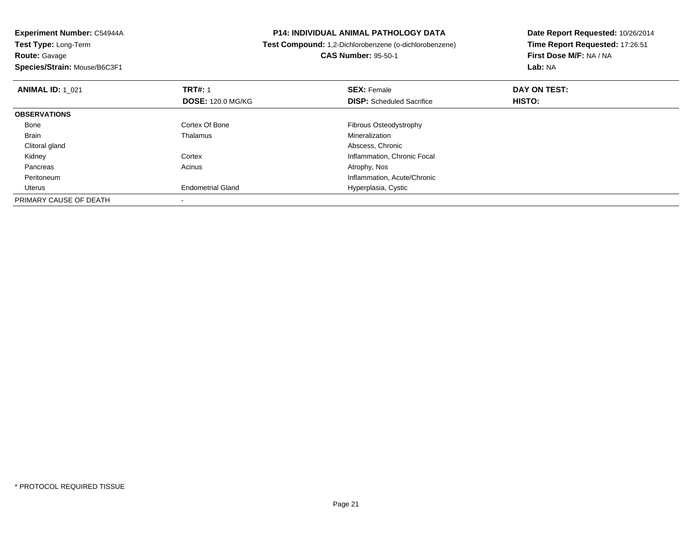**Experiment Number:** C54944A**Test Type:** Long-Term**Route:** Gavage **Species/Strain:** Mouse/B6C3F1**P14: INDIVIDUAL ANIMAL PATHOLOGY DATA Test Compound:** 1,2-Dichlorobenzene (o-dichlorobenzene)**CAS Number:** 95-50-1**Date Report Requested:** 10/26/2014**Time Report Requested:** 17:26:51**First Dose M/F:** NA / NA**Lab:** NA**ANIMAL ID:** 1\_021**TRT#:** 1 **SEX:** Female **DAY ON TEST: DOSE:** 120.0 MG/KG**DISP:** Scheduled Sacrifice **HISTO: OBSERVATIONS** Bone Cortex Of Bone Fibrous Osteodystrophy Brain Thalamus Mineralization Clitoral glandd **Abscess, Chronic** Control of the Control of the Control of the Control of the Control of the Control of the Control of the Control of the Control of the Control of the Control of the Control of the Control of the Contro KidneyCortex Inflammation, Chronic Focal<br>Acinus Actions Actrophy, Nos Pancreass and the contract of the contract of the contract of the contract of the contract  $\mathsf{A}$  at  $\mathsf{A}$  and  $\mathsf{A}$  and  $\mathsf{A}$  and  $\mathsf{A}$  and  $\mathsf{A}$  are contract of  $\mathsf{A}$  and  $\mathsf{A}$  and  $\mathsf{A}$  are contract of Peritoneum Inflammation, Acute/Chronic Uterus Endometrial Gland Hyperplasia, Cystic PRIMARY CAUSE OF DEATH

-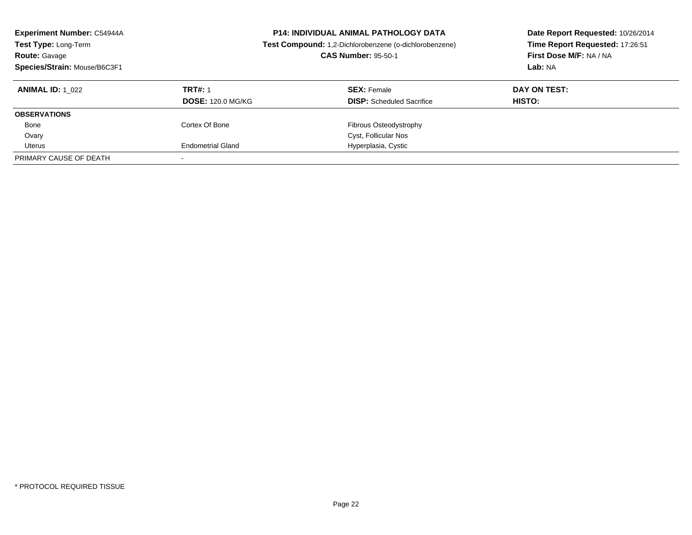| <b>Experiment Number: C54944A</b><br>Test Type: Long-Term<br><b>Route: Gavage</b><br>Species/Strain: Mouse/B6C3F1 |                                            | <b>P14: INDIVIDUAL ANIMAL PATHOLOGY DATA</b><br>Test Compound: 1,2-Dichlorobenzene (o-dichlorobenzene)<br><b>CAS Number: 95-50-1</b> | Date Report Requested: 10/26/2014<br>Time Report Requested: 17:26:51<br>First Dose M/F: NA / NA<br>Lab: NA |
|-------------------------------------------------------------------------------------------------------------------|--------------------------------------------|--------------------------------------------------------------------------------------------------------------------------------------|------------------------------------------------------------------------------------------------------------|
| <b>ANIMAL ID:</b> 1 022                                                                                           | <b>TRT#: 1</b><br><b>DOSE: 120.0 MG/KG</b> | <b>SEX: Female</b><br><b>DISP:</b> Scheduled Sacrifice                                                                               | DAY ON TEST:<br>HISTO:                                                                                     |
| <b>OBSERVATIONS</b>                                                                                               |                                            |                                                                                                                                      |                                                                                                            |
| Bone                                                                                                              | Cortex Of Bone                             | <b>Fibrous Osteodystrophy</b>                                                                                                        |                                                                                                            |
| Ovary                                                                                                             |                                            | Cyst, Follicular Nos                                                                                                                 |                                                                                                            |
| Uterus                                                                                                            | <b>Endometrial Gland</b>                   | Hyperplasia, Cystic                                                                                                                  |                                                                                                            |
| PRIMARY CAUSE OF DEATH                                                                                            |                                            |                                                                                                                                      |                                                                                                            |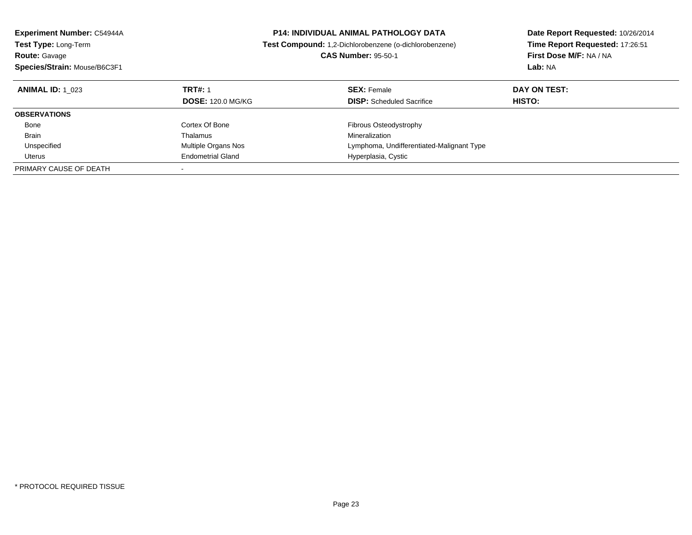| <b>Experiment Number: C54944A</b> |                          | <b>P14: INDIVIDUAL ANIMAL PATHOLOGY DATA</b>           |                                 |
|-----------------------------------|--------------------------|--------------------------------------------------------|---------------------------------|
| Test Type: Long-Term              |                          | Test Compound: 1.2-Dichlorobenzene (o-dichlorobenzene) | Time Report Requested: 17:26:51 |
| <b>Route: Gavage</b>              |                          | <b>CAS Number: 95-50-1</b>                             | First Dose M/F: NA / NA         |
| Species/Strain: Mouse/B6C3F1      |                          |                                                        | Lab: NA                         |
| <b>ANIMAL ID: 1 023</b>           | <b>TRT#: 1</b>           | <b>SEX:</b> Female                                     | DAY ON TEST:                    |
|                                   | <b>DOSE: 120.0 MG/KG</b> | <b>DISP:</b> Scheduled Sacrifice                       | HISTO:                          |
| <b>OBSERVATIONS</b>               |                          |                                                        |                                 |
| Bone                              | Cortex Of Bone           | Fibrous Osteodystrophy                                 |                                 |
| Brain                             | Thalamus                 | Mineralization                                         |                                 |
| Unspecified                       | Multiple Organs Nos      | Lymphoma, Undifferentiated-Malignant Type              |                                 |
| Uterus                            | <b>Endometrial Gland</b> | Hyperplasia, Cystic                                    |                                 |
| PRIMARY CAUSE OF DEATH            |                          |                                                        |                                 |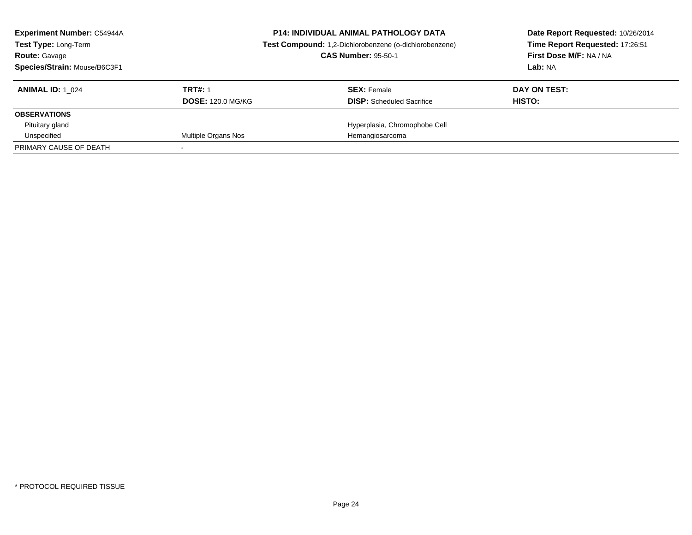| <b>Experiment Number: C54944A</b><br><b>Test Type: Long-Term</b><br><b>Route: Gavage</b><br>Species/Strain: Mouse/B6C3F1 | <b>P14: INDIVIDUAL ANIMAL PATHOLOGY DATA</b><br>Test Compound: 1,2-Dichlorobenzene (o-dichlorobenzene)<br><b>CAS Number: 95-50-1</b> |                                  | Date Report Requested: 10/26/2014<br>Time Report Requested: 17:26:51<br>First Dose M/F: NA / NA<br>Lab: NA |
|--------------------------------------------------------------------------------------------------------------------------|--------------------------------------------------------------------------------------------------------------------------------------|----------------------------------|------------------------------------------------------------------------------------------------------------|
| <b>ANIMAL ID:</b> 1 024                                                                                                  | <b>TRT#: 1</b>                                                                                                                       | <b>SEX: Female</b>               | DAY ON TEST:                                                                                               |
|                                                                                                                          | <b>DOSE: 120.0 MG/KG</b>                                                                                                             | <b>DISP:</b> Scheduled Sacrifice | HISTO:                                                                                                     |
| <b>OBSERVATIONS</b>                                                                                                      |                                                                                                                                      |                                  |                                                                                                            |
| Pituitary gland                                                                                                          |                                                                                                                                      | Hyperplasia, Chromophobe Cell    |                                                                                                            |
| Unspecified                                                                                                              | Multiple Organs Nos                                                                                                                  | Hemangiosarcoma                  |                                                                                                            |
| PRIMARY CAUSE OF DEATH                                                                                                   |                                                                                                                                      |                                  |                                                                                                            |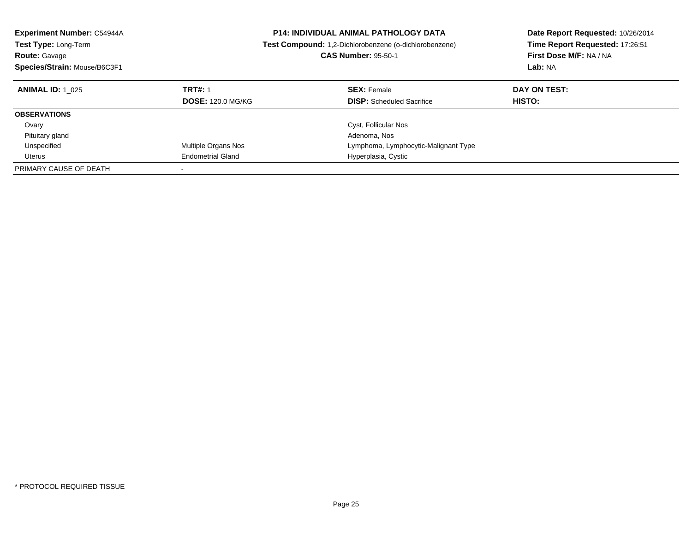| <b>Experiment Number: C54944A</b><br>Test Type: Long-Term<br><b>Route: Gavage</b> |                          | <b>P14: INDIVIDUAL ANIMAL PATHOLOGY DATA</b><br><b>Test Compound:</b> 1,2-Dichlorobenzene (o-dichlorobenzene)<br><b>CAS Number: 95-50-1</b> | Date Report Requested: 10/26/2014<br>Time Report Requested: 17:26:51<br>First Dose M/F: NA / NA |
|-----------------------------------------------------------------------------------|--------------------------|---------------------------------------------------------------------------------------------------------------------------------------------|-------------------------------------------------------------------------------------------------|
| Species/Strain: Mouse/B6C3F1                                                      |                          |                                                                                                                                             | Lab: NA                                                                                         |
| <b>ANIMAL ID: 1 025</b>                                                           | <b>TRT#: 1</b>           | <b>SEX: Female</b>                                                                                                                          | DAY ON TEST:                                                                                    |
|                                                                                   | <b>DOSE: 120.0 MG/KG</b> | <b>DISP:</b> Scheduled Sacrifice                                                                                                            | HISTO:                                                                                          |
| <b>OBSERVATIONS</b>                                                               |                          |                                                                                                                                             |                                                                                                 |
| Ovary                                                                             |                          | Cyst, Follicular Nos                                                                                                                        |                                                                                                 |
| Pituitary gland                                                                   |                          | Adenoma, Nos                                                                                                                                |                                                                                                 |
| Unspecified                                                                       | Multiple Organs Nos      | Lymphoma, Lymphocytic-Malignant Type                                                                                                        |                                                                                                 |
| Uterus                                                                            | <b>Endometrial Gland</b> | Hyperplasia, Cystic                                                                                                                         |                                                                                                 |
| PRIMARY CAUSE OF DEATH                                                            |                          |                                                                                                                                             |                                                                                                 |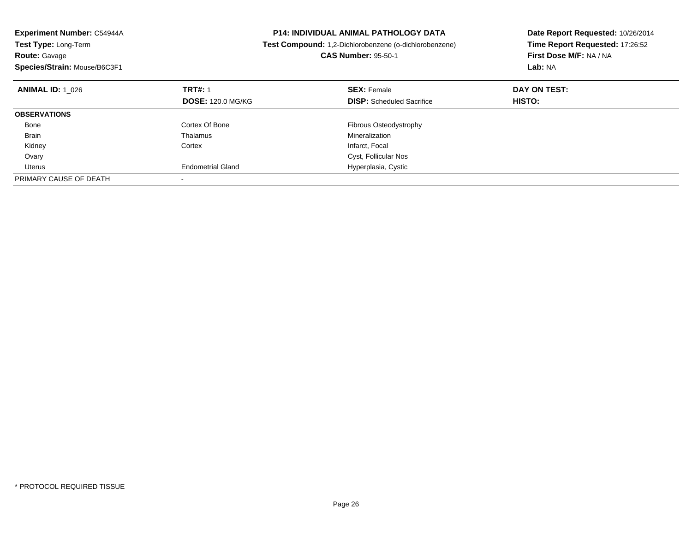| <b>Experiment Number: C54944A</b><br><b>Test Type: Long-Term</b><br><b>Route: Gavage</b><br>Species/Strain: Mouse/B6C3F1 |                          | <b>P14: INDIVIDUAL ANIMAL PATHOLOGY DATA</b><br>Test Compound: 1,2-Dichlorobenzene (o-dichlorobenzene)<br><b>CAS Number: 95-50-1</b> | Date Report Requested: 10/26/2014<br>Time Report Requested: 17:26:52<br>First Dose M/F: NA / NA<br>Lab: NA |
|--------------------------------------------------------------------------------------------------------------------------|--------------------------|--------------------------------------------------------------------------------------------------------------------------------------|------------------------------------------------------------------------------------------------------------|
| <b>ANIMAL ID:</b> 1 026                                                                                                  | <b>TRT#: 1</b>           | <b>SEX: Female</b>                                                                                                                   | DAY ON TEST:                                                                                               |
|                                                                                                                          | <b>DOSE: 120.0 MG/KG</b> | <b>DISP:</b> Scheduled Sacrifice                                                                                                     | <b>HISTO:</b>                                                                                              |
| <b>OBSERVATIONS</b>                                                                                                      |                          |                                                                                                                                      |                                                                                                            |
| Bone                                                                                                                     | Cortex Of Bone           | Fibrous Osteodystrophy                                                                                                               |                                                                                                            |
| <b>Brain</b>                                                                                                             | Thalamus                 | Mineralization                                                                                                                       |                                                                                                            |
| Kidney                                                                                                                   | Cortex                   | Infarct, Focal                                                                                                                       |                                                                                                            |
| Ovary                                                                                                                    |                          | Cyst, Follicular Nos                                                                                                                 |                                                                                                            |
| Uterus                                                                                                                   | <b>Endometrial Gland</b> | Hyperplasia, Cystic                                                                                                                  |                                                                                                            |
| PRIMARY CAUSE OF DEATH                                                                                                   |                          |                                                                                                                                      |                                                                                                            |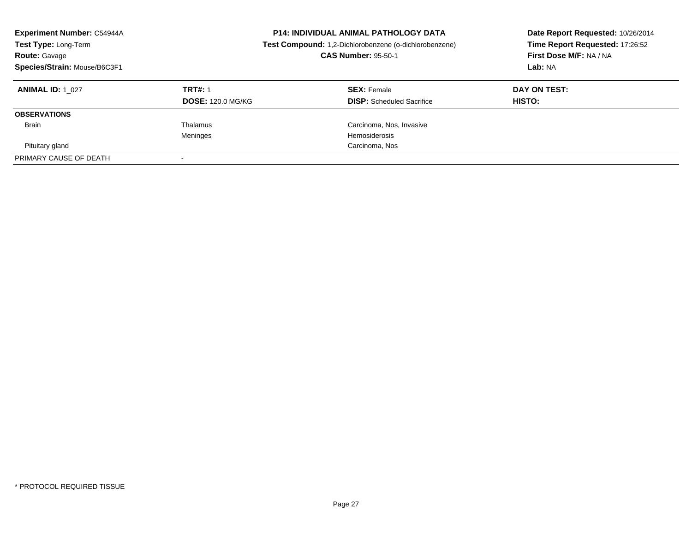| <b>Experiment Number: C54944A</b><br><b>Test Type: Long-Term</b><br><b>Route: Gavage</b><br>Species/Strain: Mouse/B6C3F1 |                                            | <b>P14: INDIVIDUAL ANIMAL PATHOLOGY DATA</b><br>Test Compound: 1,2-Dichlorobenzene (o-dichlorobenzene)<br><b>CAS Number: 95-50-1</b> | Date Report Requested: 10/26/2014<br>Time Report Requested: 17:26:52<br>First Dose M/F: NA / NA<br>Lab: NA |
|--------------------------------------------------------------------------------------------------------------------------|--------------------------------------------|--------------------------------------------------------------------------------------------------------------------------------------|------------------------------------------------------------------------------------------------------------|
| <b>ANIMAL ID: 1 027</b>                                                                                                  | <b>TRT#: 1</b><br><b>DOSE: 120.0 MG/KG</b> | <b>SEX:</b> Female<br><b>DISP:</b> Scheduled Sacrifice                                                                               | DAY ON TEST:<br>HISTO:                                                                                     |
| <b>OBSERVATIONS</b>                                                                                                      |                                            |                                                                                                                                      |                                                                                                            |
| <b>Brain</b>                                                                                                             | Thalamus<br>Meninges                       | Carcinoma, Nos, Invasive<br>Hemosiderosis                                                                                            |                                                                                                            |
| Pituitary gland                                                                                                          |                                            | Carcinoma, Nos                                                                                                                       |                                                                                                            |
| PRIMARY CAUSE OF DEATH                                                                                                   |                                            |                                                                                                                                      |                                                                                                            |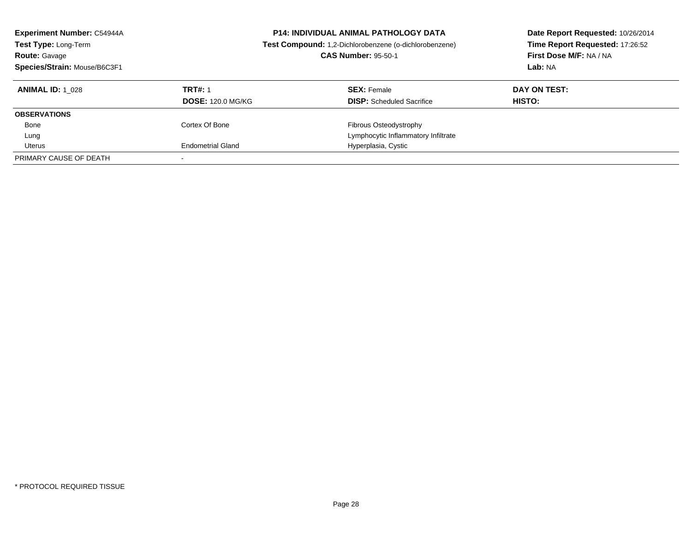| <b>Experiment Number: C54944A</b><br>Test Type: Long-Term<br><b>Route: Gavage</b><br>Species/Strain: Mouse/B6C3F1 |                                            | <b>P14: INDIVIDUAL ANIMAL PATHOLOGY DATA</b><br>Test Compound: 1,2-Dichlorobenzene (o-dichlorobenzene)<br><b>CAS Number: 95-50-1</b> | Date Report Requested: 10/26/2014<br>Time Report Requested: 17:26:52<br>First Dose M/F: NA / NA<br>Lab: NA |  |
|-------------------------------------------------------------------------------------------------------------------|--------------------------------------------|--------------------------------------------------------------------------------------------------------------------------------------|------------------------------------------------------------------------------------------------------------|--|
| <b>ANIMAL ID:</b> 1 028                                                                                           | <b>TRT#: 1</b><br><b>DOSE: 120.0 MG/KG</b> | <b>SEX: Female</b><br><b>DISP:</b> Scheduled Sacrifice                                                                               | DAY ON TEST:<br><b>HISTO:</b>                                                                              |  |
| <b>OBSERVATIONS</b>                                                                                               |                                            |                                                                                                                                      |                                                                                                            |  |
| Bone                                                                                                              | Cortex Of Bone                             | Fibrous Osteodystrophy                                                                                                               |                                                                                                            |  |
| Lung                                                                                                              |                                            | Lymphocytic Inflammatory Infiltrate                                                                                                  |                                                                                                            |  |
| Uterus                                                                                                            | <b>Endometrial Gland</b>                   | Hyperplasia, Cystic                                                                                                                  |                                                                                                            |  |
| PRIMARY CAUSE OF DEATH                                                                                            |                                            |                                                                                                                                      |                                                                                                            |  |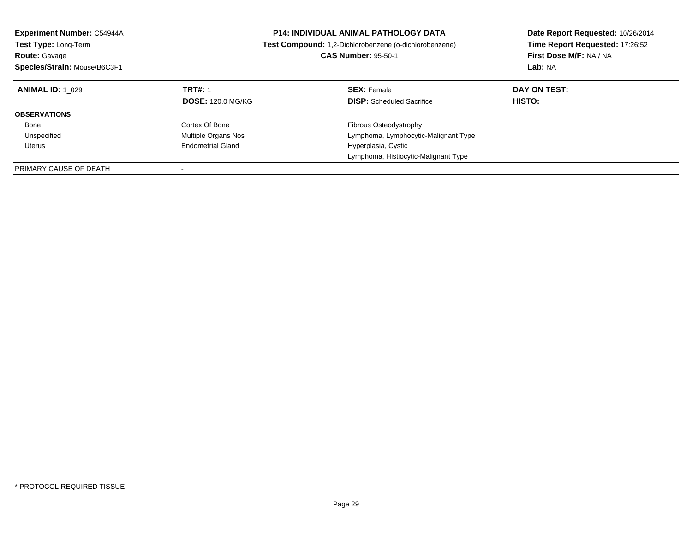| <b>Experiment Number: C54944A</b><br><b>Test Type: Long-Term</b><br><b>Route: Gavage</b><br>Species/Strain: Mouse/B6C3F1 |                          | <b>P14: INDIVIDUAL ANIMAL PATHOLOGY DATA</b><br>Test Compound: 1,2-Dichlorobenzene (o-dichlorobenzene)<br><b>CAS Number: 95-50-1</b> | Date Report Requested: 10/26/2014<br>Time Report Requested: 17:26:52<br>First Dose M/F: NA / NA<br>Lab: NA |
|--------------------------------------------------------------------------------------------------------------------------|--------------------------|--------------------------------------------------------------------------------------------------------------------------------------|------------------------------------------------------------------------------------------------------------|
| <b>ANIMAL ID:</b> 1 029                                                                                                  | <b>TRT#: 1</b>           | <b>SEX: Female</b>                                                                                                                   | DAY ON TEST:                                                                                               |
|                                                                                                                          | <b>DOSE: 120.0 MG/KG</b> | <b>DISP:</b> Scheduled Sacrifice                                                                                                     | <b>HISTO:</b>                                                                                              |
| <b>OBSERVATIONS</b>                                                                                                      |                          |                                                                                                                                      |                                                                                                            |
| Bone                                                                                                                     | Cortex Of Bone           | Fibrous Osteodystrophy                                                                                                               |                                                                                                            |
| Unspecified                                                                                                              | Multiple Organs Nos      | Lymphoma, Lymphocytic-Malignant Type                                                                                                 |                                                                                                            |
| Uterus                                                                                                                   | <b>Endometrial Gland</b> | Hyperplasia, Cystic                                                                                                                  |                                                                                                            |
|                                                                                                                          |                          | Lymphoma, Histiocytic-Malignant Type                                                                                                 |                                                                                                            |
| PRIMARY CAUSE OF DEATH                                                                                                   |                          |                                                                                                                                      |                                                                                                            |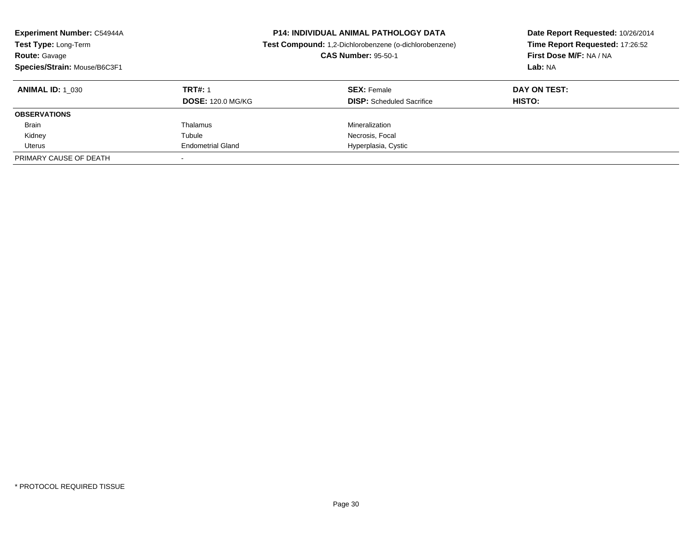| <b>Experiment Number: C54944A</b><br>Test Type: Long-Term<br><b>Route: Gavage</b><br>Species/Strain: Mouse/B6C3F1 |                          | <b>P14: INDIVIDUAL ANIMAL PATHOLOGY DATA</b><br>Test Compound: 1,2-Dichlorobenzene (o-dichlorobenzene)<br><b>CAS Number: 95-50-1</b> | Date Report Requested: 10/26/2014<br>Time Report Requested: 17:26:52<br>First Dose M/F: NA / NA<br>Lab: NA |
|-------------------------------------------------------------------------------------------------------------------|--------------------------|--------------------------------------------------------------------------------------------------------------------------------------|------------------------------------------------------------------------------------------------------------|
| <b>ANIMAL ID:</b> 1 030                                                                                           | <b>TRT#: 1</b>           | <b>SEX: Female</b>                                                                                                                   | DAY ON TEST:                                                                                               |
|                                                                                                                   | <b>DOSE: 120.0 MG/KG</b> | <b>DISP:</b> Scheduled Sacrifice                                                                                                     | <b>HISTO:</b>                                                                                              |
| <b>OBSERVATIONS</b>                                                                                               |                          |                                                                                                                                      |                                                                                                            |
| <b>Brain</b>                                                                                                      | Thalamus                 | Mineralization                                                                                                                       |                                                                                                            |
| Kidney                                                                                                            | Tubule                   | Necrosis, Focal                                                                                                                      |                                                                                                            |
| Uterus                                                                                                            | <b>Endometrial Gland</b> | Hyperplasia, Cystic                                                                                                                  |                                                                                                            |
| PRIMARY CAUSE OF DEATH                                                                                            |                          |                                                                                                                                      |                                                                                                            |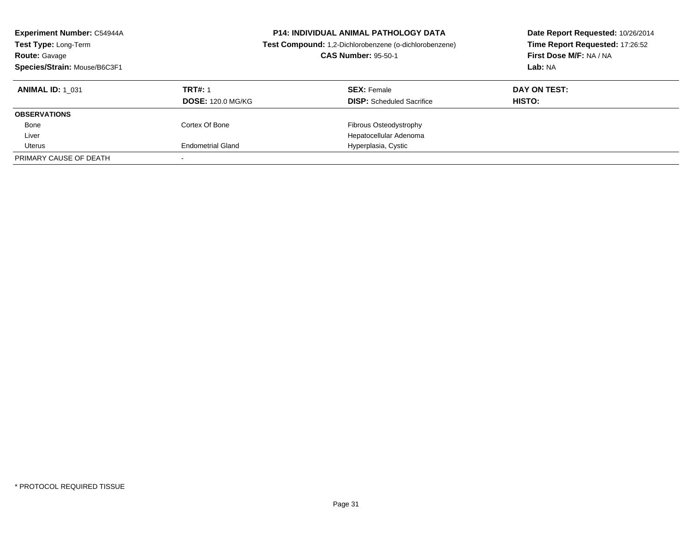| <b>Experiment Number: C54944A</b><br>Test Type: Long-Term<br><b>Route: Gavage</b><br>Species/Strain: Mouse/B6C3F1 |                                            | <b>P14: INDIVIDUAL ANIMAL PATHOLOGY DATA</b><br>Test Compound: 1,2-Dichlorobenzene (o-dichlorobenzene)<br><b>CAS Number: 95-50-1</b> | Date Report Requested: 10/26/2014<br>Time Report Requested: 17:26:52<br>First Dose M/F: NA / NA<br>Lab: NA |
|-------------------------------------------------------------------------------------------------------------------|--------------------------------------------|--------------------------------------------------------------------------------------------------------------------------------------|------------------------------------------------------------------------------------------------------------|
| <b>ANIMAL ID: 1 031</b>                                                                                           | <b>TRT#: 1</b><br><b>DOSE: 120.0 MG/KG</b> | <b>SEX: Female</b><br><b>DISP:</b> Scheduled Sacrifice                                                                               | DAY ON TEST:<br><b>HISTO:</b>                                                                              |
| <b>OBSERVATIONS</b>                                                                                               |                                            |                                                                                                                                      |                                                                                                            |
| Bone                                                                                                              | Cortex Of Bone                             | Fibrous Osteodystrophy                                                                                                               |                                                                                                            |
| Liver                                                                                                             |                                            | Hepatocellular Adenoma                                                                                                               |                                                                                                            |
| Uterus                                                                                                            | <b>Endometrial Gland</b>                   | Hyperplasia, Cystic                                                                                                                  |                                                                                                            |
| PRIMARY CAUSE OF DEATH                                                                                            |                                            |                                                                                                                                      |                                                                                                            |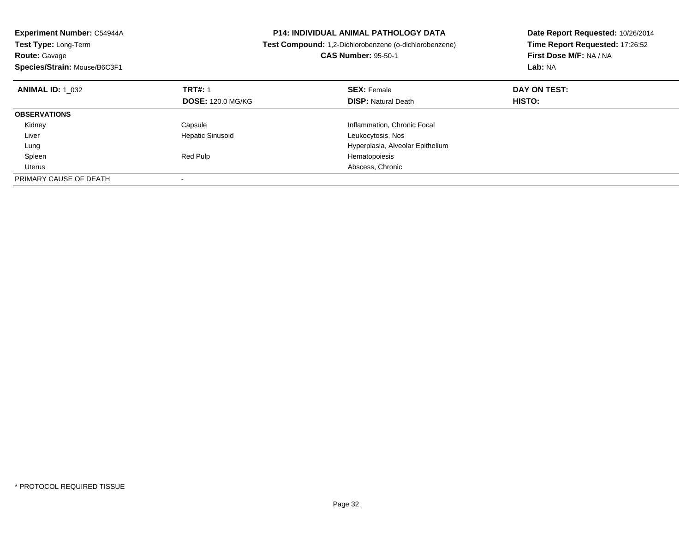| <b>Experiment Number: C54944A</b><br>Test Type: Long-Term<br><b>Route: Gavage</b><br>Species/Strain: Mouse/B6C3F1 |                          | <b>P14: INDIVIDUAL ANIMAL PATHOLOGY DATA</b><br>Test Compound: 1,2-Dichlorobenzene (o-dichlorobenzene)<br><b>CAS Number: 95-50-1</b> | Date Report Requested: 10/26/2014<br>Time Report Requested: 17:26:52<br>First Dose M/F: NA / NA<br>Lab: NA |
|-------------------------------------------------------------------------------------------------------------------|--------------------------|--------------------------------------------------------------------------------------------------------------------------------------|------------------------------------------------------------------------------------------------------------|
| <b>ANIMAL ID: 1 032</b>                                                                                           | <b>TRT#: 1</b>           | <b>SEX: Female</b>                                                                                                                   | DAY ON TEST:                                                                                               |
|                                                                                                                   | <b>DOSE: 120.0 MG/KG</b> | <b>DISP: Natural Death</b>                                                                                                           | HISTO:                                                                                                     |
| <b>OBSERVATIONS</b>                                                                                               |                          |                                                                                                                                      |                                                                                                            |
| Kidney                                                                                                            | Capsule                  | Inflammation, Chronic Focal                                                                                                          |                                                                                                            |
| Liver                                                                                                             | <b>Hepatic Sinusoid</b>  | Leukocytosis, Nos                                                                                                                    |                                                                                                            |
| Lung                                                                                                              |                          | Hyperplasia, Alveolar Epithelium                                                                                                     |                                                                                                            |
| Spleen                                                                                                            | Red Pulp                 | Hematopoiesis                                                                                                                        |                                                                                                            |
| Uterus                                                                                                            |                          | Abscess, Chronic                                                                                                                     |                                                                                                            |
| PRIMARY CAUSE OF DEATH                                                                                            |                          |                                                                                                                                      |                                                                                                            |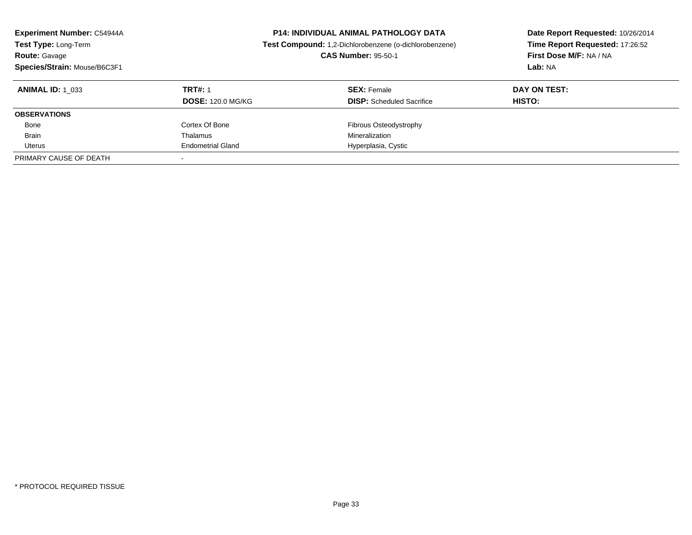| <b>Experiment Number: C54944A</b><br>Test Type: Long-Term<br><b>Route: Gavage</b><br>Species/Strain: Mouse/B6C3F1 |                          | <b>P14: INDIVIDUAL ANIMAL PATHOLOGY DATA</b><br>Test Compound: 1,2-Dichlorobenzene (o-dichlorobenzene)<br><b>CAS Number: 95-50-1</b> | Date Report Requested: 10/26/2014<br>Time Report Requested: 17:26:52<br>First Dose M/F: NA / NA<br>Lab: NA |
|-------------------------------------------------------------------------------------------------------------------|--------------------------|--------------------------------------------------------------------------------------------------------------------------------------|------------------------------------------------------------------------------------------------------------|
| <b>ANIMAL ID:</b> 1 033                                                                                           | <b>TRT#: 1</b>           | <b>SEX: Female</b>                                                                                                                   | DAY ON TEST:                                                                                               |
|                                                                                                                   | <b>DOSE: 120.0 MG/KG</b> | <b>DISP:</b> Scheduled Sacrifice                                                                                                     | HISTO:                                                                                                     |
| <b>OBSERVATIONS</b>                                                                                               |                          |                                                                                                                                      |                                                                                                            |
| Bone                                                                                                              | Cortex Of Bone           | Fibrous Osteodystrophy                                                                                                               |                                                                                                            |
| <b>Brain</b>                                                                                                      | Thalamus                 | Mineralization                                                                                                                       |                                                                                                            |
| Uterus                                                                                                            | <b>Endometrial Gland</b> | Hyperplasia, Cystic                                                                                                                  |                                                                                                            |
| PRIMARY CAUSE OF DEATH                                                                                            |                          |                                                                                                                                      |                                                                                                            |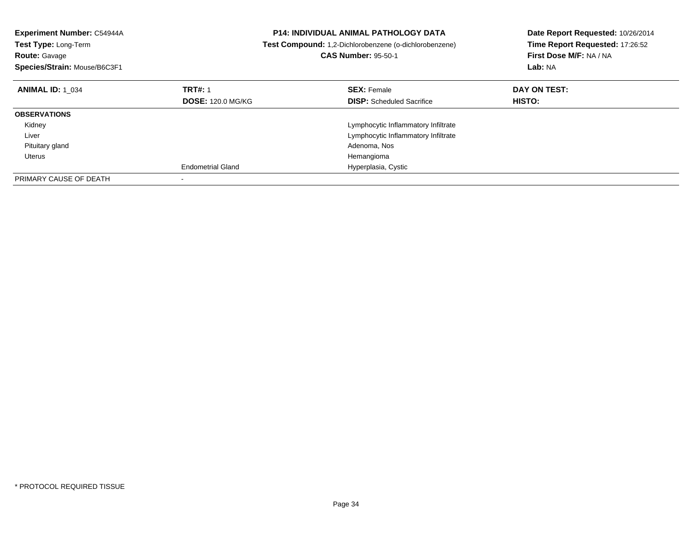| <b>Experiment Number: C54944A</b><br>Test Type: Long-Term<br><b>Route: Gavage</b><br>Species/Strain: Mouse/B6C3F1 |                          | <b>P14: INDIVIDUAL ANIMAL PATHOLOGY DATA</b><br>Test Compound: 1,2-Dichlorobenzene (o-dichlorobenzene)<br><b>CAS Number: 95-50-1</b> | Date Report Requested: 10/26/2014<br>Time Report Requested: 17:26:52<br>First Dose M/F: NA / NA<br>Lab: NA |
|-------------------------------------------------------------------------------------------------------------------|--------------------------|--------------------------------------------------------------------------------------------------------------------------------------|------------------------------------------------------------------------------------------------------------|
| <b>ANIMAL ID: 1 034</b>                                                                                           | <b>TRT#: 1</b>           | <b>SEX: Female</b>                                                                                                                   | DAY ON TEST:                                                                                               |
|                                                                                                                   | <b>DOSE: 120.0 MG/KG</b> | <b>DISP:</b> Scheduled Sacrifice                                                                                                     | HISTO:                                                                                                     |
| <b>OBSERVATIONS</b>                                                                                               |                          |                                                                                                                                      |                                                                                                            |
| Kidney                                                                                                            |                          | Lymphocytic Inflammatory Infiltrate                                                                                                  |                                                                                                            |
| Liver                                                                                                             |                          | Lymphocytic Inflammatory Infiltrate                                                                                                  |                                                                                                            |
| Pituitary gland                                                                                                   |                          | Adenoma, Nos                                                                                                                         |                                                                                                            |
| Uterus                                                                                                            |                          | Hemangioma                                                                                                                           |                                                                                                            |
|                                                                                                                   | <b>Endometrial Gland</b> | Hyperplasia, Cystic                                                                                                                  |                                                                                                            |
| PRIMARY CAUSE OF DEATH                                                                                            |                          |                                                                                                                                      |                                                                                                            |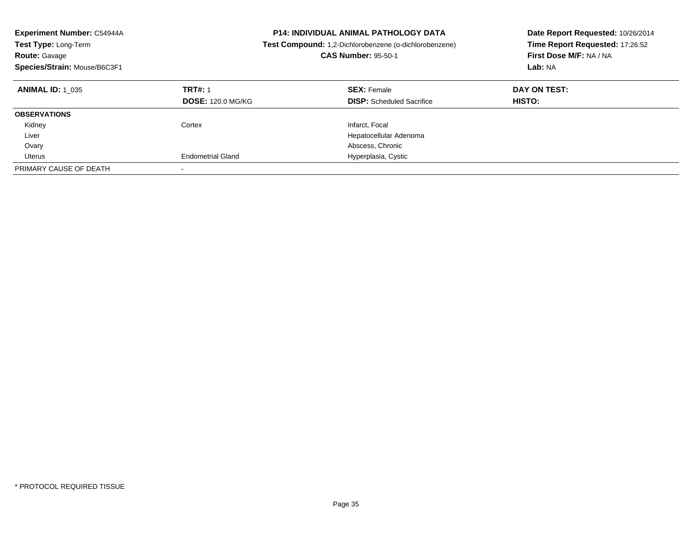| <b>Experiment Number: C54944A</b><br><b>Test Type: Long-Term</b><br><b>Route: Gavage</b><br>Species/Strain: Mouse/B6C3F1 |                                            | <b>P14: INDIVIDUAL ANIMAL PATHOLOGY DATA</b><br><b>Test Compound:</b> 1,2-Dichlorobenzene (o-dichlorobenzene)<br><b>CAS Number: 95-50-1</b> | Date Report Requested: 10/26/2014<br>Time Report Requested: 17:26:52<br>First Dose M/F: NA / NA<br>Lab: NA |
|--------------------------------------------------------------------------------------------------------------------------|--------------------------------------------|---------------------------------------------------------------------------------------------------------------------------------------------|------------------------------------------------------------------------------------------------------------|
| <b>ANIMAL ID: 1 035</b>                                                                                                  | <b>TRT#: 1</b><br><b>DOSE: 120.0 MG/KG</b> | <b>SEX: Female</b><br><b>DISP:</b> Scheduled Sacrifice                                                                                      | DAY ON TEST:<br>HISTO:                                                                                     |
| <b>OBSERVATIONS</b>                                                                                                      |                                            |                                                                                                                                             |                                                                                                            |
| Kidney                                                                                                                   | Cortex                                     | Infarct, Focal                                                                                                                              |                                                                                                            |
| Liver                                                                                                                    |                                            | Hepatocellular Adenoma                                                                                                                      |                                                                                                            |
| Ovary                                                                                                                    |                                            | Abscess, Chronic                                                                                                                            |                                                                                                            |
| Uterus                                                                                                                   | <b>Endometrial Gland</b>                   | Hyperplasia, Cystic                                                                                                                         |                                                                                                            |
| PRIMARY CAUSE OF DEATH                                                                                                   | $\overline{\phantom{a}}$                   |                                                                                                                                             |                                                                                                            |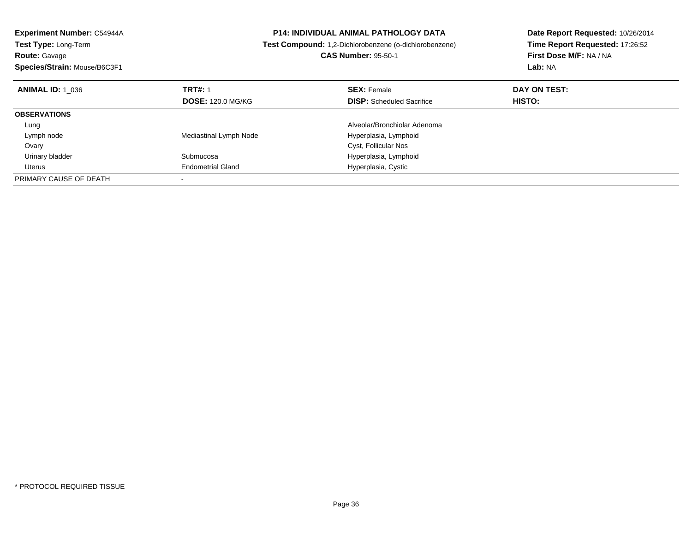| <b>Experiment Number: C54944A</b> | <b>P14: INDIVIDUAL ANIMAL PATHOLOGY DATA</b><br>Test Compound: 1,2-Dichlorobenzene (o-dichlorobenzene) |                                  | Date Report Requested: 10/26/2014 |
|-----------------------------------|--------------------------------------------------------------------------------------------------------|----------------------------------|-----------------------------------|
| <b>Test Type: Long-Term</b>       |                                                                                                        |                                  | Time Report Requested: 17:26:52   |
| <b>Route: Gavage</b>              |                                                                                                        | <b>CAS Number: 95-50-1</b>       | First Dose M/F: NA / NA           |
| Species/Strain: Mouse/B6C3F1      |                                                                                                        |                                  | Lab: NA                           |
| <b>ANIMAL ID: 1 036</b>           | <b>TRT#: 1</b>                                                                                         | <b>SEX: Female</b>               | DAY ON TEST:                      |
|                                   | <b>DOSE: 120.0 MG/KG</b>                                                                               | <b>DISP:</b> Scheduled Sacrifice | <b>HISTO:</b>                     |
| <b>OBSERVATIONS</b>               |                                                                                                        |                                  |                                   |
| Lung                              |                                                                                                        | Alveolar/Bronchiolar Adenoma     |                                   |
| Lymph node                        | Mediastinal Lymph Node                                                                                 | Hyperplasia, Lymphoid            |                                   |
| Ovary                             |                                                                                                        | Cyst, Follicular Nos             |                                   |
| Urinary bladder                   | Submucosa                                                                                              | Hyperplasia, Lymphoid            |                                   |
| Uterus                            | <b>Endometrial Gland</b>                                                                               | Hyperplasia, Cystic              |                                   |
| PRIMARY CAUSE OF DEATH            |                                                                                                        |                                  |                                   |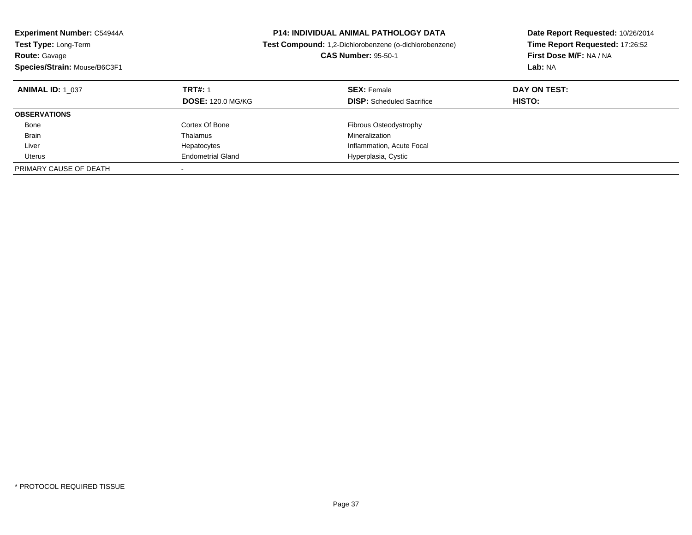| <b>Experiment Number: C54944A</b><br>Test Type: Long-Term<br><b>Route: Gavage</b><br>Species/Strain: Mouse/B6C3F1 | <b>P14: INDIVIDUAL ANIMAL PATHOLOGY DATA</b><br>Test Compound: 1,2-Dichlorobenzene (o-dichlorobenzene)<br><b>CAS Number: 95-50-1</b> |                                                        | Date Report Requested: 10/26/2014<br>Time Report Requested: 17:26:52<br>First Dose M/F: NA / NA<br><b>Lab: NA</b> |
|-------------------------------------------------------------------------------------------------------------------|--------------------------------------------------------------------------------------------------------------------------------------|--------------------------------------------------------|-------------------------------------------------------------------------------------------------------------------|
| <b>ANIMAL ID: 1 037</b>                                                                                           | <b>TRT#: 1</b><br><b>DOSE: 120.0 MG/KG</b>                                                                                           | <b>SEX: Female</b><br><b>DISP:</b> Scheduled Sacrifice | DAY ON TEST:<br>HISTO:                                                                                            |
| <b>OBSERVATIONS</b>                                                                                               |                                                                                                                                      |                                                        |                                                                                                                   |
| Bone                                                                                                              | Cortex Of Bone                                                                                                                       | Fibrous Osteodystrophy                                 |                                                                                                                   |
| <b>Brain</b>                                                                                                      | Thalamus                                                                                                                             | Mineralization                                         |                                                                                                                   |
| Liver                                                                                                             | Hepatocytes                                                                                                                          | Inflammation, Acute Focal                              |                                                                                                                   |
| Uterus                                                                                                            | <b>Endometrial Gland</b>                                                                                                             | Hyperplasia, Cystic                                    |                                                                                                                   |
| PRIMARY CAUSE OF DEATH                                                                                            |                                                                                                                                      |                                                        |                                                                                                                   |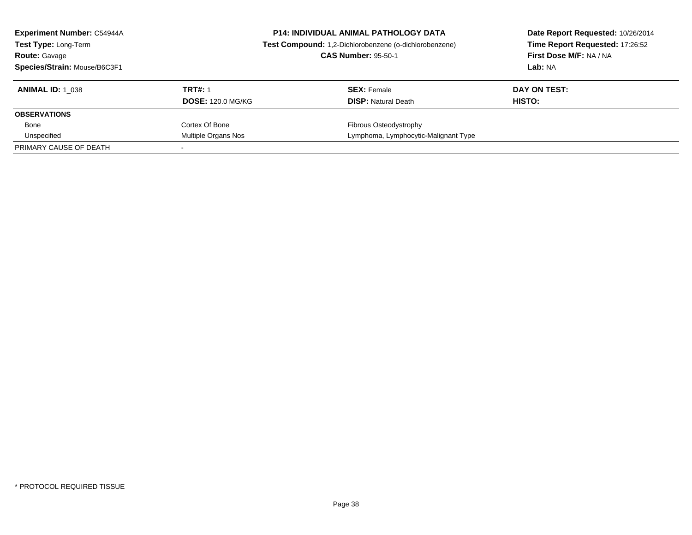| <b>Experiment Number: C54944A</b><br>Test Type: Long-Term<br><b>Route: Gavage</b><br>Species/Strain: Mouse/B6C3F1 | <b>P14: INDIVIDUAL ANIMAL PATHOLOGY DATA</b><br>Test Compound: 1,2-Dichlorobenzene (o-dichlorobenzene)<br><b>CAS Number: 95-50-1</b> |                                      | Date Report Requested: 10/26/2014<br>Time Report Requested: 17:26:52<br>First Dose M/F: NA / NA<br>Lab: NA |  |
|-------------------------------------------------------------------------------------------------------------------|--------------------------------------------------------------------------------------------------------------------------------------|--------------------------------------|------------------------------------------------------------------------------------------------------------|--|
| <b>ANIMAL ID:</b> 1 038                                                                                           | <b>TRT#: 1</b>                                                                                                                       | <b>SEX: Female</b>                   | DAY ON TEST:                                                                                               |  |
|                                                                                                                   | <b>DOSE: 120.0 MG/KG</b>                                                                                                             | <b>DISP:</b> Natural Death           | <b>HISTO:</b>                                                                                              |  |
| <b>OBSERVATIONS</b>                                                                                               |                                                                                                                                      |                                      |                                                                                                            |  |
| Bone                                                                                                              | Cortex Of Bone                                                                                                                       | <b>Fibrous Osteodystrophy</b>        |                                                                                                            |  |
| Unspecified                                                                                                       | Multiple Organs Nos                                                                                                                  | Lymphoma, Lymphocytic-Malignant Type |                                                                                                            |  |
| PRIMARY CAUSE OF DEATH                                                                                            |                                                                                                                                      |                                      |                                                                                                            |  |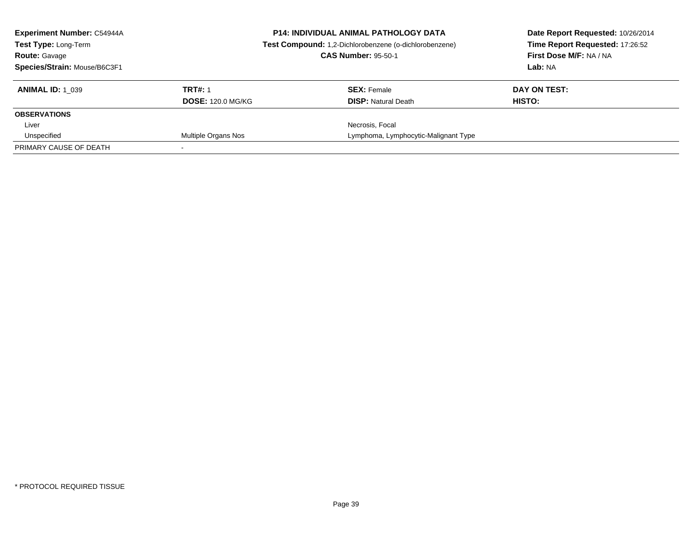| <b>Experiment Number: C54944A</b><br><b>Test Type: Long-Term</b> |                          | <b>P14: INDIVIDUAL ANIMAL PATHOLOGY DATA</b><br>Test Compound: 1,2-Dichlorobenzene (o-dichlorobenzene)<br><b>CAS Number: 95-50-1</b> | Date Report Requested: 10/26/2014<br>Time Report Requested: 17:26:52<br>First Dose M/F: NA / NA |  |
|------------------------------------------------------------------|--------------------------|--------------------------------------------------------------------------------------------------------------------------------------|-------------------------------------------------------------------------------------------------|--|
| <b>Route: Gavage</b><br>Species/Strain: Mouse/B6C3F1             |                          |                                                                                                                                      | Lab: NA                                                                                         |  |
|                                                                  |                          |                                                                                                                                      |                                                                                                 |  |
| <b>ANIMAL ID: 1 039</b>                                          | <b>TRT#: 1</b>           | <b>SEX:</b> Female                                                                                                                   | DAY ON TEST:                                                                                    |  |
|                                                                  | <b>DOSE: 120.0 MG/KG</b> | <b>DISP:</b> Natural Death                                                                                                           | HISTO:                                                                                          |  |
| <b>OBSERVATIONS</b>                                              |                          |                                                                                                                                      |                                                                                                 |  |
| Liver                                                            |                          | Necrosis, Focal                                                                                                                      |                                                                                                 |  |
| Unspecified                                                      | Multiple Organs Nos      | Lymphoma, Lymphocytic-Malignant Type                                                                                                 |                                                                                                 |  |
| PRIMARY CAUSE OF DEATH                                           |                          |                                                                                                                                      |                                                                                                 |  |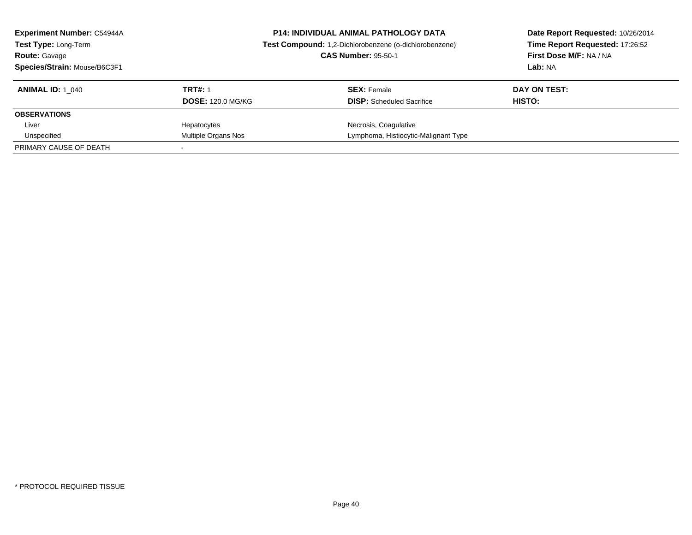| <b>Experiment Number: C54944A</b><br>Test Type: Long-Term<br><b>CAS Number: 95-50-1</b><br><b>Route: Gavage</b><br>Species/Strain: Mouse/B6C3F1 |                                            | <b>P14: INDIVIDUAL ANIMAL PATHOLOGY DATA</b><br>Test Compound: 1,2-Dichlorobenzene (o-dichlorobenzene) | Date Report Requested: 10/26/2014<br>Time Report Requested: 17:26:52<br>First Dose M/F: NA / NA<br>Lab: NA |
|-------------------------------------------------------------------------------------------------------------------------------------------------|--------------------------------------------|--------------------------------------------------------------------------------------------------------|------------------------------------------------------------------------------------------------------------|
| <b>ANIMAL ID: 1 040</b>                                                                                                                         | <b>TRT#: 1</b><br><b>DOSE: 120.0 MG/KG</b> | <b>SEX: Female</b><br><b>DISP:</b> Scheduled Sacrifice                                                 | DAY ON TEST:<br><b>HISTO:</b>                                                                              |
| <b>OBSERVATIONS</b>                                                                                                                             |                                            |                                                                                                        |                                                                                                            |
| Liver                                                                                                                                           | Hepatocytes                                | Necrosis, Coagulative                                                                                  |                                                                                                            |
| Unspecified                                                                                                                                     | Multiple Organs Nos                        | Lymphoma, Histiocytic-Malignant Type                                                                   |                                                                                                            |
| PRIMARY CAUSE OF DEATH                                                                                                                          |                                            |                                                                                                        |                                                                                                            |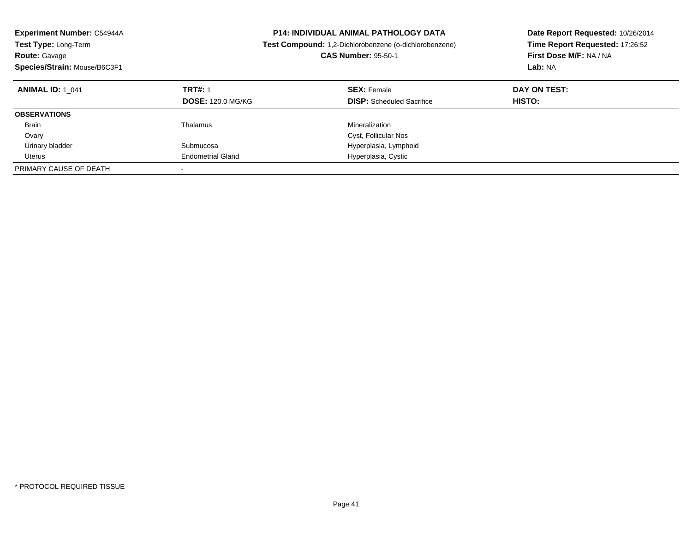| <b>Experiment Number: C54944A</b><br><b>Test Type: Long-Term</b><br><b>Route: Gavage</b><br>Species/Strain: Mouse/B6C3F1 | <b>P14: INDIVIDUAL ANIMAL PATHOLOGY DATA</b><br><b>Test Compound:</b> 1,2-Dichlorobenzene (o-dichlorobenzene)<br><b>CAS Number: 95-50-1</b> |                                                        | Date Report Requested: 10/26/2014<br>Time Report Requested: 17:26:52<br>First Dose M/F: NA / NA<br>Lab: NA |
|--------------------------------------------------------------------------------------------------------------------------|---------------------------------------------------------------------------------------------------------------------------------------------|--------------------------------------------------------|------------------------------------------------------------------------------------------------------------|
| <b>ANIMAL ID: 1 041</b>                                                                                                  | <b>TRT#: 1</b><br><b>DOSE: 120.0 MG/KG</b>                                                                                                  | <b>SEX: Female</b><br><b>DISP:</b> Scheduled Sacrifice | DAY ON TEST:<br>HISTO:                                                                                     |
| <b>OBSERVATIONS</b>                                                                                                      |                                                                                                                                             |                                                        |                                                                                                            |
| <b>Brain</b>                                                                                                             | Thalamus                                                                                                                                    | Mineralization                                         |                                                                                                            |
| Ovary                                                                                                                    |                                                                                                                                             | Cyst, Follicular Nos                                   |                                                                                                            |
| Urinary bladder                                                                                                          | Submucosa                                                                                                                                   | Hyperplasia, Lymphoid                                  |                                                                                                            |
| Uterus                                                                                                                   | <b>Endometrial Gland</b>                                                                                                                    | Hyperplasia, Cystic                                    |                                                                                                            |
| PRIMARY CAUSE OF DEATH                                                                                                   |                                                                                                                                             |                                                        |                                                                                                            |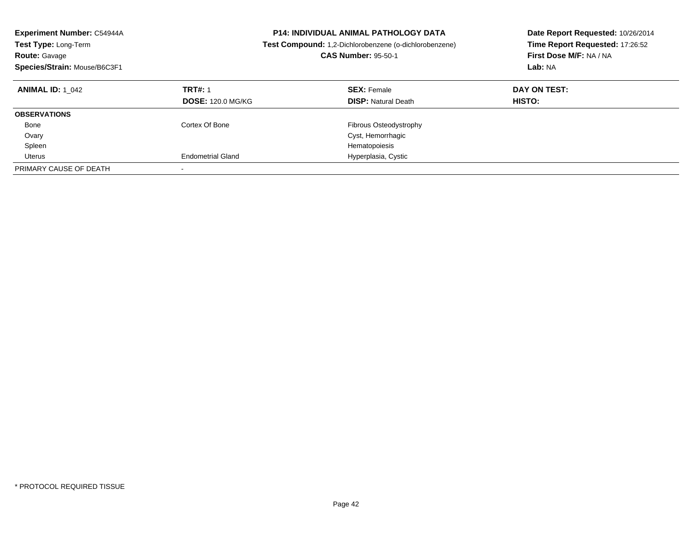| <b>Experiment Number: C54944A</b><br><b>Test Type: Long-Term</b><br><b>Route: Gavage</b><br>Species/Strain: Mouse/B6C3F1 | <b>P14: INDIVIDUAL ANIMAL PATHOLOGY DATA</b><br><b>Test Compound:</b> 1,2-Dichlorobenzene (o-dichlorobenzene)<br><b>CAS Number: 95-50-1</b> |                                                  | Date Report Requested: 10/26/2014<br>Time Report Requested: 17:26:52<br>First Dose M/F: NA / NA<br>Lab: NA |
|--------------------------------------------------------------------------------------------------------------------------|---------------------------------------------------------------------------------------------------------------------------------------------|--------------------------------------------------|------------------------------------------------------------------------------------------------------------|
| <b>ANIMAL ID: 1 042</b>                                                                                                  | <b>TRT#: 1</b><br><b>DOSE: 120.0 MG/KG</b>                                                                                                  | <b>SEX: Female</b><br><b>DISP:</b> Natural Death | DAY ON TEST:<br>HISTO:                                                                                     |
| <b>OBSERVATIONS</b>                                                                                                      |                                                                                                                                             |                                                  |                                                                                                            |
| Bone                                                                                                                     | Cortex Of Bone                                                                                                                              | Fibrous Osteodystrophy                           |                                                                                                            |
| Ovary                                                                                                                    |                                                                                                                                             | Cyst, Hemorrhagic                                |                                                                                                            |
| Spleen                                                                                                                   |                                                                                                                                             | Hematopoiesis                                    |                                                                                                            |
| Uterus                                                                                                                   | <b>Endometrial Gland</b>                                                                                                                    | Hyperplasia, Cystic                              |                                                                                                            |
| PRIMARY CAUSE OF DEATH                                                                                                   | $\overline{\phantom{a}}$                                                                                                                    |                                                  |                                                                                                            |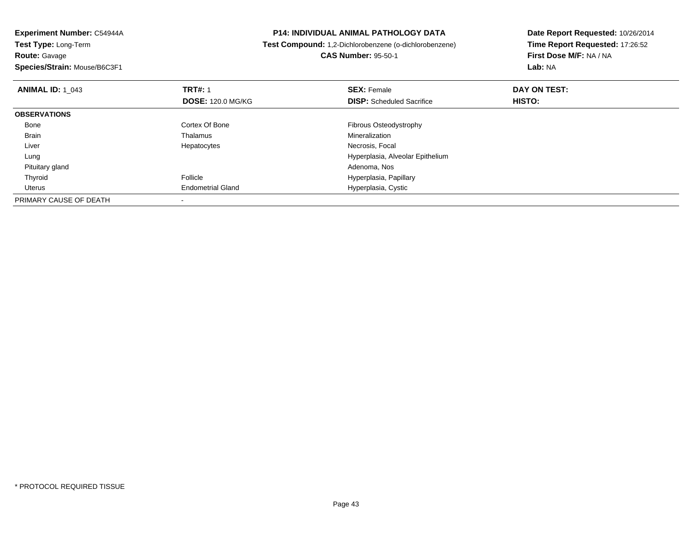**Experiment Number:** C54944A**Test Type:** Long-Term**Route:** Gavage **Species/Strain:** Mouse/B6C3F1**P14: INDIVIDUAL ANIMAL PATHOLOGY DATA Test Compound:** 1,2-Dichlorobenzene (o-dichlorobenzene)**CAS Number:** 95-50-1**Date Report Requested:** 10/26/2014**Time Report Requested:** 17:26:52**First Dose M/F:** NA / NA**Lab:** NA**ANIMAL ID:** 1\_043**TRT#:** 1 **SEX:** Female **DAY ON TEST: DOSE:** 120.0 MG/KG**DISP:** Scheduled Sacrifice **HISTO: OBSERVATIONS** BoneCortex Of Bone **Fibrous Osteodystrophy**<br>
Thalamus **Fibrous Osteodystrophy**<br>
Mineralization Brain Thalamus Mineralization Liver Hepatocytes Necrosis, Focal Lung Hyperplasia, Alveolar Epithelium Pituitary gland Adenoma, Nos ThyroidHyperplasia, Papillary Uterus Endometrial Gland Hyperplasia, Cystic PRIMARY CAUSE OF DEATH-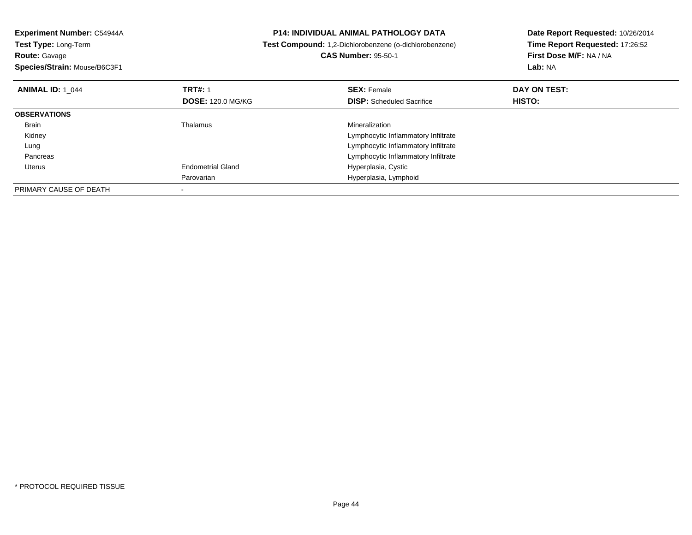| Experiment Number: C54944A   | <b>P14: INDIVIDUAL ANIMAL PATHOLOGY DATA</b> |                                                        | Date Report Requested: 10/26/2014 |  |
|------------------------------|----------------------------------------------|--------------------------------------------------------|-----------------------------------|--|
| Test Type: Long-Term         |                                              | Test Compound: 1,2-Dichlorobenzene (o-dichlorobenzene) | Time Report Requested: 17:26:52   |  |
| <b>Route: Gavage</b>         |                                              | <b>CAS Number: 95-50-1</b>                             | First Dose M/F: NA / NA           |  |
| Species/Strain: Mouse/B6C3F1 |                                              |                                                        | <b>Lab: NA</b>                    |  |
| <b>ANIMAL ID: 1 044</b>      | <b>TRT#: 1</b>                               | <b>SEX: Female</b>                                     | DAY ON TEST:                      |  |
|                              | <b>DOSE: 120.0 MG/KG</b>                     | <b>DISP:</b> Scheduled Sacrifice                       | HISTO:                            |  |
| <b>OBSERVATIONS</b>          |                                              |                                                        |                                   |  |
| Brain                        | Thalamus                                     | Mineralization                                         |                                   |  |
| Kidney                       |                                              | Lymphocytic Inflammatory Infiltrate                    |                                   |  |
| Lung                         |                                              | Lymphocytic Inflammatory Infiltrate                    |                                   |  |
| Pancreas                     |                                              | Lymphocytic Inflammatory Infiltrate                    |                                   |  |
| Uterus                       | <b>Endometrial Gland</b>                     | Hyperplasia, Cystic                                    |                                   |  |
|                              | Parovarian                                   | Hyperplasia, Lymphoid                                  |                                   |  |
| PRIMARY CAUSE OF DEATH       |                                              |                                                        |                                   |  |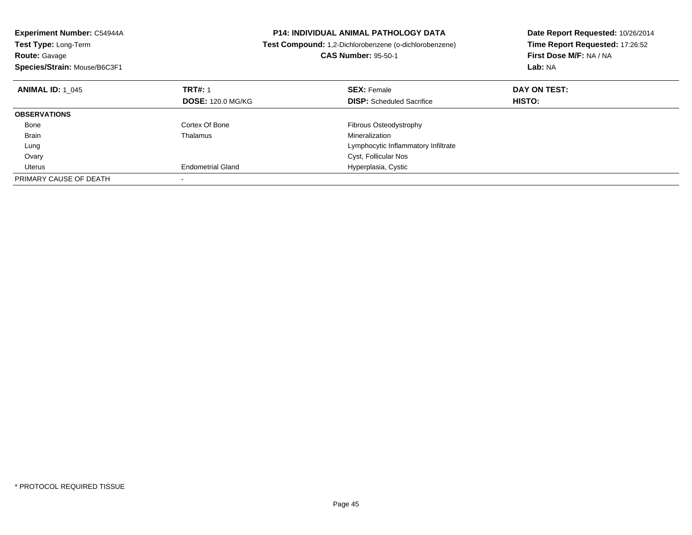| <b>Experiment Number: C54944A</b><br><b>Test Type: Long-Term</b><br><b>Route: Gavage</b><br>Species/Strain: Mouse/B6C3F1 |                          | <b>P14: INDIVIDUAL ANIMAL PATHOLOGY DATA</b><br>Test Compound: 1,2-Dichlorobenzene (o-dichlorobenzene)<br><b>CAS Number: 95-50-1</b> | Date Report Requested: 10/26/2014<br>Time Report Requested: 17:26:52<br>First Dose M/F: NA / NA<br>Lab: NA |
|--------------------------------------------------------------------------------------------------------------------------|--------------------------|--------------------------------------------------------------------------------------------------------------------------------------|------------------------------------------------------------------------------------------------------------|
| <b>ANIMAL ID: 1 045</b>                                                                                                  | <b>TRT#: 1</b>           | <b>SEX: Female</b>                                                                                                                   | DAY ON TEST:                                                                                               |
|                                                                                                                          | <b>DOSE: 120.0 MG/KG</b> | <b>DISP:</b> Scheduled Sacrifice                                                                                                     | HISTO:                                                                                                     |
| <b>OBSERVATIONS</b>                                                                                                      |                          |                                                                                                                                      |                                                                                                            |
| Bone                                                                                                                     | Cortex Of Bone           | Fibrous Osteodystrophy                                                                                                               |                                                                                                            |
| <b>Brain</b>                                                                                                             | Thalamus                 | Mineralization                                                                                                                       |                                                                                                            |
| Lung                                                                                                                     |                          | Lymphocytic Inflammatory Infiltrate                                                                                                  |                                                                                                            |
| Ovary                                                                                                                    |                          | Cyst, Follicular Nos                                                                                                                 |                                                                                                            |
| Uterus                                                                                                                   | <b>Endometrial Gland</b> | Hyperplasia, Cystic                                                                                                                  |                                                                                                            |
| PRIMARY CAUSE OF DEATH                                                                                                   |                          |                                                                                                                                      |                                                                                                            |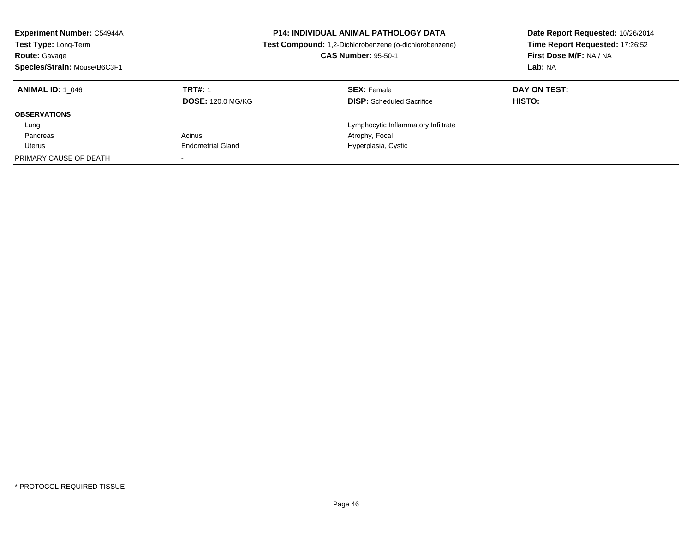| <b>Experiment Number: C54944A</b><br>Test Type: Long-Term<br><b>Route: Gavage</b><br>Species/Strain: Mouse/B6C3F1 | <b>P14: INDIVIDUAL ANIMAL PATHOLOGY DATA</b><br>Test Compound: 1,2-Dichlorobenzene (o-dichlorobenzene)<br><b>CAS Number: 95-50-1</b> |                                     | Date Report Requested: 10/26/2014<br>Time Report Requested: 17:26:52<br>First Dose M/F: NA / NA<br>Lab: NA |
|-------------------------------------------------------------------------------------------------------------------|--------------------------------------------------------------------------------------------------------------------------------------|-------------------------------------|------------------------------------------------------------------------------------------------------------|
| <b>ANIMAL ID:</b> 1 046                                                                                           | <b>TRT#: 1</b>                                                                                                                       | <b>SEX: Female</b>                  | DAY ON TEST:                                                                                               |
|                                                                                                                   | <b>DOSE: 120.0 MG/KG</b>                                                                                                             | <b>DISP:</b> Scheduled Sacrifice    | HISTO:                                                                                                     |
| <b>OBSERVATIONS</b>                                                                                               |                                                                                                                                      |                                     |                                                                                                            |
| Lung                                                                                                              |                                                                                                                                      | Lymphocytic Inflammatory Infiltrate |                                                                                                            |
| Pancreas                                                                                                          | Acinus                                                                                                                               | Atrophy, Focal                      |                                                                                                            |
| Uterus                                                                                                            | <b>Endometrial Gland</b>                                                                                                             | Hyperplasia, Cystic                 |                                                                                                            |
| PRIMARY CAUSE OF DEATH                                                                                            |                                                                                                                                      |                                     |                                                                                                            |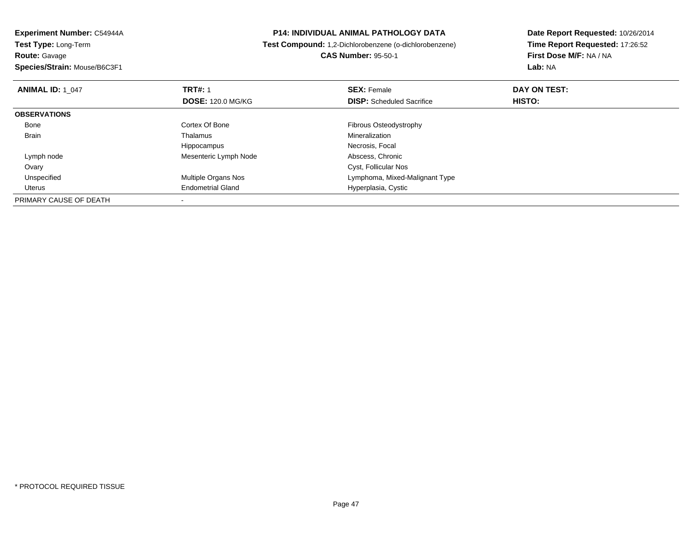**Experiment Number:** C54944A**Test Type:** Long-Term**Route:** Gavage**Species/Strain:** Mouse/B6C3F1

## **P14: INDIVIDUAL ANIMAL PATHOLOGY DATA**

**Test Compound:** 1,2-Dichlorobenzene (o-dichlorobenzene)

**CAS Number:** 95-50-1

**Date Report Requested:** 10/26/2014**Time Report Requested:** 17:26:52**First Dose M/F:** NA / NA**Lab:** NA

| <b>ANIMAL ID: 1 047</b> | <b>TRT#: 1</b><br><b>DOSE: 120.0 MG/KG</b> | <b>SEX: Female</b><br><b>DISP:</b> Scheduled Sacrifice | DAY ON TEST:<br>HISTO: |  |
|-------------------------|--------------------------------------------|--------------------------------------------------------|------------------------|--|
| <b>OBSERVATIONS</b>     |                                            |                                                        |                        |  |
| Bone                    | Cortex Of Bone                             | Fibrous Osteodystrophy                                 |                        |  |
| <b>Brain</b>            | Thalamus                                   | Mineralization                                         |                        |  |
|                         | Hippocampus                                | Necrosis, Focal                                        |                        |  |
| Lymph node              | Mesenteric Lymph Node                      | Abscess, Chronic                                       |                        |  |
| Ovary                   |                                            | Cyst, Follicular Nos                                   |                        |  |
| Unspecified             | Multiple Organs Nos                        | Lymphoma, Mixed-Malignant Type                         |                        |  |
| Uterus                  | <b>Endometrial Gland</b>                   | Hyperplasia, Cystic                                    |                        |  |
| PRIMARY CAUSE OF DEATH  |                                            |                                                        |                        |  |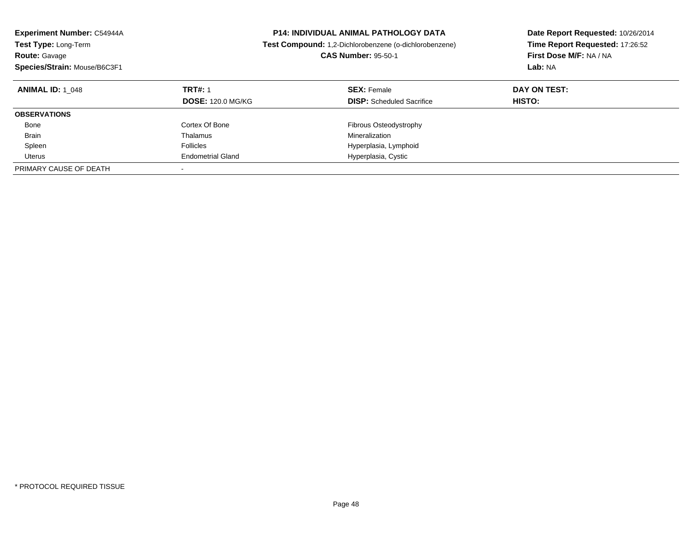| <b>Experiment Number: C54944A</b><br>Test Type: Long-Term<br><b>Route: Gavage</b><br>Species/Strain: Mouse/B6C3F1 |                                            | <b>P14: INDIVIDUAL ANIMAL PATHOLOGY DATA</b><br>Test Compound: 1,2-Dichlorobenzene (o-dichlorobenzene)<br><b>CAS Number: 95-50-1</b> | Date Report Requested: 10/26/2014<br>Time Report Requested: 17:26:52<br>First Dose M/F: NA / NA<br>Lab: NA |
|-------------------------------------------------------------------------------------------------------------------|--------------------------------------------|--------------------------------------------------------------------------------------------------------------------------------------|------------------------------------------------------------------------------------------------------------|
| <b>ANIMAL ID: 1 048</b>                                                                                           | <b>TRT#: 1</b><br><b>DOSE: 120.0 MG/KG</b> | <b>SEX: Female</b><br><b>DISP:</b> Scheduled Sacrifice                                                                               | DAY ON TEST:<br><b>HISTO:</b>                                                                              |
| <b>OBSERVATIONS</b>                                                                                               |                                            |                                                                                                                                      |                                                                                                            |
| Bone                                                                                                              | Cortex Of Bone                             | Fibrous Osteodystrophy                                                                                                               |                                                                                                            |
| <b>Brain</b>                                                                                                      | Thalamus                                   | Mineralization                                                                                                                       |                                                                                                            |
| Spleen                                                                                                            | <b>Follicles</b>                           | Hyperplasia, Lymphoid                                                                                                                |                                                                                                            |
| Uterus                                                                                                            | <b>Endometrial Gland</b>                   | Hyperplasia, Cystic                                                                                                                  |                                                                                                            |
| PRIMARY CAUSE OF DEATH                                                                                            |                                            |                                                                                                                                      |                                                                                                            |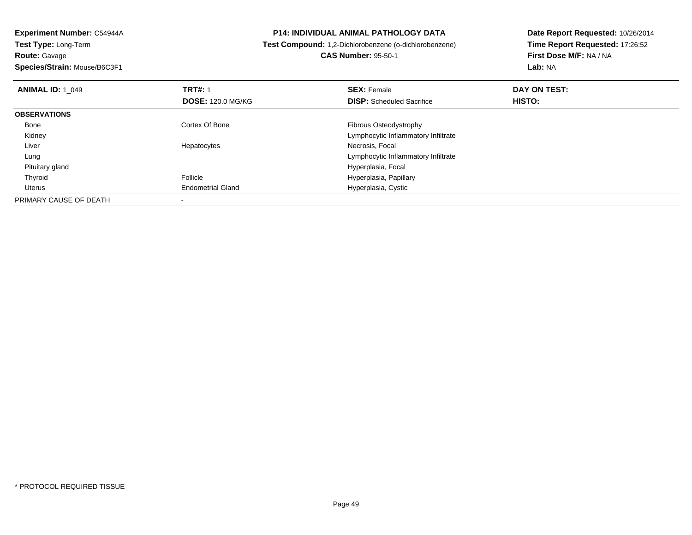**Experiment Number:** C54944A**Test Type:** Long-Term**Route:** Gavage **Species/Strain:** Mouse/B6C3F1**P14: INDIVIDUAL ANIMAL PATHOLOGY DATA Test Compound:** 1,2-Dichlorobenzene (o-dichlorobenzene)**CAS Number:** 95-50-1**Date Report Requested:** 10/26/2014**Time Report Requested:** 17:26:52**First Dose M/F:** NA / NA**Lab:** NA**ANIMAL ID: 1\_049 TRT#:** 1 **SEX:** Female **DAY ON TEST: DOSE:** 120.0 MG/KG**DISP:** Scheduled Sacrifice **HISTO: OBSERVATIONS** BoneCortex Of Bone **Fibrous Osteodystrophy**  Kidney Lymphocytic Inflammatory Infiltrate Liver Hepatocytes Necrosis, Focal Lung Lymphocytic Inflammatory Infiltrate Pituitary gland Hyperplasia, Focal ThyroidHyperplasia, Papillary Uterus Endometrial Gland Hyperplasia, Cystic PRIMARY CAUSE OF DEATH-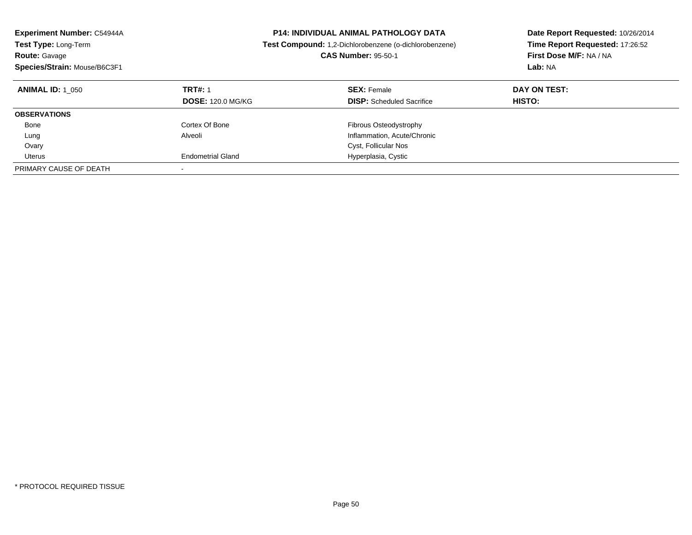| <b>Experiment Number: C54944A</b><br><b>Test Type: Long-Term</b><br><b>Route: Gavage</b><br>Species/Strain: Mouse/B6C3F1 | <b>P14: INDIVIDUAL ANIMAL PATHOLOGY DATA</b><br><b>Test Compound:</b> 1,2-Dichlorobenzene (o-dichlorobenzene)<br><b>CAS Number: 95-50-1</b> |                                                        | Date Report Requested: 10/26/2014<br>Time Report Requested: 17:26:52<br>First Dose M/F: NA / NA<br>Lab: NA |
|--------------------------------------------------------------------------------------------------------------------------|---------------------------------------------------------------------------------------------------------------------------------------------|--------------------------------------------------------|------------------------------------------------------------------------------------------------------------|
| <b>ANIMAL ID: 1 050</b>                                                                                                  | <b>TRT#: 1</b><br><b>DOSE: 120.0 MG/KG</b>                                                                                                  | <b>SEX: Female</b><br><b>DISP:</b> Scheduled Sacrifice | DAY ON TEST:<br>HISTO:                                                                                     |
| <b>OBSERVATIONS</b>                                                                                                      |                                                                                                                                             |                                                        |                                                                                                            |
| Bone                                                                                                                     | Cortex Of Bone                                                                                                                              | Fibrous Osteodystrophy                                 |                                                                                                            |
| Lung                                                                                                                     | Alveoli                                                                                                                                     | Inflammation, Acute/Chronic                            |                                                                                                            |
| Ovary                                                                                                                    |                                                                                                                                             | Cyst, Follicular Nos                                   |                                                                                                            |
| Uterus                                                                                                                   | <b>Endometrial Gland</b>                                                                                                                    | Hyperplasia, Cystic                                    |                                                                                                            |
| PRIMARY CAUSE OF DEATH                                                                                                   | $\overline{\phantom{a}}$                                                                                                                    |                                                        |                                                                                                            |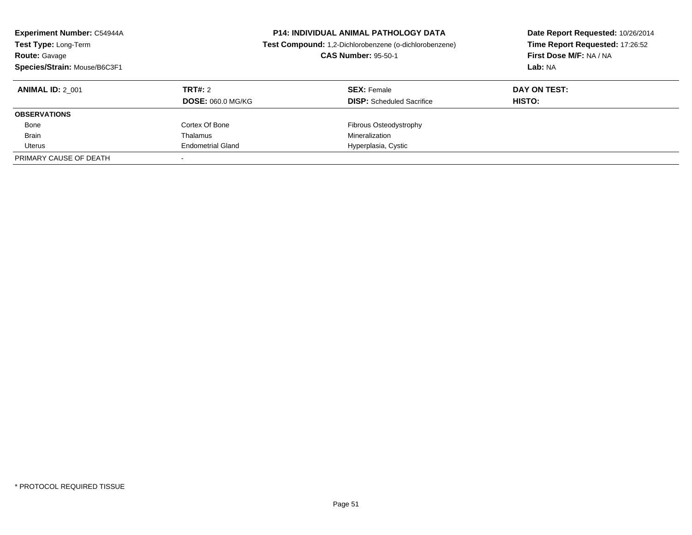| <b>Experiment Number: C54944A</b><br>Test Type: Long-Term<br><b>Route: Gavage</b><br>Species/Strain: Mouse/B6C3F1 | <b>P14: INDIVIDUAL ANIMAL PATHOLOGY DATA</b><br>Test Compound: 1,2-Dichlorobenzene (o-dichlorobenzene)<br><b>CAS Number: 95-50-1</b> |                                                        | Date Report Requested: 10/26/2014<br>Time Report Requested: 17:26:52<br>First Dose M/F: NA / NA<br>Lab: NA |
|-------------------------------------------------------------------------------------------------------------------|--------------------------------------------------------------------------------------------------------------------------------------|--------------------------------------------------------|------------------------------------------------------------------------------------------------------------|
| <b>ANIMAL ID: 2 001</b>                                                                                           | TRT#: 2<br><b>DOSE: 060.0 MG/KG</b>                                                                                                  | <b>SEX: Female</b><br><b>DISP:</b> Scheduled Sacrifice | DAY ON TEST:<br>HISTO:                                                                                     |
| <b>OBSERVATIONS</b>                                                                                               |                                                                                                                                      |                                                        |                                                                                                            |
| Bone                                                                                                              | Cortex Of Bone                                                                                                                       | Fibrous Osteodystrophy                                 |                                                                                                            |
| <b>Brain</b>                                                                                                      | Thalamus                                                                                                                             | Mineralization                                         |                                                                                                            |
| Uterus                                                                                                            | <b>Endometrial Gland</b>                                                                                                             | Hyperplasia, Cystic                                    |                                                                                                            |
| PRIMARY CAUSE OF DEATH                                                                                            |                                                                                                                                      |                                                        |                                                                                                            |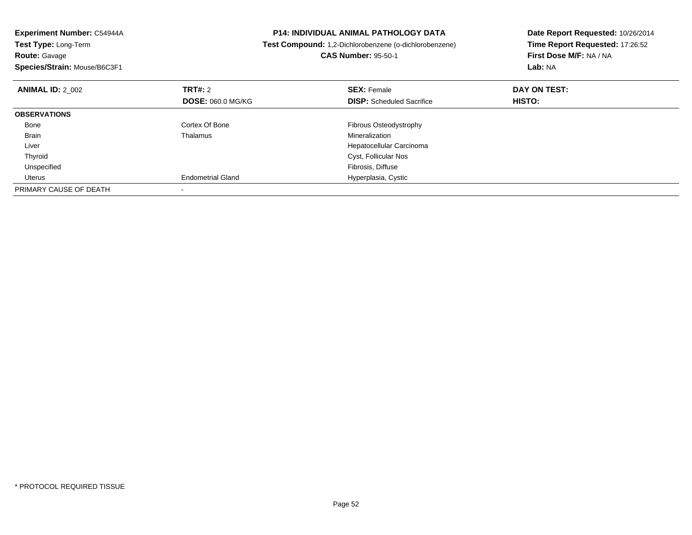| <b>Experiment Number: C54944A</b><br><b>Test Type: Long-Term</b> |                          | <b>P14: INDIVIDUAL ANIMAL PATHOLOGY DATA</b><br>Test Compound: 1,2-Dichlorobenzene (o-dichlorobenzene) | Date Report Requested: 10/26/2014<br>Time Report Requested: 17:26:52 |  |
|------------------------------------------------------------------|--------------------------|--------------------------------------------------------------------------------------------------------|----------------------------------------------------------------------|--|
| <b>Route: Gavage</b>                                             |                          | <b>CAS Number: 95-50-1</b>                                                                             | First Dose M/F: NA / NA                                              |  |
| Species/Strain: Mouse/B6C3F1                                     |                          |                                                                                                        | Lab: NA                                                              |  |
| <b>ANIMAL ID: 2 002</b>                                          | TRT#: 2                  | <b>SEX: Female</b>                                                                                     | DAY ON TEST:                                                         |  |
|                                                                  | <b>DOSE: 060.0 MG/KG</b> | <b>DISP:</b> Scheduled Sacrifice                                                                       | HISTO:                                                               |  |
| <b>OBSERVATIONS</b>                                              |                          |                                                                                                        |                                                                      |  |
| Bone                                                             | Cortex Of Bone           | Fibrous Osteodystrophy                                                                                 |                                                                      |  |
| Brain                                                            | Thalamus                 | Mineralization                                                                                         |                                                                      |  |
| Liver                                                            |                          | Hepatocellular Carcinoma                                                                               |                                                                      |  |
| Thyroid                                                          |                          | Cyst, Follicular Nos                                                                                   |                                                                      |  |
| Unspecified                                                      |                          | Fibrosis, Diffuse                                                                                      |                                                                      |  |
| Uterus                                                           | <b>Endometrial Gland</b> | Hyperplasia, Cystic                                                                                    |                                                                      |  |
| PRIMARY CAUSE OF DEATH                                           |                          |                                                                                                        |                                                                      |  |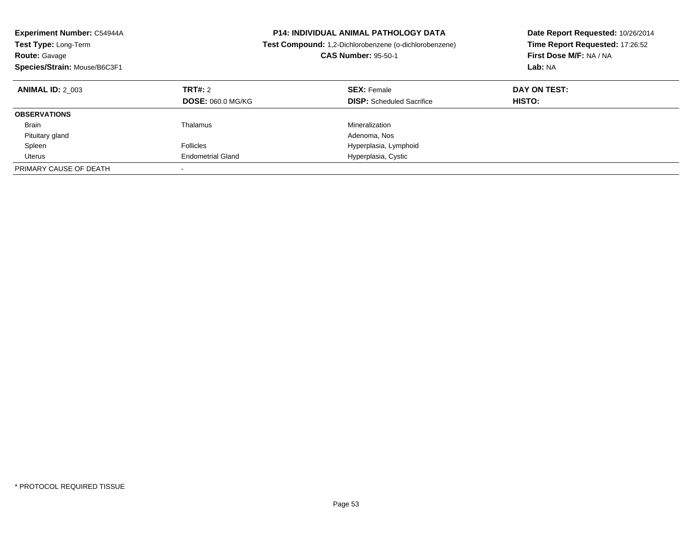| <b>Experiment Number: C54944A</b><br><b>Test Type: Long-Term</b><br><b>Route: Gavage</b><br>Species/Strain: Mouse/B6C3F1 | <b>P14: INDIVIDUAL ANIMAL PATHOLOGY DATA</b><br><b>Test Compound:</b> 1,2-Dichlorobenzene (o-dichlorobenzene)<br><b>CAS Number: 95-50-1</b> |                                                        | Date Report Requested: 10/26/2014<br>Time Report Requested: 17:26:52<br>First Dose M/F: NA / NA<br>Lab: NA |
|--------------------------------------------------------------------------------------------------------------------------|---------------------------------------------------------------------------------------------------------------------------------------------|--------------------------------------------------------|------------------------------------------------------------------------------------------------------------|
| <b>ANIMAL ID: 2 003</b>                                                                                                  | TRT#: 2<br><b>DOSE: 060.0 MG/KG</b>                                                                                                         | <b>SEX: Female</b><br><b>DISP:</b> Scheduled Sacrifice | DAY ON TEST:<br>HISTO:                                                                                     |
| <b>OBSERVATIONS</b>                                                                                                      |                                                                                                                                             |                                                        |                                                                                                            |
| <b>Brain</b>                                                                                                             | Thalamus                                                                                                                                    | Mineralization                                         |                                                                                                            |
| Pituitary gland                                                                                                          |                                                                                                                                             | Adenoma, Nos                                           |                                                                                                            |
| Spleen                                                                                                                   | <b>Follicles</b>                                                                                                                            | Hyperplasia, Lymphoid                                  |                                                                                                            |
| Uterus                                                                                                                   | <b>Endometrial Gland</b>                                                                                                                    | Hyperplasia, Cystic                                    |                                                                                                            |
| PRIMARY CAUSE OF DEATH                                                                                                   | $\overline{\phantom{a}}$                                                                                                                    |                                                        |                                                                                                            |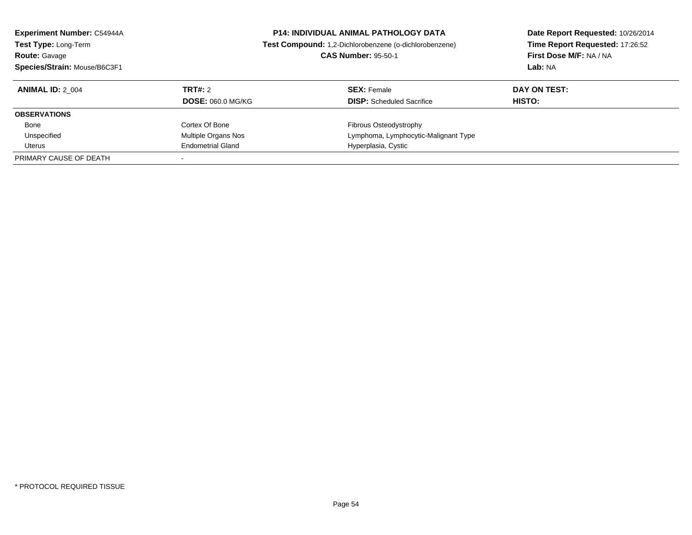| <b>Experiment Number: C54944A</b><br>Test Type: Long-Term<br><b>Route: Gavage</b><br>Species/Strain: Mouse/B6C3F1 |                          | <b>P14: INDIVIDUAL ANIMAL PATHOLOGY DATA</b><br>Test Compound: 1,2-Dichlorobenzene (o-dichlorobenzene)<br><b>CAS Number: 95-50-1</b> | Date Report Requested: 10/26/2014<br>Time Report Requested: 17:26:52<br>First Dose M/F: NA / NA<br>Lab: NA |
|-------------------------------------------------------------------------------------------------------------------|--------------------------|--------------------------------------------------------------------------------------------------------------------------------------|------------------------------------------------------------------------------------------------------------|
| <b>ANIMAL ID: 2 004</b>                                                                                           | TRT#: 2                  | <b>SEX: Female</b>                                                                                                                   | DAY ON TEST:                                                                                               |
|                                                                                                                   | <b>DOSE: 060.0 MG/KG</b> | <b>DISP:</b> Scheduled Sacrifice                                                                                                     | HISTO:                                                                                                     |
| <b>OBSERVATIONS</b>                                                                                               |                          |                                                                                                                                      |                                                                                                            |
| Bone                                                                                                              | Cortex Of Bone           | <b>Fibrous Osteodystrophy</b>                                                                                                        |                                                                                                            |
| Unspecified                                                                                                       | Multiple Organs Nos      | Lymphoma, Lymphocytic-Malignant Type                                                                                                 |                                                                                                            |
| Uterus                                                                                                            | <b>Endometrial Gland</b> | Hyperplasia, Cystic                                                                                                                  |                                                                                                            |
| PRIMARY CAUSE OF DEATH                                                                                            |                          |                                                                                                                                      |                                                                                                            |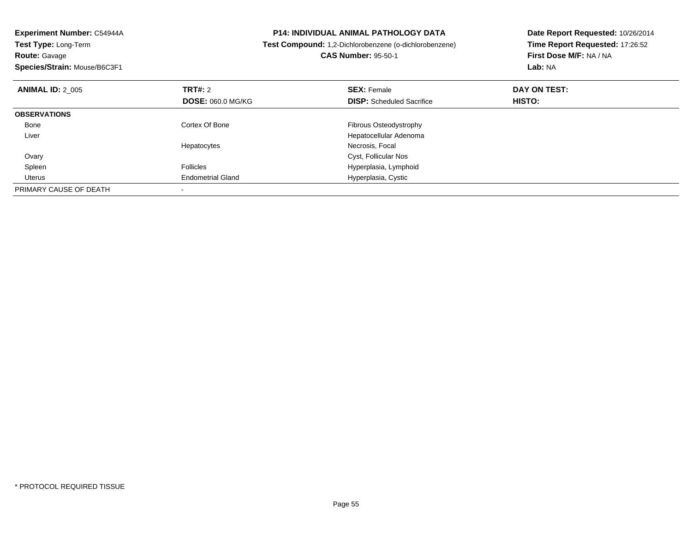| Experiment Number: C54944A<br>Test Type: Long-Term<br><b>Route: Gavage</b><br>Species/Strain: Mouse/B6C3F1 |                                            | <b>P14: INDIVIDUAL ANIMAL PATHOLOGY DATA</b><br>Test Compound: 1,2-Dichlorobenzene (o-dichlorobenzene)<br><b>CAS Number: 95-50-1</b> | Date Report Requested: 10/26/2014<br>Time Report Requested: 17:26:52<br>First Dose M/F: NA / NA<br>Lab: NA |
|------------------------------------------------------------------------------------------------------------|--------------------------------------------|--------------------------------------------------------------------------------------------------------------------------------------|------------------------------------------------------------------------------------------------------------|
| <b>ANIMAL ID: 2 005</b>                                                                                    | <b>TRT#: 2</b><br><b>DOSE: 060.0 MG/KG</b> | <b>SEX: Female</b><br><b>DISP:</b> Scheduled Sacrifice                                                                               | DAY ON TEST:<br>HISTO:                                                                                     |
| <b>OBSERVATIONS</b>                                                                                        |                                            |                                                                                                                                      |                                                                                                            |
| Bone                                                                                                       | Cortex Of Bone                             | Fibrous Osteodystrophy                                                                                                               |                                                                                                            |
| Liver                                                                                                      |                                            | Hepatocellular Adenoma                                                                                                               |                                                                                                            |
|                                                                                                            | Hepatocytes                                | Necrosis, Focal                                                                                                                      |                                                                                                            |
| Ovary                                                                                                      |                                            | Cyst, Follicular Nos                                                                                                                 |                                                                                                            |
| Spleen                                                                                                     | <b>Follicles</b>                           | Hyperplasia, Lymphoid                                                                                                                |                                                                                                            |
| Uterus                                                                                                     | <b>Endometrial Gland</b>                   | Hyperplasia, Cystic                                                                                                                  |                                                                                                            |
| PRIMARY CAUSE OF DEATH                                                                                     |                                            |                                                                                                                                      |                                                                                                            |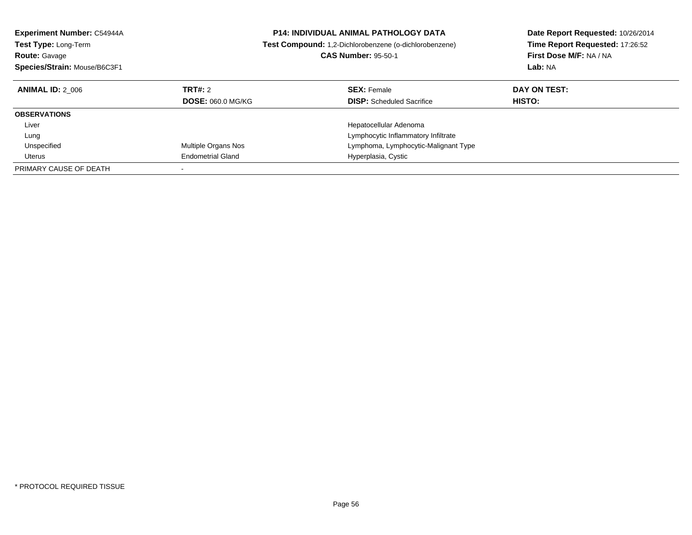| <b>Experiment Number: C54944A</b><br><b>Test Type: Long-Term</b><br><b>Route: Gavage</b><br>Species/Strain: Mouse/B6C3F1 |                          | <b>P14: INDIVIDUAL ANIMAL PATHOLOGY DATA</b><br>Test Compound: 1,2-Dichlorobenzene (o-dichlorobenzene)<br><b>CAS Number: 95-50-1</b> | Date Report Requested: 10/26/2014<br>Time Report Requested: 17:26:52<br>First Dose M/F: NA / NA<br>Lab: NA |
|--------------------------------------------------------------------------------------------------------------------------|--------------------------|--------------------------------------------------------------------------------------------------------------------------------------|------------------------------------------------------------------------------------------------------------|
| <b>ANIMAL ID: 2 006</b>                                                                                                  | TRT#: 2                  | <b>SEX: Female</b>                                                                                                                   | DAY ON TEST:                                                                                               |
|                                                                                                                          | <b>DOSE: 060.0 MG/KG</b> | <b>DISP:</b> Scheduled Sacrifice                                                                                                     | HISTO:                                                                                                     |
| <b>OBSERVATIONS</b>                                                                                                      |                          |                                                                                                                                      |                                                                                                            |
| Liver                                                                                                                    |                          | Hepatocellular Adenoma                                                                                                               |                                                                                                            |
| Lung                                                                                                                     |                          | Lymphocytic Inflammatory Infiltrate                                                                                                  |                                                                                                            |
| Unspecified                                                                                                              | Multiple Organs Nos      | Lymphoma, Lymphocytic-Malignant Type                                                                                                 |                                                                                                            |
| Uterus                                                                                                                   | <b>Endometrial Gland</b> | Hyperplasia, Cystic                                                                                                                  |                                                                                                            |
| PRIMARY CAUSE OF DEATH                                                                                                   |                          |                                                                                                                                      |                                                                                                            |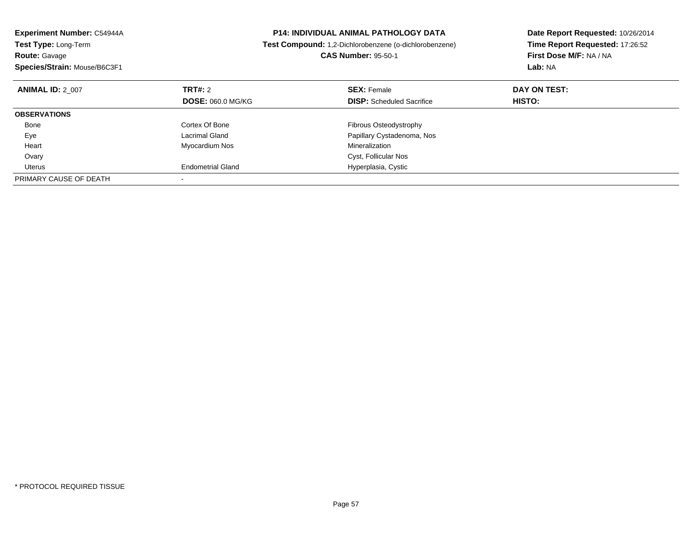| <b>Experiment Number: C54944A</b><br>Test Type: Long-Term<br><b>Route: Gavage</b><br>Species/Strain: Mouse/B6C3F1 |                          | <b>P14: INDIVIDUAL ANIMAL PATHOLOGY DATA</b><br>Test Compound: 1,2-Dichlorobenzene (o-dichlorobenzene)<br><b>CAS Number: 95-50-1</b> | Date Report Requested: 10/26/2014<br>Time Report Requested: 17:26:52<br>First Dose M/F: NA / NA<br>Lab: NA |
|-------------------------------------------------------------------------------------------------------------------|--------------------------|--------------------------------------------------------------------------------------------------------------------------------------|------------------------------------------------------------------------------------------------------------|
| <b>ANIMAL ID: 2 007</b>                                                                                           | <b>TRT#: 2</b>           | <b>SEX: Female</b>                                                                                                                   | DAY ON TEST:                                                                                               |
|                                                                                                                   | <b>DOSE: 060.0 MG/KG</b> | <b>DISP:</b> Scheduled Sacrifice                                                                                                     | HISTO:                                                                                                     |
| <b>OBSERVATIONS</b>                                                                                               |                          |                                                                                                                                      |                                                                                                            |
| Bone                                                                                                              | Cortex Of Bone           | Fibrous Osteodystrophy                                                                                                               |                                                                                                            |
| Eye                                                                                                               | Lacrimal Gland           | Papillary Cystadenoma, Nos                                                                                                           |                                                                                                            |
| Heart                                                                                                             | Myocardium Nos           | Mineralization                                                                                                                       |                                                                                                            |
| Ovary                                                                                                             |                          | Cyst, Follicular Nos                                                                                                                 |                                                                                                            |
| Uterus                                                                                                            | <b>Endometrial Gland</b> | Hyperplasia, Cystic                                                                                                                  |                                                                                                            |
| PRIMARY CAUSE OF DEATH                                                                                            |                          |                                                                                                                                      |                                                                                                            |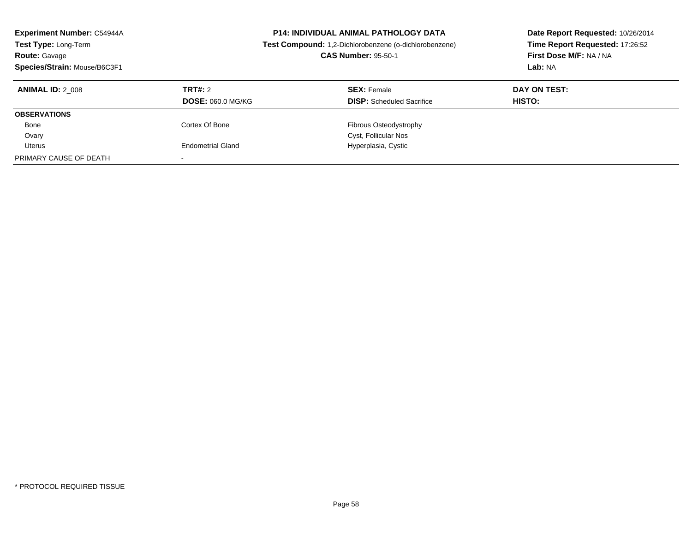| <b>Experiment Number: C54944A</b><br>Test Type: Long-Term<br><b>Route: Gavage</b><br>Species/Strain: Mouse/B6C3F1 |                          | <b>P14: INDIVIDUAL ANIMAL PATHOLOGY DATA</b><br>Test Compound: 1,2-Dichlorobenzene (o-dichlorobenzene)<br><b>CAS Number: 95-50-1</b> | Date Report Requested: 10/26/2014<br>Time Report Requested: 17:26:52<br>First Dose M/F: NA / NA<br>Lab: NA |
|-------------------------------------------------------------------------------------------------------------------|--------------------------|--------------------------------------------------------------------------------------------------------------------------------------|------------------------------------------------------------------------------------------------------------|
| <b>ANIMAL ID: 2 008</b>                                                                                           | TRT#: 2                  | <b>SEX: Female</b>                                                                                                                   | DAY ON TEST:                                                                                               |
|                                                                                                                   | <b>DOSE: 060.0 MG/KG</b> | <b>DISP:</b> Scheduled Sacrifice                                                                                                     | <b>HISTO:</b>                                                                                              |
| <b>OBSERVATIONS</b>                                                                                               |                          |                                                                                                                                      |                                                                                                            |
| Bone                                                                                                              | Cortex Of Bone           | Fibrous Osteodystrophy                                                                                                               |                                                                                                            |
| Ovary                                                                                                             |                          | Cyst, Follicular Nos                                                                                                                 |                                                                                                            |
| Uterus                                                                                                            | <b>Endometrial Gland</b> | Hyperplasia, Cystic                                                                                                                  |                                                                                                            |
| PRIMARY CAUSE OF DEATH                                                                                            |                          |                                                                                                                                      |                                                                                                            |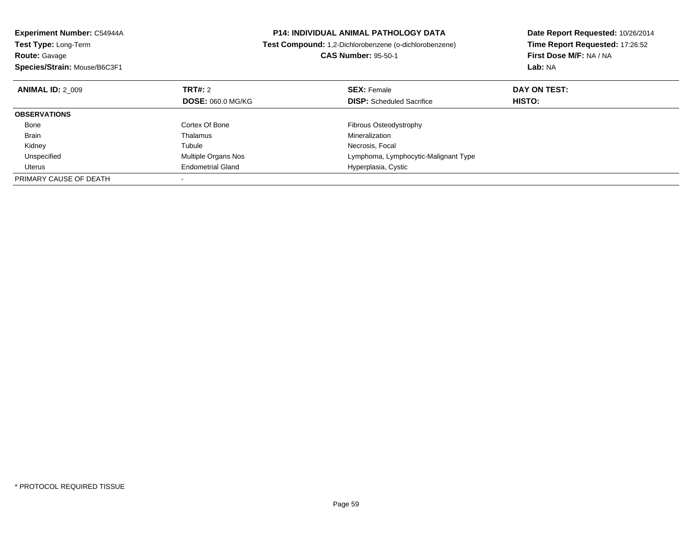| <b>Experiment Number: C54944A</b>  | <b>P14: INDIVIDUAL ANIMAL PATHOLOGY DATA</b>                  | Date Report Requested: 10/26/2014<br>Time Report Requested: 17:26:52 |  |
|------------------------------------|---------------------------------------------------------------|----------------------------------------------------------------------|--|
| Test Type: Long-Term               | <b>Test Compound:</b> 1,2-Dichlorobenzene (o-dichlorobenzene) |                                                                      |  |
| <b>Route: Gavage</b>               | <b>CAS Number: 95-50-1</b>                                    | First Dose M/F: NA / NA                                              |  |
| Species/Strain: Mouse/B6C3F1       | Lab: NA                                                       |                                                                      |  |
| TRT#: 2<br><b>ANIMAL ID: 2 009</b> | <b>SEX: Female</b>                                            | DAY ON TEST:                                                         |  |
| <b>DOSE: 060.0 MG/KG</b>           | <b>DISP:</b> Scheduled Sacrifice                              | HISTO:                                                               |  |
| <b>OBSERVATIONS</b>                |                                                               |                                                                      |  |
| Cortex Of Bone<br>Bone             | Fibrous Osteodystrophy                                        |                                                                      |  |
| Thalamus<br>Brain                  | Mineralization                                                |                                                                      |  |
| Tubule<br>Kidney                   | Necrosis, Focal                                               |                                                                      |  |
| Unspecified<br>Multiple Organs Nos | Lymphoma, Lymphocytic-Malignant Type                          |                                                                      |  |
| <b>Endometrial Gland</b><br>Uterus | Hyperplasia, Cystic                                           |                                                                      |  |
| PRIMARY CAUSE OF DEATH             |                                                               |                                                                      |  |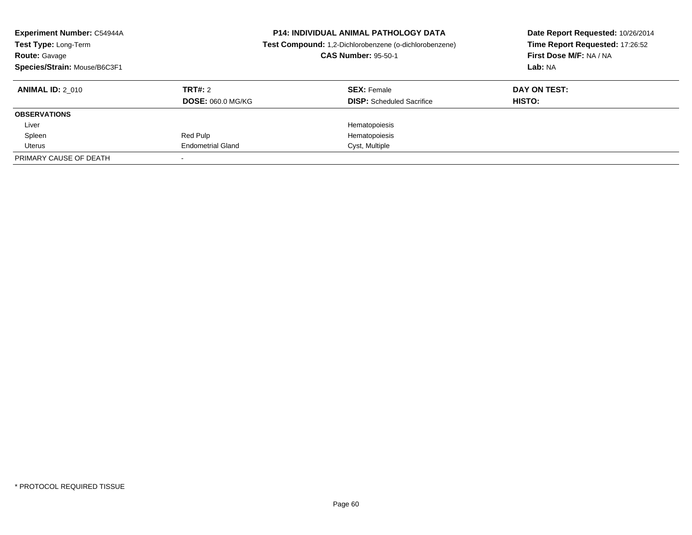| <b>Experiment Number: C54944A</b><br>Test Type: Long-Term<br><b>Route: Gavage</b><br>Species/Strain: Mouse/B6C3F1 |                          | <b>P14: INDIVIDUAL ANIMAL PATHOLOGY DATA</b><br>Test Compound: 1,2-Dichlorobenzene (o-dichlorobenzene)<br><b>CAS Number: 95-50-1</b> | Date Report Requested: 10/26/2014<br>Time Report Requested: 17:26:52<br>First Dose M/F: NA / NA<br>Lab: NA |
|-------------------------------------------------------------------------------------------------------------------|--------------------------|--------------------------------------------------------------------------------------------------------------------------------------|------------------------------------------------------------------------------------------------------------|
| <b>ANIMAL ID: 2 010</b>                                                                                           | TRT#: 2                  | <b>SEX: Female</b>                                                                                                                   | DAY ON TEST:                                                                                               |
|                                                                                                                   | <b>DOSE: 060.0 MG/KG</b> | <b>DISP:</b> Scheduled Sacrifice                                                                                                     | HISTO:                                                                                                     |
| <b>OBSERVATIONS</b>                                                                                               |                          |                                                                                                                                      |                                                                                                            |
| Liver                                                                                                             |                          | Hematopoiesis                                                                                                                        |                                                                                                            |
| Spleen                                                                                                            | Red Pulp                 | Hematopoiesis                                                                                                                        |                                                                                                            |
| Uterus                                                                                                            | <b>Endometrial Gland</b> | Cyst, Multiple                                                                                                                       |                                                                                                            |
| PRIMARY CAUSE OF DEATH                                                                                            |                          |                                                                                                                                      |                                                                                                            |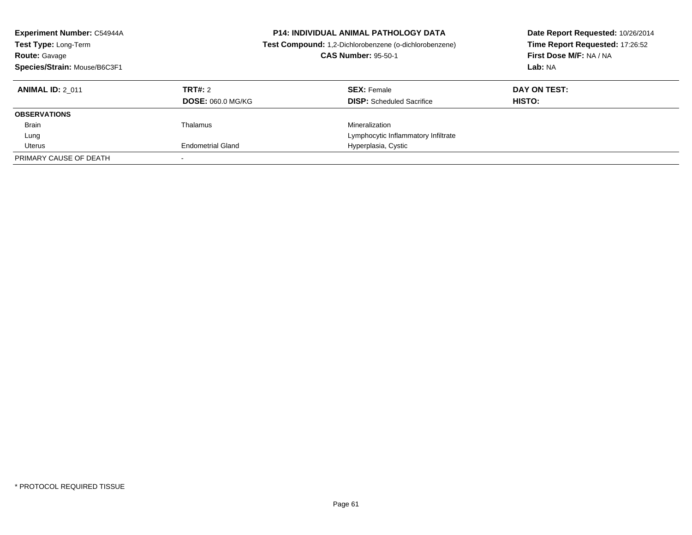| <b>Experiment Number: C54944A</b><br>Test Type: Long-Term<br><b>Route: Gavage</b><br>Species/Strain: Mouse/B6C3F1 |                                     | <b>P14: INDIVIDUAL ANIMAL PATHOLOGY DATA</b><br>Test Compound: 1,2-Dichlorobenzene (o-dichlorobenzene)<br><b>CAS Number: 95-50-1</b> | Date Report Requested: 10/26/2014<br>Time Report Requested: 17:26:52<br>First Dose M/F: NA / NA<br>Lab: NA |
|-------------------------------------------------------------------------------------------------------------------|-------------------------------------|--------------------------------------------------------------------------------------------------------------------------------------|------------------------------------------------------------------------------------------------------------|
| <b>ANIMAL ID: 2 011</b>                                                                                           | TRT#: 2<br><b>DOSE: 060.0 MG/KG</b> | <b>SEX:</b> Female<br><b>DISP:</b> Scheduled Sacrifice                                                                               | DAY ON TEST:<br>HISTO:                                                                                     |
| <b>OBSERVATIONS</b>                                                                                               |                                     |                                                                                                                                      |                                                                                                            |
| <b>Brain</b>                                                                                                      | Thalamus                            | Mineralization                                                                                                                       |                                                                                                            |
| Lung                                                                                                              |                                     | Lymphocytic Inflammatory Infiltrate                                                                                                  |                                                                                                            |
| Uterus                                                                                                            | <b>Endometrial Gland</b>            | Hyperplasia, Cystic                                                                                                                  |                                                                                                            |
| PRIMARY CAUSE OF DEATH                                                                                            |                                     |                                                                                                                                      |                                                                                                            |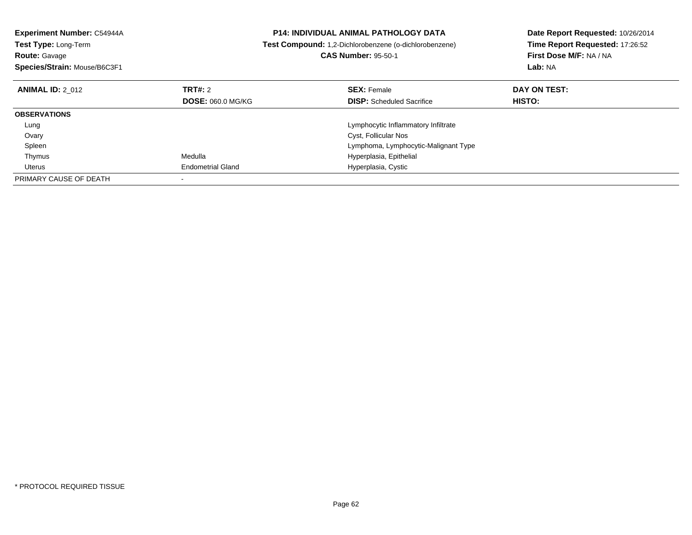| Experiment Number: C54944A<br>Test Type: Long-Term<br><b>Route: Gavage</b><br>Species/Strain: Mouse/B6C3F1 |                          | <b>P14: INDIVIDUAL ANIMAL PATHOLOGY DATA</b><br>Test Compound: 1,2-Dichlorobenzene (o-dichlorobenzene)<br><b>CAS Number: 95-50-1</b> | Date Report Requested: 10/26/2014<br>Time Report Requested: 17:26:52<br>First Dose M/F: NA / NA<br>Lab: NA |
|------------------------------------------------------------------------------------------------------------|--------------------------|--------------------------------------------------------------------------------------------------------------------------------------|------------------------------------------------------------------------------------------------------------|
| <b>ANIMAL ID: 2 012</b>                                                                                    | TRT#: 2                  | <b>SEX: Female</b>                                                                                                                   | DAY ON TEST:                                                                                               |
|                                                                                                            | <b>DOSE: 060.0 MG/KG</b> | <b>DISP:</b> Scheduled Sacrifice                                                                                                     | HISTO:                                                                                                     |
| <b>OBSERVATIONS</b>                                                                                        |                          |                                                                                                                                      |                                                                                                            |
| Lung                                                                                                       |                          | Lymphocytic Inflammatory Infiltrate                                                                                                  |                                                                                                            |
| Ovary                                                                                                      |                          | Cyst, Follicular Nos                                                                                                                 |                                                                                                            |
| Spleen                                                                                                     |                          | Lymphoma, Lymphocytic-Malignant Type                                                                                                 |                                                                                                            |
| Thymus                                                                                                     | Medulla                  | Hyperplasia, Epithelial                                                                                                              |                                                                                                            |
| Uterus                                                                                                     | <b>Endometrial Gland</b> | Hyperplasia, Cystic                                                                                                                  |                                                                                                            |
| PRIMARY CAUSE OF DEATH                                                                                     |                          |                                                                                                                                      |                                                                                                            |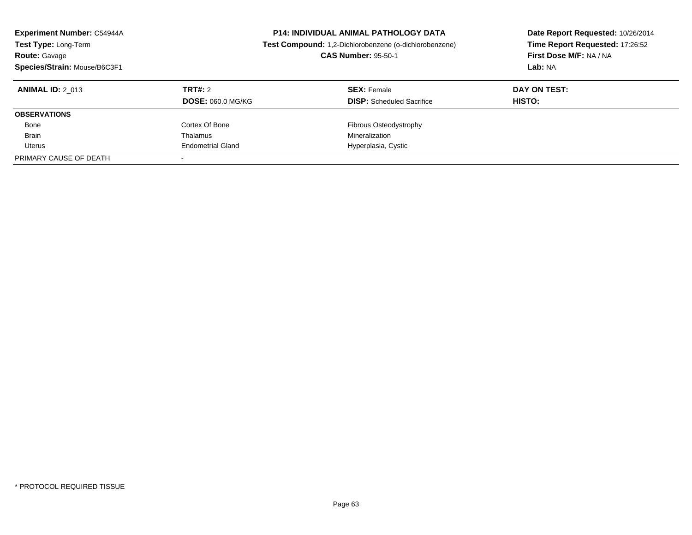| <b>Experiment Number: C54944A</b><br>Test Type: Long-Term<br><b>Route: Gavage</b><br>Species/Strain: Mouse/B6C3F1 | <b>P14: INDIVIDUAL ANIMAL PATHOLOGY DATA</b><br>Test Compound: 1,2-Dichlorobenzene (o-dichlorobenzene)<br><b>CAS Number: 95-50-1</b> |                                                        | Date Report Requested: 10/26/2014<br>Time Report Requested: 17:26:52<br>First Dose M/F: NA / NA<br>Lab: NA |  |
|-------------------------------------------------------------------------------------------------------------------|--------------------------------------------------------------------------------------------------------------------------------------|--------------------------------------------------------|------------------------------------------------------------------------------------------------------------|--|
| <b>ANIMAL ID: 2 013</b>                                                                                           | TRT#: 2<br><b>DOSE: 060.0 MG/KG</b>                                                                                                  | <b>SEX: Female</b><br><b>DISP:</b> Scheduled Sacrifice | DAY ON TEST:<br>HISTO:                                                                                     |  |
| <b>OBSERVATIONS</b>                                                                                               |                                                                                                                                      |                                                        |                                                                                                            |  |
| Bone                                                                                                              | Cortex Of Bone                                                                                                                       | Fibrous Osteodystrophy                                 |                                                                                                            |  |
| <b>Brain</b>                                                                                                      | Thalamus                                                                                                                             | Mineralization                                         |                                                                                                            |  |
| Uterus                                                                                                            | <b>Endometrial Gland</b>                                                                                                             | Hyperplasia, Cystic                                    |                                                                                                            |  |
| PRIMARY CAUSE OF DEATH                                                                                            |                                                                                                                                      |                                                        |                                                                                                            |  |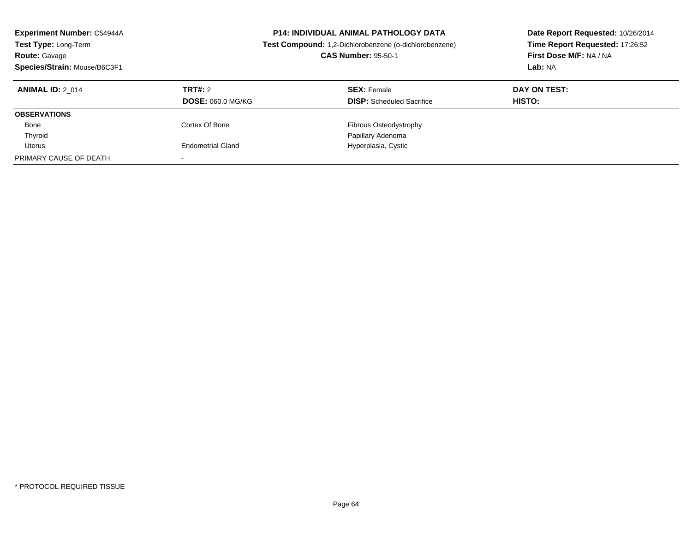| <b>Experiment Number: C54944A</b><br>Test Type: Long-Term<br><b>Route: Gavage</b><br>Species/Strain: Mouse/B6C3F1 | <b>P14: INDIVIDUAL ANIMAL PATHOLOGY DATA</b><br>Test Compound: 1,2-Dichlorobenzene (o-dichlorobenzene)<br><b>CAS Number: 95-50-1</b> |                                                        | Date Report Requested: 10/26/2014<br>Time Report Requested: 17:26:52<br>First Dose M/F: NA / NA<br>Lab: NA |
|-------------------------------------------------------------------------------------------------------------------|--------------------------------------------------------------------------------------------------------------------------------------|--------------------------------------------------------|------------------------------------------------------------------------------------------------------------|
| <b>ANIMAL ID: 2 014</b>                                                                                           | TRT#: 2<br><b>DOSE: 060.0 MG/KG</b>                                                                                                  | <b>SEX: Female</b><br><b>DISP:</b> Scheduled Sacrifice | DAY ON TEST:<br>HISTO:                                                                                     |
| <b>OBSERVATIONS</b>                                                                                               |                                                                                                                                      |                                                        |                                                                                                            |
| Bone                                                                                                              | Cortex Of Bone                                                                                                                       | Fibrous Osteodystrophy                                 |                                                                                                            |
| Thyroid                                                                                                           |                                                                                                                                      | Papillary Adenoma                                      |                                                                                                            |
| Uterus                                                                                                            | <b>Endometrial Gland</b>                                                                                                             | Hyperplasia, Cystic                                    |                                                                                                            |
| PRIMARY CAUSE OF DEATH                                                                                            |                                                                                                                                      |                                                        |                                                                                                            |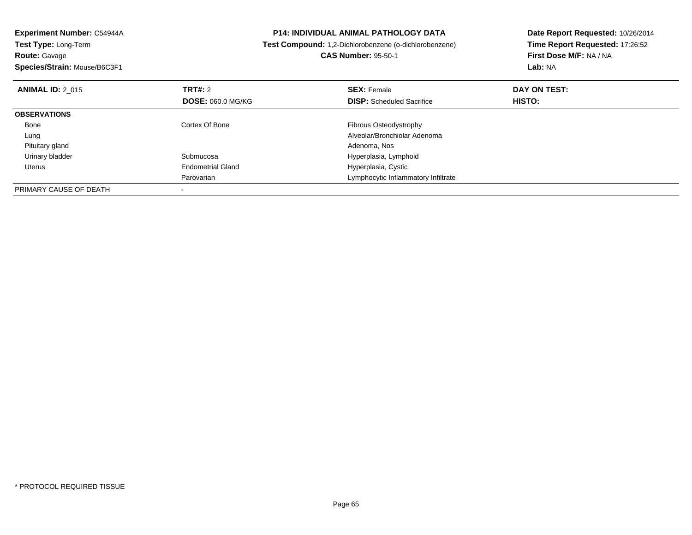| Experiment Number: C54944A<br><b>Test Type: Long-Term</b> |                          | <b>P14: INDIVIDUAL ANIMAL PATHOLOGY DATA</b>           | Date Report Requested: 10/26/2014 |  |
|-----------------------------------------------------------|--------------------------|--------------------------------------------------------|-----------------------------------|--|
|                                                           |                          | Test Compound: 1,2-Dichlorobenzene (o-dichlorobenzene) | Time Report Requested: 17:26:52   |  |
| <b>Route: Gavage</b>                                      |                          | <b>CAS Number: 95-50-1</b>                             | First Dose M/F: NA / NA           |  |
| Species/Strain: Mouse/B6C3F1                              |                          |                                                        | Lab: NA                           |  |
| <b>ANIMAL ID: 2 015</b>                                   | <b>TRT#: 2</b>           | <b>SEX: Female</b>                                     | DAY ON TEST:                      |  |
|                                                           | <b>DOSE: 060.0 MG/KG</b> | <b>DISP:</b> Scheduled Sacrifice                       | HISTO:                            |  |
| <b>OBSERVATIONS</b>                                       |                          |                                                        |                                   |  |
| Bone                                                      | Cortex Of Bone           | Fibrous Osteodystrophy                                 |                                   |  |
| Lung                                                      |                          | Alveolar/Bronchiolar Adenoma                           |                                   |  |
| Pituitary gland                                           |                          | Adenoma, Nos                                           |                                   |  |
| Urinary bladder                                           | Submucosa                | Hyperplasia, Lymphoid                                  |                                   |  |
| Uterus                                                    | <b>Endometrial Gland</b> | Hyperplasia, Cystic                                    |                                   |  |
|                                                           | Parovarian               | Lymphocytic Inflammatory Infiltrate                    |                                   |  |
| PRIMARY CAUSE OF DEATH                                    |                          |                                                        |                                   |  |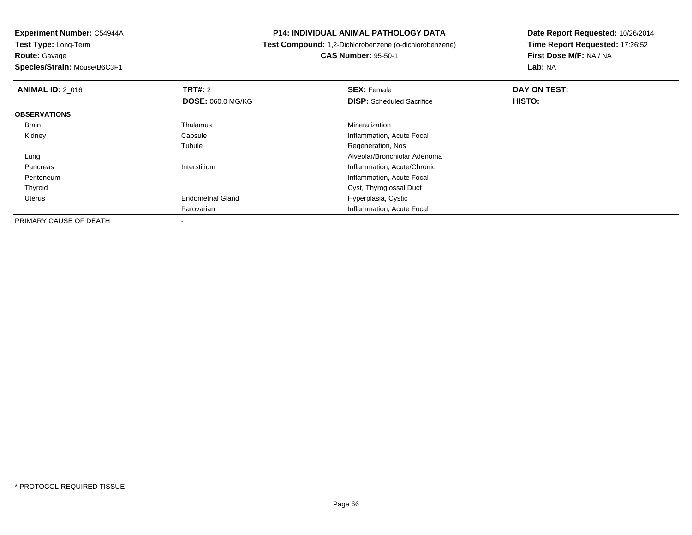**Experiment Number:** C54944A**Test Type:** Long-Term**Route:** Gavage**Species/Strain:** Mouse/B6C3F1

## **P14: INDIVIDUAL ANIMAL PATHOLOGY DATA**

## **Test Compound:** 1,2-Dichlorobenzene (o-dichlorobenzene)**CAS Number:** 95-50-1

**Date Report Requested:** 10/26/2014**Time Report Requested:** 17:26:52**First Dose M/F:** NA / NA**Lab:** NA

| <b>ANIMAL ID: 2 016</b> | TRT#: 2                  | <b>SEX: Female</b>               | DAY ON TEST: |  |
|-------------------------|--------------------------|----------------------------------|--------------|--|
|                         | <b>DOSE: 060.0 MG/KG</b> | <b>DISP:</b> Scheduled Sacrifice | HISTO:       |  |
| <b>OBSERVATIONS</b>     |                          |                                  |              |  |
| <b>Brain</b>            | Thalamus                 | Mineralization                   |              |  |
| Kidney                  | Capsule                  | Inflammation, Acute Focal        |              |  |
|                         | Tubule                   | Regeneration, Nos                |              |  |
| Lung                    |                          | Alveolar/Bronchiolar Adenoma     |              |  |
| Pancreas                | Interstitium             | Inflammation, Acute/Chronic      |              |  |
| Peritoneum              |                          | Inflammation, Acute Focal        |              |  |
| Thyroid                 |                          | Cyst, Thyroglossal Duct          |              |  |
| Uterus                  | <b>Endometrial Gland</b> | Hyperplasia, Cystic              |              |  |
|                         | Parovarian               | Inflammation, Acute Focal        |              |  |
| PRIMARY CAUSE OF DEATH  |                          |                                  |              |  |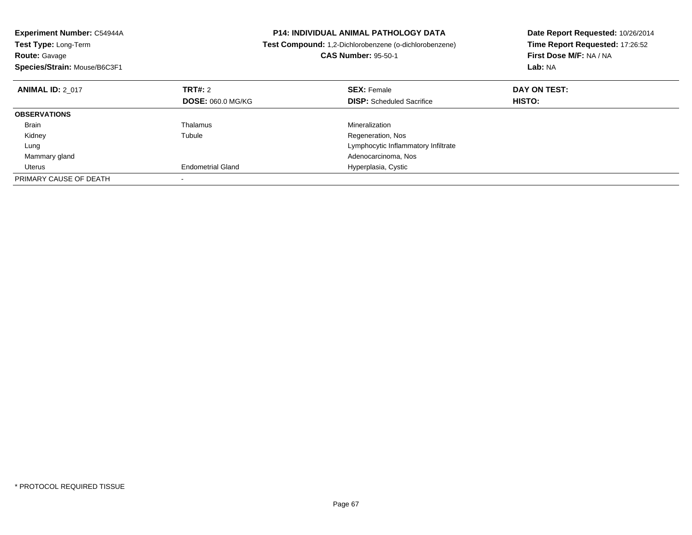| <b>Experiment Number: C54944A</b><br>Test Type: Long-Term<br><b>Route: Gavage</b> |                          | <b>P14: INDIVIDUAL ANIMAL PATHOLOGY DATA</b><br>Test Compound: 1,2-Dichlorobenzene (o-dichlorobenzene)<br><b>CAS Number: 95-50-1</b> | Date Report Requested: 10/26/2014<br>Time Report Requested: 17:26:52<br>First Dose M/F: NA / NA |
|-----------------------------------------------------------------------------------|--------------------------|--------------------------------------------------------------------------------------------------------------------------------------|-------------------------------------------------------------------------------------------------|
| Species/Strain: Mouse/B6C3F1                                                      |                          |                                                                                                                                      | Lab: NA                                                                                         |
| <b>ANIMAL ID: 2 017</b>                                                           | <b>TRT#: 2</b>           | <b>SEX: Female</b>                                                                                                                   | DAY ON TEST:                                                                                    |
|                                                                                   | <b>DOSE: 060.0 MG/KG</b> | <b>DISP:</b> Scheduled Sacrifice                                                                                                     | HISTO:                                                                                          |
| <b>OBSERVATIONS</b>                                                               |                          |                                                                                                                                      |                                                                                                 |
| <b>Brain</b>                                                                      | Thalamus                 | Mineralization                                                                                                                       |                                                                                                 |
| Kidney                                                                            | Tubule                   | Regeneration, Nos                                                                                                                    |                                                                                                 |
| Lung                                                                              |                          | Lymphocytic Inflammatory Infiltrate                                                                                                  |                                                                                                 |
| Mammary gland                                                                     |                          | Adenocarcinoma, Nos                                                                                                                  |                                                                                                 |
| Uterus                                                                            | <b>Endometrial Gland</b> | Hyperplasia, Cystic                                                                                                                  |                                                                                                 |
| PRIMARY CAUSE OF DEATH                                                            |                          |                                                                                                                                      |                                                                                                 |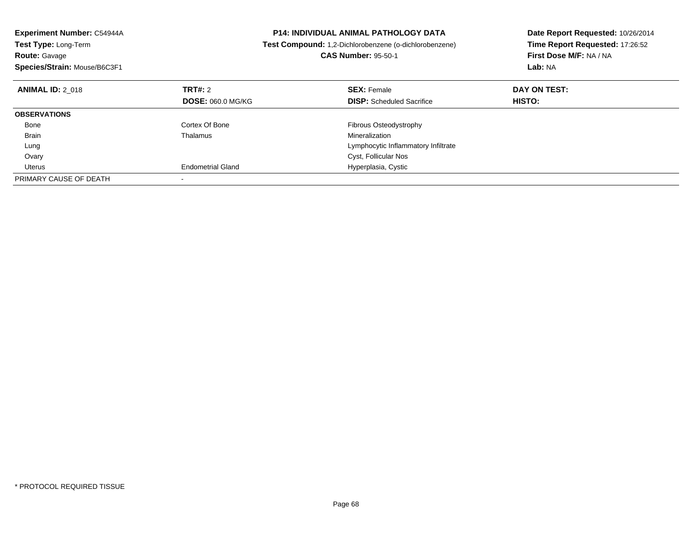| Experiment Number: C54944A<br><b>Test Type: Long-Term</b><br><b>Route: Gavage</b><br>Species/Strain: Mouse/B6C3F1 |                          | <b>P14: INDIVIDUAL ANIMAL PATHOLOGY DATA</b><br>Test Compound: 1,2-Dichlorobenzene (o-dichlorobenzene)<br><b>CAS Number: 95-50-1</b> | Date Report Requested: 10/26/2014<br>Time Report Requested: 17:26:52<br>First Dose M/F: NA / NA<br>Lab: NA |
|-------------------------------------------------------------------------------------------------------------------|--------------------------|--------------------------------------------------------------------------------------------------------------------------------------|------------------------------------------------------------------------------------------------------------|
| <b>ANIMAL ID: 2 018</b>                                                                                           | TRT#: 2                  | <b>SEX: Female</b>                                                                                                                   | DAY ON TEST:                                                                                               |
|                                                                                                                   | <b>DOSE: 060.0 MG/KG</b> | <b>DISP:</b> Scheduled Sacrifice                                                                                                     | HISTO:                                                                                                     |
| <b>OBSERVATIONS</b>                                                                                               |                          |                                                                                                                                      |                                                                                                            |
| Bone                                                                                                              | Cortex Of Bone           | Fibrous Osteodystrophy                                                                                                               |                                                                                                            |
| <b>Brain</b>                                                                                                      | Thalamus                 | Mineralization                                                                                                                       |                                                                                                            |
| Lung                                                                                                              |                          | Lymphocytic Inflammatory Infiltrate                                                                                                  |                                                                                                            |
| Ovary                                                                                                             |                          | Cyst, Follicular Nos                                                                                                                 |                                                                                                            |
| Uterus                                                                                                            | <b>Endometrial Gland</b> | Hyperplasia, Cystic                                                                                                                  |                                                                                                            |
| PRIMARY CAUSE OF DEATH                                                                                            |                          |                                                                                                                                      |                                                                                                            |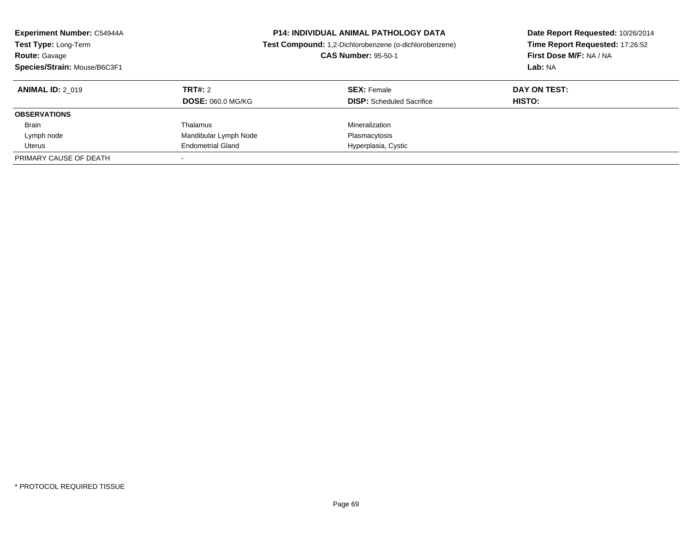| <b>Experiment Number: C54944A</b><br>Test Type: Long-Term<br><b>Route: Gavage</b><br>Species/Strain: Mouse/B6C3F1 | <b>P14: INDIVIDUAL ANIMAL PATHOLOGY DATA</b><br>Test Compound: 1,2-Dichlorobenzene (o-dichlorobenzene)<br><b>CAS Number: 95-50-1</b> |                                  | Date Report Requested: 10/26/2014<br>Time Report Requested: 17:26:52<br>First Dose M/F: NA / NA<br>Lab: NA |  |
|-------------------------------------------------------------------------------------------------------------------|--------------------------------------------------------------------------------------------------------------------------------------|----------------------------------|------------------------------------------------------------------------------------------------------------|--|
| <b>ANIMAL ID: 2 019</b>                                                                                           | TRT#: 2                                                                                                                              | <b>SEX: Female</b>               | DAY ON TEST:                                                                                               |  |
|                                                                                                                   | <b>DOSE: 060.0 MG/KG</b>                                                                                                             | <b>DISP:</b> Scheduled Sacrifice | HISTO:                                                                                                     |  |
| <b>OBSERVATIONS</b>                                                                                               |                                                                                                                                      |                                  |                                                                                                            |  |
| <b>Brain</b>                                                                                                      | Thalamus                                                                                                                             | Mineralization                   |                                                                                                            |  |
| Lymph node                                                                                                        | Mandibular Lymph Node                                                                                                                | Plasmacytosis                    |                                                                                                            |  |
| Uterus                                                                                                            | <b>Endometrial Gland</b>                                                                                                             | Hyperplasia, Cystic              |                                                                                                            |  |
| PRIMARY CAUSE OF DEATH                                                                                            |                                                                                                                                      |                                  |                                                                                                            |  |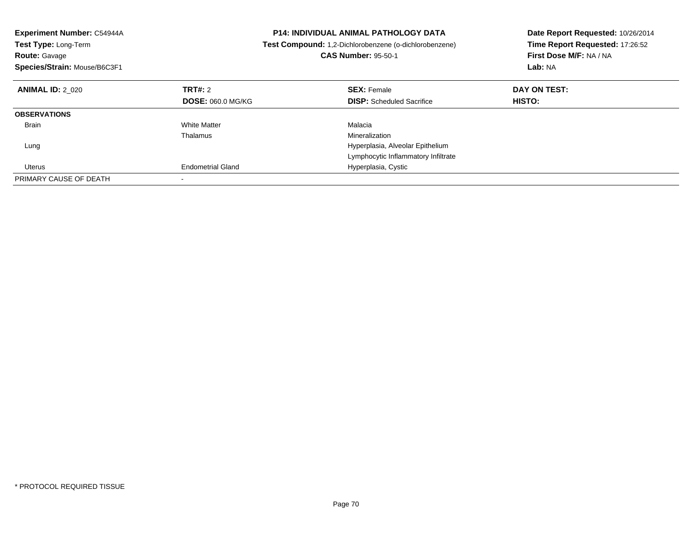| <b>Experiment Number: C54944A</b><br>Test Type: Long-Term<br><b>Route: Gavage</b><br>Species/Strain: Mouse/B6C3F1 |                          | <b>P14: INDIVIDUAL ANIMAL PATHOLOGY DATA</b><br>Test Compound: 1,2-Dichlorobenzene (o-dichlorobenzene)<br><b>CAS Number: 95-50-1</b> | Date Report Requested: 10/26/2014<br>Time Report Requested: 17:26:52<br>First Dose M/F: NA / NA<br>Lab: NA |
|-------------------------------------------------------------------------------------------------------------------|--------------------------|--------------------------------------------------------------------------------------------------------------------------------------|------------------------------------------------------------------------------------------------------------|
| <b>ANIMAL ID: 2 020</b>                                                                                           | TRT#: 2                  | <b>SEX: Female</b>                                                                                                                   | DAY ON TEST:                                                                                               |
|                                                                                                                   | <b>DOSE: 060.0 MG/KG</b> | <b>DISP:</b> Scheduled Sacrifice                                                                                                     | HISTO:                                                                                                     |
| <b>OBSERVATIONS</b>                                                                                               |                          |                                                                                                                                      |                                                                                                            |
| <b>Brain</b>                                                                                                      | <b>White Matter</b>      | Malacia                                                                                                                              |                                                                                                            |
|                                                                                                                   | Thalamus                 | Mineralization                                                                                                                       |                                                                                                            |
| Lung                                                                                                              |                          | Hyperplasia, Alveolar Epithelium                                                                                                     |                                                                                                            |
|                                                                                                                   |                          | Lymphocytic Inflammatory Infiltrate                                                                                                  |                                                                                                            |
| Uterus                                                                                                            | <b>Endometrial Gland</b> | Hyperplasia, Cystic                                                                                                                  |                                                                                                            |
| PRIMARY CAUSE OF DEATH                                                                                            |                          |                                                                                                                                      |                                                                                                            |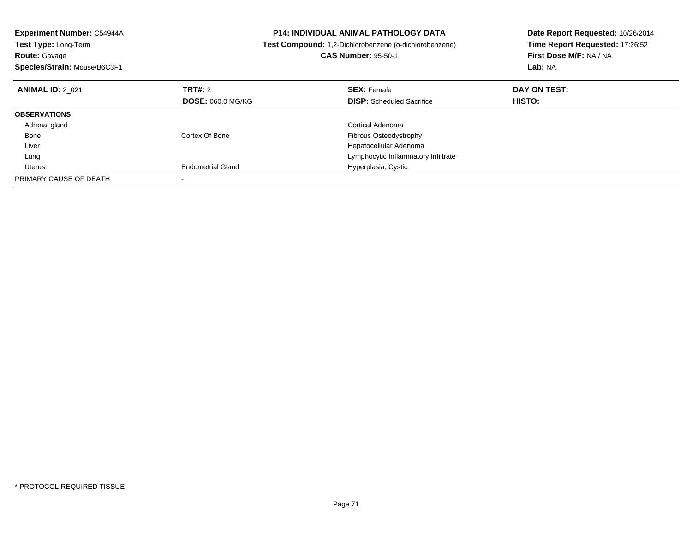| <b>Experiment Number: C54944A</b><br>Test Type: Long-Term<br><b>Route: Gavage</b><br>Species/Strain: Mouse/B6C3F1 |                          | <b>P14: INDIVIDUAL ANIMAL PATHOLOGY DATA</b><br>Test Compound: 1,2-Dichlorobenzene (o-dichlorobenzene)<br><b>CAS Number: 95-50-1</b> | Date Report Requested: 10/26/2014<br>Time Report Requested: 17:26:52<br>First Dose M/F: NA / NA<br>Lab: NA |
|-------------------------------------------------------------------------------------------------------------------|--------------------------|--------------------------------------------------------------------------------------------------------------------------------------|------------------------------------------------------------------------------------------------------------|
| <b>ANIMAL ID: 2 021</b>                                                                                           | TRT#: 2                  | <b>SEX: Female</b>                                                                                                                   | DAY ON TEST:                                                                                               |
|                                                                                                                   | <b>DOSE: 060.0 MG/KG</b> | <b>DISP:</b> Scheduled Sacrifice                                                                                                     | <b>HISTO:</b>                                                                                              |
| <b>OBSERVATIONS</b>                                                                                               |                          |                                                                                                                                      |                                                                                                            |
| Adrenal gland                                                                                                     |                          | Cortical Adenoma                                                                                                                     |                                                                                                            |
| Bone                                                                                                              | Cortex Of Bone           | Fibrous Osteodystrophy                                                                                                               |                                                                                                            |
| Liver                                                                                                             |                          | Hepatocellular Adenoma                                                                                                               |                                                                                                            |
| Lung                                                                                                              |                          | Lymphocytic Inflammatory Infiltrate                                                                                                  |                                                                                                            |
| Uterus                                                                                                            | <b>Endometrial Gland</b> | Hyperplasia, Cystic                                                                                                                  |                                                                                                            |
| PRIMARY CAUSE OF DEATH                                                                                            |                          |                                                                                                                                      |                                                                                                            |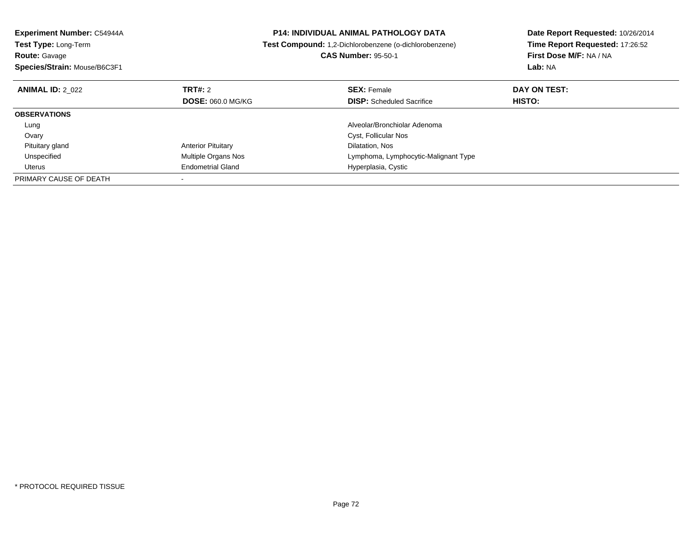| <b>P14: INDIVIDUAL ANIMAL PATHOLOGY DATA</b><br><b>Experiment Number: C54944A</b> |                            | Date Report Requested: 10/26/2014                      |                                 |  |
|-----------------------------------------------------------------------------------|----------------------------|--------------------------------------------------------|---------------------------------|--|
| Test Type: Long-Term                                                              |                            | Test Compound: 1,2-Dichlorobenzene (o-dichlorobenzene) | Time Report Requested: 17:26:52 |  |
| <b>Route: Gavage</b>                                                              |                            | <b>CAS Number: 95-50-1</b>                             | First Dose M/F: NA / NA         |  |
| Species/Strain: Mouse/B6C3F1                                                      |                            |                                                        | Lab: NA                         |  |
| <b>ANIMAL ID: 2 022</b>                                                           | TRT#: 2                    | <b>SEX: Female</b>                                     | DAY ON TEST:                    |  |
|                                                                                   | <b>DOSE: 060.0 MG/KG</b>   | <b>DISP:</b> Scheduled Sacrifice                       | HISTO:                          |  |
| <b>OBSERVATIONS</b>                                                               |                            |                                                        |                                 |  |
| Lung                                                                              |                            | Alveolar/Bronchiolar Adenoma                           |                                 |  |
| Ovary                                                                             |                            | Cyst, Follicular Nos                                   |                                 |  |
| Pituitary gland                                                                   | <b>Anterior Pituitary</b>  | Dilatation, Nos                                        |                                 |  |
| Unspecified                                                                       | <b>Multiple Organs Nos</b> | Lymphoma, Lymphocytic-Malignant Type                   |                                 |  |
| Uterus                                                                            | <b>Endometrial Gland</b>   | Hyperplasia, Cystic                                    |                                 |  |
| PRIMARY CAUSE OF DEATH                                                            |                            |                                                        |                                 |  |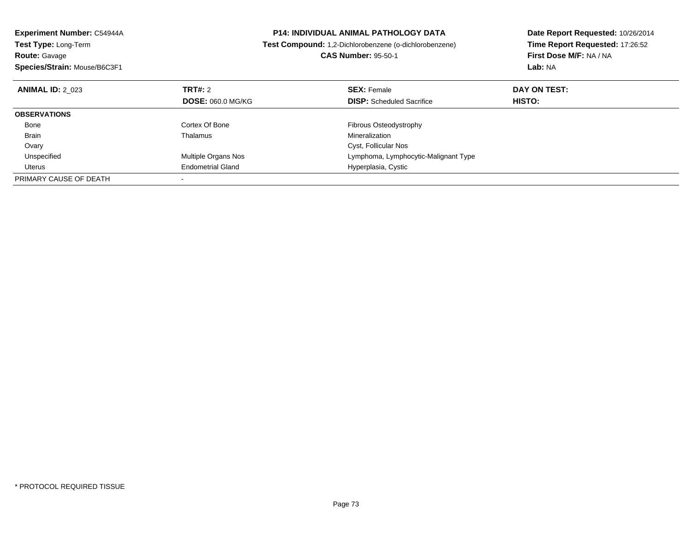| Experiment Number: C54944A         |                          | <b>P14: INDIVIDUAL ANIMAL PATHOLOGY DATA</b>                  | Date Report Requested: 10/26/2014<br>Time Report Requested: 17:26:52 |  |
|------------------------------------|--------------------------|---------------------------------------------------------------|----------------------------------------------------------------------|--|
| Test Type: Long-Term               |                          | <b>Test Compound:</b> 1,2-Dichlorobenzene (o-dichlorobenzene) |                                                                      |  |
| <b>Route: Gavage</b>               |                          | <b>CAS Number: 95-50-1</b>                                    | First Dose M/F: NA / NA                                              |  |
| Species/Strain: Mouse/B6C3F1       |                          |                                                               | Lab: NA                                                              |  |
| TRT#: 2<br><b>ANIMAL ID: 2 023</b> |                          | <b>SEX: Female</b>                                            | DAY ON TEST:                                                         |  |
|                                    | <b>DOSE: 060.0 MG/KG</b> | <b>DISP:</b> Scheduled Sacrifice                              | HISTO:                                                               |  |
| <b>OBSERVATIONS</b>                |                          |                                                               |                                                                      |  |
| Cortex Of Bone<br>Bone             |                          | Fibrous Osteodystrophy                                        |                                                                      |  |
| Brain<br>Thalamus                  |                          | Mineralization                                                |                                                                      |  |
| Ovary                              |                          | Cyst, Follicular Nos                                          |                                                                      |  |
| Unspecified                        | Multiple Organs Nos      | Lymphoma, Lymphocytic-Malignant Type                          |                                                                      |  |
| Uterus                             | <b>Endometrial Gland</b> | Hyperplasia, Cystic                                           |                                                                      |  |
| PRIMARY CAUSE OF DEATH             |                          |                                                               |                                                                      |  |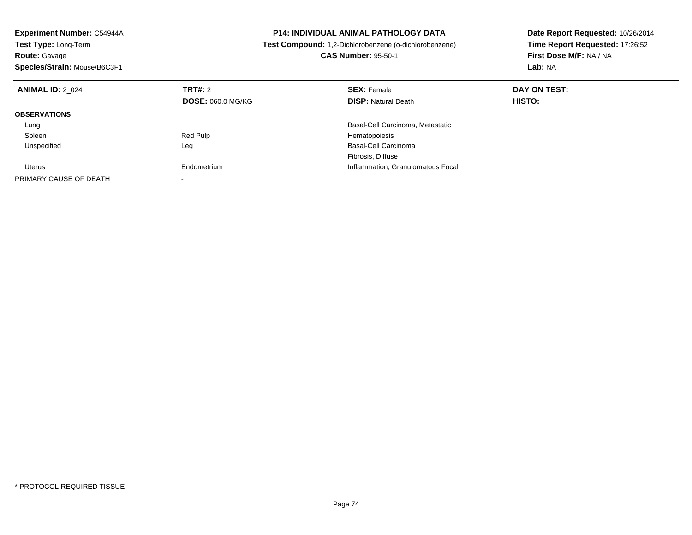| Experiment Number: C54944A<br><b>Test Type: Long-Term</b><br><b>Route: Gavage</b><br>Species/Strain: Mouse/B6C3F1 |                          | <b>P14: INDIVIDUAL ANIMAL PATHOLOGY DATA</b><br>Test Compound: 1,2-Dichlorobenzene (o-dichlorobenzene)<br><b>CAS Number: 95-50-1</b> | Date Report Requested: 10/26/2014<br>Time Report Requested: 17:26:52<br>First Dose M/F: NA / NA<br>Lab: NA |
|-------------------------------------------------------------------------------------------------------------------|--------------------------|--------------------------------------------------------------------------------------------------------------------------------------|------------------------------------------------------------------------------------------------------------|
| <b>ANIMAL ID: 2 024</b>                                                                                           | TRT#: 2                  | <b>SEX: Female</b>                                                                                                                   | DAY ON TEST:                                                                                               |
|                                                                                                                   | <b>DOSE: 060.0 MG/KG</b> | <b>DISP:</b> Natural Death                                                                                                           | HISTO:                                                                                                     |
| <b>OBSERVATIONS</b>                                                                                               |                          |                                                                                                                                      |                                                                                                            |
| Lung                                                                                                              |                          | Basal-Cell Carcinoma, Metastatic                                                                                                     |                                                                                                            |
| Spleen                                                                                                            | Red Pulp                 | Hematopoiesis                                                                                                                        |                                                                                                            |
| Unspecified                                                                                                       | Leg                      | Basal-Cell Carcinoma                                                                                                                 |                                                                                                            |
|                                                                                                                   |                          | Fibrosis, Diffuse                                                                                                                    |                                                                                                            |
| Uterus                                                                                                            | Endometrium              | Inflammation, Granulomatous Focal                                                                                                    |                                                                                                            |
| PRIMARY CAUSE OF DEATH                                                                                            |                          |                                                                                                                                      |                                                                                                            |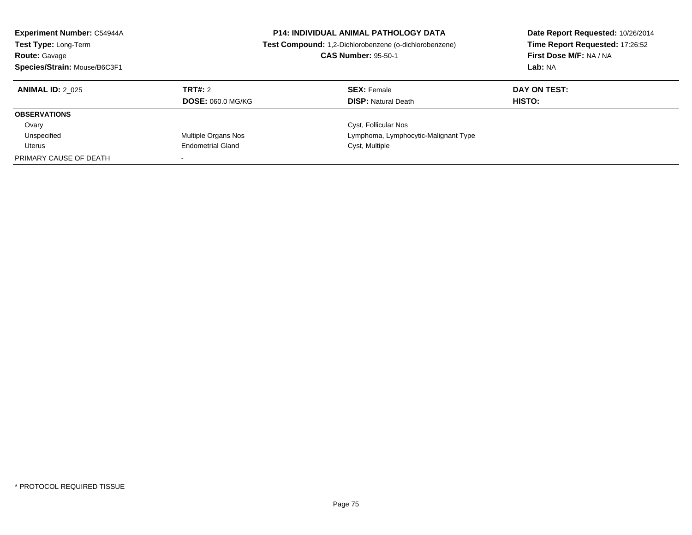| <b>Experiment Number: C54944A</b><br>Test Type: Long-Term<br><b>Route: Gavage</b><br>Species/Strain: Mouse/B6C3F1 | <b>P14: INDIVIDUAL ANIMAL PATHOLOGY DATA</b><br>Test Compound: 1,2-Dichlorobenzene (o-dichlorobenzene)<br><b>CAS Number: 95-50-1</b> |                                      | Date Report Requested: 10/26/2014<br>Time Report Requested: 17:26:52<br>First Dose M/F: NA / NA<br>Lab: NA |
|-------------------------------------------------------------------------------------------------------------------|--------------------------------------------------------------------------------------------------------------------------------------|--------------------------------------|------------------------------------------------------------------------------------------------------------|
| <b>ANIMAL ID: 2 025</b>                                                                                           | TRT#: 2                                                                                                                              | <b>SEX:</b> Female                   | DAY ON TEST:                                                                                               |
|                                                                                                                   | <b>DOSE: 060.0 MG/KG</b>                                                                                                             | <b>DISP: Natural Death</b>           | HISTO:                                                                                                     |
| <b>OBSERVATIONS</b>                                                                                               |                                                                                                                                      |                                      |                                                                                                            |
| Ovary                                                                                                             |                                                                                                                                      | Cyst, Follicular Nos                 |                                                                                                            |
| Unspecified                                                                                                       | Multiple Organs Nos                                                                                                                  | Lymphoma, Lymphocytic-Malignant Type |                                                                                                            |
| Uterus                                                                                                            | <b>Endometrial Gland</b>                                                                                                             | Cyst, Multiple                       |                                                                                                            |
| PRIMARY CAUSE OF DEATH                                                                                            |                                                                                                                                      |                                      |                                                                                                            |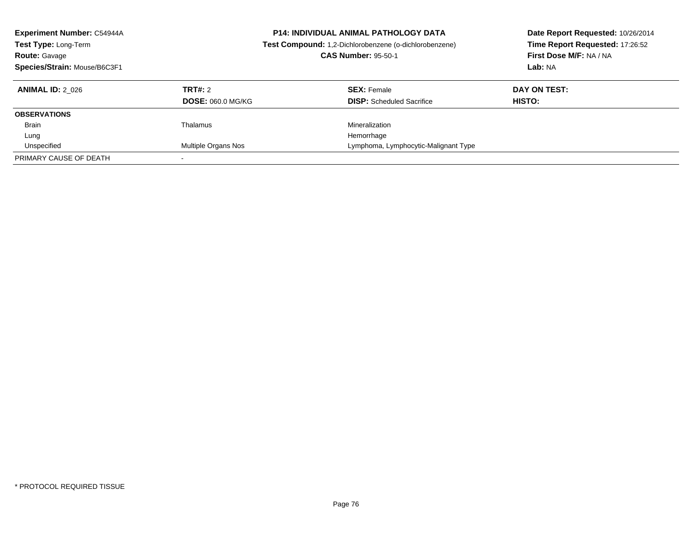| <b>Experiment Number: C54944A</b><br>Test Type: Long-Term<br><b>Route: Gavage</b><br>Species/Strain: Mouse/B6C3F1 |                          | <b>P14: INDIVIDUAL ANIMAL PATHOLOGY DATA</b><br>Test Compound: 1,2-Dichlorobenzene (o-dichlorobenzene)<br><b>CAS Number: 95-50-1</b> | Date Report Requested: 10/26/2014<br>Time Report Requested: 17:26:52<br>First Dose M/F: NA / NA<br>Lab: NA |
|-------------------------------------------------------------------------------------------------------------------|--------------------------|--------------------------------------------------------------------------------------------------------------------------------------|------------------------------------------------------------------------------------------------------------|
| <b>ANIMAL ID: 2 026</b>                                                                                           | TRT#: 2                  | <b>SEX: Female</b>                                                                                                                   | DAY ON TEST:                                                                                               |
|                                                                                                                   | <b>DOSE: 060.0 MG/KG</b> | <b>DISP:</b> Scheduled Sacrifice                                                                                                     | HISTO:                                                                                                     |
| <b>OBSERVATIONS</b>                                                                                               |                          |                                                                                                                                      |                                                                                                            |
| <b>Brain</b>                                                                                                      | Thalamus                 | Mineralization                                                                                                                       |                                                                                                            |
| Lung                                                                                                              |                          | Hemorrhage                                                                                                                           |                                                                                                            |
| Unspecified                                                                                                       | Multiple Organs Nos      | Lymphoma, Lymphocytic-Malignant Type                                                                                                 |                                                                                                            |
| PRIMARY CAUSE OF DEATH                                                                                            |                          |                                                                                                                                      |                                                                                                            |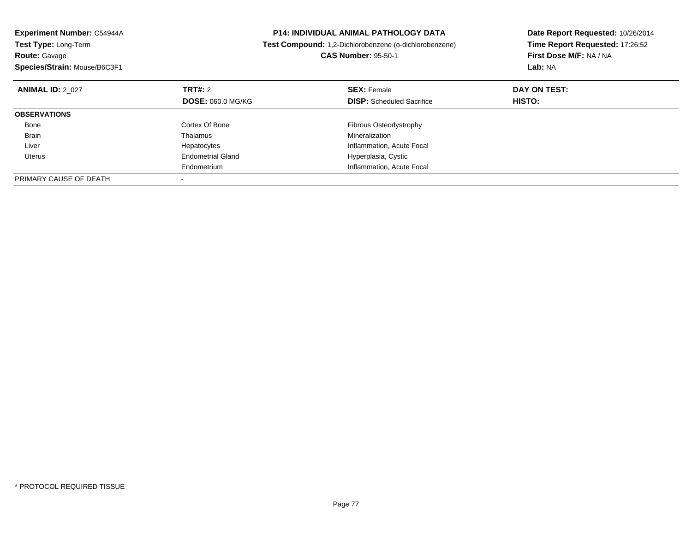| Experiment Number: C54944A<br>Test Type: Long-Term |                          | <b>P14: INDIVIDUAL ANIMAL PATHOLOGY DATA</b>           | Date Report Requested: 10/26/2014<br>Time Report Requested: 17:26:52 |
|----------------------------------------------------|--------------------------|--------------------------------------------------------|----------------------------------------------------------------------|
|                                                    |                          | Test Compound: 1,2-Dichlorobenzene (o-dichlorobenzene) |                                                                      |
| <b>Route: Gavage</b>                               |                          | <b>CAS Number: 95-50-1</b>                             | First Dose M/F: NA / NA                                              |
| Species/Strain: Mouse/B6C3F1                       |                          |                                                        | Lab: NA                                                              |
| <b>ANIMAL ID: 2 027</b>                            | TRT#: 2                  | <b>SEX: Female</b>                                     | DAY ON TEST:                                                         |
|                                                    | <b>DOSE: 060.0 MG/KG</b> | <b>DISP:</b> Scheduled Sacrifice                       | HISTO:                                                               |
| <b>OBSERVATIONS</b>                                |                          |                                                        |                                                                      |
| Bone                                               | Cortex Of Bone           | Fibrous Osteodystrophy                                 |                                                                      |
| Brain                                              | Thalamus                 | Mineralization                                         |                                                                      |
| Liver                                              | Hepatocytes              | Inflammation, Acute Focal                              |                                                                      |
| Uterus                                             | <b>Endometrial Gland</b> | Hyperplasia, Cystic                                    |                                                                      |
|                                                    | Endometrium              | Inflammation, Acute Focal                              |                                                                      |
| PRIMARY CAUSE OF DEATH                             |                          |                                                        |                                                                      |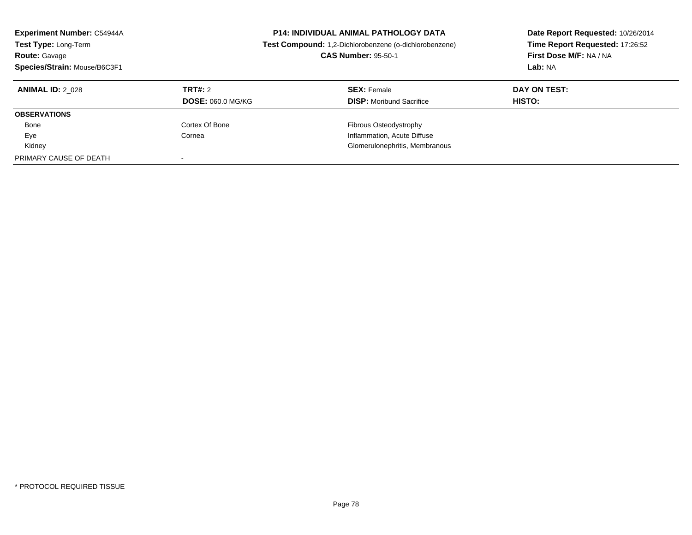| <b>Experiment Number: C54944A</b><br>Test Type: Long-Term<br><b>Route: Gavage</b><br>Species/Strain: Mouse/B6C3F1 | <b>P14: INDIVIDUAL ANIMAL PATHOLOGY DATA</b><br>Test Compound: 1,2-Dichlorobenzene (o-dichlorobenzene)<br><b>CAS Number: 95-50-1</b> |                                                       | Date Report Requested: 10/26/2014<br>Time Report Requested: 17:26:52<br>First Dose M/F: NA / NA<br>Lab: NA |
|-------------------------------------------------------------------------------------------------------------------|--------------------------------------------------------------------------------------------------------------------------------------|-------------------------------------------------------|------------------------------------------------------------------------------------------------------------|
| <b>ANIMAL ID: 2 028</b>                                                                                           | TRT#: 2<br><b>DOSE: 060.0 MG/KG</b>                                                                                                  | <b>SEX:</b> Female<br><b>DISP:</b> Moribund Sacrifice | DAY ON TEST:<br><b>HISTO:</b>                                                                              |
| <b>OBSERVATIONS</b>                                                                                               |                                                                                                                                      |                                                       |                                                                                                            |
| Bone                                                                                                              | Cortex Of Bone                                                                                                                       | Fibrous Osteodystrophy                                |                                                                                                            |
| Eye                                                                                                               | Cornea                                                                                                                               | Inflammation, Acute Diffuse                           |                                                                                                            |
| Kidney                                                                                                            |                                                                                                                                      | Glomerulonephritis, Membranous                        |                                                                                                            |
| PRIMARY CAUSE OF DEATH                                                                                            |                                                                                                                                      |                                                       |                                                                                                            |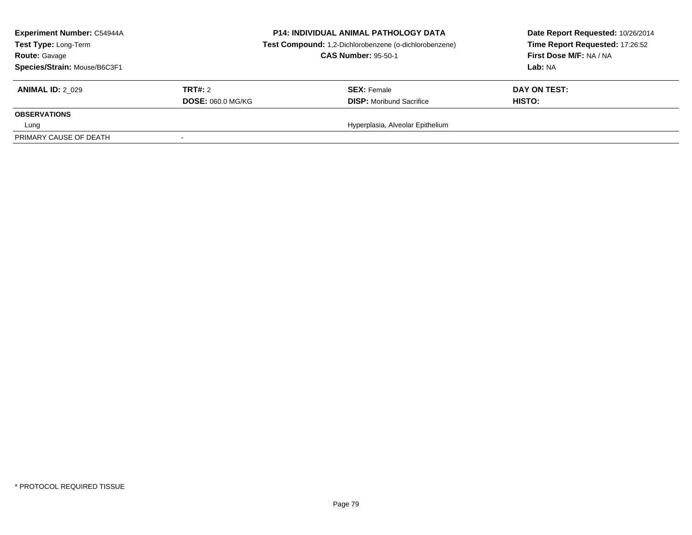| <b>Experiment Number: C54944A</b><br><b>Test Type: Long-Term</b><br><b>Route: Gavage</b><br>Species/Strain: Mouse/B6C3F1 |                          | <b>P14: INDIVIDUAL ANIMAL PATHOLOGY DATA</b><br>Test Compound: 1,2-Dichlorobenzene (o-dichlorobenzene)<br><b>CAS Number: 95-50-1</b> | Date Report Requested: 10/26/2014<br>Time Report Requested: 17:26:52<br>First Dose M/F: NA / NA<br>Lab: NA |
|--------------------------------------------------------------------------------------------------------------------------|--------------------------|--------------------------------------------------------------------------------------------------------------------------------------|------------------------------------------------------------------------------------------------------------|
| <b>ANIMAL ID: 2 029</b>                                                                                                  | TRT#: 2                  | <b>SEX: Female</b>                                                                                                                   | DAY ON TEST:                                                                                               |
|                                                                                                                          | <b>DOSE: 060.0 MG/KG</b> | <b>DISP:</b> Moribund Sacrifice                                                                                                      | HISTO:                                                                                                     |
| <b>OBSERVATIONS</b>                                                                                                      |                          |                                                                                                                                      |                                                                                                            |
| Lung                                                                                                                     |                          | Hyperplasia, Alveolar Epithelium                                                                                                     |                                                                                                            |
| PRIMARY CAUSE OF DEATH                                                                                                   |                          |                                                                                                                                      |                                                                                                            |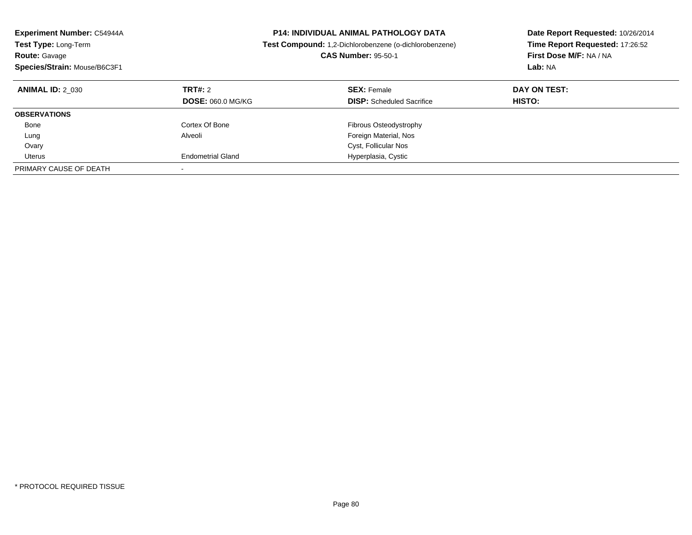| <b>Experiment Number: C54944A</b><br><b>Test Type: Long-Term</b><br><b>Route: Gavage</b><br>Species/Strain: Mouse/B6C3F1 |                                     | <b>P14: INDIVIDUAL ANIMAL PATHOLOGY DATA</b><br><b>Test Compound:</b> 1,2-Dichlorobenzene (o-dichlorobenzene)<br><b>CAS Number: 95-50-1</b> | Date Report Requested: 10/26/2014<br>Time Report Requested: 17:26:52<br>First Dose M/F: NA / NA<br>Lab: NA |
|--------------------------------------------------------------------------------------------------------------------------|-------------------------------------|---------------------------------------------------------------------------------------------------------------------------------------------|------------------------------------------------------------------------------------------------------------|
| <b>ANIMAL ID: 2 030</b>                                                                                                  | TRT#: 2<br><b>DOSE: 060.0 MG/KG</b> | <b>SEX: Female</b><br><b>DISP:</b> Scheduled Sacrifice                                                                                      | DAY ON TEST:<br>HISTO:                                                                                     |
| <b>OBSERVATIONS</b>                                                                                                      |                                     |                                                                                                                                             |                                                                                                            |
| Bone                                                                                                                     | Cortex Of Bone                      | Fibrous Osteodystrophy                                                                                                                      |                                                                                                            |
| Lung                                                                                                                     | Alveoli                             | Foreign Material, Nos                                                                                                                       |                                                                                                            |
| Ovary                                                                                                                    |                                     | Cyst, Follicular Nos                                                                                                                        |                                                                                                            |
| Uterus                                                                                                                   | <b>Endometrial Gland</b>            | Hyperplasia, Cystic                                                                                                                         |                                                                                                            |
| PRIMARY CAUSE OF DEATH                                                                                                   | $\overline{\phantom{a}}$            |                                                                                                                                             |                                                                                                            |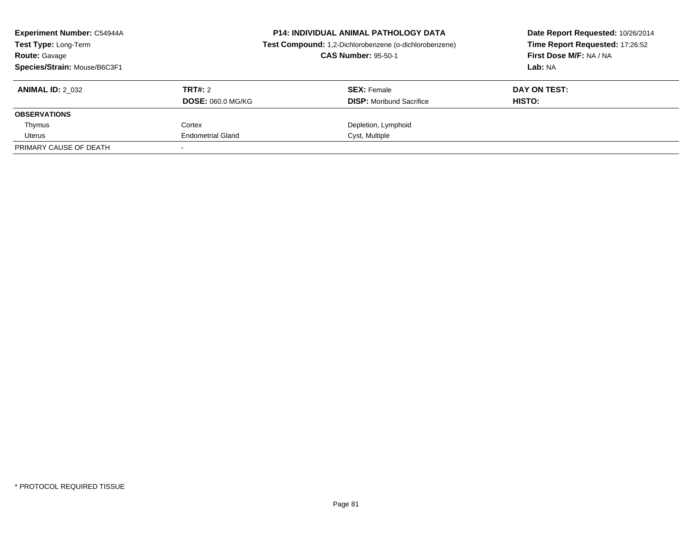| <b>Experiment Number: C54944A</b><br>Test Type: Long-Term<br><b>Route: Gavage</b><br>Species/Strain: Mouse/B6C3F1 | <b>P14: INDIVIDUAL ANIMAL PATHOLOGY DATA</b><br>Test Compound: 1,2-Dichlorobenzene (o-dichlorobenzene)<br><b>CAS Number: 95-50-1</b> |                                                       | Date Report Requested: 10/26/2014<br>Time Report Requested: 17:26:52<br>First Dose M/F: NA / NA<br>Lab: NA |
|-------------------------------------------------------------------------------------------------------------------|--------------------------------------------------------------------------------------------------------------------------------------|-------------------------------------------------------|------------------------------------------------------------------------------------------------------------|
| <b>ANIMAL ID: 2 032</b>                                                                                           | TRT#: 2<br><b>DOSE: 060.0 MG/KG</b>                                                                                                  | <b>SEX: Female</b><br><b>DISP:</b> Moribund Sacrifice | DAY ON TEST:<br><b>HISTO:</b>                                                                              |
| <b>OBSERVATIONS</b>                                                                                               |                                                                                                                                      |                                                       |                                                                                                            |
| Thymus                                                                                                            | Cortex                                                                                                                               | Depletion, Lymphoid                                   |                                                                                                            |
| Uterus                                                                                                            | <b>Endometrial Gland</b>                                                                                                             | Cyst, Multiple                                        |                                                                                                            |
| PRIMARY CAUSE OF DEATH                                                                                            |                                                                                                                                      |                                                       |                                                                                                            |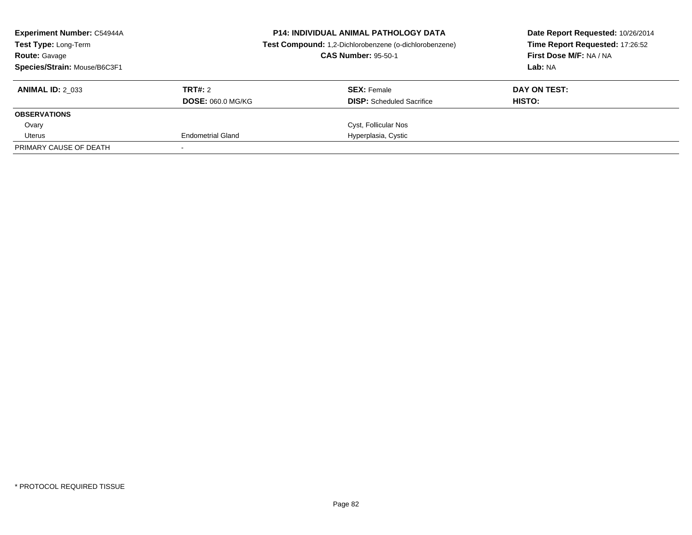| <b>Experiment Number: C54944A</b><br>Test Type: Long-Term<br><b>Route: Gavage</b><br>Species/Strain: Mouse/B6C3F1 | <b>P14: INDIVIDUAL ANIMAL PATHOLOGY DATA</b><br>Test Compound: 1,2-Dichlorobenzene (o-dichlorobenzene)<br><b>CAS Number: 95-50-1</b> |                                                        | Date Report Requested: 10/26/2014<br>Time Report Requested: 17:26:52<br>First Dose M/F: NA / NA<br>Lab: NA |
|-------------------------------------------------------------------------------------------------------------------|--------------------------------------------------------------------------------------------------------------------------------------|--------------------------------------------------------|------------------------------------------------------------------------------------------------------------|
| <b>ANIMAL ID: 2 033</b>                                                                                           | TRT#: 2<br><b>DOSE: 060.0 MG/KG</b>                                                                                                  | <b>SEX: Female</b><br><b>DISP:</b> Scheduled Sacrifice | DAY ON TEST:<br>HISTO:                                                                                     |
| <b>OBSERVATIONS</b>                                                                                               |                                                                                                                                      |                                                        |                                                                                                            |
| Ovary                                                                                                             |                                                                                                                                      | Cyst, Follicular Nos                                   |                                                                                                            |
| Uterus                                                                                                            | <b>Endometrial Gland</b>                                                                                                             | Hyperplasia, Cystic                                    |                                                                                                            |
| PRIMARY CAUSE OF DEATH                                                                                            |                                                                                                                                      |                                                        |                                                                                                            |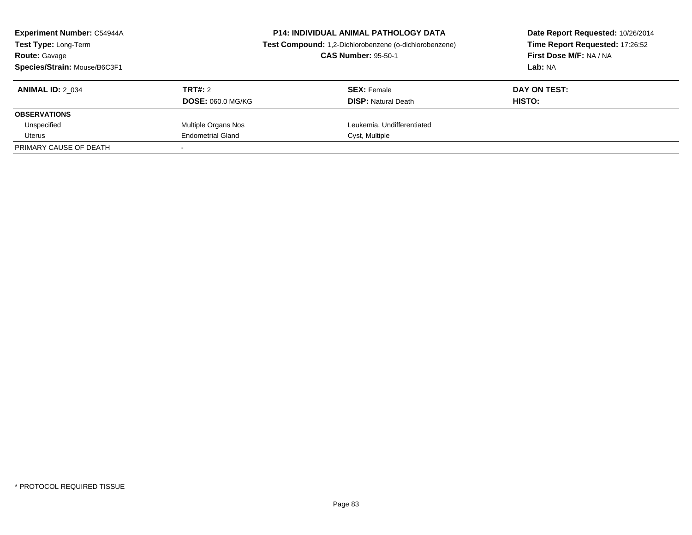| Experiment Number: C54944A<br><b>Test Type: Long-Term</b><br><b>Route: Gavage</b><br>Species/Strain: Mouse/B6C3F1 | <b>P14: INDIVIDUAL ANIMAL PATHOLOGY DATA</b><br>Test Compound: 1,2-Dichlorobenzene (o-dichlorobenzene)<br><b>CAS Number: 95-50-1</b> |                                                  | Date Report Requested: 10/26/2014<br>Time Report Requested: 17:26:52<br>First Dose M/F: NA / NA<br>Lab: NA |
|-------------------------------------------------------------------------------------------------------------------|--------------------------------------------------------------------------------------------------------------------------------------|--------------------------------------------------|------------------------------------------------------------------------------------------------------------|
| <b>ANIMAL ID: 2 034</b>                                                                                           | TRT#: 2<br><b>DOSE: 060.0 MG/KG</b>                                                                                                  | <b>SEX: Female</b><br><b>DISP: Natural Death</b> | DAY ON TEST:<br><b>HISTO:</b>                                                                              |
| <b>OBSERVATIONS</b>                                                                                               |                                                                                                                                      |                                                  |                                                                                                            |
| Unspecified                                                                                                       | Multiple Organs Nos                                                                                                                  | Leukemia, Undifferentiated                       |                                                                                                            |
| Uterus                                                                                                            | <b>Endometrial Gland</b>                                                                                                             | Cyst, Multiple                                   |                                                                                                            |
| PRIMARY CAUSE OF DEATH                                                                                            |                                                                                                                                      |                                                  |                                                                                                            |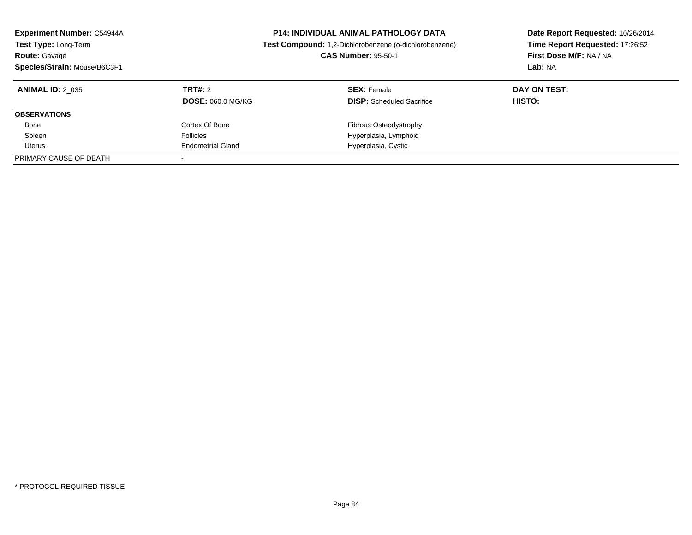| <b>Experiment Number: C54944A</b><br>Test Type: Long-Term<br><b>Route: Gavage</b><br>Species/Strain: Mouse/B6C3F1 |                          | <b>P14: INDIVIDUAL ANIMAL PATHOLOGY DATA</b><br>Test Compound: 1,2-Dichlorobenzene (o-dichlorobenzene)<br><b>CAS Number: 95-50-1</b> | Date Report Requested: 10/26/2014<br>Time Report Requested: 17:26:52<br>First Dose M/F: NA / NA<br>Lab: NA |
|-------------------------------------------------------------------------------------------------------------------|--------------------------|--------------------------------------------------------------------------------------------------------------------------------------|------------------------------------------------------------------------------------------------------------|
| <b>ANIMAL ID: 2 035</b>                                                                                           | <b>TRT#: 2</b>           | <b>SEX: Female</b>                                                                                                                   | DAY ON TEST:                                                                                               |
|                                                                                                                   | <b>DOSE: 060.0 MG/KG</b> | <b>DISP:</b> Scheduled Sacrifice                                                                                                     | HISTO:                                                                                                     |
| <b>OBSERVATIONS</b>                                                                                               |                          |                                                                                                                                      |                                                                                                            |
| Bone                                                                                                              | Cortex Of Bone           | Fibrous Osteodystrophy                                                                                                               |                                                                                                            |
| Spleen                                                                                                            | <b>Follicles</b>         | Hyperplasia, Lymphoid                                                                                                                |                                                                                                            |
| Uterus                                                                                                            | <b>Endometrial Gland</b> | Hyperplasia, Cystic                                                                                                                  |                                                                                                            |
| PRIMARY CAUSE OF DEATH                                                                                            |                          |                                                                                                                                      |                                                                                                            |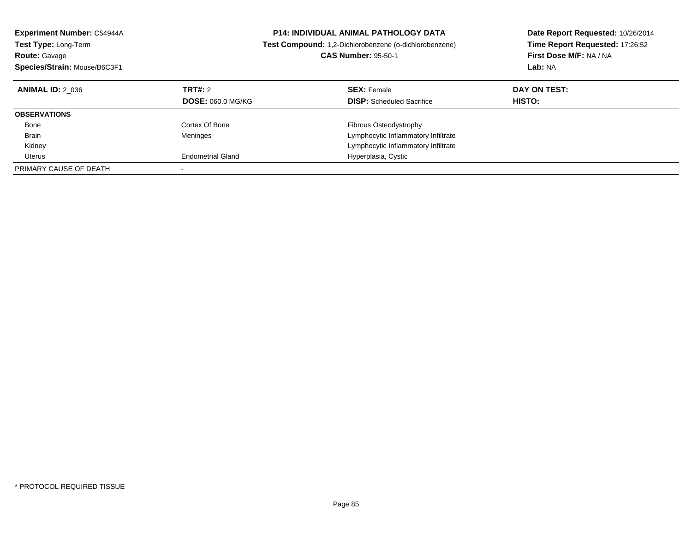| <b>Experiment Number: C54944A</b><br><b>Test Type: Long-Term</b><br><b>Route: Gavage</b><br>Species/Strain: Mouse/B6C3F1 |                                     | <b>P14: INDIVIDUAL ANIMAL PATHOLOGY DATA</b><br>Test Compound: 1,2-Dichlorobenzene (o-dichlorobenzene)<br><b>CAS Number: 95-50-1</b> | Date Report Requested: 10/26/2014<br>Time Report Requested: 17:26:52<br>First Dose M/F: NA / NA<br>Lab: NA |
|--------------------------------------------------------------------------------------------------------------------------|-------------------------------------|--------------------------------------------------------------------------------------------------------------------------------------|------------------------------------------------------------------------------------------------------------|
| <b>ANIMAL ID: 2 036</b>                                                                                                  | TRT#: 2<br><b>DOSE: 060.0 MG/KG</b> | <b>SEX: Female</b><br><b>DISP:</b> Scheduled Sacrifice                                                                               | DAY ON TEST:<br>HISTO:                                                                                     |
| <b>OBSERVATIONS</b>                                                                                                      |                                     |                                                                                                                                      |                                                                                                            |
| Bone                                                                                                                     | Cortex Of Bone                      | Fibrous Osteodystrophy                                                                                                               |                                                                                                            |
| <b>Brain</b>                                                                                                             | Meninges                            | Lymphocytic Inflammatory Infiltrate                                                                                                  |                                                                                                            |
| Kidney                                                                                                                   |                                     | Lymphocytic Inflammatory Infiltrate                                                                                                  |                                                                                                            |
| Uterus                                                                                                                   | <b>Endometrial Gland</b>            | Hyperplasia, Cystic                                                                                                                  |                                                                                                            |
| PRIMARY CAUSE OF DEATH                                                                                                   |                                     |                                                                                                                                      |                                                                                                            |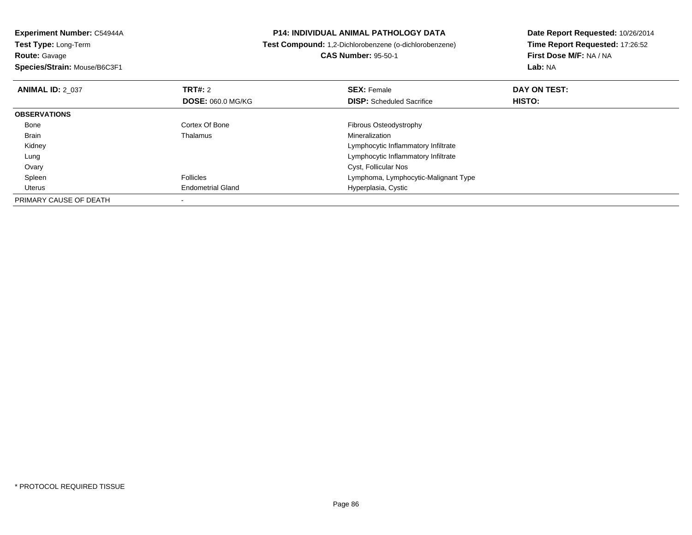**Experiment Number:** C54944A**Test Type:** Long-Term**Route:** Gavage **Species/Strain:** Mouse/B6C3F1**P14: INDIVIDUAL ANIMAL PATHOLOGY DATA Test Compound:** 1,2-Dichlorobenzene (o-dichlorobenzene)**CAS Number:** 95-50-1**Date Report Requested:** 10/26/2014**Time Report Requested:** 17:26:52**First Dose M/F:** NA / NA**Lab:** NA**ANIMAL ID:** 2\_037 **TRT#:** <sup>2</sup> **SEX:** Female **DAY ON TEST: DOSE:** 060.0 MG/KG**DISP:** Scheduled Sacrifice **HISTO: OBSERVATIONS** BoneCortex Of Bone **Fibrous Osteodystrophy**<br>
Thalamus **Fibrous Osteodystrophy**<br>
Mineralization Brain Thalamus Mineralization Kidney Lymphocytic Inflammatory Infiltrateg and the state of the state of the state of the state of the state of the Lymphocytic Inflammatory Infiltrate Lung Ovary Cyst, Follicular Nos Spleen Follicles Lymphoma, Lymphocytic-Malignant Type Uterus Endometrial Gland Hyperplasia, Cystic PRIMARY CAUSE OF DEATH-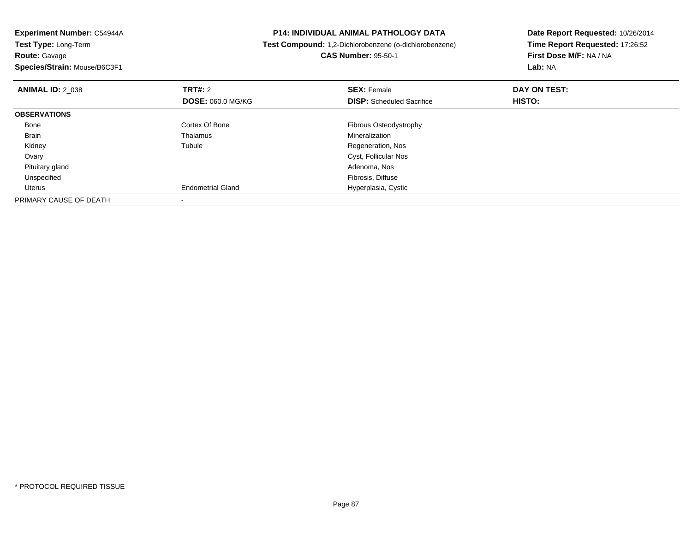| Experiment Number: C54944A                | <b>P14: INDIVIDUAL ANIMAL PATHOLOGY DATA</b>           | Date Report Requested: 10/26/2014<br>Time Report Requested: 17:26:52 |  |
|-------------------------------------------|--------------------------------------------------------|----------------------------------------------------------------------|--|
| <b>Test Type: Long-Term</b>               | Test Compound: 1,2-Dichlorobenzene (o-dichlorobenzene) |                                                                      |  |
| <b>Route: Gavage</b>                      | <b>CAS Number: 95-50-1</b>                             | First Dose M/F: NA / NA                                              |  |
| Species/Strain: Mouse/B6C3F1              |                                                        | Lab: NA                                                              |  |
| <b>TRT#:</b> 2<br><b>ANIMAL ID: 2 038</b> | <b>SEX: Female</b>                                     | DAY ON TEST:                                                         |  |
| <b>DOSE: 060.0 MG/KG</b>                  | <b>DISP:</b> Scheduled Sacrifice                       | <b>HISTO:</b>                                                        |  |
| <b>OBSERVATIONS</b>                       |                                                        |                                                                      |  |
| Cortex Of Bone<br>Bone                    | Fibrous Osteodystrophy                                 |                                                                      |  |
| Thalamus<br>Brain                         | Mineralization                                         |                                                                      |  |
| Tubule<br>Kidney                          | Regeneration, Nos                                      |                                                                      |  |
| Ovary                                     | Cyst, Follicular Nos                                   |                                                                      |  |
| Pituitary gland                           | Adenoma, Nos                                           |                                                                      |  |
| Unspecified                               | Fibrosis, Diffuse                                      |                                                                      |  |
| <b>Endometrial Gland</b><br>Uterus        | Hyperplasia, Cystic                                    |                                                                      |  |
| PRIMARY CAUSE OF DEATH                    |                                                        |                                                                      |  |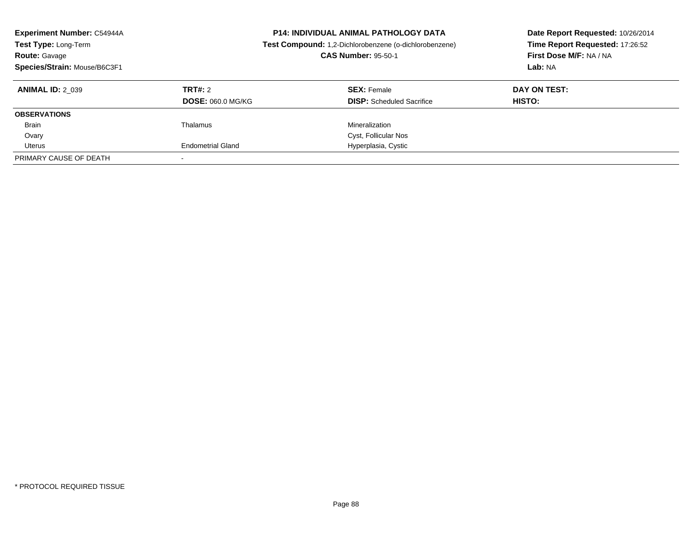| <b>Experiment Number: C54944A</b><br>Test Type: Long-Term<br><b>Route: Gavage</b><br>Species/Strain: Mouse/B6C3F1 |                                     | <b>P14: INDIVIDUAL ANIMAL PATHOLOGY DATA</b><br>Test Compound: 1,2-Dichlorobenzene (o-dichlorobenzene)<br><b>CAS Number: 95-50-1</b> | Date Report Requested: 10/26/2014<br>Time Report Requested: 17:26:52<br>First Dose M/F: NA / NA<br>Lab: NA |
|-------------------------------------------------------------------------------------------------------------------|-------------------------------------|--------------------------------------------------------------------------------------------------------------------------------------|------------------------------------------------------------------------------------------------------------|
| <b>ANIMAL ID: 2 039</b>                                                                                           | TRT#: 2<br><b>DOSE: 060.0 MG/KG</b> | <b>SEX: Female</b><br><b>DISP:</b> Scheduled Sacrifice                                                                               | DAY ON TEST:<br>HISTO:                                                                                     |
| <b>OBSERVATIONS</b>                                                                                               |                                     |                                                                                                                                      |                                                                                                            |
| <b>Brain</b>                                                                                                      | Thalamus                            | Mineralization                                                                                                                       |                                                                                                            |
| Ovary                                                                                                             |                                     | Cyst, Follicular Nos                                                                                                                 |                                                                                                            |
| Uterus                                                                                                            | <b>Endometrial Gland</b>            | Hyperplasia, Cystic                                                                                                                  |                                                                                                            |
| PRIMARY CAUSE OF DEATH                                                                                            |                                     |                                                                                                                                      |                                                                                                            |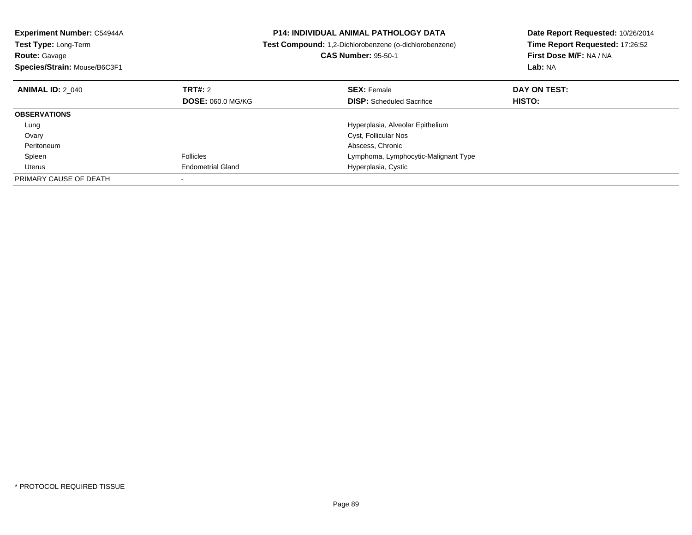| Experiment Number: C54944A<br><b>Test Type: Long-Term</b><br><b>Route: Gavage</b><br>Species/Strain: Mouse/B6C3F1 |                          | <b>P14: INDIVIDUAL ANIMAL PATHOLOGY DATA</b><br>Test Compound: 1,2-Dichlorobenzene (o-dichlorobenzene)<br><b>CAS Number: 95-50-1</b> | Date Report Requested: 10/26/2014<br>Time Report Requested: 17:26:52<br>First Dose M/F: NA / NA<br>Lab: NA |
|-------------------------------------------------------------------------------------------------------------------|--------------------------|--------------------------------------------------------------------------------------------------------------------------------------|------------------------------------------------------------------------------------------------------------|
| <b>ANIMAL ID: 2 040</b>                                                                                           | <b>TRT#: 2</b>           | <b>SEX: Female</b>                                                                                                                   | DAY ON TEST:                                                                                               |
|                                                                                                                   | <b>DOSE: 060.0 MG/KG</b> | <b>DISP:</b> Scheduled Sacrifice                                                                                                     | <b>HISTO:</b>                                                                                              |
| <b>OBSERVATIONS</b>                                                                                               |                          |                                                                                                                                      |                                                                                                            |
| Lung                                                                                                              |                          | Hyperplasia, Alveolar Epithelium                                                                                                     |                                                                                                            |
| Ovary                                                                                                             |                          | Cyst, Follicular Nos                                                                                                                 |                                                                                                            |
| Peritoneum                                                                                                        |                          | Abscess, Chronic                                                                                                                     |                                                                                                            |
| Spleen                                                                                                            | <b>Follicles</b>         | Lymphoma, Lymphocytic-Malignant Type                                                                                                 |                                                                                                            |
| Uterus                                                                                                            | <b>Endometrial Gland</b> | Hyperplasia, Cystic                                                                                                                  |                                                                                                            |
| PRIMARY CAUSE OF DEATH                                                                                            |                          |                                                                                                                                      |                                                                                                            |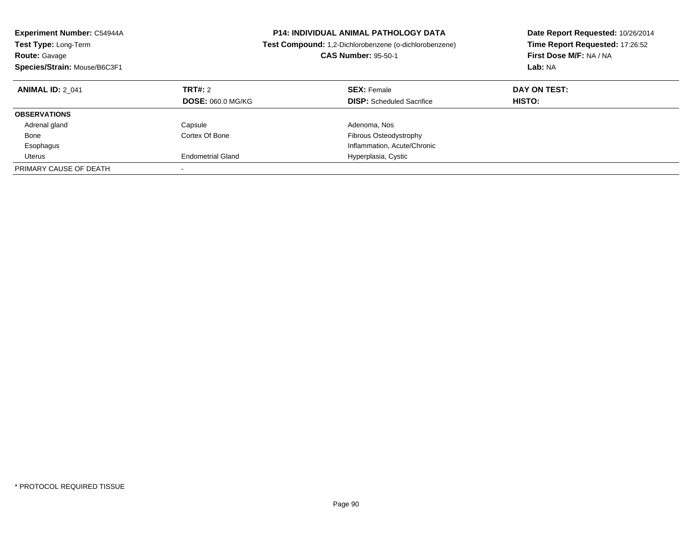| <b>Experiment Number: C54944A</b><br><b>Test Type: Long-Term</b><br><b>Route: Gavage</b><br>Species/Strain: Mouse/B6C3F1 |                                     | <b>P14: INDIVIDUAL ANIMAL PATHOLOGY DATA</b><br>Test Compound: 1,2-Dichlorobenzene (o-dichlorobenzene)<br><b>CAS Number: 95-50-1</b> | Date Report Requested: 10/26/2014<br>Time Report Requested: 17:26:52<br>First Dose M/F: NA / NA<br>Lab: NA |
|--------------------------------------------------------------------------------------------------------------------------|-------------------------------------|--------------------------------------------------------------------------------------------------------------------------------------|------------------------------------------------------------------------------------------------------------|
| <b>ANIMAL ID: 2 041</b>                                                                                                  | TRT#: 2<br><b>DOSE: 060.0 MG/KG</b> | <b>SEX: Female</b><br><b>DISP:</b> Scheduled Sacrifice                                                                               | DAY ON TEST:<br>HISTO:                                                                                     |
| <b>OBSERVATIONS</b>                                                                                                      |                                     |                                                                                                                                      |                                                                                                            |
| Adrenal gland                                                                                                            | Capsule                             | Adenoma, Nos                                                                                                                         |                                                                                                            |
| Bone                                                                                                                     | Cortex Of Bone                      | Fibrous Osteodystrophy                                                                                                               |                                                                                                            |
| Esophagus                                                                                                                |                                     | Inflammation, Acute/Chronic                                                                                                          |                                                                                                            |
| Uterus                                                                                                                   | <b>Endometrial Gland</b>            | Hyperplasia, Cystic                                                                                                                  |                                                                                                            |
| PRIMARY CAUSE OF DEATH                                                                                                   |                                     |                                                                                                                                      |                                                                                                            |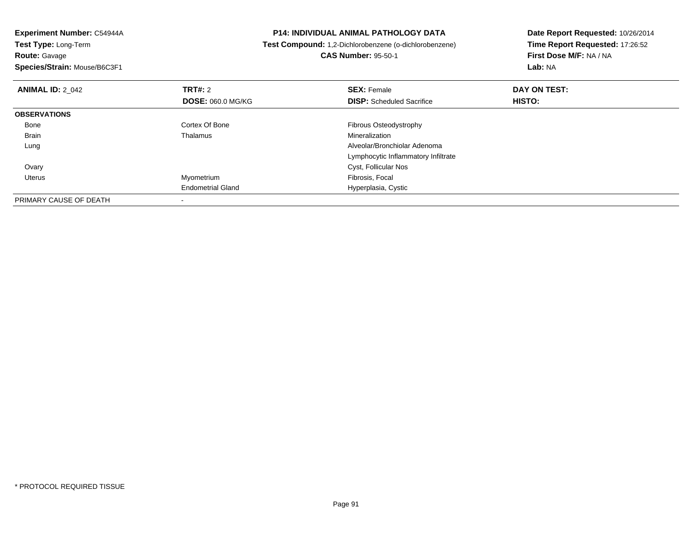| Experiment Number: C54944A                | <b>P14: INDIVIDUAL ANIMAL PATHOLOGY DATA</b>           | Date Report Requested: 10/26/2014<br>Time Report Requested: 17:26:52 |  |
|-------------------------------------------|--------------------------------------------------------|----------------------------------------------------------------------|--|
| Test Type: Long-Term                      | Test Compound: 1,2-Dichlorobenzene (o-dichlorobenzene) |                                                                      |  |
| <b>Route: Gavage</b>                      | <b>CAS Number: 95-50-1</b>                             | First Dose M/F: NA / NA                                              |  |
| Species/Strain: Mouse/B6C3F1              |                                                        | <b>Lab: NA</b>                                                       |  |
| <b>TRT#: 2</b><br><b>ANIMAL ID: 2 042</b> | <b>SEX: Female</b>                                     | DAY ON TEST:                                                         |  |
| <b>DOSE: 060.0 MG/KG</b>                  | <b>DISP:</b> Scheduled Sacrifice                       | HISTO:                                                               |  |
| <b>OBSERVATIONS</b>                       |                                                        |                                                                      |  |
| Cortex Of Bone<br>Bone                    | Fibrous Osteodystrophy                                 |                                                                      |  |
| Brain<br>Thalamus                         | Mineralization                                         |                                                                      |  |
| Lung                                      | Alveolar/Bronchiolar Adenoma                           |                                                                      |  |
|                                           | Lymphocytic Inflammatory Infiltrate                    |                                                                      |  |
| Ovary                                     | Cyst, Follicular Nos                                   |                                                                      |  |
| Myometrium<br>Uterus                      | Fibrosis, Focal                                        |                                                                      |  |
| <b>Endometrial Gland</b>                  | Hyperplasia, Cystic                                    |                                                                      |  |
| PRIMARY CAUSE OF DEATH                    |                                                        |                                                                      |  |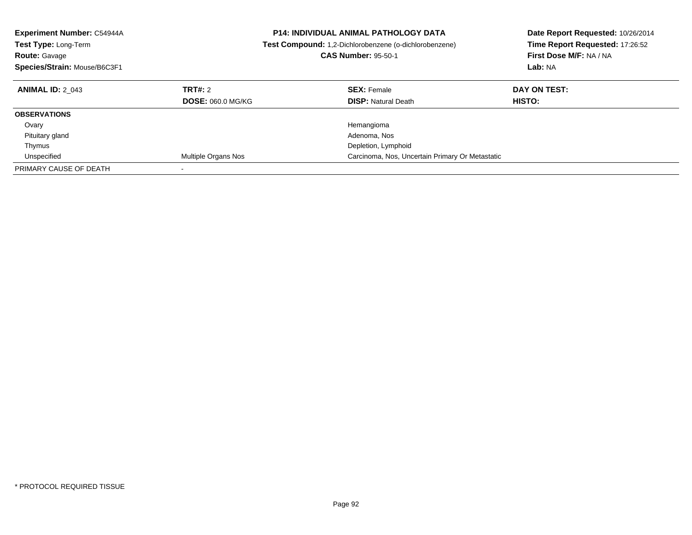| <b>Experiment Number: C54944A</b><br><b>Test Type: Long-Term</b><br><b>Route: Gavage</b><br>Species/Strain: Mouse/B6C3F1 |                                     | <b>P14: INDIVIDUAL ANIMAL PATHOLOGY DATA</b><br>Test Compound: 1,2-Dichlorobenzene (o-dichlorobenzene)<br><b>CAS Number: 95-50-1</b> | Date Report Requested: 10/26/2014<br>Time Report Requested: 17:26:52<br>First Dose M/F: NA / NA<br>Lab: NA |
|--------------------------------------------------------------------------------------------------------------------------|-------------------------------------|--------------------------------------------------------------------------------------------------------------------------------------|------------------------------------------------------------------------------------------------------------|
| <b>ANIMAL ID: 2 043</b>                                                                                                  | TRT#: 2<br><b>DOSE: 060.0 MG/KG</b> | <b>SEX: Female</b><br><b>DISP: Natural Death</b>                                                                                     | DAY ON TEST:<br><b>HISTO:</b>                                                                              |
|                                                                                                                          |                                     |                                                                                                                                      |                                                                                                            |
| <b>OBSERVATIONS</b>                                                                                                      |                                     |                                                                                                                                      |                                                                                                            |
| Ovary                                                                                                                    |                                     | Hemangioma                                                                                                                           |                                                                                                            |
| Pituitary gland                                                                                                          |                                     | Adenoma, Nos                                                                                                                         |                                                                                                            |
| Thymus                                                                                                                   |                                     | Depletion, Lymphoid                                                                                                                  |                                                                                                            |
| Unspecified                                                                                                              | Multiple Organs Nos                 | Carcinoma, Nos, Uncertain Primary Or Metastatic                                                                                      |                                                                                                            |
| PRIMARY CAUSE OF DEATH                                                                                                   |                                     |                                                                                                                                      |                                                                                                            |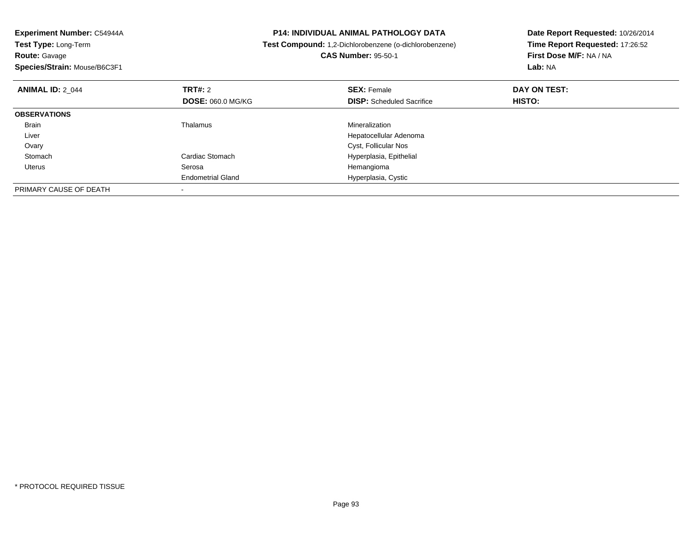| Experiment Number: C54944A   | <b>P14: INDIVIDUAL ANIMAL PATHOLOGY DATA</b> |                                                        | Date Report Requested: 10/26/2014 |  |
|------------------------------|----------------------------------------------|--------------------------------------------------------|-----------------------------------|--|
| Test Type: Long-Term         |                                              | Test Compound: 1,2-Dichlorobenzene (o-dichlorobenzene) | Time Report Requested: 17:26:52   |  |
| <b>Route: Gavage</b>         |                                              | <b>CAS Number: 95-50-1</b>                             | First Dose M/F: NA / NA           |  |
| Species/Strain: Mouse/B6C3F1 |                                              |                                                        | Lab: NA                           |  |
| <b>ANIMAL ID: 2 044</b>      | <b>TRT#: 2</b>                               | <b>SEX: Female</b>                                     | DAY ON TEST:                      |  |
|                              | <b>DOSE: 060.0 MG/KG</b>                     | <b>DISP:</b> Scheduled Sacrifice                       | <b>HISTO:</b>                     |  |
| <b>OBSERVATIONS</b>          |                                              |                                                        |                                   |  |
| Brain                        | Thalamus                                     | Mineralization                                         |                                   |  |
| Liver                        |                                              | Hepatocellular Adenoma                                 |                                   |  |
| Ovary                        |                                              | Cyst, Follicular Nos                                   |                                   |  |
| Stomach                      | Cardiac Stomach                              | Hyperplasia, Epithelial                                |                                   |  |
| Uterus                       | Serosa                                       | Hemangioma                                             |                                   |  |
|                              | <b>Endometrial Gland</b>                     | Hyperplasia, Cystic                                    |                                   |  |
| PRIMARY CAUSE OF DEATH       |                                              |                                                        |                                   |  |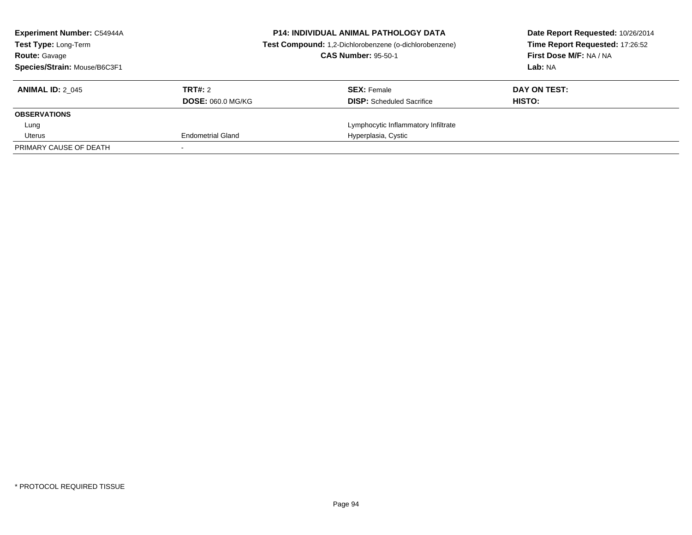| <b>Experiment Number: C54944A</b><br>Test Type: Long-Term<br><b>Route: Gavage</b><br>Species/Strain: Mouse/B6C3F1 | <b>P14: INDIVIDUAL ANIMAL PATHOLOGY DATA</b><br>Test Compound: 1,2-Dichlorobenzene (o-dichlorobenzene)<br><b>CAS Number: 95-50-1</b> |                                                        | Date Report Requested: 10/26/2014<br>Time Report Requested: 17:26:52<br>First Dose M/F: NA / NA<br>Lab: NA |
|-------------------------------------------------------------------------------------------------------------------|--------------------------------------------------------------------------------------------------------------------------------------|--------------------------------------------------------|------------------------------------------------------------------------------------------------------------|
| <b>ANIMAL ID: 2 045</b>                                                                                           | TRT#: 2<br><b>DOSE: 060.0 MG/KG</b>                                                                                                  | <b>SEX: Female</b><br><b>DISP:</b> Scheduled Sacrifice | DAY ON TEST:<br>HISTO:                                                                                     |
| <b>OBSERVATIONS</b>                                                                                               |                                                                                                                                      |                                                        |                                                                                                            |
| Lung                                                                                                              |                                                                                                                                      | Lymphocytic Inflammatory Infiltrate                    |                                                                                                            |
| Uterus                                                                                                            | <b>Endometrial Gland</b>                                                                                                             | Hyperplasia, Cystic                                    |                                                                                                            |
| PRIMARY CAUSE OF DEATH                                                                                            |                                                                                                                                      |                                                        |                                                                                                            |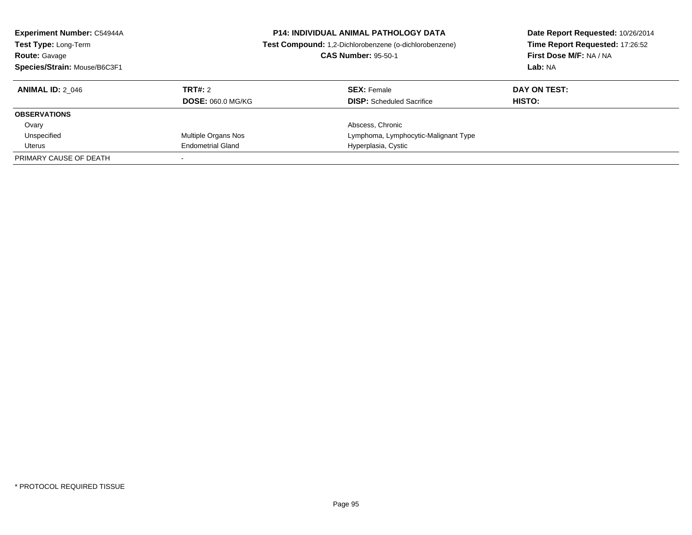| <b>Experiment Number: C54944A</b><br>Test Type: Long-Term<br><b>Route: Gavage</b><br>Species/Strain: Mouse/B6C3F1 |                          | <b>P14: INDIVIDUAL ANIMAL PATHOLOGY DATA</b><br>Test Compound: 1,2-Dichlorobenzene (o-dichlorobenzene)<br><b>CAS Number: 95-50-1</b> | Date Report Requested: 10/26/2014<br>Time Report Requested: 17:26:52<br>First Dose M/F: NA / NA<br>Lab: NA |
|-------------------------------------------------------------------------------------------------------------------|--------------------------|--------------------------------------------------------------------------------------------------------------------------------------|------------------------------------------------------------------------------------------------------------|
| <b>ANIMAL ID: 2 046</b>                                                                                           | TRT#: 2                  | <b>SEX:</b> Female                                                                                                                   | DAY ON TEST:                                                                                               |
|                                                                                                                   | <b>DOSE: 060.0 MG/KG</b> | <b>DISP:</b> Scheduled Sacrifice                                                                                                     | HISTO:                                                                                                     |
| <b>OBSERVATIONS</b>                                                                                               |                          |                                                                                                                                      |                                                                                                            |
| Ovary                                                                                                             |                          | Abscess, Chronic                                                                                                                     |                                                                                                            |
| Unspecified                                                                                                       | Multiple Organs Nos      | Lymphoma, Lymphocytic-Malignant Type                                                                                                 |                                                                                                            |
| Uterus                                                                                                            | <b>Endometrial Gland</b> | Hyperplasia, Cystic                                                                                                                  |                                                                                                            |
| PRIMARY CAUSE OF DEATH                                                                                            |                          |                                                                                                                                      |                                                                                                            |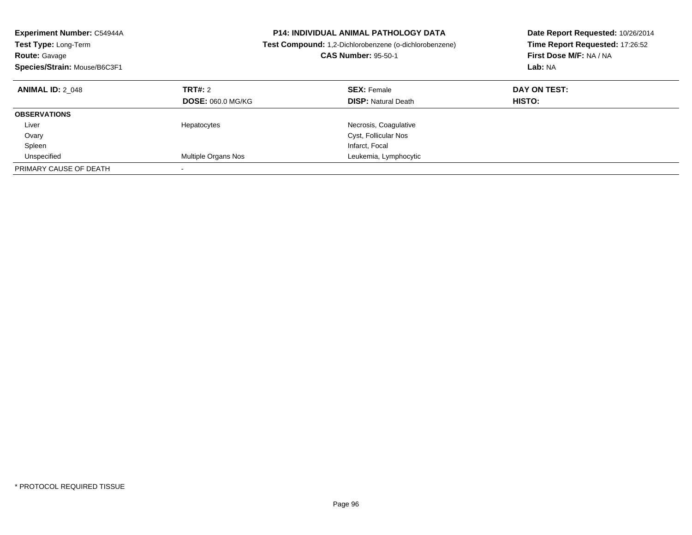| Experiment Number: C54944A<br><b>Test Type: Long-Term</b><br><b>Route: Gavage</b><br>Species/Strain: Mouse/B6C3F1 |                                            | <b>P14: INDIVIDUAL ANIMAL PATHOLOGY DATA</b><br>Test Compound: 1,2-Dichlorobenzene (o-dichlorobenzene)<br><b>CAS Number: 95-50-1</b> | Date Report Requested: 10/26/2014<br>Time Report Requested: 17:26:52<br>First Dose M/F: NA / NA<br>Lab: NA |
|-------------------------------------------------------------------------------------------------------------------|--------------------------------------------|--------------------------------------------------------------------------------------------------------------------------------------|------------------------------------------------------------------------------------------------------------|
| <b>ANIMAL ID: 2 048</b>                                                                                           | <b>TRT#: 2</b><br><b>DOSE: 060.0 MG/KG</b> | <b>SEX: Female</b><br><b>DISP:</b> Natural Death                                                                                     | DAY ON TEST:<br><b>HISTO:</b>                                                                              |
| <b>OBSERVATIONS</b>                                                                                               |                                            |                                                                                                                                      |                                                                                                            |
| Liver                                                                                                             | Hepatocytes                                | Necrosis, Coagulative                                                                                                                |                                                                                                            |
| Ovary                                                                                                             |                                            | Cyst, Follicular Nos                                                                                                                 |                                                                                                            |
| Spleen                                                                                                            |                                            | Infarct, Focal                                                                                                                       |                                                                                                            |
| Unspecified                                                                                                       | Multiple Organs Nos                        | Leukemia, Lymphocytic                                                                                                                |                                                                                                            |
| PRIMARY CAUSE OF DEATH                                                                                            |                                            |                                                                                                                                      |                                                                                                            |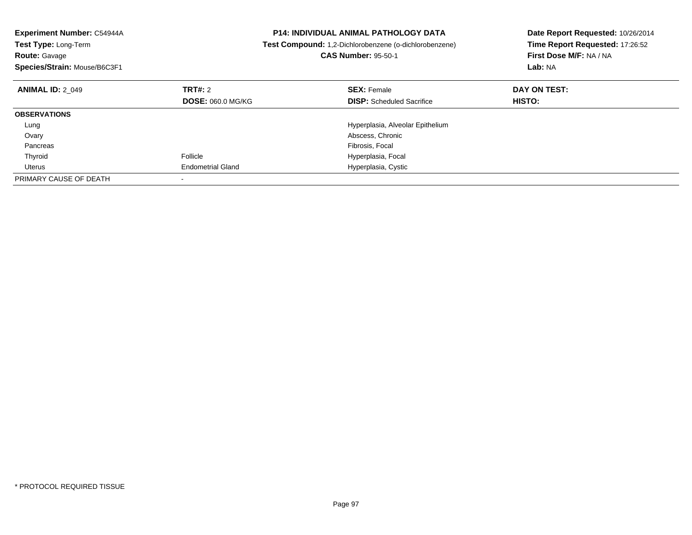| <b>Experiment Number: C54944A</b><br>Test Type: Long-Term<br><b>Route: Gavage</b><br>Species/Strain: Mouse/B6C3F1 |                          | <b>P14: INDIVIDUAL ANIMAL PATHOLOGY DATA</b><br>Test Compound: 1,2-Dichlorobenzene (o-dichlorobenzene)<br><b>CAS Number: 95-50-1</b> | Date Report Requested: 10/26/2014<br>Time Report Requested: 17:26:52<br>First Dose M/F: NA / NA<br>Lab: NA |
|-------------------------------------------------------------------------------------------------------------------|--------------------------|--------------------------------------------------------------------------------------------------------------------------------------|------------------------------------------------------------------------------------------------------------|
| <b>ANIMAL ID: 2 049</b>                                                                                           | TRT#: 2                  | <b>SEX: Female</b>                                                                                                                   | DAY ON TEST:                                                                                               |
|                                                                                                                   | <b>DOSE: 060.0 MG/KG</b> | <b>DISP:</b> Scheduled Sacrifice                                                                                                     | HISTO:                                                                                                     |
| <b>OBSERVATIONS</b>                                                                                               |                          |                                                                                                                                      |                                                                                                            |
| Lung                                                                                                              |                          | Hyperplasia, Alveolar Epithelium                                                                                                     |                                                                                                            |
| Ovary                                                                                                             |                          | Abscess, Chronic                                                                                                                     |                                                                                                            |
| Pancreas                                                                                                          |                          | Fibrosis, Focal                                                                                                                      |                                                                                                            |
| Thyroid                                                                                                           | Follicle                 | Hyperplasia, Focal                                                                                                                   |                                                                                                            |
| Uterus                                                                                                            | <b>Endometrial Gland</b> | Hyperplasia, Cystic                                                                                                                  |                                                                                                            |
| PRIMARY CAUSE OF DEATH                                                                                            |                          |                                                                                                                                      |                                                                                                            |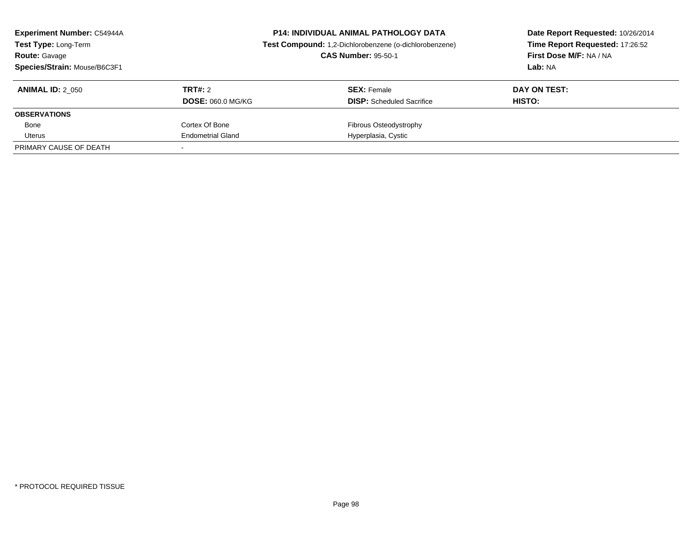| <b>Experiment Number: C54944A</b><br>Test Type: Long-Term<br><b>Route: Gavage</b><br>Species/Strain: Mouse/B6C3F1 |                                     | <b>P14: INDIVIDUAL ANIMAL PATHOLOGY DATA</b><br>Test Compound: 1,2-Dichlorobenzene (o-dichlorobenzene)<br><b>CAS Number: 95-50-1</b> | Date Report Requested: 10/26/2014<br>Time Report Requested: 17:26:52<br>First Dose M/F: NA / NA<br>Lab: NA |
|-------------------------------------------------------------------------------------------------------------------|-------------------------------------|--------------------------------------------------------------------------------------------------------------------------------------|------------------------------------------------------------------------------------------------------------|
| <b>ANIMAL ID: 2 050</b>                                                                                           | TRT#: 2<br><b>DOSE: 060.0 MG/KG</b> | <b>SEX: Female</b><br><b>DISP:</b> Scheduled Sacrifice                                                                               | DAY ON TEST:<br><b>HISTO:</b>                                                                              |
| <b>OBSERVATIONS</b>                                                                                               |                                     |                                                                                                                                      |                                                                                                            |
| Bone                                                                                                              | Cortex Of Bone                      | <b>Fibrous Osteodystrophy</b>                                                                                                        |                                                                                                            |
| Uterus                                                                                                            | <b>Endometrial Gland</b>            | Hyperplasia, Cystic                                                                                                                  |                                                                                                            |
| PRIMARY CAUSE OF DEATH                                                                                            |                                     |                                                                                                                                      |                                                                                                            |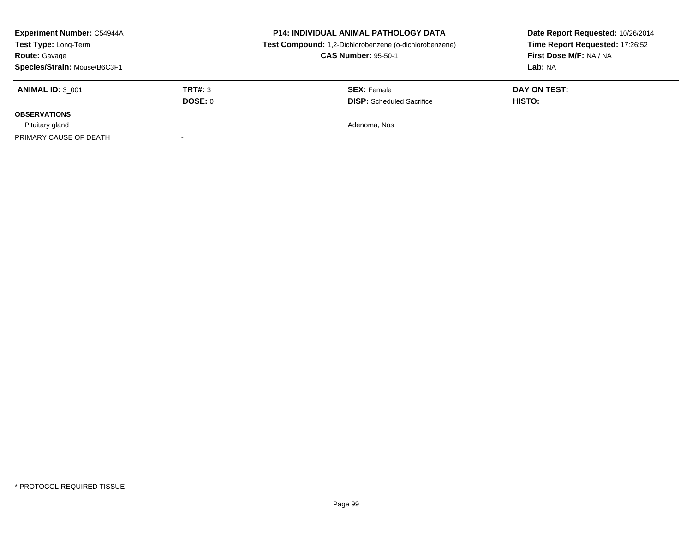| <b>Experiment Number: C54944A</b><br>Test Type: Long-Term<br><b>Route: Gavage</b><br>Species/Strain: Mouse/B6C3F1 |         | <b>P14: INDIVIDUAL ANIMAL PATHOLOGY DATA</b><br>Test Compound: 1,2-Dichlorobenzene (o-dichlorobenzene)<br><b>CAS Number: 95-50-1</b> | Date Report Requested: 10/26/2014<br>Time Report Requested: 17:26:52<br>First Dose M/F: NA / NA<br>Lab: NA |
|-------------------------------------------------------------------------------------------------------------------|---------|--------------------------------------------------------------------------------------------------------------------------------------|------------------------------------------------------------------------------------------------------------|
| <b>ANIMAL ID: 3 001</b>                                                                                           | TRT#: 3 | <b>SEX:</b> Female                                                                                                                   | DAY ON TEST:                                                                                               |
|                                                                                                                   | DOSE: 0 | <b>DISP:</b> Scheduled Sacrifice                                                                                                     | <b>HISTO:</b>                                                                                              |
| <b>OBSERVATIONS</b>                                                                                               |         |                                                                                                                                      |                                                                                                            |
| Pituitary gland                                                                                                   |         | Adenoma, Nos                                                                                                                         |                                                                                                            |
| PRIMARY CAUSE OF DEATH                                                                                            |         |                                                                                                                                      |                                                                                                            |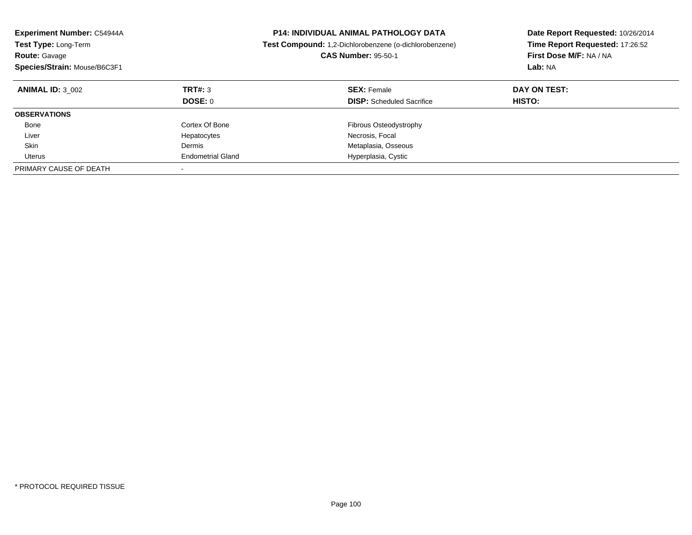| <b>Experiment Number: C54944A</b><br><b>Test Type: Long-Term</b><br><b>Route: Gavage</b><br>Species/Strain: Mouse/B6C3F1 |                          | <b>P14: INDIVIDUAL ANIMAL PATHOLOGY DATA</b><br><b>Test Compound:</b> 1,2-Dichlorobenzene (o-dichlorobenzene)<br><b>CAS Number: 95-50-1</b> | Date Report Requested: 10/26/2014<br>Time Report Requested: 17:26:52<br>First Dose M/F: NA / NA<br>Lab: NA |
|--------------------------------------------------------------------------------------------------------------------------|--------------------------|---------------------------------------------------------------------------------------------------------------------------------------------|------------------------------------------------------------------------------------------------------------|
| <b>ANIMAL ID: 3 002</b>                                                                                                  | TRT#: 3<br>DOSE: 0       | <b>SEX: Female</b><br><b>DISP:</b> Scheduled Sacrifice                                                                                      | DAY ON TEST:<br>HISTO:                                                                                     |
| <b>OBSERVATIONS</b>                                                                                                      |                          |                                                                                                                                             |                                                                                                            |
| Bone                                                                                                                     | Cortex Of Bone           | Fibrous Osteodystrophy                                                                                                                      |                                                                                                            |
| Liver                                                                                                                    | Hepatocytes              | Necrosis, Focal                                                                                                                             |                                                                                                            |
| Skin                                                                                                                     | Dermis                   | Metaplasia, Osseous                                                                                                                         |                                                                                                            |
| Uterus                                                                                                                   | <b>Endometrial Gland</b> | Hyperplasia, Cystic                                                                                                                         |                                                                                                            |
| PRIMARY CAUSE OF DEATH                                                                                                   |                          |                                                                                                                                             |                                                                                                            |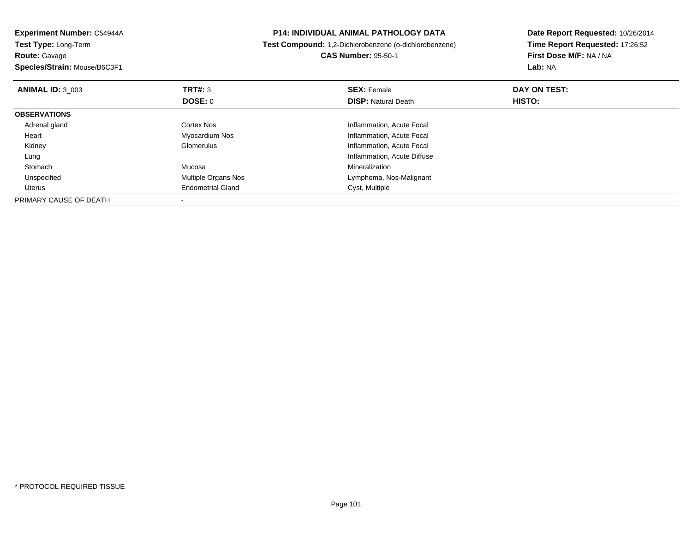| Experiment Number: C54944A   |                          | <b>P14: INDIVIDUAL ANIMAL PATHOLOGY DATA</b>           | Date Report Requested: 10/26/2014 |
|------------------------------|--------------------------|--------------------------------------------------------|-----------------------------------|
| Test Type: Long-Term         |                          | Test Compound: 1,2-Dichlorobenzene (o-dichlorobenzene) | Time Report Requested: 17:26:52   |
| <b>Route: Gavage</b>         |                          | <b>CAS Number: 95-50-1</b>                             | First Dose M/F: NA / NA           |
| Species/Strain: Mouse/B6C3F1 |                          |                                                        | Lab: NA                           |
| <b>ANIMAL ID: 3 003</b>      | <b>TRT#: 3</b>           | <b>SEX: Female</b>                                     | DAY ON TEST:                      |
|                              | <b>DOSE: 0</b>           | <b>DISP: Natural Death</b>                             | HISTO:                            |
| <b>OBSERVATIONS</b>          |                          |                                                        |                                   |
| Adrenal gland                | Cortex Nos               | Inflammation, Acute Focal                              |                                   |
| Heart                        | Myocardium Nos           | Inflammation, Acute Focal                              |                                   |
| Kidney                       | Glomerulus               | Inflammation, Acute Focal                              |                                   |
| Lung                         |                          | Inflammation, Acute Diffuse                            |                                   |
| Stomach                      | Mucosa                   | Mineralization                                         |                                   |
| Unspecified                  | Multiple Organs Nos      | Lymphoma, Nos-Malignant                                |                                   |
| Uterus                       | <b>Endometrial Gland</b> | Cyst, Multiple                                         |                                   |
| PRIMARY CAUSE OF DEATH       |                          |                                                        |                                   |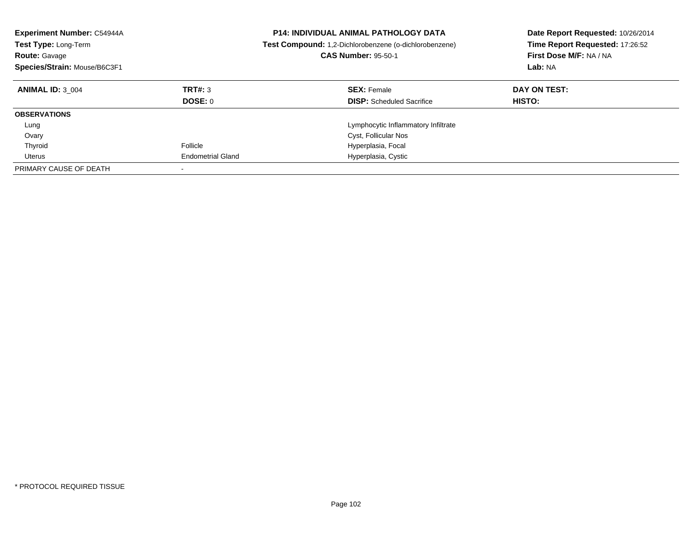| Experiment Number: C54944A<br>Test Type: Long-Term<br><b>Route: Gavage</b><br>Species/Strain: Mouse/B6C3F1 |                          | <b>P14: INDIVIDUAL ANIMAL PATHOLOGY DATA</b><br><b>Test Compound:</b> 1,2-Dichlorobenzene (o-dichlorobenzene)<br><b>CAS Number: 95-50-1</b> | Date Report Requested: 10/26/2014<br>Time Report Requested: 17:26:52<br>First Dose M/F: NA / NA<br>Lab: NA |
|------------------------------------------------------------------------------------------------------------|--------------------------|---------------------------------------------------------------------------------------------------------------------------------------------|------------------------------------------------------------------------------------------------------------|
| <b>ANIMAL ID: 3 004</b>                                                                                    | TRT#: 3                  | <b>SEX: Female</b>                                                                                                                          | DAY ON TEST:                                                                                               |
|                                                                                                            | DOSE: 0                  | <b>DISP:</b> Scheduled Sacrifice                                                                                                            | HISTO:                                                                                                     |
| <b>OBSERVATIONS</b>                                                                                        |                          |                                                                                                                                             |                                                                                                            |
| Lung                                                                                                       |                          | Lymphocytic Inflammatory Infiltrate                                                                                                         |                                                                                                            |
| Ovary                                                                                                      |                          | Cyst, Follicular Nos                                                                                                                        |                                                                                                            |
| Thyroid                                                                                                    | Follicle                 | Hyperplasia, Focal                                                                                                                          |                                                                                                            |
| Uterus                                                                                                     | <b>Endometrial Gland</b> | Hyperplasia, Cystic                                                                                                                         |                                                                                                            |
| PRIMARY CAUSE OF DEATH                                                                                     |                          |                                                                                                                                             |                                                                                                            |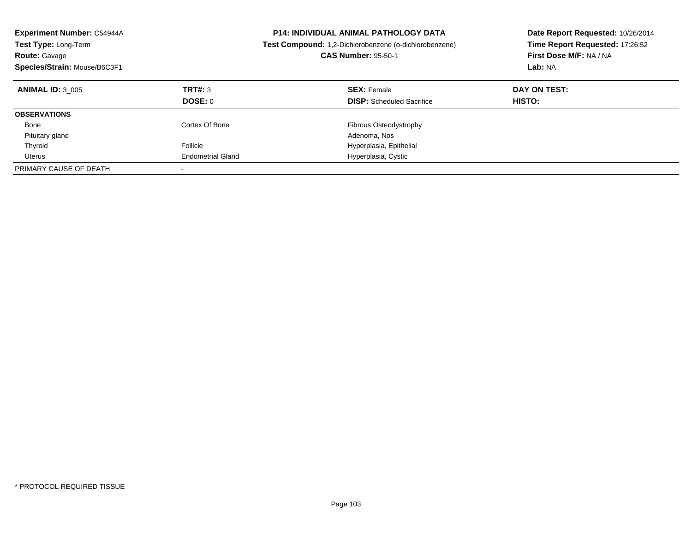| <b>Experiment Number: C54944A</b><br>Test Type: Long-Term<br><b>Route: Gavage</b><br>Species/Strain: Mouse/B6C3F1 |                          | <b>P14: INDIVIDUAL ANIMAL PATHOLOGY DATA</b><br>Test Compound: 1,2-Dichlorobenzene (o-dichlorobenzene)<br><b>CAS Number: 95-50-1</b> | Date Report Requested: 10/26/2014<br>Time Report Requested: 17:26:52<br>First Dose M/F: NA / NA<br>Lab: NA |
|-------------------------------------------------------------------------------------------------------------------|--------------------------|--------------------------------------------------------------------------------------------------------------------------------------|------------------------------------------------------------------------------------------------------------|
| <b>ANIMAL ID: 3 005</b>                                                                                           | TRT#: 3<br>DOSE: 0       | <b>SEX: Female</b><br><b>DISP:</b> Scheduled Sacrifice                                                                               | DAY ON TEST:<br><b>HISTO:</b>                                                                              |
| <b>OBSERVATIONS</b>                                                                                               |                          |                                                                                                                                      |                                                                                                            |
|                                                                                                                   |                          |                                                                                                                                      |                                                                                                            |
| Bone                                                                                                              | Cortex Of Bone           | <b>Fibrous Osteodystrophy</b>                                                                                                        |                                                                                                            |
| Pituitary gland                                                                                                   |                          | Adenoma, Nos                                                                                                                         |                                                                                                            |
| Thyroid                                                                                                           | Follicle                 | Hyperplasia, Epithelial                                                                                                              |                                                                                                            |
| Uterus                                                                                                            | <b>Endometrial Gland</b> | Hyperplasia, Cystic                                                                                                                  |                                                                                                            |
| PRIMARY CAUSE OF DEATH                                                                                            |                          |                                                                                                                                      |                                                                                                            |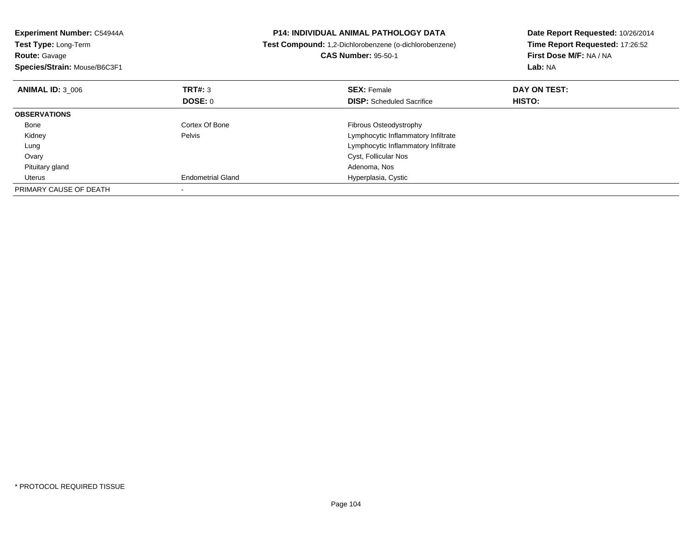| <b>Experiment Number: C54944A</b><br><b>Test Type: Long-Term</b><br><b>Route: Gavage</b><br>Species/Strain: Mouse/B6C3F1 |                          | <b>P14: INDIVIDUAL ANIMAL PATHOLOGY DATA</b><br>Test Compound: 1,2-Dichlorobenzene (o-dichlorobenzene)<br><b>CAS Number: 95-50-1</b> | Date Report Requested: 10/26/2014<br>Time Report Requested: 17:26:52<br>First Dose M/F: NA / NA<br>Lab: NA |
|--------------------------------------------------------------------------------------------------------------------------|--------------------------|--------------------------------------------------------------------------------------------------------------------------------------|------------------------------------------------------------------------------------------------------------|
| <b>ANIMAL ID: 3 006</b>                                                                                                  | TRT#: 3                  | <b>SEX: Female</b>                                                                                                                   | DAY ON TEST:                                                                                               |
|                                                                                                                          | <b>DOSE: 0</b>           | <b>DISP:</b> Scheduled Sacrifice                                                                                                     | HISTO:                                                                                                     |
| <b>OBSERVATIONS</b>                                                                                                      |                          |                                                                                                                                      |                                                                                                            |
| Bone                                                                                                                     | Cortex Of Bone           | Fibrous Osteodystrophy                                                                                                               |                                                                                                            |
| Kidney                                                                                                                   | Pelvis                   | Lymphocytic Inflammatory Infiltrate                                                                                                  |                                                                                                            |
| Lung                                                                                                                     |                          | Lymphocytic Inflammatory Infiltrate                                                                                                  |                                                                                                            |
| Ovary                                                                                                                    |                          | Cyst, Follicular Nos                                                                                                                 |                                                                                                            |
| Pituitary gland                                                                                                          |                          | Adenoma, Nos                                                                                                                         |                                                                                                            |
| Uterus                                                                                                                   | <b>Endometrial Gland</b> | Hyperplasia, Cystic                                                                                                                  |                                                                                                            |
| PRIMARY CAUSE OF DEATH                                                                                                   |                          |                                                                                                                                      |                                                                                                            |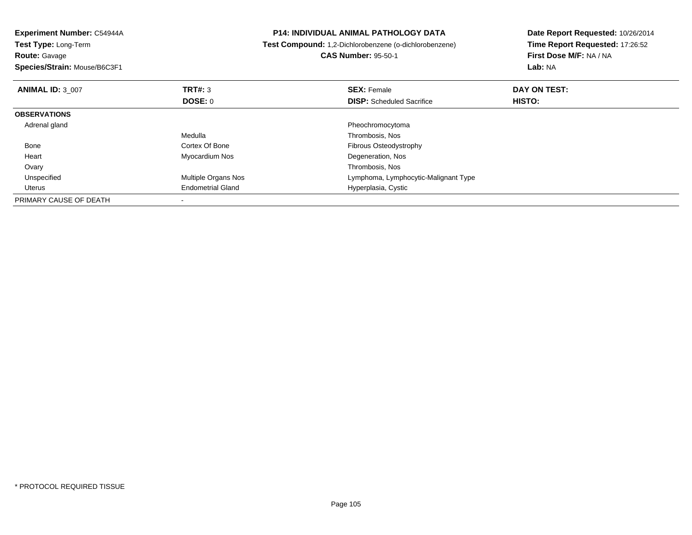| <b>Experiment Number: C54944A</b> |                          | <b>P14: INDIVIDUAL ANIMAL PATHOLOGY DATA</b>           | Date Report Requested: 10/26/2014 |
|-----------------------------------|--------------------------|--------------------------------------------------------|-----------------------------------|
| Test Type: Long-Term              |                          | Test Compound: 1,2-Dichlorobenzene (o-dichlorobenzene) | Time Report Requested: 17:26:52   |
| <b>Route:</b> Gavage              |                          | <b>CAS Number: 95-50-1</b>                             | First Dose M/F: NA / NA           |
| Species/Strain: Mouse/B6C3F1      |                          |                                                        | Lab: NA                           |
| <b>ANIMAL ID: 3 007</b>           | <b>TRT#: 3</b>           | <b>SEX: Female</b>                                     | DAY ON TEST:                      |
|                                   | DOSE: 0                  | <b>DISP:</b> Scheduled Sacrifice                       | HISTO:                            |
| <b>OBSERVATIONS</b>               |                          |                                                        |                                   |
| Adrenal gland                     |                          | Pheochromocytoma                                       |                                   |
|                                   | Medulla                  | Thrombosis, Nos                                        |                                   |
| Bone                              | Cortex Of Bone           | Fibrous Osteodystrophy                                 |                                   |
| Heart                             | Myocardium Nos           | Degeneration, Nos                                      |                                   |
| Ovary                             |                          | Thrombosis, Nos                                        |                                   |
| Unspecified                       | Multiple Organs Nos      | Lymphoma, Lymphocytic-Malignant Type                   |                                   |
| Uterus                            | <b>Endometrial Gland</b> | Hyperplasia, Cystic                                    |                                   |
| PRIMARY CAUSE OF DEATH            |                          |                                                        |                                   |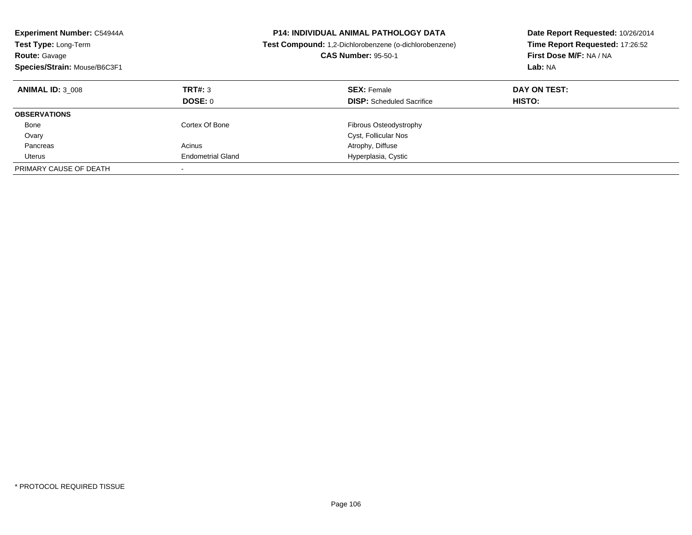| Experiment Number: C54944A<br>Test Type: Long-Term<br><b>Route: Gavage</b><br>Species/Strain: Mouse/B6C3F1 |                           | <b>P14: INDIVIDUAL ANIMAL PATHOLOGY DATA</b><br>Test Compound: 1,2-Dichlorobenzene (o-dichlorobenzene)<br><b>CAS Number: 95-50-1</b> | Date Report Requested: 10/26/2014<br>Time Report Requested: 17:26:52<br>First Dose M/F: NA / NA<br>Lab: NA |
|------------------------------------------------------------------------------------------------------------|---------------------------|--------------------------------------------------------------------------------------------------------------------------------------|------------------------------------------------------------------------------------------------------------|
| <b>ANIMAL ID: 3 008</b>                                                                                    | TRT#: 3<br><b>DOSE: 0</b> | <b>SEX: Female</b><br><b>DISP:</b> Scheduled Sacrifice                                                                               | DAY ON TEST:<br><b>HISTO:</b>                                                                              |
| <b>OBSERVATIONS</b>                                                                                        |                           |                                                                                                                                      |                                                                                                            |
| Bone                                                                                                       | Cortex Of Bone            | Fibrous Osteodystrophy                                                                                                               |                                                                                                            |
| Ovary                                                                                                      |                           | Cyst, Follicular Nos                                                                                                                 |                                                                                                            |
| Pancreas                                                                                                   | Acinus                    | Atrophy, Diffuse                                                                                                                     |                                                                                                            |
| Uterus                                                                                                     | <b>Endometrial Gland</b>  | Hyperplasia, Cystic                                                                                                                  |                                                                                                            |
| PRIMARY CAUSE OF DEATH                                                                                     | $\overline{\phantom{a}}$  |                                                                                                                                      |                                                                                                            |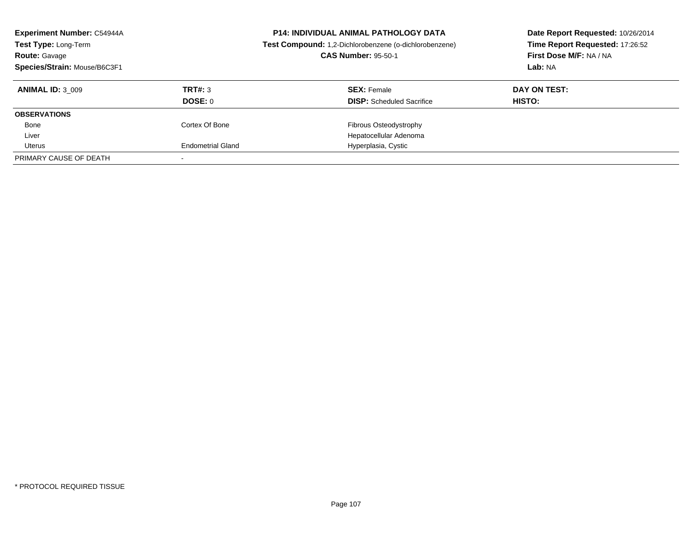| <b>Experiment Number: C54944A</b><br>Test Type: Long-Term<br><b>Route: Gavage</b><br>Species/Strain: Mouse/B6C3F1 |                          | <b>P14: INDIVIDUAL ANIMAL PATHOLOGY DATA</b><br>Test Compound: 1,2-Dichlorobenzene (o-dichlorobenzene)<br><b>CAS Number: 95-50-1</b> | Date Report Requested: 10/26/2014<br>Time Report Requested: 17:26:52<br>First Dose M/F: NA / NA<br>Lab: NA |
|-------------------------------------------------------------------------------------------------------------------|--------------------------|--------------------------------------------------------------------------------------------------------------------------------------|------------------------------------------------------------------------------------------------------------|
| <b>ANIMAL ID: 3 009</b>                                                                                           | TRT#: 3<br>DOSE: 0       | <b>SEX: Female</b><br><b>DISP:</b> Scheduled Sacrifice                                                                               | DAY ON TEST:<br>HISTO:                                                                                     |
| <b>OBSERVATIONS</b>                                                                                               |                          |                                                                                                                                      |                                                                                                            |
| Bone                                                                                                              | Cortex Of Bone           | Fibrous Osteodystrophy                                                                                                               |                                                                                                            |
| Liver                                                                                                             |                          | Hepatocellular Adenoma                                                                                                               |                                                                                                            |
| Uterus                                                                                                            | <b>Endometrial Gland</b> | Hyperplasia, Cystic                                                                                                                  |                                                                                                            |
| PRIMARY CAUSE OF DEATH                                                                                            |                          |                                                                                                                                      |                                                                                                            |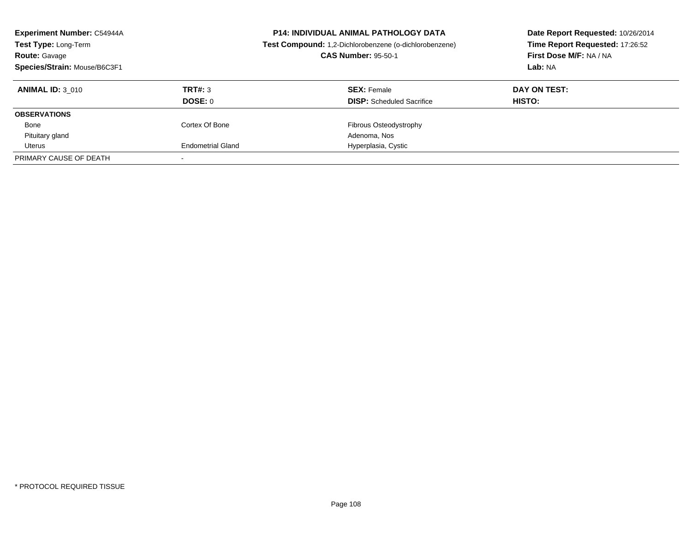| <b>Experiment Number: C54944A</b><br>Test Type: Long-Term<br><b>Route: Gavage</b><br>Species/Strain: Mouse/B6C3F1 |                          | <b>P14: INDIVIDUAL ANIMAL PATHOLOGY DATA</b><br>Test Compound: 1,2-Dichlorobenzene (o-dichlorobenzene)<br><b>CAS Number: 95-50-1</b> | Date Report Requested: 10/26/2014<br>Time Report Requested: 17:26:52<br>First Dose M/F: NA / NA<br>Lab: NA |
|-------------------------------------------------------------------------------------------------------------------|--------------------------|--------------------------------------------------------------------------------------------------------------------------------------|------------------------------------------------------------------------------------------------------------|
| <b>ANIMAL ID: 3 010</b>                                                                                           | TRT#: 3<br>DOSE: 0       | <b>SEX: Female</b><br><b>DISP:</b> Scheduled Sacrifice                                                                               | DAY ON TEST:<br>HISTO:                                                                                     |
| <b>OBSERVATIONS</b>                                                                                               |                          |                                                                                                                                      |                                                                                                            |
| Bone                                                                                                              | Cortex Of Bone           | Fibrous Osteodystrophy                                                                                                               |                                                                                                            |
| Pituitary gland                                                                                                   |                          | Adenoma, Nos                                                                                                                         |                                                                                                            |
| Uterus                                                                                                            | <b>Endometrial Gland</b> | Hyperplasia, Cystic                                                                                                                  |                                                                                                            |
| PRIMARY CAUSE OF DEATH                                                                                            |                          |                                                                                                                                      |                                                                                                            |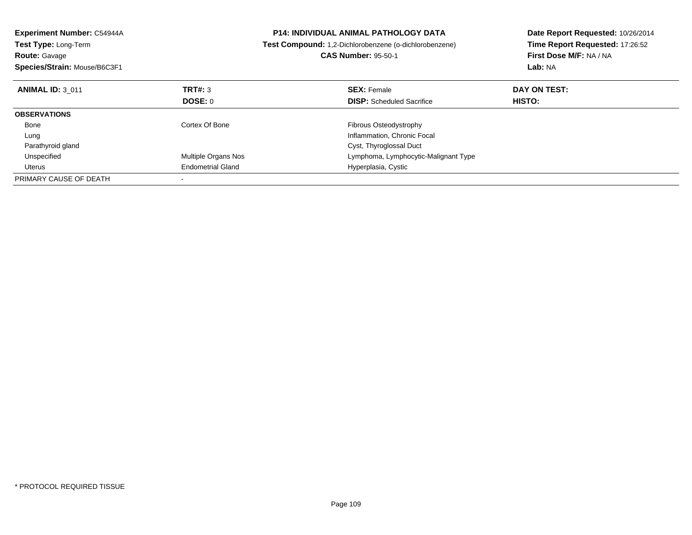| <b>Experiment Number: C54944A</b><br><b>Test Type: Long-Term</b><br><b>Route: Gavage</b><br>Species/Strain: Mouse/B6C3F1 |                          | <b>P14: INDIVIDUAL ANIMAL PATHOLOGY DATA</b><br>Test Compound: 1,2-Dichlorobenzene (o-dichlorobenzene)<br><b>CAS Number: 95-50-1</b> | Date Report Requested: 10/26/2014<br>Time Report Requested: 17:26:52<br>First Dose M/F: NA / NA<br>Lab: NA |
|--------------------------------------------------------------------------------------------------------------------------|--------------------------|--------------------------------------------------------------------------------------------------------------------------------------|------------------------------------------------------------------------------------------------------------|
| <b>ANIMAL ID: 3 011</b>                                                                                                  | TRT#: 3                  | <b>SEX: Female</b>                                                                                                                   | DAY ON TEST:                                                                                               |
|                                                                                                                          | <b>DOSE: 0</b>           | <b>DISP:</b> Scheduled Sacrifice                                                                                                     | HISTO:                                                                                                     |
| <b>OBSERVATIONS</b>                                                                                                      |                          |                                                                                                                                      |                                                                                                            |
| Bone                                                                                                                     | Cortex Of Bone           | Fibrous Osteodystrophy                                                                                                               |                                                                                                            |
| Lung                                                                                                                     |                          | Inflammation, Chronic Focal                                                                                                          |                                                                                                            |
| Parathyroid gland                                                                                                        |                          | Cyst, Thyroglossal Duct                                                                                                              |                                                                                                            |
| Unspecified                                                                                                              | Multiple Organs Nos      | Lymphoma, Lymphocytic-Malignant Type                                                                                                 |                                                                                                            |
| Uterus                                                                                                                   | <b>Endometrial Gland</b> | Hyperplasia, Cystic                                                                                                                  |                                                                                                            |
| PRIMARY CAUSE OF DEATH                                                                                                   |                          |                                                                                                                                      |                                                                                                            |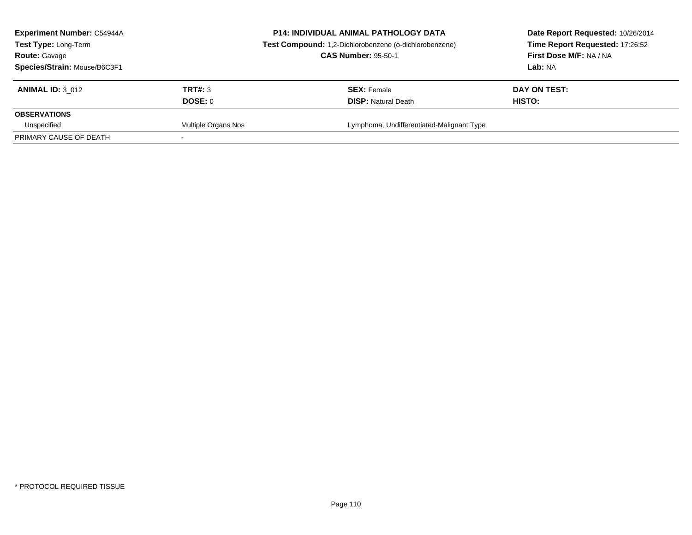| <b>Experiment Number: C54944A</b><br><b>P14: INDIVIDUAL ANIMAL PATHOLOGY DATA</b><br><b>Test Type: Long-Term</b><br><b>CAS Number: 95-50-1</b><br><b>Route: Gavage</b><br>Species/Strain: Mouse/B6C3F1 |                     | Test Compound: 1,2-Dichlorobenzene (o-dichlorobenzene) | Date Report Requested: 10/26/2014<br>Time Report Requested: 17:26:52<br>First Dose M/F: NA / NA<br><b>Lab: NA</b> |
|--------------------------------------------------------------------------------------------------------------------------------------------------------------------------------------------------------|---------------------|--------------------------------------------------------|-------------------------------------------------------------------------------------------------------------------|
| <b>ANIMAL ID: 3 012</b>                                                                                                                                                                                | TRT#: 3<br>DOSE: 0  | <b>SEX:</b> Female<br><b>DISP:</b> Natural Death       | DAY ON TEST:<br>HISTO:                                                                                            |
| <b>OBSERVATIONS</b>                                                                                                                                                                                    |                     |                                                        |                                                                                                                   |
| Unspecified<br>PRIMARY CAUSE OF DEATH                                                                                                                                                                  | Multiple Organs Nos | Lymphoma, Undifferentiated-Malignant Type              |                                                                                                                   |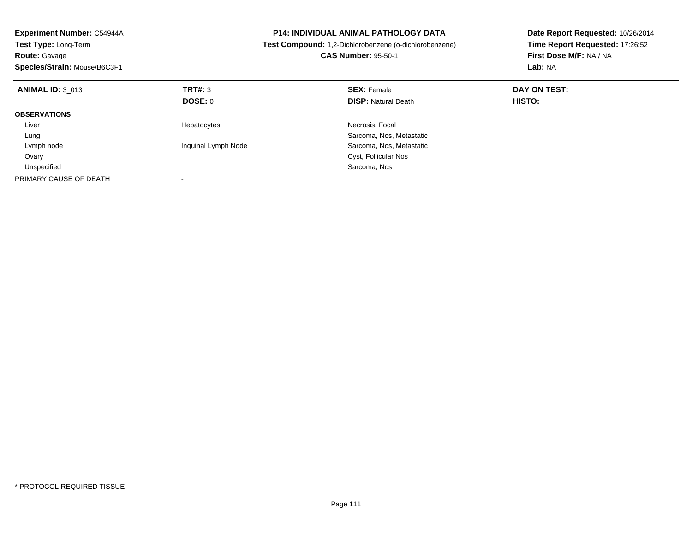| Experiment Number: C54944A<br>Test Type: Long-Term<br><b>Route: Gavage</b><br>Species/Strain: Mouse/B6C3F1 |                     | <b>P14: INDIVIDUAL ANIMAL PATHOLOGY DATA</b><br>Test Compound: 1,2-Dichlorobenzene (o-dichlorobenzene)<br><b>CAS Number: 95-50-1</b> | Date Report Requested: 10/26/2014<br>Time Report Requested: 17:26:52<br>First Dose M/F: NA / NA<br>Lab: NA |  |
|------------------------------------------------------------------------------------------------------------|---------------------|--------------------------------------------------------------------------------------------------------------------------------------|------------------------------------------------------------------------------------------------------------|--|
| <b>ANIMAL ID: 3 013</b>                                                                                    | <b>TRT#: 3</b>      | <b>SEX: Female</b>                                                                                                                   | DAY ON TEST:                                                                                               |  |
|                                                                                                            | DOSE: 0             | <b>DISP:</b> Natural Death                                                                                                           | HISTO:                                                                                                     |  |
| <b>OBSERVATIONS</b>                                                                                        |                     |                                                                                                                                      |                                                                                                            |  |
| Liver                                                                                                      | Hepatocytes         | Necrosis, Focal                                                                                                                      |                                                                                                            |  |
| Lung                                                                                                       |                     | Sarcoma, Nos, Metastatic                                                                                                             |                                                                                                            |  |
| Lymph node                                                                                                 | Inguinal Lymph Node | Sarcoma, Nos, Metastatic                                                                                                             |                                                                                                            |  |
| Ovary                                                                                                      |                     | Cyst, Follicular Nos                                                                                                                 |                                                                                                            |  |
| Unspecified                                                                                                |                     | Sarcoma, Nos                                                                                                                         |                                                                                                            |  |
| PRIMARY CAUSE OF DEATH                                                                                     |                     |                                                                                                                                      |                                                                                                            |  |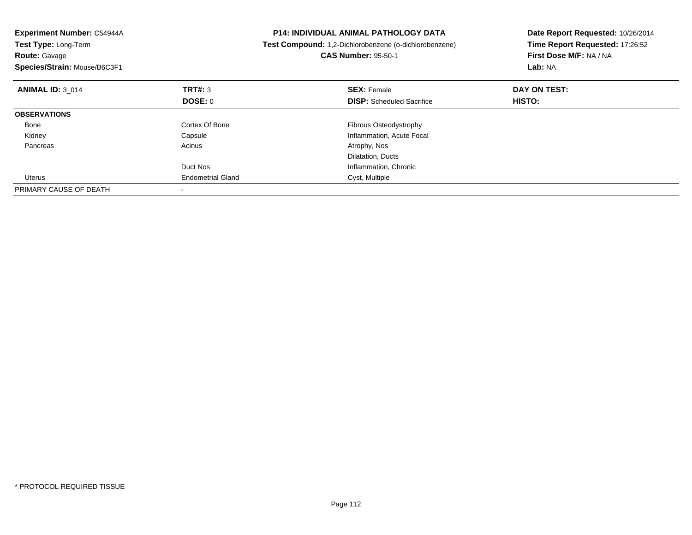| Experiment Number: C54944A<br>Test Type: Long-Term<br><b>Route: Gavage</b><br>Species/Strain: Mouse/B6C3F1 |                          | <b>P14: INDIVIDUAL ANIMAL PATHOLOGY DATA</b><br>Test Compound: 1,2-Dichlorobenzene (o-dichlorobenzene)<br><b>CAS Number: 95-50-1</b> | Date Report Requested: 10/26/2014<br>Time Report Requested: 17:26:52<br>First Dose M/F: NA / NA<br>Lab: NA |  |
|------------------------------------------------------------------------------------------------------------|--------------------------|--------------------------------------------------------------------------------------------------------------------------------------|------------------------------------------------------------------------------------------------------------|--|
| <b>ANIMAL ID: 3 014</b>                                                                                    | TRT#: 3                  | <b>SEX: Female</b>                                                                                                                   | DAY ON TEST:                                                                                               |  |
|                                                                                                            | DOSE: 0                  | <b>DISP:</b> Scheduled Sacrifice                                                                                                     | HISTO:                                                                                                     |  |
| <b>OBSERVATIONS</b>                                                                                        |                          |                                                                                                                                      |                                                                                                            |  |
| Bone                                                                                                       | Cortex Of Bone           | Fibrous Osteodystrophy                                                                                                               |                                                                                                            |  |
| Kidney                                                                                                     | Capsule                  | Inflammation, Acute Focal                                                                                                            |                                                                                                            |  |
| Pancreas                                                                                                   | Acinus                   | Atrophy, Nos                                                                                                                         |                                                                                                            |  |
|                                                                                                            |                          | Dilatation, Ducts                                                                                                                    |                                                                                                            |  |
|                                                                                                            | Duct Nos                 | Inflammation, Chronic                                                                                                                |                                                                                                            |  |
| Uterus                                                                                                     | <b>Endometrial Gland</b> | Cyst, Multiple                                                                                                                       |                                                                                                            |  |
| PRIMARY CAUSE OF DEATH                                                                                     |                          |                                                                                                                                      |                                                                                                            |  |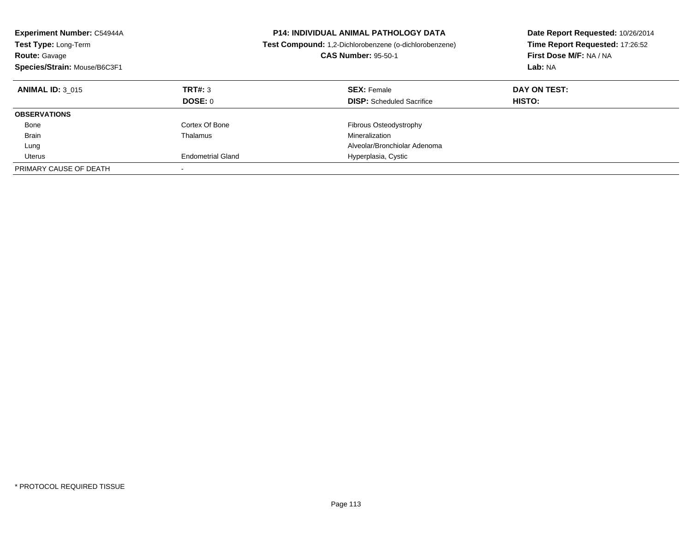| <b>Experiment Number: C54944A</b><br><b>Test Type: Long-Term</b><br><b>Route: Gavage</b><br>Species/Strain: Mouse/B6C3F1 |                          | <b>P14: INDIVIDUAL ANIMAL PATHOLOGY DATA</b><br>Test Compound: 1,2-Dichlorobenzene (o-dichlorobenzene)<br><b>CAS Number: 95-50-1</b> | Date Report Requested: 10/26/2014<br>Time Report Requested: 17:26:52<br>First Dose M/F: NA / NA<br>Lab: NA |
|--------------------------------------------------------------------------------------------------------------------------|--------------------------|--------------------------------------------------------------------------------------------------------------------------------------|------------------------------------------------------------------------------------------------------------|
| <b>ANIMAL ID: 3 015</b>                                                                                                  | TRT#: 3<br>DOSE: 0       | <b>SEX: Female</b><br><b>DISP:</b> Scheduled Sacrifice                                                                               | DAY ON TEST:<br><b>HISTO:</b>                                                                              |
| <b>OBSERVATIONS</b>                                                                                                      |                          |                                                                                                                                      |                                                                                                            |
| Bone                                                                                                                     | Cortex Of Bone           | Fibrous Osteodystrophy                                                                                                               |                                                                                                            |
| <b>Brain</b>                                                                                                             | Thalamus                 | Mineralization                                                                                                                       |                                                                                                            |
| Lung                                                                                                                     |                          | Alveolar/Bronchiolar Adenoma                                                                                                         |                                                                                                            |
| Uterus                                                                                                                   | <b>Endometrial Gland</b> | Hyperplasia, Cystic                                                                                                                  |                                                                                                            |
| PRIMARY CAUSE OF DEATH                                                                                                   |                          |                                                                                                                                      |                                                                                                            |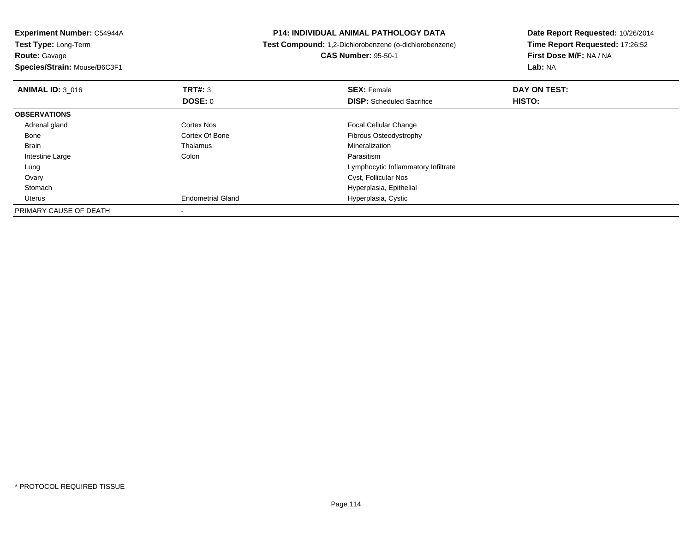**Experiment Number:** C54944A**Test Type:** Long-Term**Route:** Gavage **Species/Strain:** Mouse/B6C3F1**P14: INDIVIDUAL ANIMAL PATHOLOGY DATA Test Compound:** 1,2-Dichlorobenzene (o-dichlorobenzene)**CAS Number:** 95-50-1**Date Report Requested:** 10/26/2014**Time Report Requested:** 17:26:52**First Dose M/F:** NA / NA**Lab:** NA**ANIMAL ID:** 3\_016**6 DAY ON TEST: TRT#:** 3 **SEX: Female SEX: Female DAY ON TEST: DOSE:** 0**DISP:** Scheduled Sacrifice **HISTO: OBSERVATIONS** Adrenal glandCortex Nos **Focal Cellular Change**<br>
Cortex Of Bone **Fibrous** Cortex Of Bone BoneCortex Of Bone **Fibrous Osteodystrophy**<br>
Thalamus **Fibrous Osteodystrophy**<br>
Mineralization Brain Thalamus Mineralization Intestine Largee and the Colon Colon Colon Colon and the Parasitism g which is a set of the control of the control of the control of the control of the control of the control of the control of the control of the control of the control of the control of the control of the control of the con Lung**Ovary**  Cyst, Follicular Nos Stomach Hyperplasia, Epithelial Uterus Endometrial Gland Hyperplasia, Cystic PRIMARY CAUSE OF DEATH-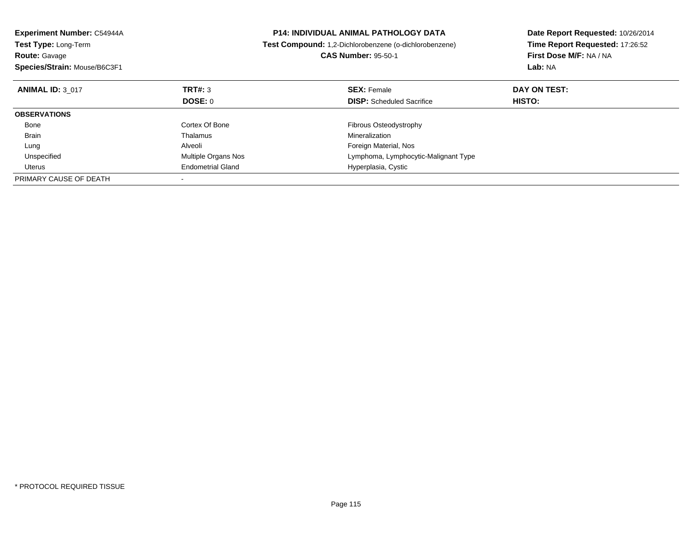| <b>Experiment Number: C54944A</b><br>Test Type: Long-Term |                          | <b>P14: INDIVIDUAL ANIMAL PATHOLOGY DATA</b>           | Date Report Requested: 10/26/2014<br>Time Report Requested: 17:26:52 |
|-----------------------------------------------------------|--------------------------|--------------------------------------------------------|----------------------------------------------------------------------|
|                                                           |                          | Test Compound: 1,2-Dichlorobenzene (o-dichlorobenzene) |                                                                      |
| <b>Route: Gavage</b>                                      |                          | <b>CAS Number: 95-50-1</b>                             | First Dose M/F: NA / NA                                              |
| Species/Strain: Mouse/B6C3F1                              |                          |                                                        | Lab: NA                                                              |
| <b>ANIMAL ID: 3 017</b>                                   | TRT#: 3                  | <b>SEX: Female</b>                                     | DAY ON TEST:                                                         |
|                                                           | DOSE: 0                  | <b>DISP:</b> Scheduled Sacrifice                       | HISTO:                                                               |
| <b>OBSERVATIONS</b>                                       |                          |                                                        |                                                                      |
| Bone                                                      | Cortex Of Bone           | Fibrous Osteodystrophy                                 |                                                                      |
| <b>Brain</b>                                              | Thalamus                 | Mineralization                                         |                                                                      |
| Lung                                                      | Alveoli                  | Foreign Material, Nos                                  |                                                                      |
| Unspecified                                               | Multiple Organs Nos      | Lymphoma, Lymphocytic-Malignant Type                   |                                                                      |
| Uterus                                                    | <b>Endometrial Gland</b> | Hyperplasia, Cystic                                    |                                                                      |
| PRIMARY CAUSE OF DEATH                                    |                          |                                                        |                                                                      |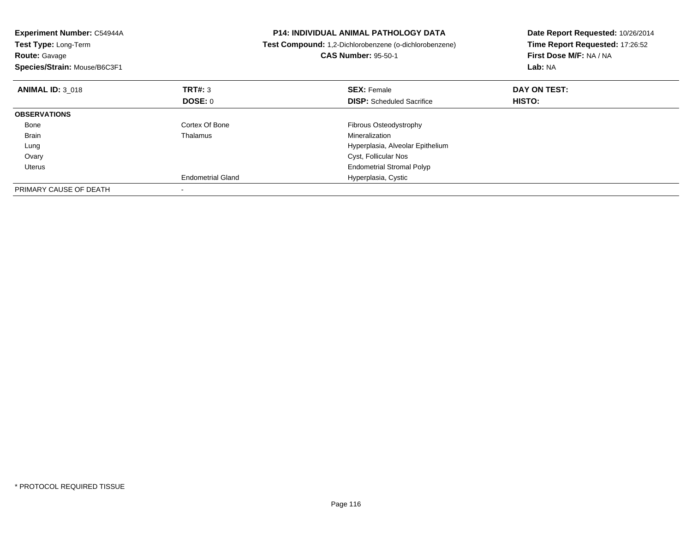| <b>Experiment Number: C54944A</b><br>Test Type: Long-Term<br><b>Route: Gavage</b><br>Species/Strain: Mouse/B6C3F1 |                          | <b>P14: INDIVIDUAL ANIMAL PATHOLOGY DATA</b><br>Test Compound: 1,2-Dichlorobenzene (o-dichlorobenzene)<br><b>CAS Number: 95-50-1</b> | Date Report Requested: 10/26/2014<br>Time Report Requested: 17:26:52<br>First Dose M/F: NA / NA<br>Lab: NA |  |
|-------------------------------------------------------------------------------------------------------------------|--------------------------|--------------------------------------------------------------------------------------------------------------------------------------|------------------------------------------------------------------------------------------------------------|--|
| <b>ANIMAL ID: 3 018</b>                                                                                           | TRT#: 3                  | <b>SEX: Female</b>                                                                                                                   | DAY ON TEST:                                                                                               |  |
|                                                                                                                   | DOSE: 0                  | <b>DISP:</b> Scheduled Sacrifice                                                                                                     | HISTO:                                                                                                     |  |
| <b>OBSERVATIONS</b>                                                                                               |                          |                                                                                                                                      |                                                                                                            |  |
| Bone                                                                                                              | Cortex Of Bone           | <b>Fibrous Osteodystrophy</b>                                                                                                        |                                                                                                            |  |
| <b>Brain</b>                                                                                                      | Thalamus                 | Mineralization                                                                                                                       |                                                                                                            |  |
| Lung                                                                                                              |                          | Hyperplasia, Alveolar Epithelium                                                                                                     |                                                                                                            |  |
| Ovary                                                                                                             |                          | Cyst, Follicular Nos                                                                                                                 |                                                                                                            |  |
| Uterus                                                                                                            |                          | <b>Endometrial Stromal Polyp</b>                                                                                                     |                                                                                                            |  |
|                                                                                                                   | <b>Endometrial Gland</b> | Hyperplasia, Cystic                                                                                                                  |                                                                                                            |  |
| PRIMARY CAUSE OF DEATH                                                                                            |                          |                                                                                                                                      |                                                                                                            |  |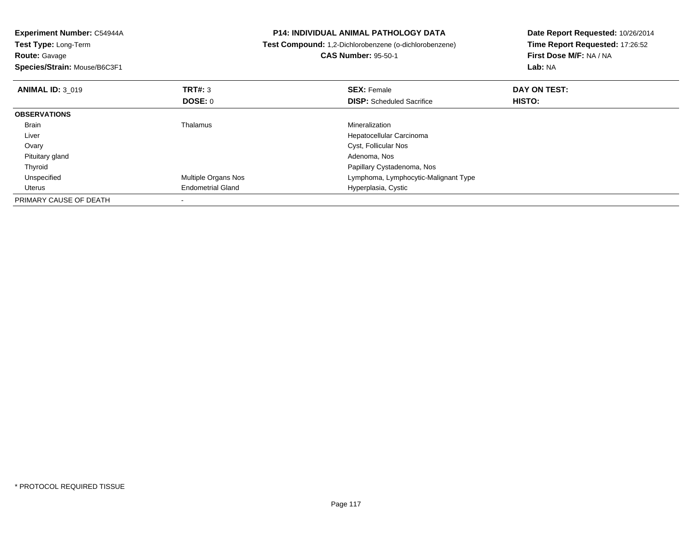| Experiment Number: C54944A<br><b>Test Type: Long-Term</b><br><b>Route: Gavage</b><br>Species/Strain: Mouse/B6C3F1 |                            | <b>P14: INDIVIDUAL ANIMAL PATHOLOGY DATA</b><br>Test Compound: 1,2-Dichlorobenzene (o-dichlorobenzene)<br><b>CAS Number: 95-50-1</b> | Date Report Requested: 10/26/2014<br>Time Report Requested: 17:26:52<br>First Dose M/F: NA / NA<br>Lab: NA |
|-------------------------------------------------------------------------------------------------------------------|----------------------------|--------------------------------------------------------------------------------------------------------------------------------------|------------------------------------------------------------------------------------------------------------|
| <b>ANIMAL ID: 3 019</b>                                                                                           | <b>TRT#: 3</b><br>DOSE: 0  | <b>SEX: Female</b><br><b>DISP:</b> Scheduled Sacrifice                                                                               | DAY ON TEST:<br>HISTO:                                                                                     |
| <b>OBSERVATIONS</b>                                                                                               |                            |                                                                                                                                      |                                                                                                            |
| Brain                                                                                                             | Thalamus                   | Mineralization                                                                                                                       |                                                                                                            |
| Liver                                                                                                             |                            | Hepatocellular Carcinoma                                                                                                             |                                                                                                            |
| Ovary                                                                                                             |                            | Cyst, Follicular Nos                                                                                                                 |                                                                                                            |
| Pituitary gland                                                                                                   |                            | Adenoma, Nos                                                                                                                         |                                                                                                            |
| Thyroid                                                                                                           |                            | Papillary Cystadenoma, Nos                                                                                                           |                                                                                                            |
| Unspecified                                                                                                       | <b>Multiple Organs Nos</b> | Lymphoma, Lymphocytic-Malignant Type                                                                                                 |                                                                                                            |
| Uterus                                                                                                            | <b>Endometrial Gland</b>   | Hyperplasia, Cystic                                                                                                                  |                                                                                                            |
| PRIMARY CAUSE OF DEATH                                                                                            |                            |                                                                                                                                      |                                                                                                            |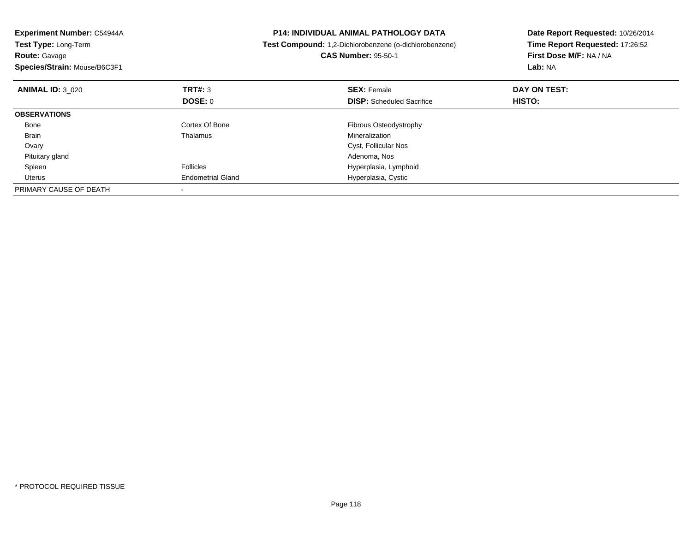| Experiment Number: C54944A<br><b>Test Type: Long-Term</b><br><b>Route: Gavage</b><br>Species/Strain: Mouse/B6C3F1 |                          | <b>P14: INDIVIDUAL ANIMAL PATHOLOGY DATA</b><br>Test Compound: 1,2-Dichlorobenzene (o-dichlorobenzene)<br><b>CAS Number: 95-50-1</b> | Date Report Requested: 10/26/2014<br>Time Report Requested: 17:26:52<br>First Dose M/F: NA / NA<br>Lab: NA |
|-------------------------------------------------------------------------------------------------------------------|--------------------------|--------------------------------------------------------------------------------------------------------------------------------------|------------------------------------------------------------------------------------------------------------|
| <b>ANIMAL ID: 3 020</b>                                                                                           | TRT#: 3                  | <b>SEX: Female</b>                                                                                                                   | DAY ON TEST:                                                                                               |
|                                                                                                                   | <b>DOSE: 0</b>           | <b>DISP:</b> Scheduled Sacrifice                                                                                                     | <b>HISTO:</b>                                                                                              |
| <b>OBSERVATIONS</b>                                                                                               |                          |                                                                                                                                      |                                                                                                            |
| Bone                                                                                                              | Cortex Of Bone           | Fibrous Osteodystrophy                                                                                                               |                                                                                                            |
| <b>Brain</b>                                                                                                      | Thalamus                 | Mineralization                                                                                                                       |                                                                                                            |
| Ovary                                                                                                             |                          | Cyst, Follicular Nos                                                                                                                 |                                                                                                            |
| Pituitary gland                                                                                                   |                          | Adenoma, Nos                                                                                                                         |                                                                                                            |
| Spleen                                                                                                            | Follicles                | Hyperplasia, Lymphoid                                                                                                                |                                                                                                            |
| Uterus                                                                                                            | <b>Endometrial Gland</b> | Hyperplasia, Cystic                                                                                                                  |                                                                                                            |
| PRIMARY CAUSE OF DEATH                                                                                            |                          |                                                                                                                                      |                                                                                                            |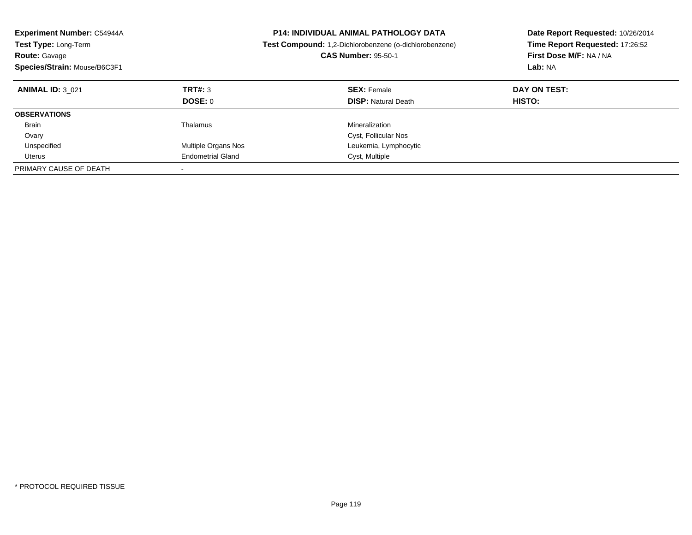| <b>Experiment Number: C54944A</b><br><b>Test Type: Long-Term</b><br><b>Route: Gavage</b><br>Species/Strain: Mouse/B6C3F1 |                          | <b>P14: INDIVIDUAL ANIMAL PATHOLOGY DATA</b><br>Test Compound: 1,2-Dichlorobenzene (o-dichlorobenzene)<br><b>CAS Number: 95-50-1</b> | Date Report Requested: 10/26/2014<br>Time Report Requested: 17:26:52<br>First Dose M/F: NA / NA<br>Lab: NA |
|--------------------------------------------------------------------------------------------------------------------------|--------------------------|--------------------------------------------------------------------------------------------------------------------------------------|------------------------------------------------------------------------------------------------------------|
| <b>ANIMAL ID: 3 021</b>                                                                                                  | TRT#: 3<br>DOSE: 0       | <b>SEX: Female</b><br><b>DISP:</b> Natural Death                                                                                     | DAY ON TEST:<br><b>HISTO:</b>                                                                              |
| <b>OBSERVATIONS</b>                                                                                                      |                          |                                                                                                                                      |                                                                                                            |
| <b>Brain</b>                                                                                                             | Thalamus                 | Mineralization                                                                                                                       |                                                                                                            |
| Ovary                                                                                                                    |                          | Cyst, Follicular Nos                                                                                                                 |                                                                                                            |
| Unspecified                                                                                                              | Multiple Organs Nos      | Leukemia, Lymphocytic                                                                                                                |                                                                                                            |
| Uterus                                                                                                                   | <b>Endometrial Gland</b> | Cyst, Multiple                                                                                                                       |                                                                                                            |
| PRIMARY CAUSE OF DEATH                                                                                                   |                          |                                                                                                                                      |                                                                                                            |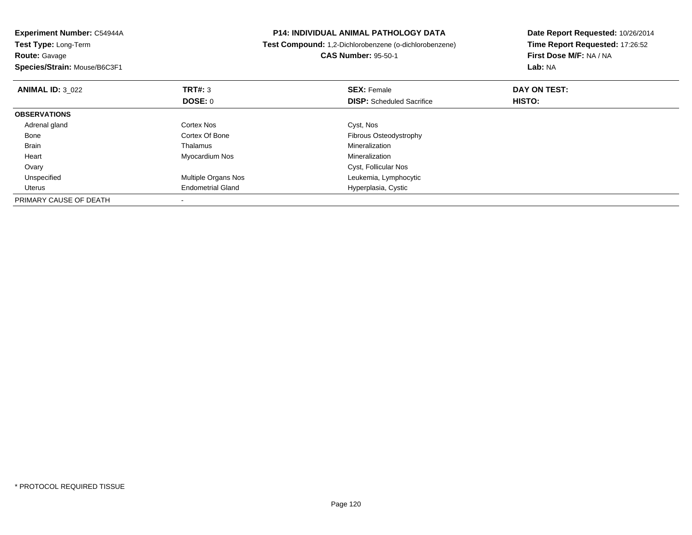| <b>Experiment Number: C54944A</b><br>Test Type: Long-Term<br><b>Route:</b> Gavage<br>Species/Strain: Mouse/B6C3F1 |                            | <b>P14: INDIVIDUAL ANIMAL PATHOLOGY DATA</b><br>Test Compound: 1,2-Dichlorobenzene (o-dichlorobenzene) | Date Report Requested: 10/26/2014<br>Time Report Requested: 17:26:52 |
|-------------------------------------------------------------------------------------------------------------------|----------------------------|--------------------------------------------------------------------------------------------------------|----------------------------------------------------------------------|
|                                                                                                                   |                            | <b>CAS Number: 95-50-1</b>                                                                             | First Dose M/F: NA / NA<br>Lab: NA                                   |
| <b>ANIMAL ID: 3 022</b>                                                                                           | <b>TRT#: 3</b><br>DOSE: 0  | <b>SEX: Female</b><br><b>DISP:</b> Scheduled Sacrifice                                                 | DAY ON TEST:<br>HISTO:                                               |
| <b>OBSERVATIONS</b>                                                                                               |                            |                                                                                                        |                                                                      |
| Adrenal gland                                                                                                     | Cortex Nos                 | Cyst, Nos                                                                                              |                                                                      |
| Bone                                                                                                              | Cortex Of Bone             | Fibrous Osteodystrophy                                                                                 |                                                                      |
| Brain                                                                                                             | Thalamus                   | Mineralization                                                                                         |                                                                      |
| Heart                                                                                                             | Myocardium Nos             | Mineralization                                                                                         |                                                                      |
| Ovary                                                                                                             |                            | Cyst, Follicular Nos                                                                                   |                                                                      |
| Unspecified                                                                                                       | <b>Multiple Organs Nos</b> | Leukemia, Lymphocytic                                                                                  |                                                                      |
| Uterus                                                                                                            | <b>Endometrial Gland</b>   | Hyperplasia, Cystic                                                                                    |                                                                      |
| PRIMARY CAUSE OF DEATH                                                                                            |                            |                                                                                                        |                                                                      |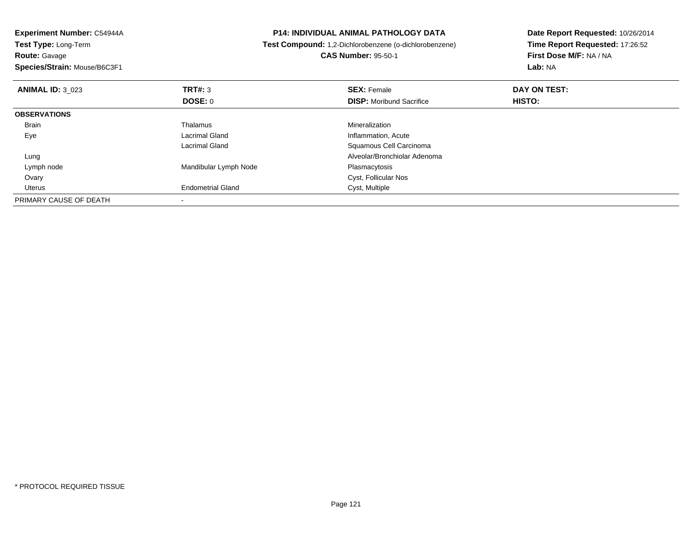| Experiment Number: C54944A   | <b>P14: INDIVIDUAL ANIMAL PATHOLOGY DATA</b><br>Test Compound: 1,2-Dichlorobenzene (o-dichlorobenzene)<br><b>CAS Number: 95-50-1</b> |                                 | Date Report Requested: 10/26/2014 |
|------------------------------|--------------------------------------------------------------------------------------------------------------------------------------|---------------------------------|-----------------------------------|
| <b>Test Type: Long-Term</b>  |                                                                                                                                      |                                 | Time Report Requested: 17:26:52   |
| <b>Route: Gavage</b>         |                                                                                                                                      |                                 | First Dose M/F: NA / NA           |
| Species/Strain: Mouse/B6C3F1 |                                                                                                                                      |                                 | <b>Lab: NA</b>                    |
| <b>ANIMAL ID: 3 023</b>      | <b>TRT#:</b> 3                                                                                                                       | <b>SEX: Female</b>              | DAY ON TEST:                      |
|                              | DOSE: 0                                                                                                                              | <b>DISP:</b> Moribund Sacrifice | HISTO:                            |
| <b>OBSERVATIONS</b>          |                                                                                                                                      |                                 |                                   |
| Brain                        | Thalamus                                                                                                                             | <b>Mineralization</b>           |                                   |
| Eye                          | Lacrimal Gland                                                                                                                       | Inflammation, Acute             |                                   |
|                              | Lacrimal Gland                                                                                                                       | Squamous Cell Carcinoma         |                                   |
| Lung                         |                                                                                                                                      | Alveolar/Bronchiolar Adenoma    |                                   |
| Lymph node                   | Mandibular Lymph Node                                                                                                                | Plasmacytosis                   |                                   |
| Ovary                        |                                                                                                                                      | Cyst, Follicular Nos            |                                   |
| Uterus                       | <b>Endometrial Gland</b>                                                                                                             | Cyst, Multiple                  |                                   |
| PRIMARY CAUSE OF DEATH       |                                                                                                                                      |                                 |                                   |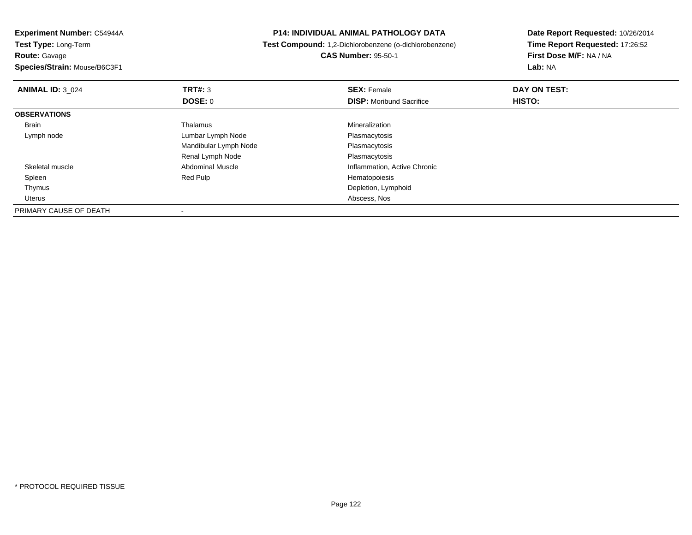**Experiment Number:** C54944A**Test Type:** Long-Term

**Route:** Gavage

**Species/Strain:** Mouse/B6C3F1

## **P14: INDIVIDUAL ANIMAL PATHOLOGY DATA**

 **Test Compound:** 1,2-Dichlorobenzene (o-dichlorobenzene)**CAS Number:** 95-50-1

**Date Report Requested:** 10/26/2014**Time Report Requested:** 17:26:52**First Dose M/F:** NA / NA**Lab:** NA

| <b>ANIMAL ID: 3 024</b> | TRT#: 3                 | <b>SEX: Female</b>              | DAY ON TEST: |  |
|-------------------------|-------------------------|---------------------------------|--------------|--|
|                         | DOSE: 0                 | <b>DISP:</b> Moribund Sacrifice | HISTO:       |  |
| <b>OBSERVATIONS</b>     |                         |                                 |              |  |
| Brain                   | Thalamus                | Mineralization                  |              |  |
| Lymph node              | Lumbar Lymph Node       | Plasmacytosis                   |              |  |
|                         | Mandibular Lymph Node   | Plasmacytosis                   |              |  |
|                         | Renal Lymph Node        | Plasmacytosis                   |              |  |
| Skeletal muscle         | <b>Abdominal Muscle</b> | Inflammation, Active Chronic    |              |  |
| Spleen                  | Red Pulp                | Hematopoiesis                   |              |  |
| Thymus                  |                         | Depletion, Lymphoid             |              |  |
| Uterus                  |                         | Abscess, Nos                    |              |  |
| PRIMARY CAUSE OF DEATH  |                         |                                 |              |  |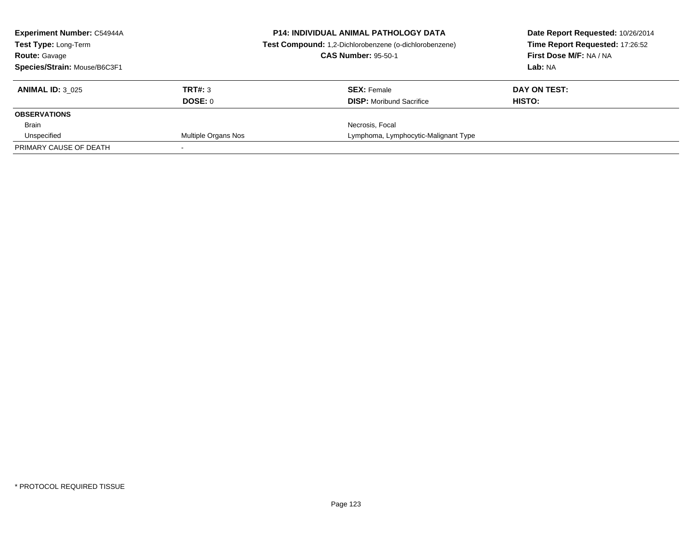| <b>Experiment Number: C54944A</b><br><b>Test Type: Long-Term</b><br><b>Route: Gavage</b> |                     | <b>P14: INDIVIDUAL ANIMAL PATHOLOGY DATA</b><br>Test Compound: 1,2-Dichlorobenzene (o-dichlorobenzene) | Date Report Requested: 10/26/2014<br>Time Report Requested: 17:26:52 |
|------------------------------------------------------------------------------------------|---------------------|--------------------------------------------------------------------------------------------------------|----------------------------------------------------------------------|
|                                                                                          |                     | <b>CAS Number: 95-50-1</b>                                                                             | First Dose M/F: NA / NA                                              |
| Species/Strain: Mouse/B6C3F1                                                             |                     |                                                                                                        | Lab: NA                                                              |
| <b>ANIMAL ID: 3 025</b>                                                                  | TRT#: 3             | <b>SEX: Female</b>                                                                                     | DAY ON TEST:                                                         |
|                                                                                          | DOSE: 0             | <b>DISP:</b> Moribund Sacrifice                                                                        | HISTO:                                                               |
| <b>OBSERVATIONS</b>                                                                      |                     |                                                                                                        |                                                                      |
| Brain                                                                                    |                     | Necrosis, Focal                                                                                        |                                                                      |
| Unspecified                                                                              | Multiple Organs Nos | Lymphoma, Lymphocytic-Malignant Type                                                                   |                                                                      |
| PRIMARY CAUSE OF DEATH                                                                   |                     |                                                                                                        |                                                                      |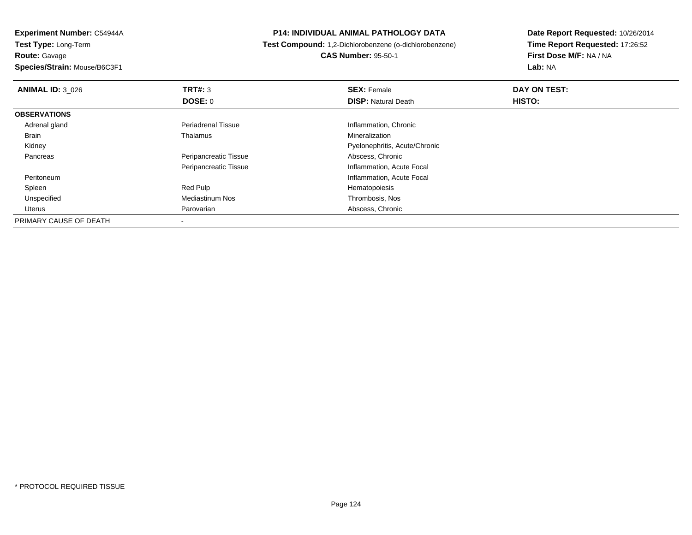**Experiment Number:** C54944A**Test Type:** Long-Term**Route:** Gavage

**Species/Strain:** Mouse/B6C3F1

## **P14: INDIVIDUAL ANIMAL PATHOLOGY DATA**

**Test Compound:** 1,2-Dichlorobenzene (o-dichlorobenzene)

**CAS Number:** 95-50-1

**Date Report Requested:** 10/26/2014**Time Report Requested:** 17:26:52**First Dose M/F:** NA / NA**Lab:** NA

| <b>ANIMAL ID: 3 026</b> | TRT#: 3                   | <b>SEX: Female</b>            | DAY ON TEST: |  |
|-------------------------|---------------------------|-------------------------------|--------------|--|
|                         | <b>DOSE: 0</b>            | <b>DISP: Natural Death</b>    | HISTO:       |  |
| <b>OBSERVATIONS</b>     |                           |                               |              |  |
| Adrenal gland           | <b>Periadrenal Tissue</b> | Inflammation, Chronic         |              |  |
| <b>Brain</b>            | Thalamus                  | Mineralization                |              |  |
| Kidney                  |                           | Pyelonephritis, Acute/Chronic |              |  |
| Pancreas                | Peripancreatic Tissue     | Abscess, Chronic              |              |  |
|                         | Peripancreatic Tissue     | Inflammation, Acute Focal     |              |  |
| Peritoneum              |                           | Inflammation, Acute Focal     |              |  |
| Spleen                  | Red Pulp                  | Hematopoiesis                 |              |  |
| Unspecified             | Mediastinum Nos           | Thrombosis, Nos               |              |  |
| Uterus                  | Parovarian                | Abscess, Chronic              |              |  |
| PRIMARY CAUSE OF DEATH  |                           |                               |              |  |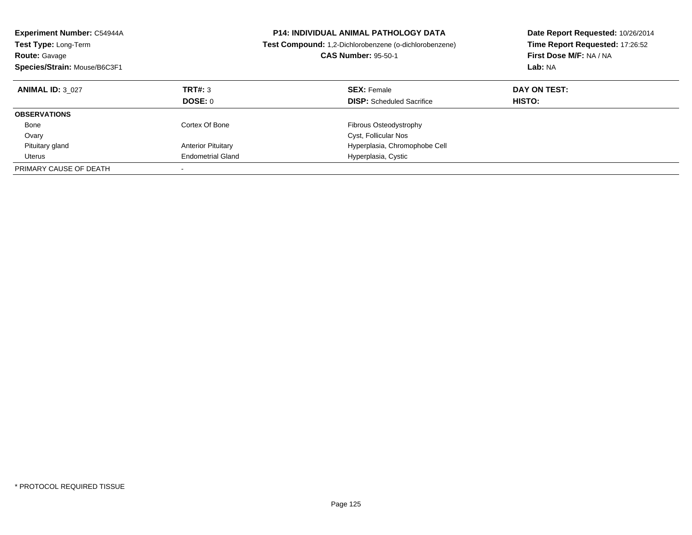| <b>Experiment Number: C54944A</b><br><b>Test Type: Long-Term</b><br><b>Route: Gavage</b><br>Species/Strain: Mouse/B6C3F1 |                           | <b>P14: INDIVIDUAL ANIMAL PATHOLOGY DATA</b><br>Test Compound: 1,2-Dichlorobenzene (o-dichlorobenzene)<br><b>CAS Number: 95-50-1</b> | Date Report Requested: 10/26/2014<br>Time Report Requested: 17:26:52<br>First Dose M/F: NA / NA<br>Lab: NA |
|--------------------------------------------------------------------------------------------------------------------------|---------------------------|--------------------------------------------------------------------------------------------------------------------------------------|------------------------------------------------------------------------------------------------------------|
| <b>ANIMAL ID: 3 027</b>                                                                                                  | TRT#: 3<br><b>DOSE: 0</b> | <b>SEX: Female</b><br><b>DISP:</b> Scheduled Sacrifice                                                                               | DAY ON TEST:<br><b>HISTO:</b>                                                                              |
| <b>OBSERVATIONS</b>                                                                                                      |                           |                                                                                                                                      |                                                                                                            |
| Bone                                                                                                                     | Cortex Of Bone            | Fibrous Osteodystrophy                                                                                                               |                                                                                                            |
| Ovary                                                                                                                    |                           | Cyst, Follicular Nos                                                                                                                 |                                                                                                            |
| Pituitary gland                                                                                                          | <b>Anterior Pituitary</b> | Hyperplasia, Chromophobe Cell                                                                                                        |                                                                                                            |
| Uterus                                                                                                                   | <b>Endometrial Gland</b>  | Hyperplasia, Cystic                                                                                                                  |                                                                                                            |
| PRIMARY CAUSE OF DEATH                                                                                                   |                           |                                                                                                                                      |                                                                                                            |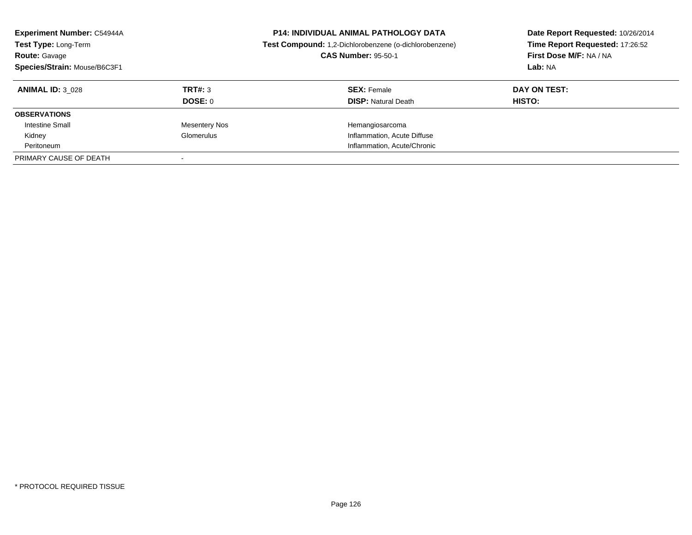| <b>Experiment Number: C54944A</b><br>Test Type: Long-Term<br><b>Route: Gavage</b><br>Species/Strain: Mouse/B6C3F1 |                      | <b>P14: INDIVIDUAL ANIMAL PATHOLOGY DATA</b><br>Test Compound: 1,2-Dichlorobenzene (o-dichlorobenzene)<br><b>CAS Number: 95-50-1</b> | Date Report Requested: 10/26/2014<br>Time Report Requested: 17:26:52<br>First Dose M/F: NA / NA<br>Lab: NA |
|-------------------------------------------------------------------------------------------------------------------|----------------------|--------------------------------------------------------------------------------------------------------------------------------------|------------------------------------------------------------------------------------------------------------|
| <b>ANIMAL ID: 3 028</b>                                                                                           | TRT#: 3              | <b>SEX: Female</b>                                                                                                                   | DAY ON TEST:                                                                                               |
|                                                                                                                   | DOSE: 0              | <b>DISP:</b> Natural Death                                                                                                           | <b>HISTO:</b>                                                                                              |
| <b>OBSERVATIONS</b>                                                                                               |                      |                                                                                                                                      |                                                                                                            |
| <b>Intestine Small</b>                                                                                            | <b>Mesentery Nos</b> | Hemangiosarcoma                                                                                                                      |                                                                                                            |
| Kidney                                                                                                            | Glomerulus           | Inflammation, Acute Diffuse                                                                                                          |                                                                                                            |
| Peritoneum                                                                                                        |                      | Inflammation, Acute/Chronic                                                                                                          |                                                                                                            |
| PRIMARY CAUSE OF DEATH                                                                                            |                      |                                                                                                                                      |                                                                                                            |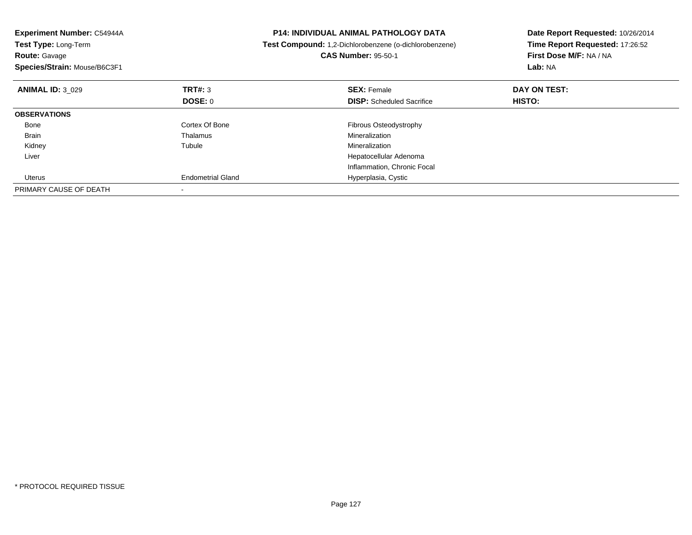| Experiment Number: C54944A<br>Test Type: Long-Term<br><b>Route: Gavage</b><br>Species/Strain: Mouse/B6C3F1 |                          | <b>P14: INDIVIDUAL ANIMAL PATHOLOGY DATA</b><br>Test Compound: 1,2-Dichlorobenzene (o-dichlorobenzene)<br><b>CAS Number: 95-50-1</b> | Date Report Requested: 10/26/2014<br>Time Report Requested: 17:26:52<br>First Dose M/F: NA / NA<br><b>Lab: NA</b> |
|------------------------------------------------------------------------------------------------------------|--------------------------|--------------------------------------------------------------------------------------------------------------------------------------|-------------------------------------------------------------------------------------------------------------------|
| <b>ANIMAL ID: 3 029</b>                                                                                    | TRT#: 3                  | <b>SEX: Female</b>                                                                                                                   | DAY ON TEST:                                                                                                      |
|                                                                                                            | DOSE: 0                  | <b>DISP:</b> Scheduled Sacrifice                                                                                                     | HISTO:                                                                                                            |
| <b>OBSERVATIONS</b>                                                                                        |                          |                                                                                                                                      |                                                                                                                   |
| Bone                                                                                                       | Cortex Of Bone           | <b>Fibrous Osteodystrophy</b>                                                                                                        |                                                                                                                   |
| <b>Brain</b>                                                                                               | Thalamus                 | Mineralization                                                                                                                       |                                                                                                                   |
| Kidney                                                                                                     | Tubule                   | Mineralization                                                                                                                       |                                                                                                                   |
| Liver                                                                                                      |                          | Hepatocellular Adenoma                                                                                                               |                                                                                                                   |
|                                                                                                            |                          | Inflammation, Chronic Focal                                                                                                          |                                                                                                                   |
| Uterus                                                                                                     | <b>Endometrial Gland</b> | Hyperplasia, Cystic                                                                                                                  |                                                                                                                   |
| PRIMARY CAUSE OF DEATH                                                                                     |                          |                                                                                                                                      |                                                                                                                   |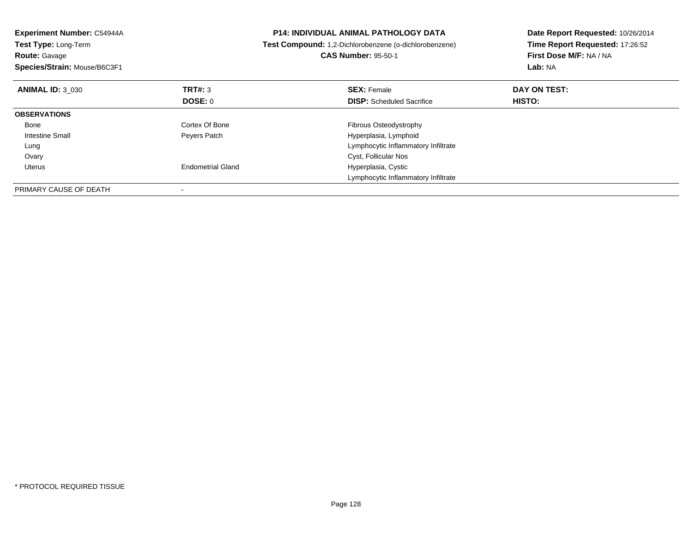| Experiment Number: C54944A<br>Test Type: Long-Term<br><b>Route: Gavage</b><br>Species/Strain: Mouse/B6C3F1 |                          | <b>P14: INDIVIDUAL ANIMAL PATHOLOGY DATA</b><br>Test Compound: 1,2-Dichlorobenzene (o-dichlorobenzene)<br><b>CAS Number: 95-50-1</b> | Date Report Requested: 10/26/2014<br>Time Report Requested: 17:26:52<br>First Dose M/F: NA / NA<br>Lab: NA |
|------------------------------------------------------------------------------------------------------------|--------------------------|--------------------------------------------------------------------------------------------------------------------------------------|------------------------------------------------------------------------------------------------------------|
| <b>ANIMAL ID: 3 030</b>                                                                                    | TRT#: 3                  | <b>SEX: Female</b>                                                                                                                   | DAY ON TEST:                                                                                               |
|                                                                                                            | DOSE: 0                  | <b>DISP:</b> Scheduled Sacrifice                                                                                                     | HISTO:                                                                                                     |
| <b>OBSERVATIONS</b>                                                                                        |                          |                                                                                                                                      |                                                                                                            |
| Bone                                                                                                       | Cortex Of Bone           | <b>Fibrous Osteodystrophy</b>                                                                                                        |                                                                                                            |
| Intestine Small                                                                                            | Peyers Patch             | Hyperplasia, Lymphoid                                                                                                                |                                                                                                            |
| Lung                                                                                                       |                          | Lymphocytic Inflammatory Infiltrate                                                                                                  |                                                                                                            |
| Ovary                                                                                                      |                          | Cyst, Follicular Nos                                                                                                                 |                                                                                                            |
| Uterus                                                                                                     | <b>Endometrial Gland</b> | Hyperplasia, Cystic                                                                                                                  |                                                                                                            |
|                                                                                                            |                          | Lymphocytic Inflammatory Infiltrate                                                                                                  |                                                                                                            |
| PRIMARY CAUSE OF DEATH                                                                                     |                          |                                                                                                                                      |                                                                                                            |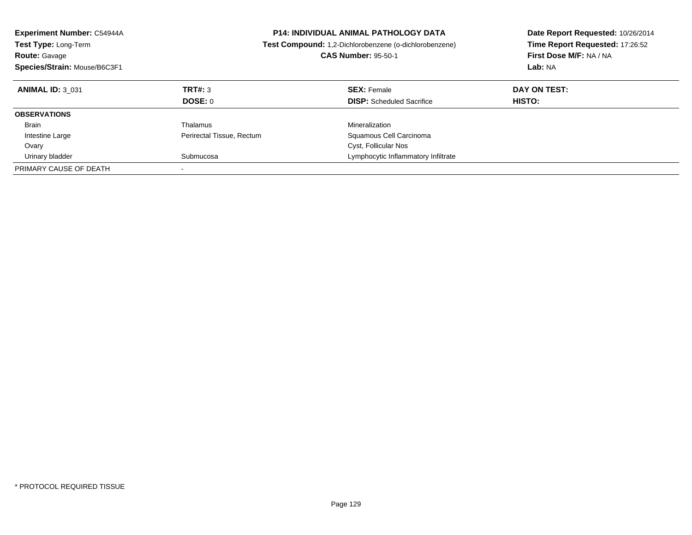| <b>Experiment Number: C54944A</b><br><b>Test Type: Long-Term</b><br><b>Route: Gavage</b><br>Species/Strain: Mouse/B6C3F1 |                           | <b>P14: INDIVIDUAL ANIMAL PATHOLOGY DATA</b><br>Test Compound: 1,2-Dichlorobenzene (o-dichlorobenzene)<br><b>CAS Number: 95-50-1</b> | Date Report Requested: 10/26/2014<br>Time Report Requested: 17:26:52<br>First Dose M/F: NA / NA<br>Lab: NA |
|--------------------------------------------------------------------------------------------------------------------------|---------------------------|--------------------------------------------------------------------------------------------------------------------------------------|------------------------------------------------------------------------------------------------------------|
| <b>ANIMAL ID: 3 031</b>                                                                                                  | TRT#: 3<br><b>DOSE: 0</b> | <b>SEX: Female</b><br><b>DISP:</b> Scheduled Sacrifice                                                                               | DAY ON TEST:<br><b>HISTO:</b>                                                                              |
| <b>OBSERVATIONS</b>                                                                                                      |                           |                                                                                                                                      |                                                                                                            |
| Brain                                                                                                                    | Thalamus                  | Mineralization                                                                                                                       |                                                                                                            |
| Intestine Large<br>Ovary                                                                                                 | Perirectal Tissue, Rectum | Squamous Cell Carcinoma<br>Cyst, Follicular Nos                                                                                      |                                                                                                            |
| Urinary bladder                                                                                                          | Submucosa                 | Lymphocytic Inflammatory Infiltrate                                                                                                  |                                                                                                            |
| PRIMARY CAUSE OF DEATH                                                                                                   |                           |                                                                                                                                      |                                                                                                            |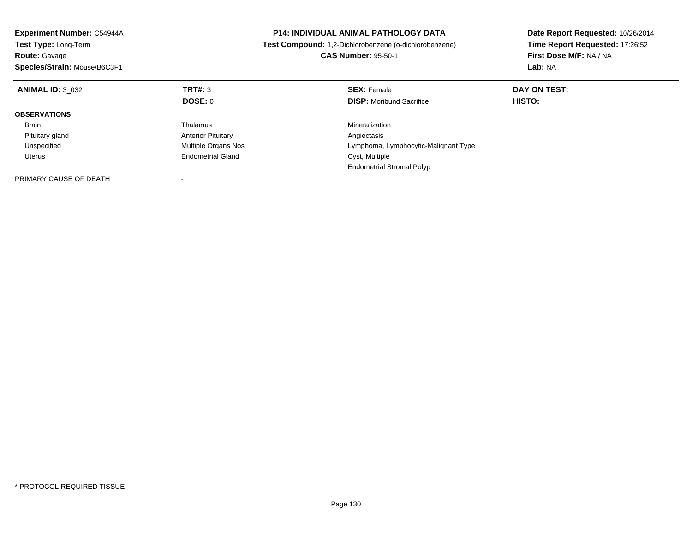| <b>Experiment Number: C54944A</b><br>Test Type: Long-Term |                            | <b>P14: INDIVIDUAL ANIMAL PATHOLOGY DATA</b>           | Date Report Requested: 10/26/2014<br>Time Report Requested: 17:26:52 |  |
|-----------------------------------------------------------|----------------------------|--------------------------------------------------------|----------------------------------------------------------------------|--|
|                                                           |                            | Test Compound: 1,2-Dichlorobenzene (o-dichlorobenzene) |                                                                      |  |
| <b>Route: Gavage</b>                                      |                            | <b>CAS Number: 95-50-1</b>                             | First Dose M/F: NA / NA                                              |  |
| Species/Strain: Mouse/B6C3F1                              |                            |                                                        | Lab: NA                                                              |  |
| <b>ANIMAL ID: 3 032</b>                                   | TRT#: 3                    | <b>SEX: Female</b>                                     | DAY ON TEST:                                                         |  |
|                                                           | DOSE: 0                    | <b>DISP:</b> Moribund Sacrifice                        | HISTO:                                                               |  |
| <b>OBSERVATIONS</b>                                       |                            |                                                        |                                                                      |  |
| <b>Brain</b>                                              | Thalamus                   | Mineralization                                         |                                                                      |  |
| Pituitary gland                                           | <b>Anterior Pituitary</b>  | Angiectasis                                            |                                                                      |  |
| Unspecified                                               | <b>Multiple Organs Nos</b> | Lymphoma, Lymphocytic-Malignant Type                   |                                                                      |  |
| Uterus                                                    | <b>Endometrial Gland</b>   | Cyst, Multiple                                         |                                                                      |  |
|                                                           |                            | <b>Endometrial Stromal Polyp</b>                       |                                                                      |  |
| PRIMARY CAUSE OF DEATH                                    |                            |                                                        |                                                                      |  |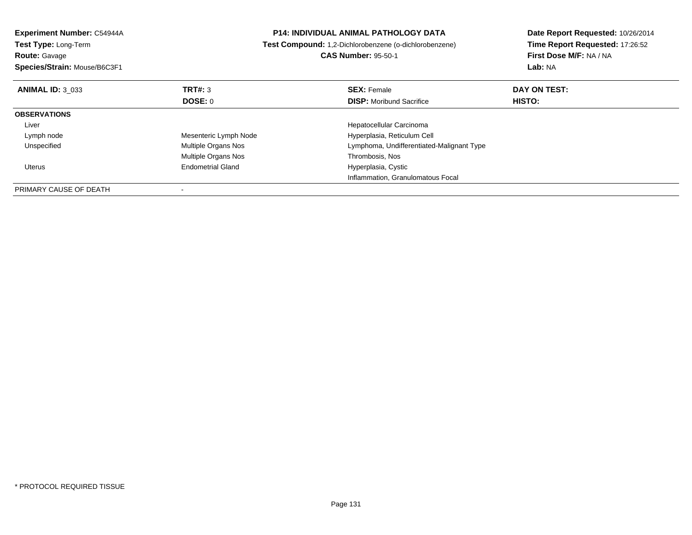| Experiment Number: C54944A<br><b>Test Type: Long-Term</b> |                          | <b>P14: INDIVIDUAL ANIMAL PATHOLOGY DATA</b><br>Test Compound: 1,2-Dichlorobenzene (o-dichlorobenzene) | Date Report Requested: 10/26/2014<br>Time Report Requested: 17:26:52 |
|-----------------------------------------------------------|--------------------------|--------------------------------------------------------------------------------------------------------|----------------------------------------------------------------------|
| <b>Route: Gavage</b>                                      |                          | <b>CAS Number: 95-50-1</b>                                                                             | First Dose M/F: NA / NA                                              |
| Species/Strain: Mouse/B6C3F1                              |                          |                                                                                                        | Lab: NA                                                              |
| <b>ANIMAL ID: 3 033</b>                                   | TRT#: 3                  | <b>SEX: Female</b>                                                                                     | DAY ON TEST:                                                         |
|                                                           | <b>DOSE: 0</b>           | <b>DISP:</b> Moribund Sacrifice                                                                        | <b>HISTO:</b>                                                        |
| <b>OBSERVATIONS</b>                                       |                          |                                                                                                        |                                                                      |
| Liver                                                     |                          | Hepatocellular Carcinoma                                                                               |                                                                      |
| Lymph node                                                | Mesenteric Lymph Node    | Hyperplasia, Reticulum Cell                                                                            |                                                                      |
| Unspecified                                               | Multiple Organs Nos      | Lymphoma, Undifferentiated-Malignant Type                                                              |                                                                      |
|                                                           | Multiple Organs Nos      | Thrombosis, Nos                                                                                        |                                                                      |
| Uterus                                                    | <b>Endometrial Gland</b> | Hyperplasia, Cystic                                                                                    |                                                                      |
|                                                           |                          | Inflammation, Granulomatous Focal                                                                      |                                                                      |
| PRIMARY CAUSE OF DEATH                                    |                          |                                                                                                        |                                                                      |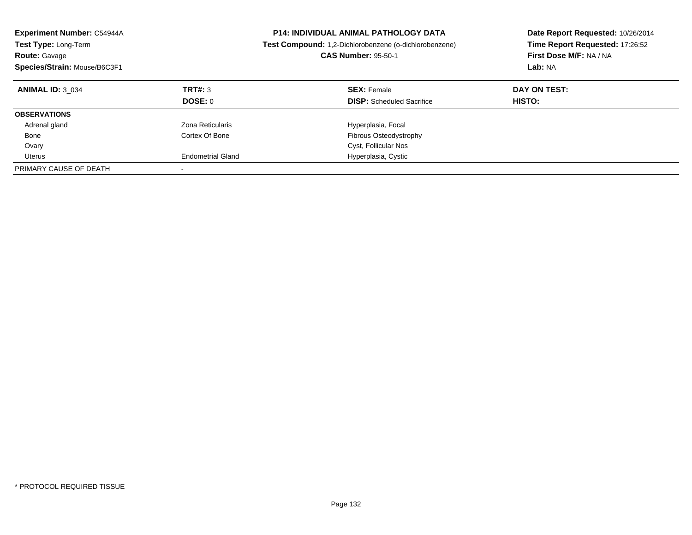| <b>Experiment Number: C54944A</b><br><b>Test Type: Long-Term</b><br><b>Route: Gavage</b><br>Species/Strain: Mouse/B6C3F1 |                           | <b>P14: INDIVIDUAL ANIMAL PATHOLOGY DATA</b><br>Test Compound: 1,2-Dichlorobenzene (o-dichlorobenzene)<br><b>CAS Number: 95-50-1</b> | Date Report Requested: 10/26/2014<br>Time Report Requested: 17:26:52<br>First Dose M/F: NA / NA<br>Lab: NA |
|--------------------------------------------------------------------------------------------------------------------------|---------------------------|--------------------------------------------------------------------------------------------------------------------------------------|------------------------------------------------------------------------------------------------------------|
| <b>ANIMAL ID: 3 034</b>                                                                                                  | TRT#: 3<br><b>DOSE: 0</b> | <b>SEX: Female</b><br><b>DISP:</b> Scheduled Sacrifice                                                                               | DAY ON TEST:<br><b>HISTO:</b>                                                                              |
| <b>OBSERVATIONS</b>                                                                                                      |                           |                                                                                                                                      |                                                                                                            |
| Adrenal gland                                                                                                            | Zona Reticularis          | Hyperplasia, Focal                                                                                                                   |                                                                                                            |
| Bone                                                                                                                     | Cortex Of Bone            | Fibrous Osteodystrophy                                                                                                               |                                                                                                            |
| Ovary                                                                                                                    |                           | Cyst, Follicular Nos                                                                                                                 |                                                                                                            |
| Uterus                                                                                                                   | <b>Endometrial Gland</b>  | Hyperplasia, Cystic                                                                                                                  |                                                                                                            |
| PRIMARY CAUSE OF DEATH                                                                                                   |                           |                                                                                                                                      |                                                                                                            |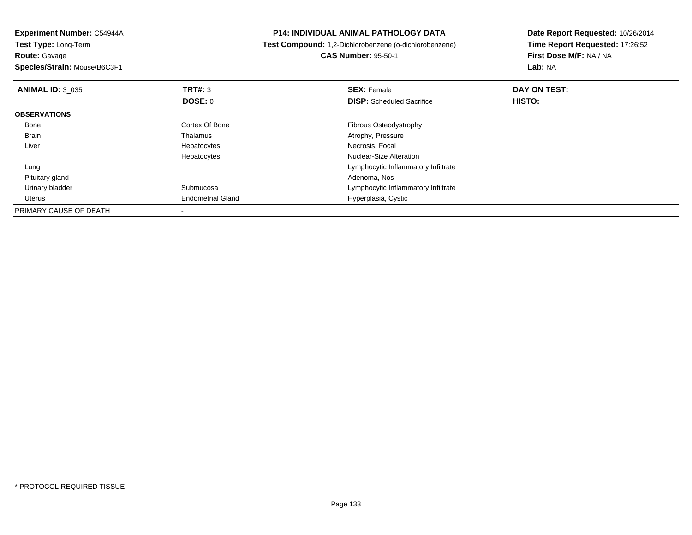**Experiment Number:** C54944A**Test Type:** Long-Term**Route:** Gavage

**Species/Strain:** Mouse/B6C3F1

## **P14: INDIVIDUAL ANIMAL PATHOLOGY DATA**

**Test Compound:** 1,2-Dichlorobenzene (o-dichlorobenzene)

**CAS Number:** 95-50-1

**Date Report Requested:** 10/26/2014**Time Report Requested:** 17:26:52**First Dose M/F:** NA / NA**Lab:** NA

| <b>ANIMAL ID: 3 035</b> | TRT#: 3                  | <b>SEX: Female</b>                  | DAY ON TEST: |  |
|-------------------------|--------------------------|-------------------------------------|--------------|--|
|                         | DOSE: 0                  | <b>DISP:</b> Scheduled Sacrifice    | HISTO:       |  |
| <b>OBSERVATIONS</b>     |                          |                                     |              |  |
| Bone                    | Cortex Of Bone           | <b>Fibrous Osteodystrophy</b>       |              |  |
| <b>Brain</b>            | Thalamus                 | Atrophy, Pressure                   |              |  |
| Liver                   | Hepatocytes              | Necrosis, Focal                     |              |  |
|                         | Hepatocytes              | Nuclear-Size Alteration             |              |  |
| Lung                    |                          | Lymphocytic Inflammatory Infiltrate |              |  |
| Pituitary gland         |                          | Adenoma, Nos                        |              |  |
| Urinary bladder         | Submucosa                | Lymphocytic Inflammatory Infiltrate |              |  |
| Uterus                  | <b>Endometrial Gland</b> | Hyperplasia, Cystic                 |              |  |
| PRIMARY CAUSE OF DEATH  |                          |                                     |              |  |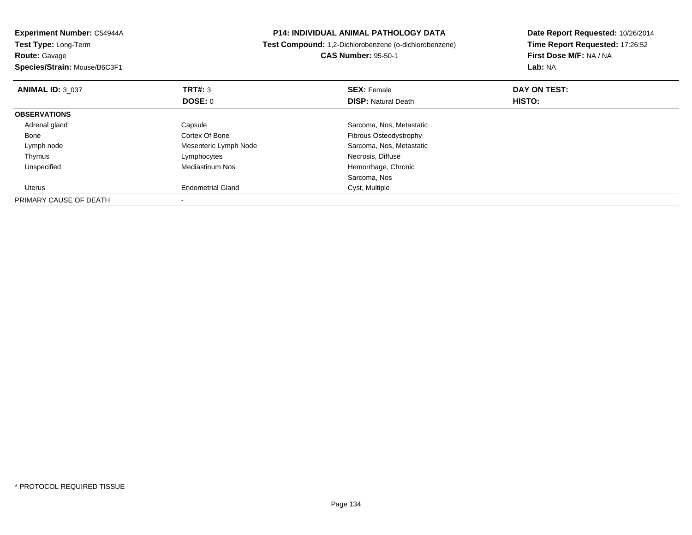| Experiment Number: C54944A   |                                                        | <b>P14: INDIVIDUAL ANIMAL PATHOLOGY DATA</b> | Date Report Requested: 10/26/2014 |
|------------------------------|--------------------------------------------------------|----------------------------------------------|-----------------------------------|
| <b>Test Type: Long-Term</b>  | Test Compound: 1,2-Dichlorobenzene (o-dichlorobenzene) |                                              | Time Report Requested: 17:26:52   |
| <b>Route: Gavage</b>         |                                                        | <b>CAS Number: 95-50-1</b>                   | First Dose M/F: NA / NA           |
| Species/Strain: Mouse/B6C3F1 |                                                        |                                              | Lab: NA                           |
| <b>ANIMAL ID: 3 037</b>      | TRT#: 3                                                | <b>SEX: Female</b>                           | DAY ON TEST:                      |
|                              | DOSE: 0                                                | <b>DISP: Natural Death</b>                   | <b>HISTO:</b>                     |
| <b>OBSERVATIONS</b>          |                                                        |                                              |                                   |
| Adrenal gland                | Capsule                                                | Sarcoma, Nos, Metastatic                     |                                   |
| Bone                         | Cortex Of Bone                                         | Fibrous Osteodystrophy                       |                                   |
| Lymph node                   | Mesenteric Lymph Node                                  | Sarcoma, Nos, Metastatic                     |                                   |
| Thymus                       | Lymphocytes                                            | Necrosis, Diffuse                            |                                   |
| Unspecified                  | <b>Mediastinum Nos</b>                                 | Hemorrhage, Chronic                          |                                   |
|                              |                                                        | Sarcoma, Nos                                 |                                   |
| Uterus                       | <b>Endometrial Gland</b>                               | Cyst, Multiple                               |                                   |
| PRIMARY CAUSE OF DEATH       |                                                        |                                              |                                   |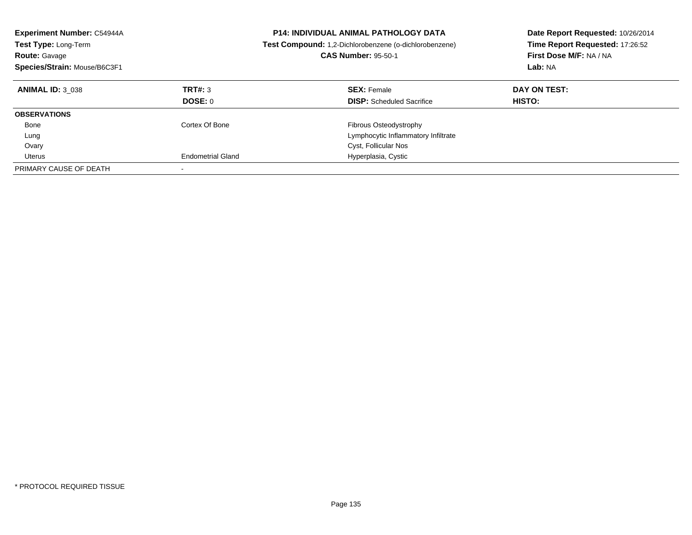| <b>Experiment Number: C54944A</b><br>Test Type: Long-Term<br><b>Route: Gavage</b><br>Species/Strain: Mouse/B6C3F1 |                          | <b>P14: INDIVIDUAL ANIMAL PATHOLOGY DATA</b><br>Test Compound: 1,2-Dichlorobenzene (o-dichlorobenzene)<br><b>CAS Number: 95-50-1</b> | Date Report Requested: 10/26/2014<br>Time Report Requested: 17:26:52<br>First Dose M/F: NA / NA<br>Lab: NA |
|-------------------------------------------------------------------------------------------------------------------|--------------------------|--------------------------------------------------------------------------------------------------------------------------------------|------------------------------------------------------------------------------------------------------------|
| <b>ANIMAL ID: 3 038</b>                                                                                           | TRT#: 3<br>DOSE: 0       | <b>SEX: Female</b><br><b>DISP:</b> Scheduled Sacrifice                                                                               | DAY ON TEST:<br><b>HISTO:</b>                                                                              |
|                                                                                                                   |                          |                                                                                                                                      |                                                                                                            |
| <b>OBSERVATIONS</b>                                                                                               |                          |                                                                                                                                      |                                                                                                            |
| Bone                                                                                                              | Cortex Of Bone           | <b>Fibrous Osteodystrophy</b>                                                                                                        |                                                                                                            |
| Lung                                                                                                              |                          | Lymphocytic Inflammatory Infiltrate                                                                                                  |                                                                                                            |
| Ovary                                                                                                             |                          | Cyst, Follicular Nos                                                                                                                 |                                                                                                            |
| Uterus                                                                                                            | <b>Endometrial Gland</b> | Hyperplasia, Cystic                                                                                                                  |                                                                                                            |
| PRIMARY CAUSE OF DEATH                                                                                            |                          |                                                                                                                                      |                                                                                                            |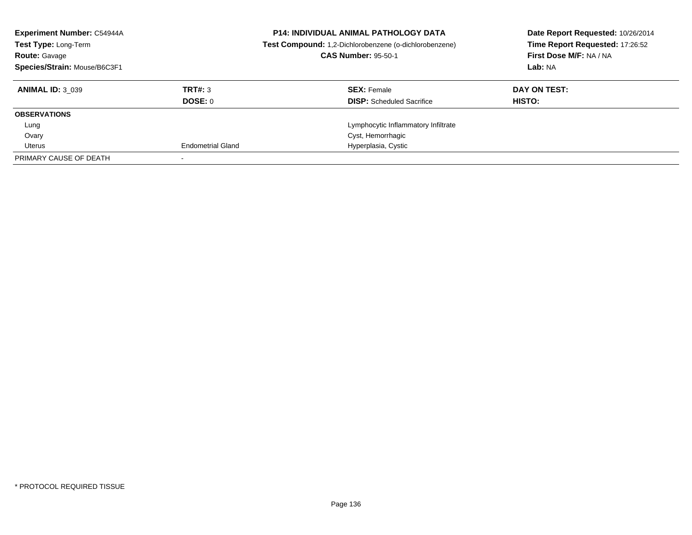| <b>Experiment Number: C54944A</b><br>Test Type: Long-Term<br><b>Route: Gavage</b><br>Species/Strain: Mouse/B6C3F1 |                          | <b>P14: INDIVIDUAL ANIMAL PATHOLOGY DATA</b><br>Test Compound: 1,2-Dichlorobenzene (o-dichlorobenzene)<br><b>CAS Number: 95-50-1</b> | Date Report Requested: 10/26/2014<br>Time Report Requested: 17:26:52<br>First Dose M/F: NA / NA<br>Lab: NA |
|-------------------------------------------------------------------------------------------------------------------|--------------------------|--------------------------------------------------------------------------------------------------------------------------------------|------------------------------------------------------------------------------------------------------------|
| <b>ANIMAL ID: 3 039</b>                                                                                           | TRT#: 3                  | <b>SEX: Female</b>                                                                                                                   | DAY ON TEST:                                                                                               |
|                                                                                                                   | DOSE: 0                  | <b>DISP:</b> Scheduled Sacrifice                                                                                                     | HISTO:                                                                                                     |
| <b>OBSERVATIONS</b>                                                                                               |                          |                                                                                                                                      |                                                                                                            |
| Lung                                                                                                              |                          | Lymphocytic Inflammatory Infiltrate                                                                                                  |                                                                                                            |
| Ovary                                                                                                             |                          | Cyst, Hemorrhagic                                                                                                                    |                                                                                                            |
| Uterus                                                                                                            | <b>Endometrial Gland</b> | Hyperplasia, Cystic                                                                                                                  |                                                                                                            |
| PRIMARY CAUSE OF DEATH                                                                                            |                          |                                                                                                                                      |                                                                                                            |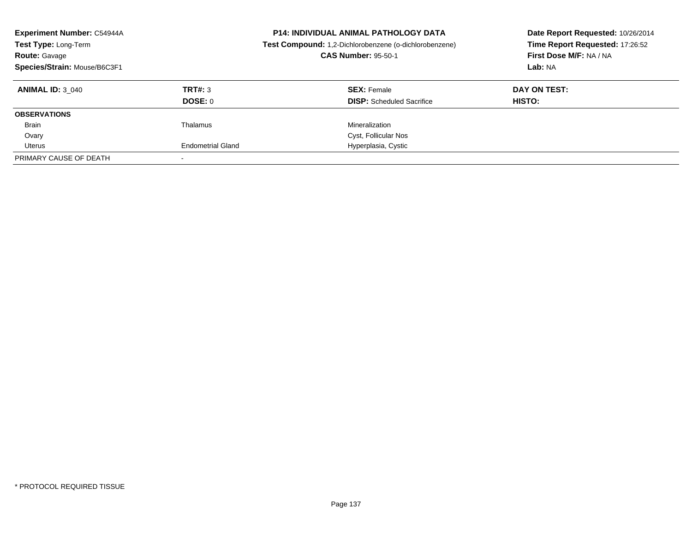| <b>Experiment Number: C54944A</b><br>Test Type: Long-Term<br><b>Route: Gavage</b><br>Species/Strain: Mouse/B6C3F1 |                          | <b>P14: INDIVIDUAL ANIMAL PATHOLOGY DATA</b><br>Test Compound: 1,2-Dichlorobenzene (o-dichlorobenzene)<br><b>CAS Number: 95-50-1</b> | Date Report Requested: 10/26/2014<br>Time Report Requested: 17:26:52<br>First Dose M/F: NA / NA<br>Lab: NA |
|-------------------------------------------------------------------------------------------------------------------|--------------------------|--------------------------------------------------------------------------------------------------------------------------------------|------------------------------------------------------------------------------------------------------------|
| <b>ANIMAL ID: 3 040</b>                                                                                           | TRT#: 3                  | <b>SEX: Female</b>                                                                                                                   | DAY ON TEST:                                                                                               |
|                                                                                                                   | DOSE: 0                  | <b>DISP:</b> Scheduled Sacrifice                                                                                                     | HISTO:                                                                                                     |
| <b>OBSERVATIONS</b>                                                                                               |                          |                                                                                                                                      |                                                                                                            |
| <b>Brain</b>                                                                                                      | Thalamus                 | Mineralization                                                                                                                       |                                                                                                            |
| Ovary                                                                                                             |                          | Cyst, Follicular Nos                                                                                                                 |                                                                                                            |
| Uterus                                                                                                            | <b>Endometrial Gland</b> | Hyperplasia, Cystic                                                                                                                  |                                                                                                            |
| PRIMARY CAUSE OF DEATH                                                                                            |                          |                                                                                                                                      |                                                                                                            |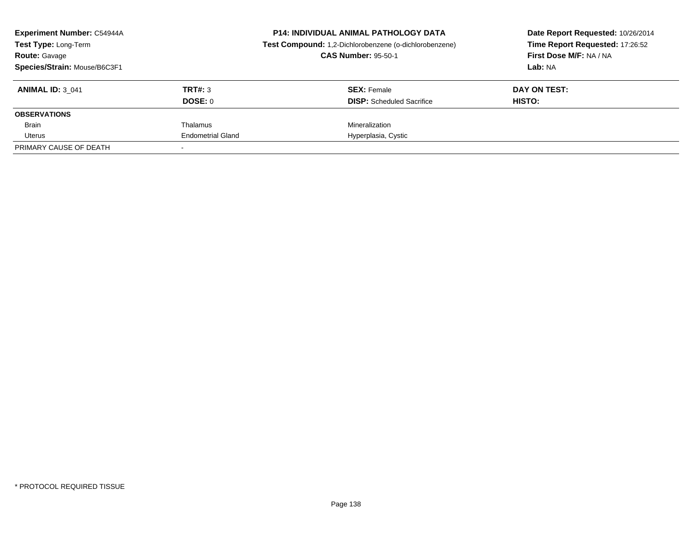| <b>Experiment Number: C54944A</b><br><b>Test Type: Long-Term</b><br><b>Route: Gavage</b><br>Species/Strain: Mouse/B6C3F1 |                          | <b>P14: INDIVIDUAL ANIMAL PATHOLOGY DATA</b><br>Test Compound: 1,2-Dichlorobenzene (o-dichlorobenzene)<br><b>CAS Number: 95-50-1</b> | Date Report Requested: 10/26/2014<br>Time Report Requested: 17:26:52<br>First Dose M/F: NA / NA<br>Lab: NA |
|--------------------------------------------------------------------------------------------------------------------------|--------------------------|--------------------------------------------------------------------------------------------------------------------------------------|------------------------------------------------------------------------------------------------------------|
| <b>ANIMAL ID: 3 041</b>                                                                                                  | TRT#: 3<br>DOSE: 0       | <b>SEX: Female</b><br><b>DISP:</b> Scheduled Sacrifice                                                                               | DAY ON TEST:<br>HISTO:                                                                                     |
| <b>OBSERVATIONS</b>                                                                                                      |                          |                                                                                                                                      |                                                                                                            |
| Brain                                                                                                                    | Thalamus                 | Mineralization                                                                                                                       |                                                                                                            |
| Uterus                                                                                                                   | <b>Endometrial Gland</b> | Hyperplasia, Cystic                                                                                                                  |                                                                                                            |
| PRIMARY CAUSE OF DEATH                                                                                                   |                          |                                                                                                                                      |                                                                                                            |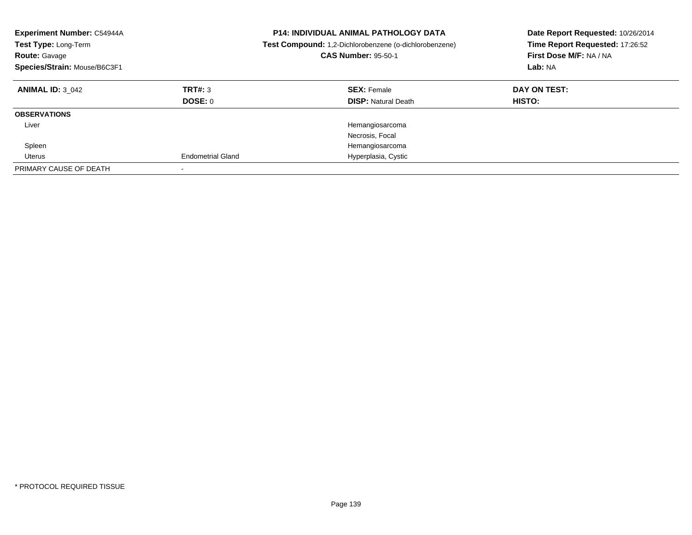| Experiment Number: C54944A<br>Test Type: Long-Term<br><b>Route: Gavage</b><br>Species/Strain: Mouse/B6C3F1 |                          | <b>P14: INDIVIDUAL ANIMAL PATHOLOGY DATA</b><br><b>Test Compound:</b> 1,2-Dichlorobenzene (o-dichlorobenzene)<br><b>CAS Number: 95-50-1</b> | Date Report Requested: 10/26/2014<br>Time Report Requested: 17:26:52<br>First Dose M/F: NA / NA<br>Lab: NA |
|------------------------------------------------------------------------------------------------------------|--------------------------|---------------------------------------------------------------------------------------------------------------------------------------------|------------------------------------------------------------------------------------------------------------|
| <b>ANIMAL ID: 3 042</b>                                                                                    | TRT#: 3<br>DOSE: 0       | <b>SEX: Female</b><br><b>DISP: Natural Death</b>                                                                                            | DAY ON TEST:<br>HISTO:                                                                                     |
| <b>OBSERVATIONS</b>                                                                                        |                          |                                                                                                                                             |                                                                                                            |
| Liver                                                                                                      |                          | Hemangiosarcoma<br>Necrosis, Focal                                                                                                          |                                                                                                            |
| Spleen                                                                                                     |                          | Hemangiosarcoma                                                                                                                             |                                                                                                            |
| Uterus                                                                                                     | <b>Endometrial Gland</b> | Hyperplasia, Cystic                                                                                                                         |                                                                                                            |
| PRIMARY CAUSE OF DEATH                                                                                     |                          |                                                                                                                                             |                                                                                                            |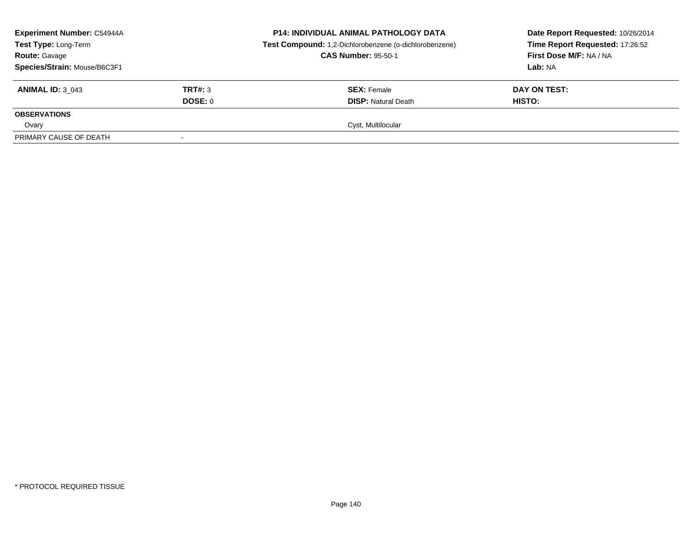| <b>Experiment Number: C54944A</b><br>Test Type: Long-Term<br><b>Route: Gavage</b><br>Species/Strain: Mouse/B6C3F1 |         | <b>P14: INDIVIDUAL ANIMAL PATHOLOGY DATA</b><br>Test Compound: 1,2-Dichlorobenzene (o-dichlorobenzene)<br><b>CAS Number: 95-50-1</b> | Date Report Requested: 10/26/2014<br>Time Report Requested: 17:26:52<br>First Dose M/F: NA / NA<br>Lab: NA |
|-------------------------------------------------------------------------------------------------------------------|---------|--------------------------------------------------------------------------------------------------------------------------------------|------------------------------------------------------------------------------------------------------------|
| <b>ANIMAL ID: 3 043</b>                                                                                           | TRT#: 3 | <b>SEX:</b> Female                                                                                                                   | DAY ON TEST:                                                                                               |
|                                                                                                                   | DOSE: 0 | <b>DISP: Natural Death</b>                                                                                                           | <b>HISTO:</b>                                                                                              |
| <b>OBSERVATIONS</b>                                                                                               |         |                                                                                                                                      |                                                                                                            |
| Ovary                                                                                                             |         | Cyst, Multilocular                                                                                                                   |                                                                                                            |
| PRIMARY CAUSE OF DEATH                                                                                            |         |                                                                                                                                      |                                                                                                            |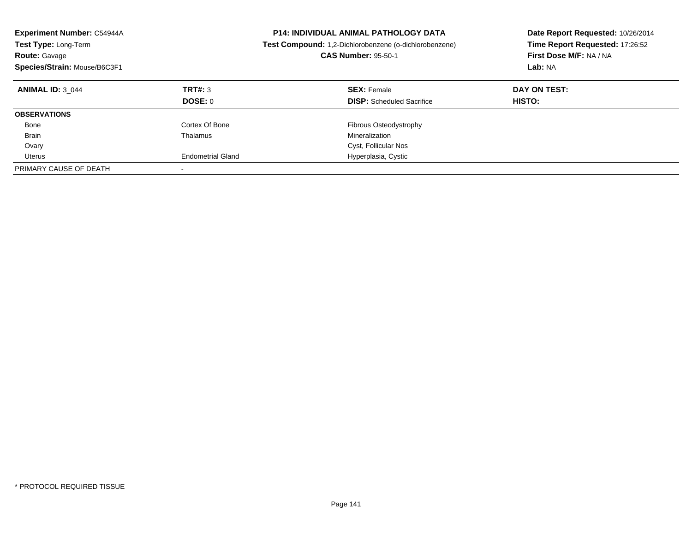| <b>Experiment Number: C54944A</b><br>Test Type: Long-Term<br><b>Route: Gavage</b><br>Species/Strain: Mouse/B6C3F1 |                          | <b>P14: INDIVIDUAL ANIMAL PATHOLOGY DATA</b><br>Test Compound: 1,2-Dichlorobenzene (o-dichlorobenzene)<br><b>CAS Number: 95-50-1</b> | Date Report Requested: 10/26/2014<br>Time Report Requested: 17:26:52<br>First Dose M/F: NA / NA<br>Lab: NA |
|-------------------------------------------------------------------------------------------------------------------|--------------------------|--------------------------------------------------------------------------------------------------------------------------------------|------------------------------------------------------------------------------------------------------------|
| <b>ANIMAL ID: 3 044</b>                                                                                           | TRT#: 3                  | <b>SEX: Female</b>                                                                                                                   | DAY ON TEST:                                                                                               |
|                                                                                                                   | DOSE: 0                  | <b>DISP:</b> Scheduled Sacrifice                                                                                                     | <b>HISTO:</b>                                                                                              |
| <b>OBSERVATIONS</b>                                                                                               |                          |                                                                                                                                      |                                                                                                            |
| Bone                                                                                                              | Cortex Of Bone           | <b>Fibrous Osteodystrophy</b>                                                                                                        |                                                                                                            |
| <b>Brain</b>                                                                                                      | Thalamus                 | Mineralization                                                                                                                       |                                                                                                            |
| Ovary                                                                                                             |                          | Cyst, Follicular Nos                                                                                                                 |                                                                                                            |
| Uterus                                                                                                            | <b>Endometrial Gland</b> | Hyperplasia, Cystic                                                                                                                  |                                                                                                            |
| PRIMARY CAUSE OF DEATH                                                                                            |                          |                                                                                                                                      |                                                                                                            |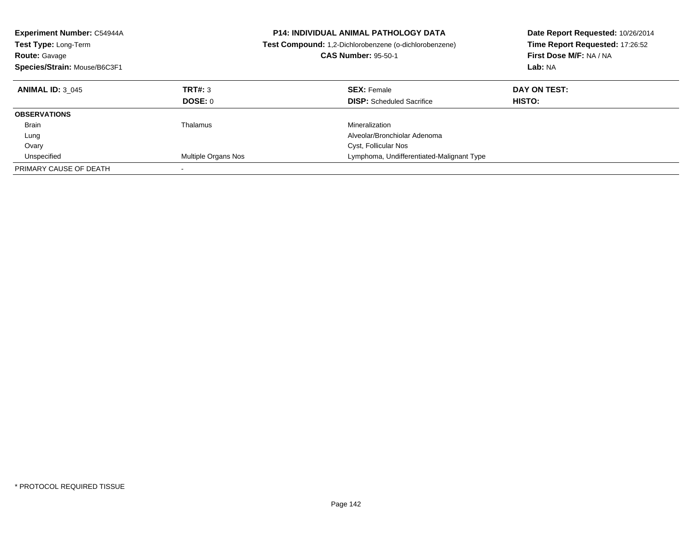| <b>Experiment Number: C54944A</b><br><b>Test Type: Long-Term</b><br><b>Route: Gavage</b><br>Species/Strain: Mouse/B6C3F1 |                            | <b>P14: INDIVIDUAL ANIMAL PATHOLOGY DATA</b><br><b>Test Compound:</b> 1,2-Dichlorobenzene (o-dichlorobenzene)<br><b>CAS Number: 95-50-1</b> | Date Report Requested: 10/26/2014<br>Time Report Requested: 17:26:52<br>First Dose M/F: NA / NA<br>Lab: NA |
|--------------------------------------------------------------------------------------------------------------------------|----------------------------|---------------------------------------------------------------------------------------------------------------------------------------------|------------------------------------------------------------------------------------------------------------|
| <b>ANIMAL ID: 3 045</b>                                                                                                  | TRT#: 3                    | <b>SEX: Female</b>                                                                                                                          | DAY ON TEST:                                                                                               |
|                                                                                                                          | DOSE: 0                    | <b>DISP:</b> Scheduled Sacrifice                                                                                                            | HISTO:                                                                                                     |
| <b>OBSERVATIONS</b>                                                                                                      |                            |                                                                                                                                             |                                                                                                            |
| <b>Brain</b>                                                                                                             | Thalamus                   | Mineralization                                                                                                                              |                                                                                                            |
| Lung                                                                                                                     |                            | Alveolar/Bronchiolar Adenoma                                                                                                                |                                                                                                            |
| Ovary                                                                                                                    |                            | Cyst, Follicular Nos                                                                                                                        |                                                                                                            |
| Unspecified                                                                                                              | <b>Multiple Organs Nos</b> | Lymphoma, Undifferentiated-Malignant Type                                                                                                   |                                                                                                            |
| PRIMARY CAUSE OF DEATH                                                                                                   |                            |                                                                                                                                             |                                                                                                            |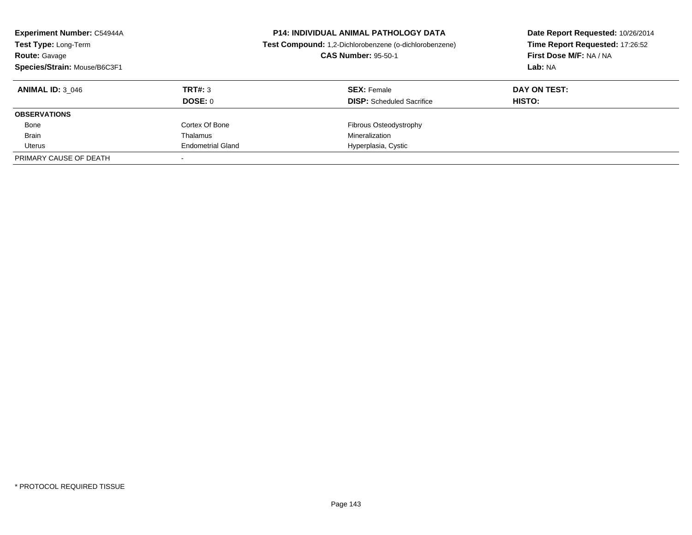| <b>Experiment Number: C54944A</b><br>Test Type: Long-Term<br><b>Route: Gavage</b><br>Species/Strain: Mouse/B6C3F1 |                          | <b>P14: INDIVIDUAL ANIMAL PATHOLOGY DATA</b><br>Test Compound: 1,2-Dichlorobenzene (o-dichlorobenzene)<br><b>CAS Number: 95-50-1</b> | Date Report Requested: 10/26/2014<br>Time Report Requested: 17:26:52<br>First Dose M/F: NA / NA<br>Lab: NA |
|-------------------------------------------------------------------------------------------------------------------|--------------------------|--------------------------------------------------------------------------------------------------------------------------------------|------------------------------------------------------------------------------------------------------------|
| <b>ANIMAL ID: 3 046</b>                                                                                           | TRT#: 3                  | <b>SEX: Female</b>                                                                                                                   | DAY ON TEST:                                                                                               |
|                                                                                                                   | DOSE: 0                  | <b>DISP:</b> Scheduled Sacrifice                                                                                                     | <b>HISTO:</b>                                                                                              |
| <b>OBSERVATIONS</b>                                                                                               |                          |                                                                                                                                      |                                                                                                            |
| Bone                                                                                                              | Cortex Of Bone           | Fibrous Osteodystrophy                                                                                                               |                                                                                                            |
| <b>Brain</b>                                                                                                      | Thalamus                 | Mineralization                                                                                                                       |                                                                                                            |
| Uterus                                                                                                            | <b>Endometrial Gland</b> | Hyperplasia, Cystic                                                                                                                  |                                                                                                            |
| PRIMARY CAUSE OF DEATH                                                                                            |                          |                                                                                                                                      |                                                                                                            |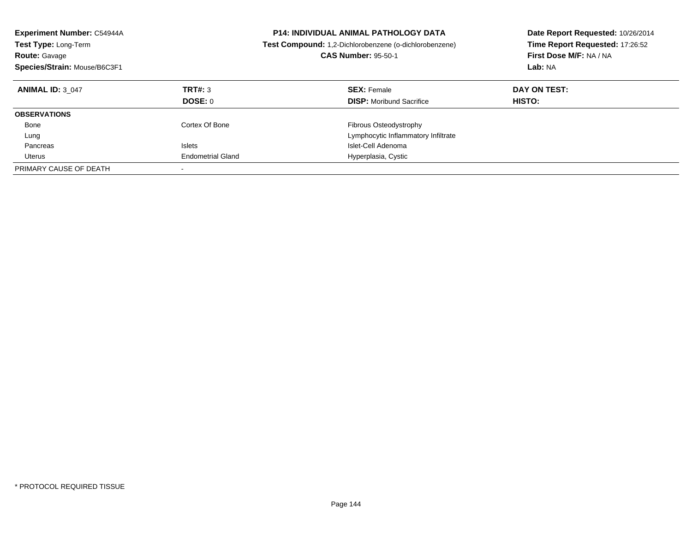| <b>Experiment Number: C54944A</b><br>Test Type: Long-Term<br><b>Route: Gavage</b><br>Species/Strain: Mouse/B6C3F1 |                          | <b>P14: INDIVIDUAL ANIMAL PATHOLOGY DATA</b><br>Test Compound: 1,2-Dichlorobenzene (o-dichlorobenzene)<br><b>CAS Number: 95-50-1</b> | Date Report Requested: 10/26/2014<br>Time Report Requested: 17:26:52<br>First Dose M/F: NA / NA<br>Lab: NA |
|-------------------------------------------------------------------------------------------------------------------|--------------------------|--------------------------------------------------------------------------------------------------------------------------------------|------------------------------------------------------------------------------------------------------------|
| <b>ANIMAL ID: 3 047</b>                                                                                           | TRT#: 3<br>DOSE: 0       | <b>SEX: Female</b><br><b>DISP:</b> Moribund Sacrifice                                                                                | DAY ON TEST:<br><b>HISTO:</b>                                                                              |
| <b>OBSERVATIONS</b>                                                                                               |                          |                                                                                                                                      |                                                                                                            |
|                                                                                                                   |                          |                                                                                                                                      |                                                                                                            |
| Bone                                                                                                              | Cortex Of Bone           | <b>Fibrous Osteodystrophy</b>                                                                                                        |                                                                                                            |
| Lung                                                                                                              |                          | Lymphocytic Inflammatory Infiltrate                                                                                                  |                                                                                                            |
| Pancreas                                                                                                          | <b>Islets</b>            | Islet-Cell Adenoma                                                                                                                   |                                                                                                            |
| Uterus                                                                                                            | <b>Endometrial Gland</b> | Hyperplasia, Cystic                                                                                                                  |                                                                                                            |
| PRIMARY CAUSE OF DEATH                                                                                            |                          |                                                                                                                                      |                                                                                                            |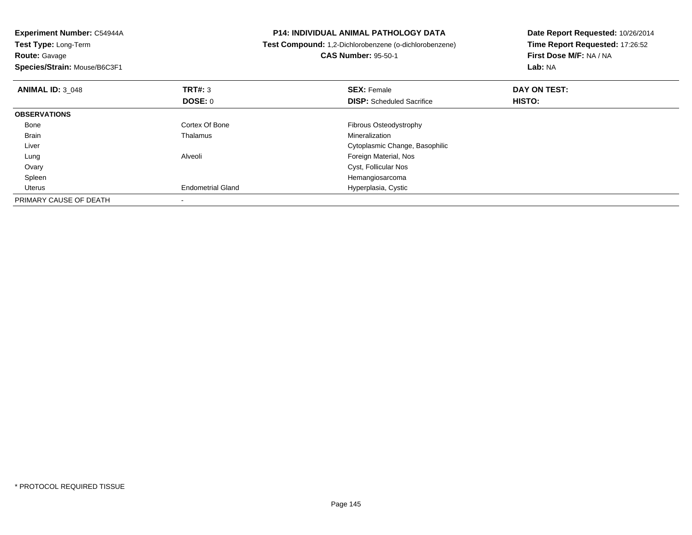| Experiment Number: C54944A<br>Test Type: Long-Term<br><b>Route: Gavage</b><br>Species/Strain: Mouse/B6C3F1 |                          | <b>P14: INDIVIDUAL ANIMAL PATHOLOGY DATA</b><br>Test Compound: 1,2-Dichlorobenzene (o-dichlorobenzene)<br><b>CAS Number: 95-50-1</b> | Date Report Requested: 10/26/2014<br>Time Report Requested: 17:26:52<br>First Dose M/F: NA / NA<br>Lab: NA |
|------------------------------------------------------------------------------------------------------------|--------------------------|--------------------------------------------------------------------------------------------------------------------------------------|------------------------------------------------------------------------------------------------------------|
| <b>ANIMAL ID: 3 048</b>                                                                                    | <b>TRT#: 3</b>           | <b>SEX: Female</b>                                                                                                                   | DAY ON TEST:                                                                                               |
|                                                                                                            | <b>DOSE: 0</b>           | <b>DISP:</b> Scheduled Sacrifice                                                                                                     | <b>HISTO:</b>                                                                                              |
| <b>OBSERVATIONS</b>                                                                                        |                          |                                                                                                                                      |                                                                                                            |
| Bone                                                                                                       | Cortex Of Bone           | Fibrous Osteodystrophy                                                                                                               |                                                                                                            |
| Brain                                                                                                      | Thalamus                 | Mineralization                                                                                                                       |                                                                                                            |
| Liver                                                                                                      |                          | Cytoplasmic Change, Basophilic                                                                                                       |                                                                                                            |
| Lung                                                                                                       | Alveoli                  | Foreign Material, Nos                                                                                                                |                                                                                                            |
| Ovary                                                                                                      |                          | Cyst, Follicular Nos                                                                                                                 |                                                                                                            |
| Spleen                                                                                                     |                          | Hemangiosarcoma                                                                                                                      |                                                                                                            |
| Uterus                                                                                                     | <b>Endometrial Gland</b> | Hyperplasia, Cystic                                                                                                                  |                                                                                                            |
| PRIMARY CAUSE OF DEATH                                                                                     |                          |                                                                                                                                      |                                                                                                            |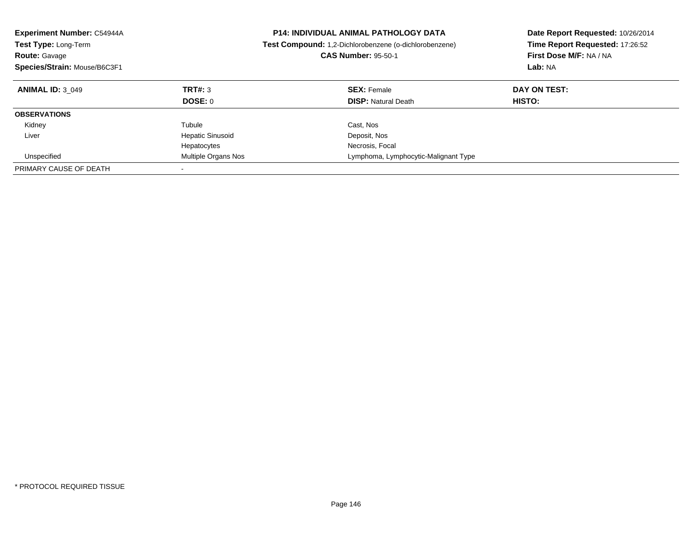| <b>Experiment Number: C54944A</b><br><b>Test Type: Long-Term</b><br><b>Route: Gavage</b><br>Species/Strain: Mouse/B6C3F1 |                         | <b>P14: INDIVIDUAL ANIMAL PATHOLOGY DATA</b><br><b>Test Compound:</b> 1,2-Dichlorobenzene (o-dichlorobenzene)<br><b>CAS Number: 95-50-1</b> | Date Report Requested: 10/26/2014<br>Time Report Requested: 17:26:52<br>First Dose M/F: NA / NA<br>Lab: NA |
|--------------------------------------------------------------------------------------------------------------------------|-------------------------|---------------------------------------------------------------------------------------------------------------------------------------------|------------------------------------------------------------------------------------------------------------|
| <b>ANIMAL ID: 3 049</b>                                                                                                  | TRT#: 3                 | <b>SEX: Female</b>                                                                                                                          | DAY ON TEST:                                                                                               |
|                                                                                                                          | DOSE: 0                 | <b>DISP:</b> Natural Death                                                                                                                  | HISTO:                                                                                                     |
| <b>OBSERVATIONS</b>                                                                                                      |                         |                                                                                                                                             |                                                                                                            |
| Kidney                                                                                                                   | Tubule                  | Cast, Nos                                                                                                                                   |                                                                                                            |
| Liver                                                                                                                    | <b>Hepatic Sinusoid</b> | Deposit, Nos                                                                                                                                |                                                                                                            |
|                                                                                                                          | Hepatocytes             | Necrosis, Focal                                                                                                                             |                                                                                                            |
| Unspecified                                                                                                              | Multiple Organs Nos     | Lymphoma, Lymphocytic-Malignant Type                                                                                                        |                                                                                                            |
| PRIMARY CAUSE OF DEATH                                                                                                   |                         |                                                                                                                                             |                                                                                                            |